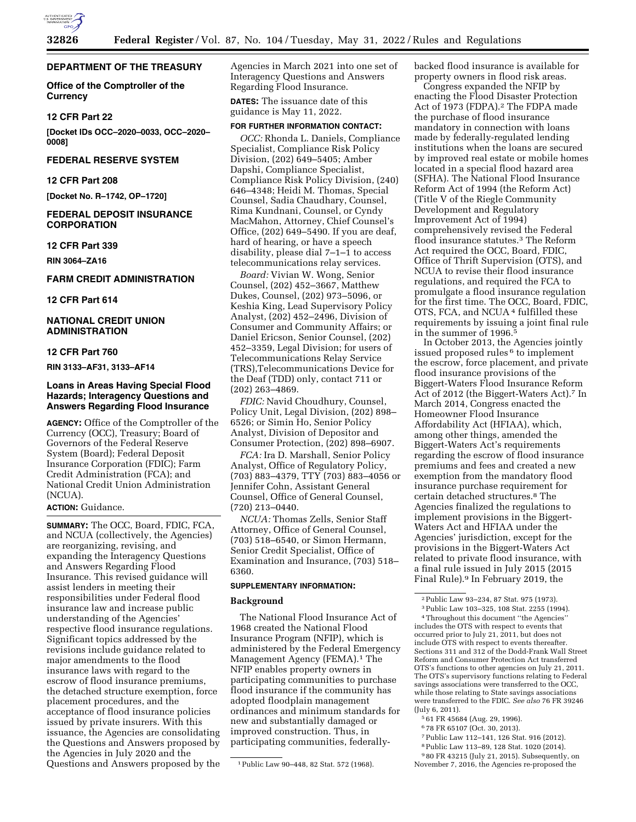

### **DEPARTMENT OF THE TREASURY**

**Office of the Comptroller of the Currency** 

#### **12 CFR Part 22**

**[Docket IDs OCC–2020–0033, OCC–2020– 0008]** 

# **FEDERAL RESERVE SYSTEM**

## **12 CFR Part 208**

**[Docket No. R–1742, OP–1720]** 

#### **FEDERAL DEPOSIT INSURANCE CORPORATION**

#### **12 CFR Part 339**

**RIN 3064–ZA16** 

## **FARM CREDIT ADMINISTRATION**

**12 CFR Part 614** 

# **NATIONAL CREDIT UNION ADMINISTRATION**

#### **12 CFR Part 760**

**RIN 3133–AF31, 3133–AF14** 

#### **Loans in Areas Having Special Flood Hazards; Interagency Questions and Answers Regarding Flood Insurance**

**AGENCY:** Office of the Comptroller of the Currency (OCC), Treasury; Board of Governors of the Federal Reserve System (Board); Federal Deposit Insurance Corporation (FDIC); Farm Credit Administration (FCA); and National Credit Union Administration (NCUA).

# **ACTION:** Guidance.

**SUMMARY:** The OCC, Board, FDIC, FCA, and NCUA (collectively, the Agencies) are reorganizing, revising, and expanding the Interagency Questions and Answers Regarding Flood Insurance. This revised guidance will assist lenders in meeting their responsibilities under Federal flood insurance law and increase public understanding of the Agencies' respective flood insurance regulations. Significant topics addressed by the revisions include guidance related to major amendments to the flood insurance laws with regard to the escrow of flood insurance premiums, the detached structure exemption, force placement procedures, and the acceptance of flood insurance policies issued by private insurers. With this issuance, the Agencies are consolidating the Questions and Answers proposed by the Agencies in July 2020 and the Questions and Answers proposed by the

Agencies in March 2021 into one set of Interagency Questions and Answers Regarding Flood Insurance.

**DATES:** The issuance date of this guidance is May 11, 2022.

#### **FOR FURTHER INFORMATION CONTACT:**

*OCC:* Rhonda L. Daniels, Compliance Specialist, Compliance Risk Policy Division, (202) 649–5405; Amber Dapshi, Compliance Specialist, Compliance Risk Policy Division, (240) 646–4348; Heidi M. Thomas, Special Counsel, Sadia Chaudhary, Counsel, Rima Kundnani, Counsel, or Cyndy MacMahon, Attorney, Chief Counsel's Office, (202) 649–5490. If you are deaf, hard of hearing, or have a speech disability, please dial 7–1–1 to access telecommunications relay services.

*Board:* Vivian W. Wong, Senior Counsel, (202) 452–3667, Matthew Dukes, Counsel, (202) 973–5096, or Keshia King, Lead Supervisory Policy Analyst, (202) 452–2496, Division of Consumer and Community Affairs; or Daniel Ericson, Senior Counsel, (202) 452–3359, Legal Division; for users of Telecommunications Relay Service (TRS),Telecommunications Device for the Deaf (TDD) only, contact 711 or (202) 263–4869.

*FDIC:* Navid Choudhury, Counsel, Policy Unit, Legal Division, (202) 898– 6526; or Simin Ho, Senior Policy Analyst, Division of Depositor and Consumer Protection, (202) 898–6907.

*FCA:* Ira D. Marshall, Senior Policy Analyst, Office of Regulatory Policy, (703) 883–4379, TTY (703) 883–4056 or Jennifer Cohn, Assistant General Counsel, Office of General Counsel, (720) 213–0440.

*NCUA:* Thomas Zells, Senior Staff Attorney, Office of General Counsel, (703) 518–6540, or Simon Hermann, Senior Credit Specialist, Office of Examination and Insurance, (703) 518– 6360.

#### **SUPPLEMENTARY INFORMATION:**

#### **Background**

The National Flood Insurance Act of 1968 created the National Flood Insurance Program (NFIP), which is administered by the Federal Emergency Management Agency (FEMA).1 The NFIP enables property owners in participating communities to purchase flood insurance if the community has adopted floodplain management ordinances and minimum standards for new and substantially damaged or improved construction. Thus, in participating communities, federallybacked flood insurance is available for property owners in flood risk areas.

Congress expanded the NFIP by enacting the Flood Disaster Protection Act of 1973 (FDPA).2 The FDPA made the purchase of flood insurance mandatory in connection with loans made by federally-regulated lending institutions when the loans are secured by improved real estate or mobile homes located in a special flood hazard area (SFHA). The National Flood Insurance Reform Act of 1994 (the Reform Act) (Title V of the Riegle Community Development and Regulatory Improvement Act of 1994) comprehensively revised the Federal flood insurance statutes.3 The Reform Act required the OCC, Board, FDIC, Office of Thrift Supervision (OTS), and NCUA to revise their flood insurance regulations, and required the FCA to promulgate a flood insurance regulation for the first time. The OCC, Board, FDIC, OTS, FCA, and NCUA 4 fulfilled these requirements by issuing a joint final rule in the summer of 1996.5

In October 2013, the Agencies jointly issued proposed rules 6 to implement the escrow, force placement, and private flood insurance provisions of the Biggert-Waters Flood Insurance Reform Act of 2012 (the Biggert-Waters Act).7 In March 2014, Congress enacted the Homeowner Flood Insurance Affordability Act (HFIAA), which, among other things, amended the Biggert-Waters Act's requirements regarding the escrow of flood insurance premiums and fees and created a new exemption from the mandatory flood insurance purchase requirement for certain detached structures.8 The Agencies finalized the regulations to implement provisions in the Biggert-Waters Act and HFIAA under the Agencies' jurisdiction, except for the provisions in the Biggert-Waters Act related to private flood insurance, with a final rule issued in July 2015 (2015 Final Rule).9 In February 2019, the

4Throughout this document ''the Agencies'' includes the OTS with respect to events that occurred prior to July 21, 2011, but does not include OTS with respect to events thereafter. Sections 311 and 312 of the Dodd-Frank Wall Street Reform and Consumer Protection Act transferred OTS's functions to other agencies on July 21, 2011. The OTS's supervisory functions relating to Federal savings associations were transferred to the OCC, while those relating to State savings associations were transferred to the FDIC. *See also* 76 FR 39246 (July 6, 2011).

- 5 61 FR 45684 (Aug. 29, 1996).
- 6 78 FR 65107 (Oct. 30, 2013).
- 7Public Law 112–141, 126 Stat. 916 (2012).
- 8Public Law 113–89, 128 Stat. 1020 (2014).

<sup>1</sup>Public Law 90–448, 82 Stat. 572 (1968).

<sup>2</sup>Public Law 93–234, 87 Stat. 975 (1973).

<sup>3</sup>Public Law 103–325, 108 Stat. 2255 (1994).

<sup>9</sup> 80 FR 43215 (July 21, 2015). Subsequently, on November 7, 2016, the Agencies re-proposed the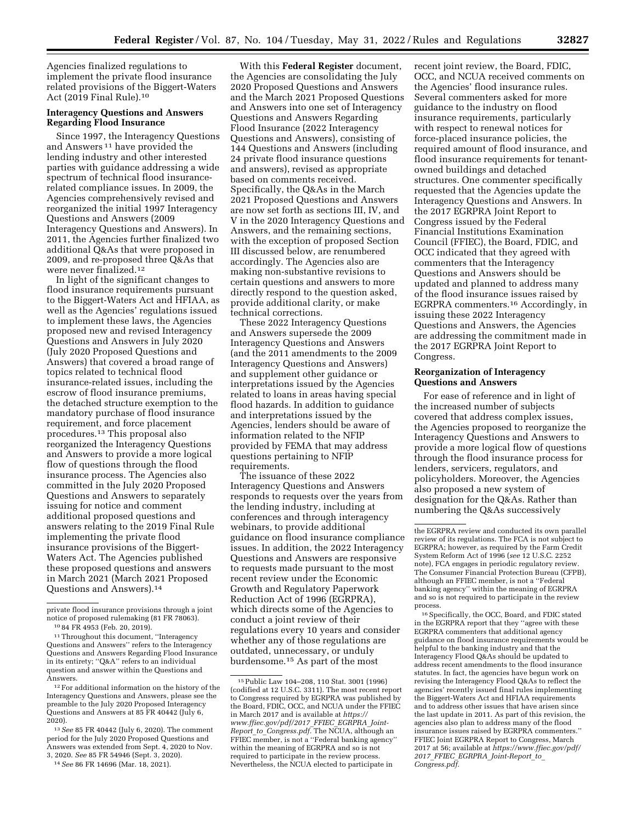Agencies finalized regulations to implement the private flood insurance related provisions of the Biggert-Waters Act (2019 Final Rule).10

## **Interagency Questions and Answers Regarding Flood Insurance**

Since 1997, the Interagency Questions and Answers 11 have provided the lending industry and other interested parties with guidance addressing a wide spectrum of technical flood insurancerelated compliance issues. In 2009, the Agencies comprehensively revised and reorganized the initial 1997 Interagency Questions and Answers (2009 Interagency Questions and Answers). In 2011, the Agencies further finalized two additional Q&As that were proposed in 2009, and re-proposed three Q&As that were never finalized.12

In light of the significant changes to flood insurance requirements pursuant to the Biggert-Waters Act and HFIAA, as well as the Agencies' regulations issued to implement these laws, the Agencies proposed new and revised Interagency Questions and Answers in July 2020 (July 2020 Proposed Questions and Answers) that covered a broad range of topics related to technical flood insurance-related issues, including the escrow of flood insurance premiums, the detached structure exemption to the mandatory purchase of flood insurance requirement, and force placement procedures.13 This proposal also reorganized the Interagency Questions and Answers to provide a more logical flow of questions through the flood insurance process. The Agencies also committed in the July 2020 Proposed Questions and Answers to separately issuing for notice and comment additional proposed questions and answers relating to the 2019 Final Rule implementing the private flood insurance provisions of the Biggert-Waters Act. The Agencies published these proposed questions and answers in March 2021 (March 2021 Proposed Questions and Answers).14

With this **Federal Register** document, the Agencies are consolidating the July 2020 Proposed Questions and Answers and the March 2021 Proposed Questions and Answers into one set of Interagency Questions and Answers Regarding Flood Insurance (2022 Interagency Questions and Answers), consisting of 144 Questions and Answers (including 24 private flood insurance questions and answers), revised as appropriate based on comments received. Specifically, the Q&As in the March 2021 Proposed Questions and Answers are now set forth as sections III, IV, and V in the 2020 Interagency Questions and Answers, and the remaining sections, with the exception of proposed Section III discussed below, are renumbered accordingly. The Agencies also are making non-substantive revisions to certain questions and answers to more directly respond to the question asked, provide additional clarity, or make technical corrections.

These 2022 Interagency Questions and Answers supersede the 2009 Interagency Questions and Answers (and the 2011 amendments to the 2009 Interagency Questions and Answers) and supplement other guidance or interpretations issued by the Agencies related to loans in areas having special flood hazards. In addition to guidance and interpretations issued by the Agencies, lenders should be aware of information related to the NFIP provided by FEMA that may address questions pertaining to NFIP requirements.

The issuance of these 2022 Interagency Questions and Answers responds to requests over the years from the lending industry, including at conferences and through interagency webinars, to provide additional guidance on flood insurance compliance issues. In addition, the 2022 Interagency Questions and Answers are responsive to requests made pursuant to the most recent review under the Economic Growth and Regulatory Paperwork Reduction Act of 1996 (EGRPRA), which directs some of the Agencies to conduct a joint review of their regulations every 10 years and consider whether any of those regulations are outdated, unnecessary, or unduly burdensome.15 As part of the most

recent joint review, the Board, FDIC, OCC, and NCUA received comments on the Agencies' flood insurance rules. Several commenters asked for more guidance to the industry on flood insurance requirements, particularly with respect to renewal notices for force-placed insurance policies, the required amount of flood insurance, and flood insurance requirements for tenantowned buildings and detached structures. One commenter specifically requested that the Agencies update the Interagency Questions and Answers. In the 2017 EGRPRA Joint Report to Congress issued by the Federal Financial Institutions Examination Council (FFIEC), the Board, FDIC, and OCC indicated that they agreed with commenters that the Interagency Questions and Answers should be updated and planned to address many of the flood insurance issues raised by EGRPRA commenters.16 Accordingly, in issuing these 2022 Interagency Questions and Answers, the Agencies are addressing the commitment made in the 2017 EGRPRA Joint Report to Congress.

#### **Reorganization of Interagency Questions and Answers**

For ease of reference and in light of the increased number of subjects covered that address complex issues, the Agencies proposed to reorganize the Interagency Questions and Answers to provide a more logical flow of questions through the flood insurance process for lenders, servicers, regulators, and policyholders. Moreover, the Agencies also proposed a new system of designation for the Q&As. Rather than numbering the Q&As successively

16Specifically, the OCC, Board, and FDIC stated in the EGRPRA report that they ''agree with these EGRPRA commenters that additional agency guidance on flood insurance requirements would be helpful to the banking industry and that the Interagency Flood Q&As should be updated to address recent amendments to the flood insurance statutes. In fact, the agencies have begun work on revising the Interagency Flood Q&As to reflect the agencies' recently issued final rules implementing the Biggert-Waters Act and HFIAA requirements and to address other issues that have arisen since the last update in 2011. As part of this revision, the agencies also plan to address many of the flood insurance issues raised by EGRPRA commenters.'' FFIEC Joint EGRPRA Report to Congress, March 2017 at 56; available at *[https://www.ffiec.gov/pdf/](https://www.ffiec.gov/pdf/2017_FFIEC_EGRPRA_Joint-Report_to_Congress.pdf) 2017*\_*FFIEC*\_*EGRPRA*\_*[Joint-Report](https://www.ffiec.gov/pdf/2017_FFIEC_EGRPRA_Joint-Report_to_Congress.pdf)*\_*to*\_ *[Congress.pdf.](https://www.ffiec.gov/pdf/2017_FFIEC_EGRPRA_Joint-Report_to_Congress.pdf)* 

private flood insurance provisions through a joint notice of proposed rulemaking (81 FR 78063). 10 84 FR 4953 (Feb. 20, 2019).

<sup>11</sup>Throughout this document, ''Interagency Questions and Answers'' refers to the Interagency Questions and Answers Regarding Flood Insurance in its entirety; ''Q&A'' refers to an individual question and answer within the Questions and Answers.

<sup>12</sup>For additional information on the history of the Interagency Questions and Answers, please see the preamble to the July 2020 Proposed Interagency Questions and Answers at 85 FR 40442 (July 6, 2020).

<sup>13</sup>*See* 85 FR 40442 (July 6, 2020). The comment period for the July 2020 Proposed Questions and Answers was extended from Sept. 4, 2020 to Nov. 3, 2020. *See* 85 FR 54946 (Sept. 3, 2020).

<sup>14</sup>*See* 86 FR 14696 (Mar. 18, 2021).

<sup>15</sup>Public Law 104–208, 110 Stat. 3001 (1996) (codified at 12 U.S.C. 3311). The most recent report to Congress required by EGRPRA was published by the Board, FDIC, OCC, and NCUA under the FFIEC in March 2017 and is available at *[https://](https://www.ffiec.gov/pdf/2017_FFIEC_EGRPRA_Joint-Report_to_Congress.pdf) [www.ffiec.gov/pdf/2017](https://www.ffiec.gov/pdf/2017_FFIEC_EGRPRA_Joint-Report_to_Congress.pdf)*\_*FFIEC*\_*EGRPRA*\_*Joint-Report*\_*to*\_*[Congress.pdf.](https://www.ffiec.gov/pdf/2017_FFIEC_EGRPRA_Joint-Report_to_Congress.pdf)* The NCUA, although an FFIEC member, is not a ''Federal banking agency'' within the meaning of EGRPRA and so is not required to participate in the review process. Nevertheless, the NCUA elected to participate in

the EGRPRA review and conducted its own parallel review of its regulations. The FCA is not subject to EGRPRA; however, as required by the Farm Credit System Reform Act of 1996 (*see* 12 U.S.C. 2252 note), FCA engages in periodic regulatory review. The Consumer Financial Protection Bureau (CFPB), although an FFIEC member, is not a ''Federal banking agency'' within the meaning of EGRPRA and so is not required to participate in the review process.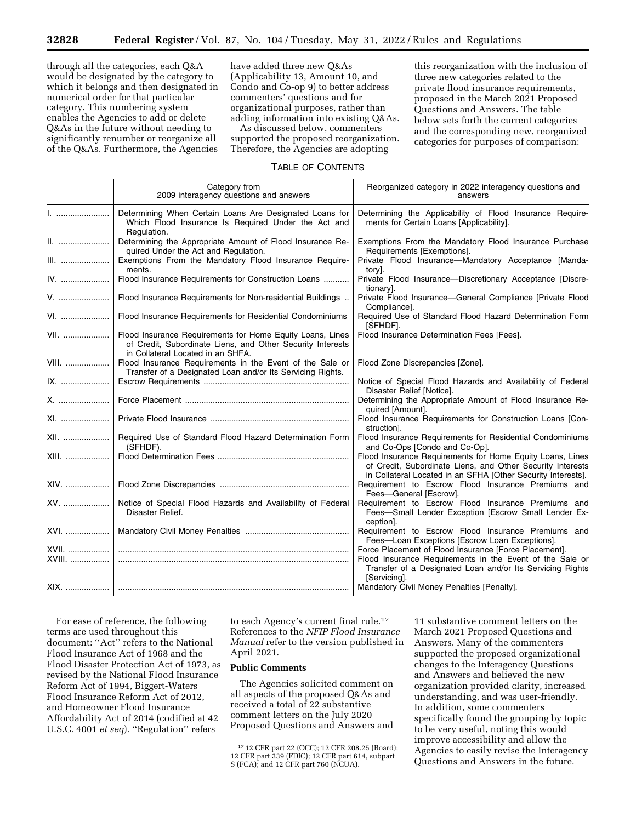through all the categories, each Q&A would be designated by the category to which it belongs and then designated in numerical order for that particular category. This numbering system enables the Agencies to add or delete Q&As in the future without needing to significantly renumber or reorganize all of the Q&As. Furthermore, the Agencies

have added three new Q&As (Applicability 13, Amount 10, and Condo and Co-op 9) to better address commenters' questions and for organizational purposes, rather than adding information into existing Q&As.

As discussed below, commenters supported the proposed reorganization. Therefore, the Agencies are adopting

this reorganization with the inclusion of three new categories related to the private flood insurance requirements, proposed in the March 2021 Proposed Questions and Answers. The table below sets forth the current categories and the corresponding new, reorganized categories for purposes of comparison:

# TABLE OF CONTENTS

|              | Category from<br>2009 interagency questions and answers                                                                                                      | Reorganized category in 2022 interagency questions and<br>answers                                                                                                                       |
|--------------|--------------------------------------------------------------------------------------------------------------------------------------------------------------|-----------------------------------------------------------------------------------------------------------------------------------------------------------------------------------------|
|              | Determining When Certain Loans Are Designated Loans for<br>Which Flood Insurance Is Required Under the Act and<br>Regulation.                                | Determining the Applicability of Flood Insurance Require-<br>ments for Certain Loans [Applicability].                                                                                   |
|              | Determining the Appropriate Amount of Flood Insurance Re-<br>quired Under the Act and Regulation.                                                            | Exemptions From the Mandatory Flood Insurance Purchase<br>Requirements [Exemptions].                                                                                                    |
| III.         | Exemptions From the Mandatory Flood Insurance Require-<br>ments.                                                                                             | Private Flood Insurance-Mandatory Acceptance [Manda-<br>tory].                                                                                                                          |
| IV.          | Flood Insurance Requirements for Construction Loans                                                                                                          | Private Flood Insurance-Discretionary Acceptance [Discre-<br>tionary].                                                                                                                  |
| V.           | Flood Insurance Requirements for Non-residential Buildings                                                                                                   | Private Flood Insurance-General Compliance [Private Flood<br>Compliance].                                                                                                               |
| VI.          | Flood Insurance Requirements for Residential Condominiums                                                                                                    | Required Use of Standard Flood Hazard Determination Form<br>[SFHDF].                                                                                                                    |
| VII.         | Flood Insurance Requirements for Home Equity Loans, Lines<br>of Credit, Subordinate Liens, and Other Security Interests<br>in Collateral Located in an SHFA. | Flood Insurance Determination Fees [Fees].                                                                                                                                              |
| <b>VIII.</b> | Flood Insurance Requirements in the Event of the Sale or<br>Transfer of a Designated Loan and/or Its Servicing Rights.                                       | Flood Zone Discrepancies [Zone].                                                                                                                                                        |
| IX.          |                                                                                                                                                              | Notice of Special Flood Hazards and Availability of Federal<br>Disaster Relief [Notice].                                                                                                |
| X.           |                                                                                                                                                              | Determining the Appropriate Amount of Flood Insurance Re-<br>quired [Amount].                                                                                                           |
| XI.          |                                                                                                                                                              | Flood Insurance Requirements for Construction Loans [Con-<br>struction.                                                                                                                 |
| XII.         | Required Use of Standard Flood Hazard Determination Form<br>(SFHDF).                                                                                         | Flood Insurance Requirements for Residential Condominiums<br>and Co-Ops [Condo and Co-Op].                                                                                              |
| XIII.        |                                                                                                                                                              | Flood Insurance Requirements for Home Equity Loans, Lines<br>of Credit, Subordinate Liens, and Other Security Interests<br>in Collateral Located in an SFHA [Other Security Interests]. |
| XIV.         |                                                                                                                                                              | Requirement to Escrow Flood Insurance Premiums and<br>Fees-General [Escrow].                                                                                                            |
| XV.          | Notice of Special Flood Hazards and Availability of Federal<br>Disaster Relief.                                                                              | Requirement to Escrow Flood Insurance Premiums and<br>Fees-Small Lender Exception [Escrow Small Lender Ex-<br>ception].                                                                 |
| XVI.         |                                                                                                                                                              | Requirement to Escrow Flood Insurance Premiums and<br>Fees-Loan Exceptions [Escrow Loan Exceptions].                                                                                    |
| XVII.        |                                                                                                                                                              | Force Placement of Flood Insurance [Force Placement].                                                                                                                                   |
| XVIII.       |                                                                                                                                                              | Flood Insurance Requirements in the Event of the Sale or<br>Transfer of a Designated Loan and/or Its Servicing Rights<br>[Servicing].                                                   |
|              |                                                                                                                                                              | Mandatory Civil Money Penalties [Penalty].                                                                                                                                              |

For ease of reference, the following terms are used throughout this document: ''Act'' refers to the National Flood Insurance Act of 1968 and the Flood Disaster Protection Act of 1973, as revised by the National Flood Insurance Reform Act of 1994, Biggert-Waters Flood Insurance Reform Act of 2012, and Homeowner Flood Insurance Affordability Act of 2014 (codified at 42 U.S.C. 4001 *et seq*). ''Regulation'' refers

to each Agency's current final rule.17 References to the *NFIP Flood Insurance Manual* refer to the version published in April 2021.

# **Public Comments**

The Agencies solicited comment on all aspects of the proposed Q&As and received a total of 22 substantive comment letters on the July 2020 Proposed Questions and Answers and

11 substantive comment letters on the March 2021 Proposed Questions and Answers. Many of the commenters supported the proposed organizational changes to the Interagency Questions and Answers and believed the new organization provided clarity, increased understanding, and was user-friendly. In addition, some commenters specifically found the grouping by topic to be very useful, noting this would improve accessibility and allow the Agencies to easily revise the Interagency Questions and Answers in the future.

<sup>17</sup> 12 CFR part 22 (OCC); 12 CFR 208.25 (Board); 12 CFR part 339 (FDIC); 12 CFR part 614, subpart S (FCA); and 12 CFR part 760 (NCUA).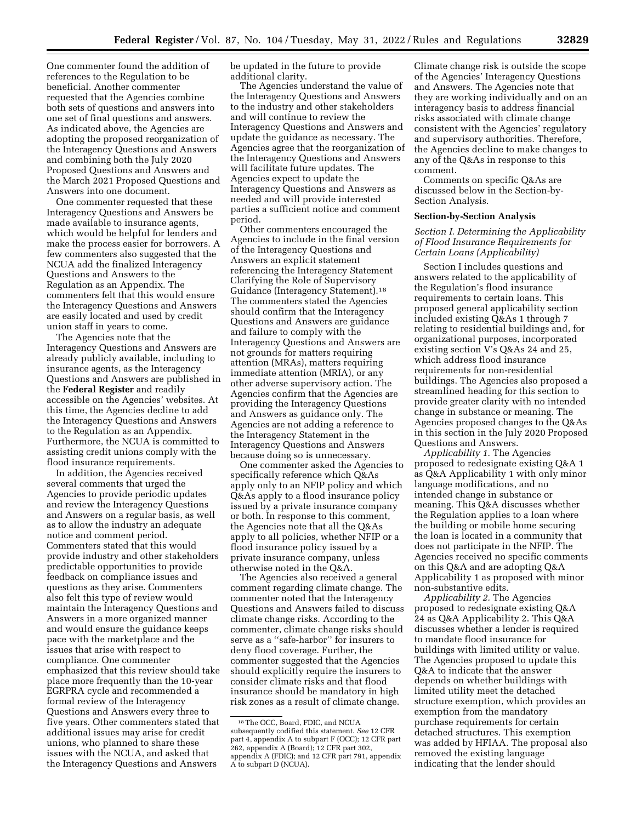One commenter found the addition of references to the Regulation to be beneficial. Another commenter requested that the Agencies combine both sets of questions and answers into one set of final questions and answers. As indicated above, the Agencies are adopting the proposed reorganization of the Interagency Questions and Answers and combining both the July 2020 Proposed Questions and Answers and the March 2021 Proposed Questions and Answers into one document.

One commenter requested that these Interagency Questions and Answers be made available to insurance agents, which would be helpful for lenders and make the process easier for borrowers. A few commenters also suggested that the NCUA add the finalized Interagency Questions and Answers to the Regulation as an Appendix. The commenters felt that this would ensure the Interagency Questions and Answers are easily located and used by credit union staff in years to come.

The Agencies note that the Interagency Questions and Answers are already publicly available, including to insurance agents, as the Interagency Questions and Answers are published in the **Federal Register** and readily accessible on the Agencies' websites. At this time, the Agencies decline to add the Interagency Questions and Answers to the Regulation as an Appendix. Furthermore, the NCUA is committed to assisting credit unions comply with the flood insurance requirements.

In addition, the Agencies received several comments that urged the Agencies to provide periodic updates and review the Interagency Questions and Answers on a regular basis, as well as to allow the industry an adequate notice and comment period. Commenters stated that this would provide industry and other stakeholders predictable opportunities to provide feedback on compliance issues and questions as they arise. Commenters also felt this type of review would maintain the Interagency Questions and Answers in a more organized manner and would ensure the guidance keeps pace with the marketplace and the issues that arise with respect to compliance. One commenter emphasized that this review should take place more frequently than the 10-year EGRPRA cycle and recommended a formal review of the Interagency Questions and Answers every three to five years. Other commenters stated that additional issues may arise for credit unions, who planned to share these issues with the NCUA, and asked that the Interagency Questions and Answers

be updated in the future to provide additional clarity.

The Agencies understand the value of the Interagency Questions and Answers to the industry and other stakeholders and will continue to review the Interagency Questions and Answers and update the guidance as necessary. The Agencies agree that the reorganization of the Interagency Questions and Answers will facilitate future updates. The Agencies expect to update the Interagency Questions and Answers as needed and will provide interested parties a sufficient notice and comment period.

Other commenters encouraged the Agencies to include in the final version of the Interagency Questions and Answers an explicit statement referencing the Interagency Statement Clarifying the Role of Supervisory Guidance (Interagency Statement).18 The commenters stated the Agencies should confirm that the Interagency Questions and Answers are guidance and failure to comply with the Interagency Questions and Answers are not grounds for matters requiring attention (MRAs), matters requiring immediate attention (MRIA), or any other adverse supervisory action. The Agencies confirm that the Agencies are providing the Interagency Questions and Answers as guidance only. The Agencies are not adding a reference to the Interagency Statement in the Interagency Questions and Answers because doing so is unnecessary.

One commenter asked the Agencies to specifically reference which Q&As apply only to an NFIP policy and which Q&As apply to a flood insurance policy issued by a private insurance company or both. In response to this comment, the Agencies note that all the Q&As apply to all policies, whether NFIP or a flood insurance policy issued by a private insurance company, unless otherwise noted in the Q&A.

The Agencies also received a general comment regarding climate change. The commenter noted that the Interagency Questions and Answers failed to discuss climate change risks. According to the commenter, climate change risks should serve as a ''safe-harbor'' for insurers to deny flood coverage. Further, the commenter suggested that the Agencies should explicitly require the insurers to consider climate risks and that flood insurance should be mandatory in high risk zones as a result of climate change.

Climate change risk is outside the scope of the Agencies' Interagency Questions and Answers. The Agencies note that they are working individually and on an interagency basis to address financial risks associated with climate change consistent with the Agencies' regulatory and supervisory authorities. Therefore, the Agencies decline to make changes to any of the Q&As in response to this comment.

Comments on specific Q&As are discussed below in the Section-by-Section Analysis.

#### **Section-by-Section Analysis**

*Section I. Determining the Applicability of Flood Insurance Requirements for Certain Loans (Applicability)* 

Section I includes questions and answers related to the applicability of the Regulation's flood insurance requirements to certain loans. This proposed general applicability section included existing Q&As 1 through 7 relating to residential buildings and, for organizational purposes, incorporated existing section V's Q&As 24 and 25, which address flood insurance requirements for non-residential buildings. The Agencies also proposed a streamlined heading for this section to provide greater clarity with no intended change in substance or meaning. The Agencies proposed changes to the Q&As in this section in the July 2020 Proposed Questions and Answers.

*Applicability 1.* The Agencies proposed to redesignate existing Q&A 1 as Q&A Applicability 1 with only minor language modifications, and no intended change in substance or meaning. This Q&A discusses whether the Regulation applies to a loan where the building or mobile home securing the loan is located in a community that does not participate in the NFIP. The Agencies received no specific comments on this Q&A and are adopting Q&A Applicability 1 as proposed with minor non-substantive edits.

*Applicability 2.* The Agencies proposed to redesignate existing Q&A 24 as Q&A Applicability 2. This Q&A discusses whether a lender is required to mandate flood insurance for buildings with limited utility or value. The Agencies proposed to update this Q&A to indicate that the answer depends on whether buildings with limited utility meet the detached structure exemption, which provides an exemption from the mandatory purchase requirements for certain detached structures. This exemption was added by HFIAA. The proposal also removed the existing language indicating that the lender should

<sup>18</sup>The OCC, Board, FDIC, and NCUA subsequently codified this statement. *See* 12 CFR part 4, appendix A to subpart F (OCC); 12 CFR part 262, appendix A (Board); 12 CFR part 302, appendix A (FDIC); and 12 CFR part 791, appendix A to subpart D (NCUA).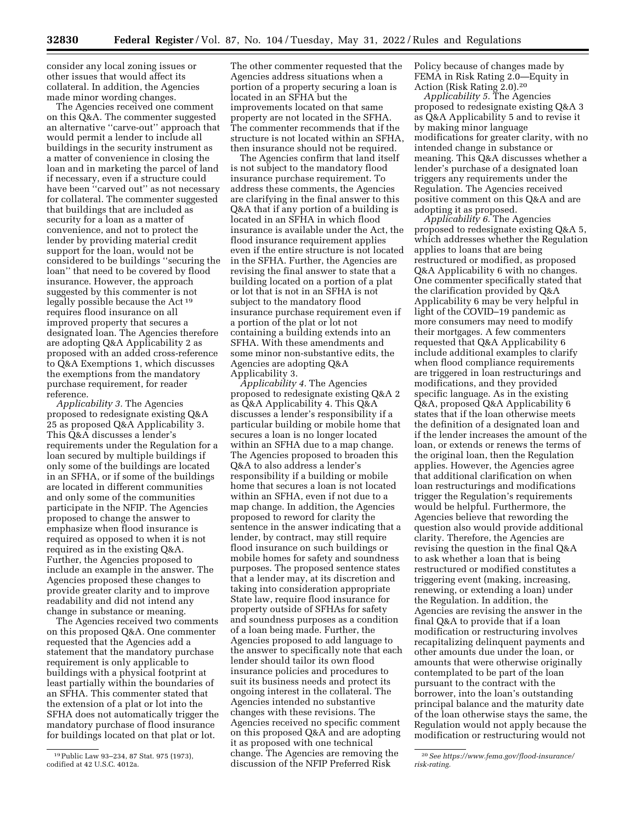consider any local zoning issues or other issues that would affect its collateral. In addition, the Agencies made minor wording changes.

The Agencies received one comment on this Q&A. The commenter suggested an alternative ''carve-out'' approach that would permit a lender to include all buildings in the security instrument as a matter of convenience in closing the loan and in marketing the parcel of land if necessary, even if a structure could have been ''carved out'' as not necessary for collateral. The commenter suggested that buildings that are included as security for a loan as a matter of convenience, and not to protect the lender by providing material credit support for the loan, would not be considered to be buildings ''securing the loan'' that need to be covered by flood insurance. However, the approach suggested by this commenter is not legally possible because the Act 19 requires flood insurance on all improved property that secures a designated loan. The Agencies therefore are adopting Q&A Applicability 2 as proposed with an added cross-reference to Q&A Exemptions 1, which discusses the exemptions from the mandatory purchase requirement, for reader reference.

*Applicability 3.* The Agencies proposed to redesignate existing Q&A 25 as proposed Q&A Applicability 3. This Q&A discusses a lender's requirements under the Regulation for a loan secured by multiple buildings if only some of the buildings are located in an SFHA, or if some of the buildings are located in different communities and only some of the communities participate in the NFIP. The Agencies proposed to change the answer to emphasize when flood insurance is required as opposed to when it is not required as in the existing Q&A. Further, the Agencies proposed to include an example in the answer. The Agencies proposed these changes to provide greater clarity and to improve readability and did not intend any change in substance or meaning.

The Agencies received two comments on this proposed Q&A. One commenter requested that the Agencies add a statement that the mandatory purchase requirement is only applicable to buildings with a physical footprint at least partially within the boundaries of an SFHA. This commenter stated that the extension of a plat or lot into the SFHA does not automatically trigger the mandatory purchase of flood insurance for buildings located on that plat or lot.

The other commenter requested that the Agencies address situations when a portion of a property securing a loan is located in an SFHA but the improvements located on that same property are not located in the SFHA. The commenter recommends that if the structure is not located within an SFHA, then insurance should not be required.

The Agencies confirm that land itself is not subject to the mandatory flood insurance purchase requirement. To address these comments, the Agencies are clarifying in the final answer to this Q&A that if any portion of a building is located in an SFHA in which flood insurance is available under the Act, the flood insurance requirement applies even if the entire structure is not located in the SFHA. Further, the Agencies are revising the final answer to state that a building located on a portion of a plat or lot that is not in an SFHA is not subject to the mandatory flood insurance purchase requirement even if a portion of the plat or lot not containing a building extends into an SFHA. With these amendments and some minor non-substantive edits, the Agencies are adopting Q&A Applicability 3.

*Applicability 4.* The Agencies proposed to redesignate existing Q&A 2 as Q&A Applicability 4. This Q&A discusses a lender's responsibility if a particular building or mobile home that secures a loan is no longer located within an SFHA due to a map change. The Agencies proposed to broaden this Q&A to also address a lender's responsibility if a building or mobile home that secures a loan is not located within an SFHA, even if not due to a map change. In addition, the Agencies proposed to reword for clarity the sentence in the answer indicating that a lender, by contract, may still require flood insurance on such buildings or mobile homes for safety and soundness purposes. The proposed sentence states that a lender may, at its discretion and taking into consideration appropriate State law, require flood insurance for property outside of SFHAs for safety and soundness purposes as a condition of a loan being made. Further, the Agencies proposed to add language to the answer to specifically note that each lender should tailor its own flood insurance policies and procedures to suit its business needs and protect its ongoing interest in the collateral. The Agencies intended no substantive changes with these revisions. The Agencies received no specific comment on this proposed Q&A and are adopting it as proposed with one technical change. The Agencies are removing the discussion of the NFIP Preferred Risk

Policy because of changes made by FEMA in Risk Rating 2.0—Equity in Action (Risk Rating 2.0).20

*Applicability 5.* The Agencies proposed to redesignate existing Q&A 3 as Q&A Applicability 5 and to revise it by making minor language modifications for greater clarity, with no intended change in substance or meaning. This Q&A discusses whether a lender's purchase of a designated loan triggers any requirements under the Regulation. The Agencies received positive comment on this Q&A and are adopting it as proposed.

*Applicability 6.* The Agencies proposed to redesignate existing Q&A 5, which addresses whether the Regulation applies to loans that are being restructured or modified, as proposed Q&A Applicability 6 with no changes. One commenter specifically stated that the clarification provided by Q&A Applicability 6 may be very helpful in light of the COVID–19 pandemic as more consumers may need to modify their mortgages. A few commenters requested that Q&A Applicability 6 include additional examples to clarify when flood compliance requirements are triggered in loan restructurings and modifications, and they provided specific language. As in the existing Q&A, proposed Q&A Applicability 6 states that if the loan otherwise meets the definition of a designated loan and if the lender increases the amount of the loan, or extends or renews the terms of the original loan, then the Regulation applies. However, the Agencies agree that additional clarification on when loan restructurings and modifications trigger the Regulation's requirements would be helpful. Furthermore, the Agencies believe that rewording the question also would provide additional clarity. Therefore, the Agencies are revising the question in the final Q&A to ask whether a loan that is being restructured or modified constitutes a triggering event (making, increasing, renewing, or extending a loan) under the Regulation. In addition, the Agencies are revising the answer in the final Q&A to provide that if a loan modification or restructuring involves recapitalizing delinquent payments and other amounts due under the loan, or amounts that were otherwise originally contemplated to be part of the loan pursuant to the contract with the borrower, into the loan's outstanding principal balance and the maturity date of the loan otherwise stays the same, the Regulation would not apply because the modification or restructuring would not

<sup>19</sup>Public Law 93–234, 87 Stat. 975 (1973), codified at 42 U.S.C. 4012a.

<sup>20</sup>*See [https://www.fema.gov/flood-insurance/](https://www.fema.gov/flood-insurance/risk-rating) [risk-rating.](https://www.fema.gov/flood-insurance/risk-rating)*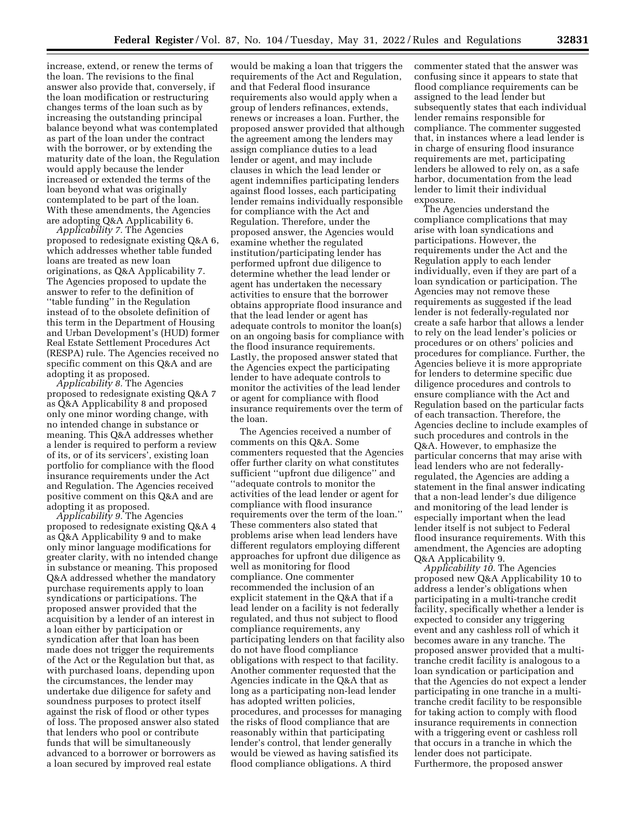increase, extend, or renew the terms of the loan. The revisions to the final answer also provide that, conversely, if the loan modification or restructuring changes terms of the loan such as by increasing the outstanding principal balance beyond what was contemplated as part of the loan under the contract with the borrower, or by extending the maturity date of the loan, the Regulation would apply because the lender increased or extended the terms of the loan beyond what was originally contemplated to be part of the loan. With these amendments, the Agencies are adopting Q&A Applicability 6.

*Applicability 7.* The Agencies proposed to redesignate existing Q&A 6, which addresses whether table funded loans are treated as new loan originations, as Q&A Applicability 7. The Agencies proposed to update the answer to refer to the definition of ''table funding'' in the Regulation instead of to the obsolete definition of this term in the Department of Housing and Urban Development's (HUD) former Real Estate Settlement Procedures Act (RESPA) rule. The Agencies received no specific comment on this Q&A and are adopting it as proposed.

*Applicability 8.* The Agencies proposed to redesignate existing Q&A 7 as Q&A Applicability 8 and proposed only one minor wording change, with no intended change in substance or meaning. This Q&A addresses whether a lender is required to perform a review of its, or of its servicers', existing loan portfolio for compliance with the flood insurance requirements under the Act and Regulation. The Agencies received positive comment on this Q&A and are adopting it as proposed.

*Applicability 9.* The Agencies proposed to redesignate existing Q&A 4 as Q&A Applicability 9 and to make only minor language modifications for greater clarity, with no intended change in substance or meaning. This proposed Q&A addressed whether the mandatory purchase requirements apply to loan syndications or participations. The proposed answer provided that the acquisition by a lender of an interest in a loan either by participation or syndication after that loan has been made does not trigger the requirements of the Act or the Regulation but that, as with purchased loans, depending upon the circumstances, the lender may undertake due diligence for safety and soundness purposes to protect itself against the risk of flood or other types of loss. The proposed answer also stated that lenders who pool or contribute funds that will be simultaneously advanced to a borrower or borrowers as a loan secured by improved real estate

would be making a loan that triggers the requirements of the Act and Regulation, and that Federal flood insurance requirements also would apply when a group of lenders refinances, extends, renews or increases a loan. Further, the proposed answer provided that although the agreement among the lenders may assign compliance duties to a lead lender or agent, and may include clauses in which the lead lender or agent indemnifies participating lenders against flood losses, each participating lender remains individually responsible for compliance with the Act and Regulation. Therefore, under the proposed answer, the Agencies would examine whether the regulated institution/participating lender has performed upfront due diligence to determine whether the lead lender or agent has undertaken the necessary activities to ensure that the borrower obtains appropriate flood insurance and that the lead lender or agent has adequate controls to monitor the loan(s) on an ongoing basis for compliance with the flood insurance requirements. Lastly, the proposed answer stated that the Agencies expect the participating lender to have adequate controls to monitor the activities of the lead lender or agent for compliance with flood insurance requirements over the term of the loan.

The Agencies received a number of comments on this Q&A. Some commenters requested that the Agencies offer further clarity on what constitutes sufficient ''upfront due diligence'' and ''adequate controls to monitor the activities of the lead lender or agent for compliance with flood insurance requirements over the term of the loan.'' These commenters also stated that problems arise when lead lenders have different regulators employing different approaches for upfront due diligence as well as monitoring for flood compliance. One commenter recommended the inclusion of an explicit statement in the Q&A that if a lead lender on a facility is not federally regulated, and thus not subject to flood compliance requirements, any participating lenders on that facility also do not have flood compliance obligations with respect to that facility. Another commenter requested that the Agencies indicate in the Q&A that as long as a participating non-lead lender has adopted written policies, procedures, and processes for managing the risks of flood compliance that are reasonably within that participating lender's control, that lender generally would be viewed as having satisfied its flood compliance obligations. A third

commenter stated that the answer was confusing since it appears to state that flood compliance requirements can be assigned to the lead lender but subsequently states that each individual lender remains responsible for compliance. The commenter suggested that, in instances where a lead lender is in charge of ensuring flood insurance requirements are met, participating lenders be allowed to rely on, as a safe harbor, documentation from the lead lender to limit their individual exposure.

The Agencies understand the compliance complications that may arise with loan syndications and participations. However, the requirements under the Act and the Regulation apply to each lender individually, even if they are part of a loan syndication or participation. The Agencies may not remove these requirements as suggested if the lead lender is not federally-regulated nor create a safe harbor that allows a lender to rely on the lead lender's policies or procedures or on others' policies and procedures for compliance. Further, the Agencies believe it is more appropriate for lenders to determine specific due diligence procedures and controls to ensure compliance with the Act and Regulation based on the particular facts of each transaction. Therefore, the Agencies decline to include examples of such procedures and controls in the Q&A. However, to emphasize the particular concerns that may arise with lead lenders who are not federallyregulated, the Agencies are adding a statement in the final answer indicating that a non-lead lender's due diligence and monitoring of the lead lender is especially important when the lead lender itself is not subject to Federal flood insurance requirements. With this amendment, the Agencies are adopting Q&A Applicability 9.

*Applicability 10.* The Agencies proposed new Q&A Applicability 10 to address a lender's obligations when participating in a multi-tranche credit facility, specifically whether a lender is expected to consider any triggering event and any cashless roll of which it becomes aware in any tranche. The proposed answer provided that a multitranche credit facility is analogous to a loan syndication or participation and that the Agencies do not expect a lender participating in one tranche in a multitranche credit facility to be responsible for taking action to comply with flood insurance requirements in connection with a triggering event or cashless roll that occurs in a tranche in which the lender does not participate. Furthermore, the proposed answer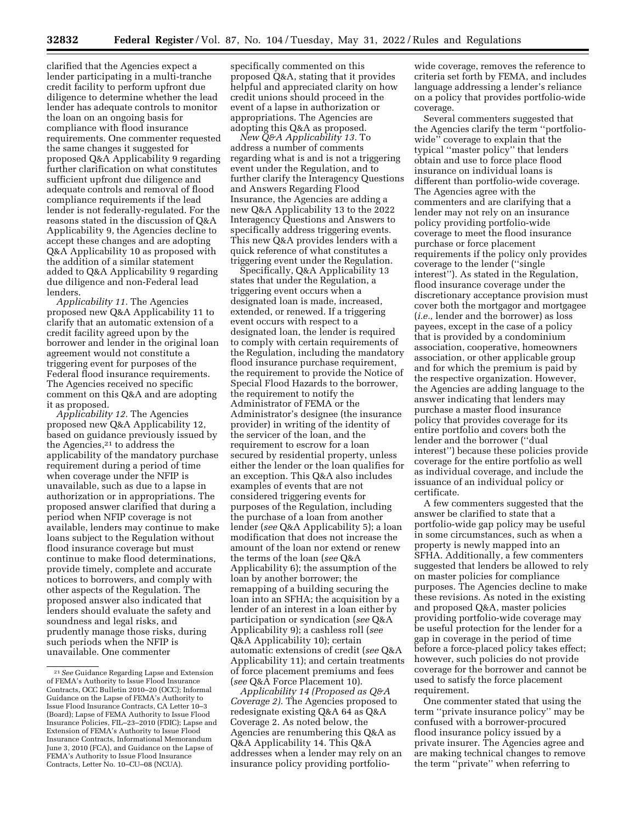clarified that the Agencies expect a lender participating in a multi-tranche credit facility to perform upfront due diligence to determine whether the lead lender has adequate controls to monitor the loan on an ongoing basis for compliance with flood insurance requirements. One commenter requested the same changes it suggested for proposed Q&A Applicability 9 regarding further clarification on what constitutes sufficient upfront due diligence and adequate controls and removal of flood compliance requirements if the lead lender is not federally-regulated. For the reasons stated in the discussion of Q&A Applicability 9, the Agencies decline to accept these changes and are adopting Q&A Applicability 10 as proposed with the addition of a similar statement added to Q&A Applicability 9 regarding due diligence and non-Federal lead lenders.

*Applicability 11.* The Agencies proposed new Q&A Applicability 11 to clarify that an automatic extension of a credit facility agreed upon by the borrower and lender in the original loan agreement would not constitute a triggering event for purposes of the Federal flood insurance requirements. The Agencies received no specific comment on this Q&A and are adopting it as proposed.

*Applicability 12.* The Agencies proposed new Q&A Applicability 12, based on guidance previously issued by the Agencies,21 to address the applicability of the mandatory purchase requirement during a period of time when coverage under the NFIP is unavailable, such as due to a lapse in authorization or in appropriations. The proposed answer clarified that during a period when NFIP coverage is not available, lenders may continue to make loans subject to the Regulation without flood insurance coverage but must continue to make flood determinations, provide timely, complete and accurate notices to borrowers, and comply with other aspects of the Regulation. The proposed answer also indicated that lenders should evaluate the safety and soundness and legal risks, and prudently manage those risks, during such periods when the NFIP is unavailable. One commenter

specifically commented on this proposed Q&A, stating that it provides helpful and appreciated clarity on how credit unions should proceed in the event of a lapse in authorization or appropriations. The Agencies are adopting this Q&A as proposed.

*New Q&A Applicability 13.* To address a number of comments regarding what is and is not a triggering event under the Regulation, and to further clarify the Interagency Questions and Answers Regarding Flood Insurance, the Agencies are adding a new Q&A Applicability 13 to the 2022 Interagency Questions and Answers to specifically address triggering events. This new Q&A provides lenders with a quick reference of what constitutes a triggering event under the Regulation.

Specifically, Q&A Applicability 13 states that under the Regulation, a triggering event occurs when a designated loan is made, increased, extended, or renewed. If a triggering event occurs with respect to a designated loan, the lender is required to comply with certain requirements of the Regulation, including the mandatory flood insurance purchase requirement, the requirement to provide the Notice of Special Flood Hazards to the borrower, the requirement to notify the Administrator of FEMA or the Administrator's designee (the insurance provider) in writing of the identity of the servicer of the loan, and the requirement to escrow for a loan secured by residential property, unless either the lender or the loan qualifies for an exception. This Q&A also includes examples of events that are not considered triggering events for purposes of the Regulation, including the purchase of a loan from another lender (*see* Q&A Applicability 5); a loan modification that does not increase the amount of the loan nor extend or renew the terms of the loan (*see* Q&A Applicability 6); the assumption of the loan by another borrower; the remapping of a building securing the loan into an SFHA; the acquisition by a lender of an interest in a loan either by participation or syndication (*see* Q&A Applicability 9); a cashless roll (*see*  Q&A Applicability 10); certain automatic extensions of credit (*see* Q&A Applicability 11); and certain treatments of force placement premiums and fees (*see* Q&A Force Placement 10).

*Applicability 14 (Proposed as Q&A Coverage 2).* The Agencies proposed to redesignate existing Q&A 64 as Q&A Coverage 2. As noted below, the Agencies are renumbering this Q&A as Q&A Applicability 14. This Q&A addresses when a lender may rely on an insurance policy providing portfolio-

wide coverage, removes the reference to criteria set forth by FEMA, and includes language addressing a lender's reliance on a policy that provides portfolio-wide coverage.

Several commenters suggested that the Agencies clarify the term ''portfoliowide'' coverage to explain that the typical ''master policy'' that lenders obtain and use to force place flood insurance on individual loans is different than portfolio-wide coverage. The Agencies agree with the commenters and are clarifying that a lender may not rely on an insurance policy providing portfolio-wide coverage to meet the flood insurance purchase or force placement requirements if the policy only provides coverage to the lender (''single interest''). As stated in the Regulation, flood insurance coverage under the discretionary acceptance provision must cover both the mortgagor and mortgagee (*i.e.,* lender and the borrower) as loss payees, except in the case of a policy that is provided by a condominium association, cooperative, homeowners association, or other applicable group and for which the premium is paid by the respective organization. However, the Agencies are adding language to the answer indicating that lenders may purchase a master flood insurance policy that provides coverage for its entire portfolio and covers both the lender and the borrower (''dual interest'') because these policies provide coverage for the entire portfolio as well as individual coverage, and include the issuance of an individual policy or certificate.

A few commenters suggested that the answer be clarified to state that a portfolio-wide gap policy may be useful in some circumstances, such as when a property is newly mapped into an SFHA. Additionally, a few commenters suggested that lenders be allowed to rely on master policies for compliance purposes. The Agencies decline to make these revisions. As noted in the existing and proposed Q&A, master policies providing portfolio-wide coverage may be useful protection for the lender for a gap in coverage in the period of time before a force-placed policy takes effect; however, such policies do not provide coverage for the borrower and cannot be used to satisfy the force placement requirement.

One commenter stated that using the term ''private insurance policy'' may be confused with a borrower-procured flood insurance policy issued by a private insurer. The Agencies agree and are making technical changes to remove the term ''private'' when referring to

<sup>21</sup>*See* Guidance Regarding Lapse and Extension of FEMA's Authority to Issue Flood Insurance Contracts, OCC Bulletin 2010–20 (OCC); Informal Guidance on the Lapse of FEMA's Authority to Issue Flood Insurance Contracts, CA Letter 10–3 (Board); Lapse of FEMA Authority to Issue Flood Insurance Policies, FIL–23–2010 (FDIC); Lapse and Extension of FEMA's Authority to Issue Flood Insurance Contracts, Informational Memorandum June 3, 2010 (FCA), and Guidance on the Lapse of FEMA's Authority to Issue Flood Insurance Contracts, Letter No. 10-CU-08 (NCUA).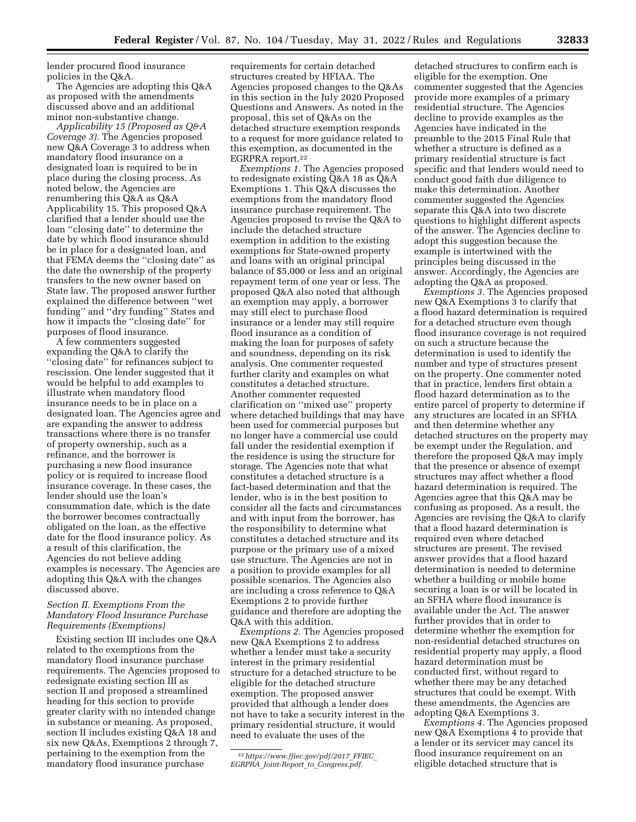lender procured flood insurance policies in the Q&A.

The Agencies are adopting this Q&A as proposed with the amendments discussed above and an additional minor non-substantive change.

*Applicability 15 (Proposed as Q&A Coverage 3).* The Agencies proposed new Q&A Coverage 3 to address when mandatory flood insurance on a designated loan is required to be in place during the closing process. As noted below, the Agencies are renumbering this Q&A as Q&A Applicability 15. This proposed Q&A clarified that a lender should use the loan ''closing date'' to determine the date by which flood insurance should be in place for a designated loan, and that FEMA deems the ''closing date'' as the date the ownership of the property transfers to the new owner based on State law. The proposed answer further explained the difference between ''wet funding'' and ''dry funding'' States and how it impacts the ''closing date'' for purposes of flood insurance.

A few commenters suggested expanding the Q&A to clarify the ''closing date'' for refinances subject to rescission. One lender suggested that it would be helpful to add examples to illustrate when mandatory flood insurance needs to be in place on a designated loan. The Agencies agree and are expanding the answer to address transactions where there is no transfer of property ownership, such as a refinance, and the borrower is purchasing a new flood insurance policy or is required to increase flood insurance coverage. In these cases, the lender should use the loan's consummation date, which is the date the borrower becomes contractually obligated on the loan, as the effective date for the flood insurance policy. As a result of this clarification, the Agencies do not believe adding examples is necessary. The Agencies are adopting this Q&A with the changes discussed above.

## *Section II. Exemptions From the Mandatory Flood Insurance Purchase Requirements (Exemptions)*

Existing section III includes one Q&A related to the exemptions from the mandatory flood insurance purchase requirements. The Agencies proposed to redesignate existing section III as section II and proposed a streamlined heading for this section to provide greater clarity with no intended change in substance or meaning. As proposed, section II includes existing Q&A 18 and six new Q&As, Exemptions 2 through 7, pertaining to the exemption from the mandatory flood insurance purchase

requirements for certain detached structures created by HFIAA. The Agencies proposed changes to the Q&As in this section in the July 2020 Proposed Questions and Answers. As noted in the proposal, this set of Q&As on the detached structure exemption responds to a request for more guidance related to this exemption, as documented in the EGRPRA report.22

*Exemptions 1.* The Agencies proposed to redesignate existing Q&A 18 as Q&A Exemptions 1. This Q&A discusses the exemptions from the mandatory flood insurance purchase requirement. The Agencies proposed to revise the Q&A to include the detached structure exemption in addition to the existing exemptions for State-owned property and loans with an original principal balance of \$5,000 or less and an original repayment term of one year or less. The proposed Q&A also noted that although an exemption may apply, a borrower may still elect to purchase flood insurance or a lender may still require flood insurance as a condition of making the loan for purposes of safety and soundness, depending on its risk analysis. One commenter requested further clarity and examples on what constitutes a detached structure. Another commenter requested clarification on ''mixed use'' property where detached buildings that may have been used for commercial purposes but no longer have a commercial use could fall under the residential exemption if the residence is using the structure for storage. The Agencies note that what constitutes a detached structure is a fact-based determination and that the lender, who is in the best position to consider all the facts and circumstances and with input from the borrower, has the responsibility to determine what constitutes a detached structure and its purpose or the primary use of a mixed use structure. The Agencies are not in a position to provide examples for all possible scenarios. The Agencies also are including a cross reference to Q&A Exemptions 2 to provide further guidance and therefore are adopting the Q&A with this addition.

*Exemptions 2.* The Agencies proposed new Q&A Exemptions 2 to address whether a lender must take a security interest in the primary residential structure for a detached structure to be eligible for the detached structure exemption. The proposed answer provided that although a lender does not have to take a security interest in the primary residential structure, it would need to evaluate the uses of the

detached structures to confirm each is eligible for the exemption. One commenter suggested that the Agencies provide more examples of a primary residential structure. The Agencies decline to provide examples as the Agencies have indicated in the preamble to the 2015 Final Rule that whether a structure is defined as a primary residential structure is fact specific and that lenders would need to conduct good faith due diligence to make this determination. Another commenter suggested the Agencies separate this Q&A into two discrete questions to highlight different aspects of the answer. The Agencies decline to adopt this suggestion because the example is intertwined with the principles being discussed in the answer. Accordingly, the Agencies are adopting the Q&A as proposed.

*Exemptions 3.* The Agencies proposed new Q&A Exemptions 3 to clarify that a flood hazard determination is required for a detached structure even though flood insurance coverage is not required on such a structure because the determination is used to identify the number and type of structures present on the property. One commenter noted that in practice, lenders first obtain a flood hazard determination as to the entire parcel of property to determine if any structures are located in an SFHA and then determine whether any detached structures on the property may be exempt under the Regulation, and therefore the proposed Q&A may imply that the presence or absence of exempt structures may affect whether a flood hazard determination is required. The Agencies agree that this Q&A may be confusing as proposed. As a result, the Agencies are revising the Q&A to clarify that a flood hazard determination is required even where detached structures are present. The revised answer provides that a flood hazard determination is needed to determine whether a building or mobile home securing a loan is or will be located in an SFHA where flood insurance is available under the Act. The answer further provides that in order to determine whether the exemption for non-residential detached structures on residential property may apply, a flood hazard determination must be conducted first, without regard to whether there may be any detached structures that could be exempt. With these amendments, the Agencies are adopting Q&A Exemptions 3.

*Exemptions 4.* The Agencies proposed new Q&A Exemptions 4 to provide that a lender or its servicer may cancel its flood insurance requirement on an eligible detached structure that is

<sup>22</sup>*[https://www.ffiec.gov/pdf/2017](https://www.ffiec.gov/pdf/2017_FFIEC_EGRPRA_Joint-Report_to_Congress.pdf)*\_*FFIEC*\_ *EGRPRA*\_*Joint-Report*\_*to*\_*[Congress.pdf.](https://www.ffiec.gov/pdf/2017_FFIEC_EGRPRA_Joint-Report_to_Congress.pdf)*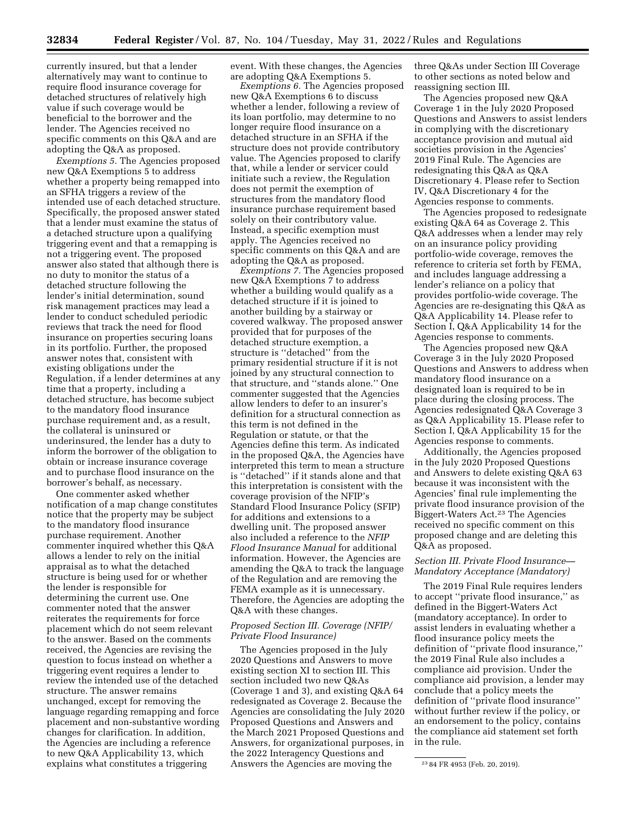currently insured, but that a lender alternatively may want to continue to require flood insurance coverage for detached structures of relatively high value if such coverage would be beneficial to the borrower and the lender. The Agencies received no specific comments on this Q&A and are adopting the Q&A as proposed.

*Exemptions 5.* The Agencies proposed new Q&A Exemptions 5 to address whether a property being remapped into an SFHA triggers a review of the intended use of each detached structure. Specifically, the proposed answer stated that a lender must examine the status of a detached structure upon a qualifying triggering event and that a remapping is not a triggering event. The proposed answer also stated that although there is no duty to monitor the status of a detached structure following the lender's initial determination, sound risk management practices may lead a lender to conduct scheduled periodic reviews that track the need for flood insurance on properties securing loans in its portfolio. Further, the proposed answer notes that, consistent with existing obligations under the Regulation, if a lender determines at any time that a property, including a detached structure, has become subject to the mandatory flood insurance purchase requirement and, as a result, the collateral is uninsured or underinsured, the lender has a duty to inform the borrower of the obligation to obtain or increase insurance coverage and to purchase flood insurance on the borrower's behalf, as necessary.

One commenter asked whether notification of a map change constitutes notice that the property may be subject to the mandatory flood insurance purchase requirement. Another commenter inquired whether this Q&A allows a lender to rely on the initial appraisal as to what the detached structure is being used for or whether the lender is responsible for determining the current use. One commenter noted that the answer reiterates the requirements for force placement which do not seem relevant to the answer. Based on the comments received, the Agencies are revising the question to focus instead on whether a triggering event requires a lender to review the intended use of the detached structure. The answer remains unchanged, except for removing the language regarding remapping and force placement and non-substantive wording changes for clarification. In addition, the Agencies are including a reference to new Q&A Applicability 13, which explains what constitutes a triggering

event. With these changes, the Agencies are adopting Q&A Exemptions 5.

*Exemptions 6.* The Agencies proposed new Q&A Exemptions 6 to discuss whether a lender, following a review of its loan portfolio, may determine to no longer require flood insurance on a detached structure in an SFHA if the structure does not provide contributory value. The Agencies proposed to clarify that, while a lender or servicer could initiate such a review, the Regulation does not permit the exemption of structures from the mandatory flood insurance purchase requirement based solely on their contributory value. Instead, a specific exemption must apply. The Agencies received no specific comments on this Q&A and are adopting the Q&A as proposed.

*Exemptions 7.* The Agencies proposed new Q&A Exemptions 7 to address whether a building would qualify as a detached structure if it is joined to another building by a stairway or covered walkway. The proposed answer provided that for purposes of the detached structure exemption, a structure is ''detached'' from the primary residential structure if it is not joined by any structural connection to that structure, and ''stands alone.'' One commenter suggested that the Agencies allow lenders to defer to an insurer's definition for a structural connection as this term is not defined in the Regulation or statute, or that the Agencies define this term. As indicated in the proposed Q&A, the Agencies have interpreted this term to mean a structure is ''detached'' if it stands alone and that this interpretation is consistent with the coverage provision of the NFIP's Standard Flood Insurance Policy (SFIP) for additions and extensions to a dwelling unit. The proposed answer also included a reference to the *NFIP Flood Insurance Manual* for additional information. However, the Agencies are amending the Q&A to track the language of the Regulation and are removing the FEMA example as it is unnecessary. Therefore, the Agencies are adopting the Q&A with these changes.

### *Proposed Section III. Coverage (NFIP/ Private Flood Insurance)*

The Agencies proposed in the July 2020 Questions and Answers to move existing section XI to section III. This section included two new Q&As (Coverage 1 and 3), and existing Q&A 64 redesignated as Coverage 2. Because the Agencies are consolidating the July 2020 Proposed Questions and Answers and the March 2021 Proposed Questions and Answers, for organizational purposes, in the 2022 Interagency Questions and Answers the Agencies are moving the

three Q&As under Section III Coverage to other sections as noted below and reassigning section III.

The Agencies proposed new Q&A Coverage 1 in the July 2020 Proposed Questions and Answers to assist lenders in complying with the discretionary acceptance provision and mutual aid societies provision in the Agencies' 2019 Final Rule. The Agencies are redesignating this Q&A as Q&A Discretionary 4. Please refer to Section IV, Q&A Discretionary 4 for the Agencies response to comments.

The Agencies proposed to redesignate existing Q&A 64 as Coverage 2. This Q&A addresses when a lender may rely on an insurance policy providing portfolio-wide coverage, removes the reference to criteria set forth by FEMA, and includes language addressing a lender's reliance on a policy that provides portfolio-wide coverage. The Agencies are re-designating this Q&A as Q&A Applicability 14. Please refer to Section I, Q&A Applicability 14 for the Agencies response to comments.

The Agencies proposed new Q&A Coverage 3 in the July 2020 Proposed Questions and Answers to address when mandatory flood insurance on a designated loan is required to be in place during the closing process. The Agencies redesignated Q&A Coverage 3 as Q&A Applicability 15. Please refer to Section I, Q&A Applicability 15 for the Agencies response to comments.

Additionally, the Agencies proposed in the July 2020 Proposed Questions and Answers to delete existing Q&A 63 because it was inconsistent with the Agencies' final rule implementing the private flood insurance provision of the Biggert-Waters Act.23 The Agencies received no specific comment on this proposed change and are deleting this Q&A as proposed.

#### *Section III. Private Flood Insurance— Mandatory Acceptance (Mandatory)*

The 2019 Final Rule requires lenders to accept ''private flood insurance,'' as defined in the Biggert-Waters Act (mandatory acceptance). In order to assist lenders in evaluating whether a flood insurance policy meets the definition of ''private flood insurance,'' the 2019 Final Rule also includes a compliance aid provision. Under the compliance aid provision, a lender may conclude that a policy meets the definition of ''private flood insurance'' without further review if the policy, or an endorsement to the policy, contains the compliance aid statement set forth in the rule.

<sup>23</sup> 84 FR 4953 (Feb. 20, 2019).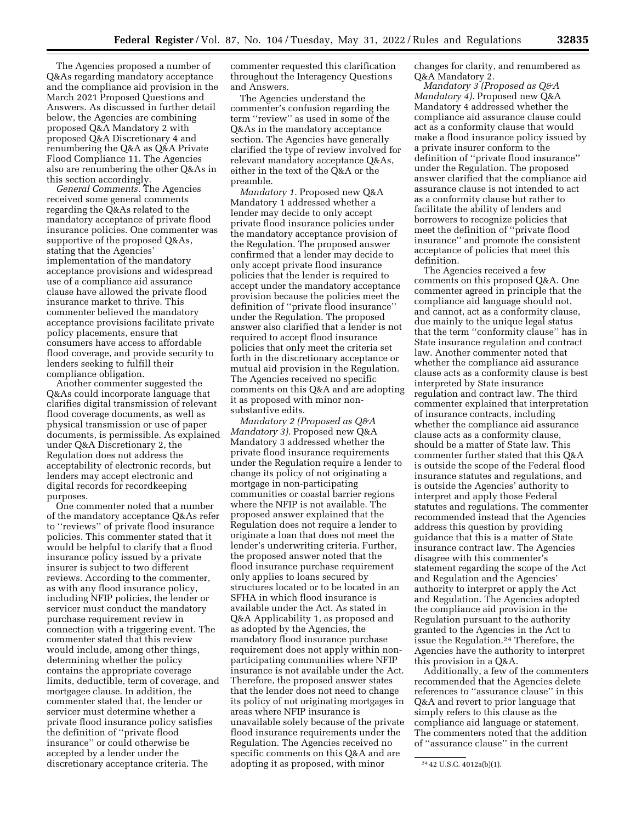The Agencies proposed a number of Q&As regarding mandatory acceptance and the compliance aid provision in the March 2021 Proposed Questions and Answers. As discussed in further detail below, the Agencies are combining proposed Q&A Mandatory 2 with proposed Q&A Discretionary 4 and renumbering the Q&A as Q&A Private Flood Compliance 11. The Agencies also are renumbering the other Q&As in this section accordingly.

*General Comments.* The Agencies received some general comments regarding the Q&As related to the mandatory acceptance of private flood insurance policies. One commenter was supportive of the proposed Q&As, stating that the Agencies' implementation of the mandatory acceptance provisions and widespread use of a compliance aid assurance clause have allowed the private flood insurance market to thrive. This commenter believed the mandatory acceptance provisions facilitate private policy placements, ensure that consumers have access to affordable flood coverage, and provide security to lenders seeking to fulfill their compliance obligation.

Another commenter suggested the Q&As could incorporate language that clarifies digital transmission of relevant flood coverage documents, as well as physical transmission or use of paper documents, is permissible. As explained under Q&A Discretionary 2, the Regulation does not address the acceptability of electronic records, but lenders may accept electronic and digital records for recordkeeping purposes.

One commenter noted that a number of the mandatory acceptance Q&As refer to ''reviews'' of private flood insurance policies. This commenter stated that it would be helpful to clarify that a flood insurance policy issued by a private insurer is subject to two different reviews. According to the commenter, as with any flood insurance policy, including NFIP policies, the lender or servicer must conduct the mandatory purchase requirement review in connection with a triggering event. The commenter stated that this review would include, among other things, determining whether the policy contains the appropriate coverage limits, deductible, term of coverage, and mortgagee clause. In addition, the commenter stated that, the lender or servicer must determine whether a private flood insurance policy satisfies the definition of ''private flood insurance'' or could otherwise be accepted by a lender under the discretionary acceptance criteria. The

commenter requested this clarification throughout the Interagency Questions and Answers.

The Agencies understand the commenter's confusion regarding the term ''review'' as used in some of the Q&As in the mandatory acceptance section. The Agencies have generally clarified the type of review involved for relevant mandatory acceptance Q&As, either in the text of the Q&A or the preamble.

*Mandatory 1.* Proposed new Q&A Mandatory 1 addressed whether a lender may decide to only accept private flood insurance policies under the mandatory acceptance provision of the Regulation. The proposed answer confirmed that a lender may decide to only accept private flood insurance policies that the lender is required to accept under the mandatory acceptance provision because the policies meet the definition of ''private flood insurance'' under the Regulation. The proposed answer also clarified that a lender is not required to accept flood insurance policies that only meet the criteria set forth in the discretionary acceptance or mutual aid provision in the Regulation. The Agencies received no specific comments on this Q&A and are adopting it as proposed with minor nonsubstantive edits.

*Mandatory 2 (Proposed as Q&A Mandatory 3).* Proposed new Q&A Mandatory 3 addressed whether the private flood insurance requirements under the Regulation require a lender to change its policy of not originating a mortgage in non-participating communities or coastal barrier regions where the NFIP is not available. The proposed answer explained that the Regulation does not require a lender to originate a loan that does not meet the lender's underwriting criteria. Further, the proposed answer noted that the flood insurance purchase requirement only applies to loans secured by structures located or to be located in an SFHA in which flood insurance is available under the Act. As stated in Q&A Applicability 1, as proposed and as adopted by the Agencies, the mandatory flood insurance purchase requirement does not apply within nonparticipating communities where NFIP insurance is not available under the Act. Therefore, the proposed answer states that the lender does not need to change its policy of not originating mortgages in areas where NFIP insurance is unavailable solely because of the private flood insurance requirements under the Regulation. The Agencies received no specific comments on this Q&A and are adopting it as proposed, with minor

changes for clarity, and renumbered as Q&A Mandatory 2.

*Mandatory 3 (Proposed as Q&A Mandatory 4).* Proposed new Q&A Mandatory 4 addressed whether the compliance aid assurance clause could act as a conformity clause that would make a flood insurance policy issued by a private insurer conform to the definition of ''private flood insurance'' under the Regulation. The proposed answer clarified that the compliance aid assurance clause is not intended to act as a conformity clause but rather to facilitate the ability of lenders and borrowers to recognize policies that meet the definition of ''private flood insurance'' and promote the consistent acceptance of policies that meet this definition.

The Agencies received a few comments on this proposed Q&A. One commenter agreed in principle that the compliance aid language should not, and cannot, act as a conformity clause, due mainly to the unique legal status that the term ''conformity clause'' has in State insurance regulation and contract law. Another commenter noted that whether the compliance aid assurance clause acts as a conformity clause is best interpreted by State insurance regulation and contract law. The third commenter explained that interpretation of insurance contracts, including whether the compliance aid assurance clause acts as a conformity clause, should be a matter of State law. This commenter further stated that this Q&A is outside the scope of the Federal flood insurance statutes and regulations, and is outside the Agencies' authority to interpret and apply those Federal statutes and regulations. The commenter recommended instead that the Agencies address this question by providing guidance that this is a matter of State insurance contract law. The Agencies disagree with this commenter's statement regarding the scope of the Act and Regulation and the Agencies' authority to interpret or apply the Act and Regulation. The Agencies adopted the compliance aid provision in the Regulation pursuant to the authority granted to the Agencies in the Act to issue the Regulation.24 Therefore, the Agencies have the authority to interpret this provision in a Q&A.

Additionally, a few of the commenters recommended that the Agencies delete references to ''assurance clause'' in this Q&A and revert to prior language that simply refers to this clause as the compliance aid language or statement. The commenters noted that the addition of ''assurance clause'' in the current

<sup>24</sup> 42 U.S.C. 4012a(b)(1).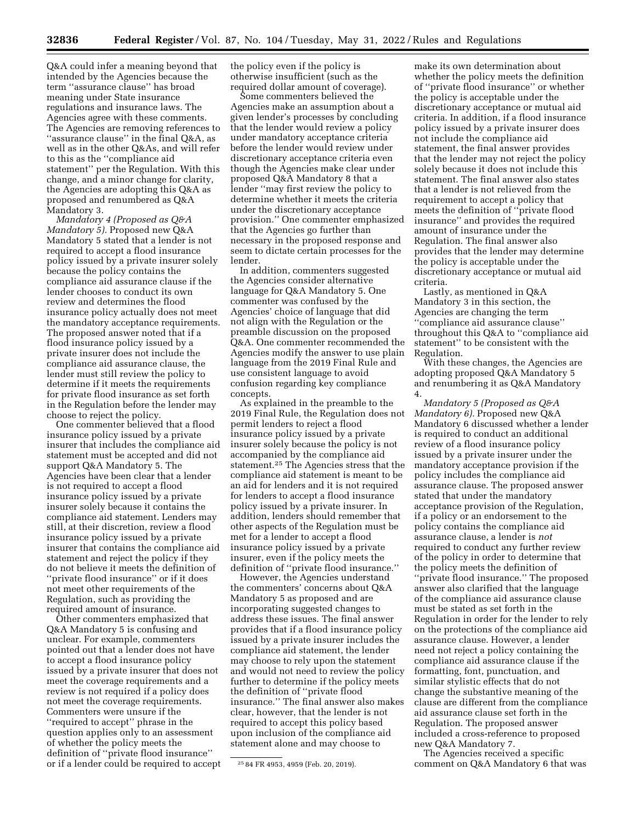Q&A could infer a meaning beyond that intended by the Agencies because the term ''assurance clause'' has broad meaning under State insurance regulations and insurance laws. The Agencies agree with these comments. The Agencies are removing references to ''assurance clause'' in the final Q&A, as well as in the other Q&As, and will refer to this as the ''compliance aid statement'' per the Regulation. With this change, and a minor change for clarity, the Agencies are adopting this Q&A as proposed and renumbered as Q&A Mandatory 3.

*Mandatory 4 (Proposed as Q&A Mandatory 5).* Proposed new Q&A Mandatory 5 stated that a lender is not required to accept a flood insurance policy issued by a private insurer solely because the policy contains the compliance aid assurance clause if the lender chooses to conduct its own review and determines the flood insurance policy actually does not meet the mandatory acceptance requirements. The proposed answer noted that if a flood insurance policy issued by a private insurer does not include the compliance aid assurance clause, the lender must still review the policy to determine if it meets the requirements for private flood insurance as set forth in the Regulation before the lender may choose to reject the policy.

One commenter believed that a flood insurance policy issued by a private insurer that includes the compliance aid statement must be accepted and did not support Q&A Mandatory 5. The Agencies have been clear that a lender is not required to accept a flood insurance policy issued by a private insurer solely because it contains the compliance aid statement. Lenders may still, at their discretion, review a flood insurance policy issued by a private insurer that contains the compliance aid statement and reject the policy if they do not believe it meets the definition of ''private flood insurance'' or if it does not meet other requirements of the Regulation, such as providing the required amount of insurance.

Other commenters emphasized that Q&A Mandatory 5 is confusing and unclear. For example, commenters pointed out that a lender does not have to accept a flood insurance policy issued by a private insurer that does not meet the coverage requirements and a review is not required if a policy does not meet the coverage requirements. Commenters were unsure if the ''required to accept'' phrase in the question applies only to an assessment of whether the policy meets the definition of ''private flood insurance'' or if a lender could be required to accept the policy even if the policy is otherwise insufficient (such as the required dollar amount of coverage).

Some commenters believed the Agencies make an assumption about a given lender's processes by concluding that the lender would review a policy under mandatory acceptance criteria before the lender would review under discretionary acceptance criteria even though the Agencies make clear under proposed Q&A Mandatory 8 that a lender ''may first review the policy to determine whether it meets the criteria under the discretionary acceptance provision.'' One commenter emphasized that the Agencies go further than necessary in the proposed response and seem to dictate certain processes for the lender.

In addition, commenters suggested the Agencies consider alternative language for Q&A Mandatory 5. One commenter was confused by the Agencies' choice of language that did not align with the Regulation or the preamble discussion on the proposed Q&A. One commenter recommended the Agencies modify the answer to use plain language from the 2019 Final Rule and use consistent language to avoid confusion regarding key compliance concepts.

As explained in the preamble to the 2019 Final Rule, the Regulation does not permit lenders to reject a flood insurance policy issued by a private insurer solely because the policy is not accompanied by the compliance aid statement.25 The Agencies stress that the compliance aid statement is meant to be an aid for lenders and it is not required for lenders to accept a flood insurance policy issued by a private insurer. In addition, lenders should remember that other aspects of the Regulation must be met for a lender to accept a flood insurance policy issued by a private insurer, even if the policy meets the definition of ''private flood insurance.''

However, the Agencies understand the commenters' concerns about Q&A Mandatory 5 as proposed and are incorporating suggested changes to address these issues. The final answer provides that if a flood insurance policy issued by a private insurer includes the compliance aid statement, the lender may choose to rely upon the statement and would not need to review the policy further to determine if the policy meets the definition of ''private flood insurance.'' The final answer also makes clear, however, that the lender is not required to accept this policy based upon inclusion of the compliance aid statement alone and may choose to

make its own determination about whether the policy meets the definition of ''private flood insurance'' or whether the policy is acceptable under the discretionary acceptance or mutual aid criteria. In addition, if a flood insurance policy issued by a private insurer does not include the compliance aid statement, the final answer provides that the lender may not reject the policy solely because it does not include this statement. The final answer also states that a lender is not relieved from the requirement to accept a policy that meets the definition of ''private flood insurance'' and provides the required amount of insurance under the Regulation. The final answer also provides that the lender may determine the policy is acceptable under the discretionary acceptance or mutual aid criteria.

Lastly, as mentioned in Q&A Mandatory 3 in this section, the Agencies are changing the term ''compliance aid assurance clause'' throughout this Q&A to ''compliance aid statement'' to be consistent with the Regulation.

With these changes, the Agencies are adopting proposed Q&A Mandatory 5 and renumbering it as Q&A Mandatory 4.

*Mandatory 5 (Proposed as Q&A Mandatory 6).* Proposed new Q&A Mandatory 6 discussed whether a lender is required to conduct an additional review of a flood insurance policy issued by a private insurer under the mandatory acceptance provision if the policy includes the compliance aid assurance clause. The proposed answer stated that under the mandatory acceptance provision of the Regulation, if a policy or an endorsement to the policy contains the compliance aid assurance clause, a lender is *not*  required to conduct any further review of the policy in order to determine that the policy meets the definition of ''private flood insurance.'' The proposed answer also clarified that the language of the compliance aid assurance clause must be stated as set forth in the Regulation in order for the lender to rely on the protections of the compliance aid assurance clause. However, a lender need not reject a policy containing the compliance aid assurance clause if the formatting, font, punctuation, and similar stylistic effects that do not change the substantive meaning of the clause are different from the compliance aid assurance clause set forth in the Regulation. The proposed answer included a cross-reference to proposed new Q&A Mandatory 7.

The Agencies received a specific comment on Q&A Mandatory 6 that was

<sup>25</sup> 84 FR 4953, 4959 (Feb. 20, 2019).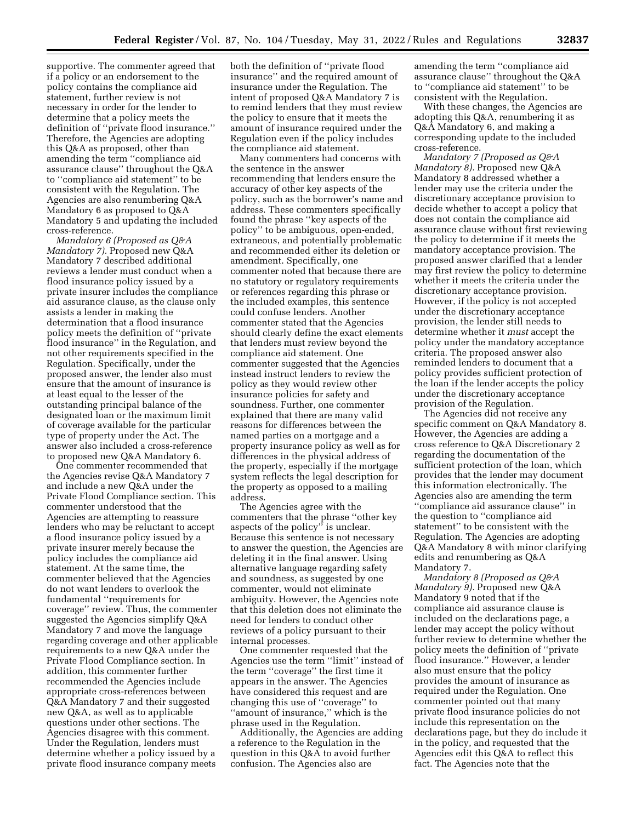supportive. The commenter agreed that if a policy or an endorsement to the policy contains the compliance aid statement, further review is not necessary in order for the lender to determine that a policy meets the definition of ''private flood insurance.'' Therefore, the Agencies are adopting this Q&A as proposed, other than amending the term ''compliance aid assurance clause'' throughout the Q&A to ''compliance aid statement'' to be consistent with the Regulation. The Agencies are also renumbering Q&A Mandatory 6 as proposed to Q&A Mandatory 5 and updating the included cross-reference.

*Mandatory 6 (Proposed as Q&A Mandatory 7).* Proposed new Q&A Mandatory 7 described additional reviews a lender must conduct when a flood insurance policy issued by a private insurer includes the compliance aid assurance clause, as the clause only assists a lender in making the determination that a flood insurance policy meets the definition of ''private flood insurance'' in the Regulation, and not other requirements specified in the Regulation. Specifically, under the proposed answer, the lender also must ensure that the amount of insurance is at least equal to the lesser of the outstanding principal balance of the designated loan or the maximum limit of coverage available for the particular type of property under the Act. The answer also included a cross-reference to proposed new Q&A Mandatory 6.

One commenter recommended that the Agencies revise Q&A Mandatory 7 and include a new Q&A under the Private Flood Compliance section. This commenter understood that the Agencies are attempting to reassure lenders who may be reluctant to accept a flood insurance policy issued by a private insurer merely because the policy includes the compliance aid statement. At the same time, the commenter believed that the Agencies do not want lenders to overlook the fundamental ''requirements for coverage'' review. Thus, the commenter suggested the Agencies simplify Q&A Mandatory 7 and move the language regarding coverage and other applicable requirements to a new Q&A under the Private Flood Compliance section. In addition, this commenter further recommended the Agencies include appropriate cross-references between Q&A Mandatory 7 and their suggested new Q&A, as well as to applicable questions under other sections. The Agencies disagree with this comment. Under the Regulation, lenders must determine whether a policy issued by a private flood insurance company meets

both the definition of ''private flood insurance'' and the required amount of insurance under the Regulation. The intent of proposed Q&A Mandatory 7 is to remind lenders that they must review the policy to ensure that it meets the amount of insurance required under the Regulation even if the policy includes the compliance aid statement.

Many commenters had concerns with the sentence in the answer recommending that lenders ensure the accuracy of other key aspects of the policy, such as the borrower's name and address. These commenters specifically found the phrase ''key aspects of the policy'' to be ambiguous, open-ended, extraneous, and potentially problematic and recommended either its deletion or amendment. Specifically, one commenter noted that because there are no statutory or regulatory requirements or references regarding this phrase or the included examples, this sentence could confuse lenders. Another commenter stated that the Agencies should clearly define the exact elements that lenders must review beyond the compliance aid statement. One commenter suggested that the Agencies instead instruct lenders to review the policy as they would review other insurance policies for safety and soundness. Further, one commenter explained that there are many valid reasons for differences between the named parties on a mortgage and a property insurance policy as well as for differences in the physical address of the property, especially if the mortgage system reflects the legal description for the property as opposed to a mailing address.

The Agencies agree with the commenters that the phrase ''other key aspects of the policy'' is unclear. Because this sentence is not necessary to answer the question, the Agencies are deleting it in the final answer. Using alternative language regarding safety and soundness, as suggested by one commenter, would not eliminate ambiguity. However, the Agencies note that this deletion does not eliminate the need for lenders to conduct other reviews of a policy pursuant to their internal processes.

One commenter requested that the Agencies use the term ''limit'' instead of the term ''coverage'' the first time it appears in the answer. The Agencies have considered this request and are changing this use of ''coverage'' to ''amount of insurance,'' which is the phrase used in the Regulation.

Additionally, the Agencies are adding a reference to the Regulation in the question in this Q&A to avoid further confusion. The Agencies also are

amending the term ''compliance aid assurance clause'' throughout the Q&A to ''compliance aid statement'' to be consistent with the Regulation.

With these changes, the Agencies are adopting this Q&A, renumbering it as Q&A Mandatory 6, and making a corresponding update to the included cross-reference.

*Mandatory 7 (Proposed as Q&A Mandatory 8).* Proposed new Q&A Mandatory 8 addressed whether a lender may use the criteria under the discretionary acceptance provision to decide whether to accept a policy that does not contain the compliance aid assurance clause without first reviewing the policy to determine if it meets the mandatory acceptance provision. The proposed answer clarified that a lender may first review the policy to determine whether it meets the criteria under the discretionary acceptance provision. However, if the policy is not accepted under the discretionary acceptance provision, the lender still needs to determine whether it *must* accept the policy under the mandatory acceptance criteria. The proposed answer also reminded lenders to document that a policy provides sufficient protection of the loan if the lender accepts the policy under the discretionary acceptance provision of the Regulation.

The Agencies did not receive any specific comment on Q&A Mandatory 8. However, the Agencies are adding a cross reference to Q&A Discretionary 2 regarding the documentation of the sufficient protection of the loan, which provides that the lender may document this information electronically. The Agencies also are amending the term ''compliance aid assurance clause'' in the question to ''compliance aid statement'' to be consistent with the Regulation. The Agencies are adopting Q&A Mandatory 8 with minor clarifying edits and renumbering as Q&A Mandatory 7.

*Mandatory 8 (Proposed as Q&A Mandatory 9).* Proposed new Q&A Mandatory 9 noted that if the compliance aid assurance clause is included on the declarations page, a lender may accept the policy without further review to determine whether the policy meets the definition of ''private flood insurance.'' However, a lender also must ensure that the policy provides the amount of insurance as required under the Regulation. One commenter pointed out that many private flood insurance policies do not include this representation on the declarations page, but they do include it in the policy, and requested that the Agencies edit this Q&A to reflect this fact. The Agencies note that the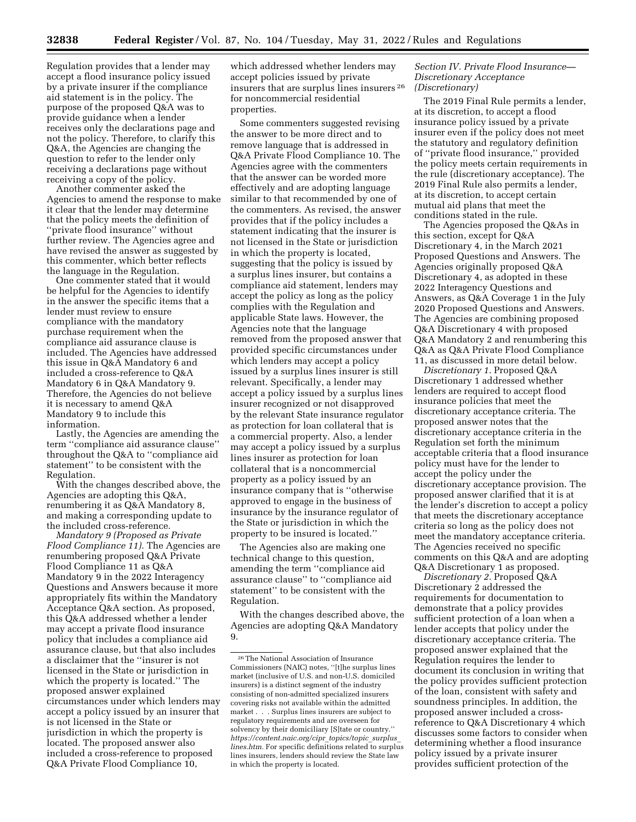Regulation provides that a lender may accept a flood insurance policy issued by a private insurer if the compliance aid statement is in the policy. The purpose of the proposed Q&A was to provide guidance when a lender receives only the declarations page and not the policy. Therefore, to clarify this Q&A, the Agencies are changing the question to refer to the lender only receiving a declarations page without receiving a copy of the policy.

Another commenter asked the Agencies to amend the response to make it clear that the lender may determine that the policy meets the definition of ''private flood insurance'' without further review. The Agencies agree and have revised the answer as suggested by this commenter, which better reflects the language in the Regulation.

One commenter stated that it would be helpful for the Agencies to identify in the answer the specific items that a lender must review to ensure compliance with the mandatory purchase requirement when the compliance aid assurance clause is included. The Agencies have addressed this issue in Q&A Mandatory 6 and included a cross-reference to Q&A Mandatory 6 in Q&A Mandatory 9. Therefore, the Agencies do not believe it is necessary to amend Q&A Mandatory 9 to include this information.

Lastly, the Agencies are amending the term ''compliance aid assurance clause'' throughout the Q&A to ''compliance aid statement'' to be consistent with the Regulation.

With the changes described above, the Agencies are adopting this Q&A, renumbering it as Q&A Mandatory 8, and making a corresponding update to the included cross-reference.

*Mandatory 9 (Proposed as Private Flood Compliance 11).* The Agencies are renumbering proposed Q&A Private Flood Compliance 11 as Q&A Mandatory 9 in the 2022 Interagency Questions and Answers because it more appropriately fits within the Mandatory Acceptance Q&A section. As proposed, this Q&A addressed whether a lender may accept a private flood insurance policy that includes a compliance aid assurance clause, but that also includes a disclaimer that the ''insurer is not licensed in the State or jurisdiction in which the property is located.'' The proposed answer explained circumstances under which lenders may accept a policy issued by an insurer that is not licensed in the State or jurisdiction in which the property is located. The proposed answer also included a cross-reference to proposed Q&A Private Flood Compliance 10,

which addressed whether lenders may accept policies issued by private insurers that are surplus lines insurers 26 for noncommercial residential properties.

Some commenters suggested revising the answer to be more direct and to remove language that is addressed in Q&A Private Flood Compliance 10. The Agencies agree with the commenters that the answer can be worded more effectively and are adopting language similar to that recommended by one of the commenters. As revised, the answer provides that if the policy includes a statement indicating that the insurer is not licensed in the State or jurisdiction in which the property is located, suggesting that the policy is issued by a surplus lines insurer, but contains a compliance aid statement, lenders may accept the policy as long as the policy complies with the Regulation and applicable State laws. However, the Agencies note that the language removed from the proposed answer that provided specific circumstances under which lenders may accept a policy issued by a surplus lines insurer is still relevant. Specifically, a lender may accept a policy issued by a surplus lines insurer recognized or not disapproved by the relevant State insurance regulator as protection for loan collateral that is a commercial property. Also, a lender may accept a policy issued by a surplus lines insurer as protection for loan collateral that is a noncommercial property as a policy issued by an insurance company that is ''otherwise approved to engage in the business of insurance by the insurance regulator of the State or jurisdiction in which the property to be insured is located.''

The Agencies also are making one technical change to this question, amending the term ''compliance aid assurance clause'' to ''compliance aid statement'' to be consistent with the Regulation.

With the changes described above, the Agencies are adopting Q&A Mandatory 9.

#### *Section IV. Private Flood Insurance— Discretionary Acceptance (Discretionary)*

The 2019 Final Rule permits a lender, at its discretion, to accept a flood insurance policy issued by a private insurer even if the policy does not meet the statutory and regulatory definition of ''private flood insurance,'' provided the policy meets certain requirements in the rule (discretionary acceptance). The 2019 Final Rule also permits a lender, at its discretion, to accept certain mutual aid plans that meet the conditions stated in the rule.

The Agencies proposed the Q&As in this section, except for Q&A Discretionary 4, in the March 2021 Proposed Questions and Answers. The Agencies originally proposed Q&A Discretionary 4, as adopted in these 2022 Interagency Questions and Answers, as Q&A Coverage 1 in the July 2020 Proposed Questions and Answers. The Agencies are combining proposed Q&A Discretionary 4 with proposed Q&A Mandatory 2 and renumbering this Q&A as Q&A Private Flood Compliance 11, as discussed in more detail below.

*Discretionary 1.* Proposed Q&A Discretionary 1 addressed whether lenders are required to accept flood insurance policies that meet the discretionary acceptance criteria. The proposed answer notes that the discretionary acceptance criteria in the Regulation set forth the minimum acceptable criteria that a flood insurance policy must have for the lender to accept the policy under the discretionary acceptance provision. The proposed answer clarified that it is at the lender's discretion to accept a policy that meets the discretionary acceptance criteria so long as the policy does not meet the mandatory acceptance criteria. The Agencies received no specific comments on this Q&A and are adopting Q&A Discretionary 1 as proposed.

*Discretionary 2.* Proposed Q&A Discretionary 2 addressed the requirements for documentation to demonstrate that a policy provides sufficient protection of a loan when a lender accepts that policy under the discretionary acceptance criteria. The proposed answer explained that the Regulation requires the lender to document its conclusion in writing that the policy provides sufficient protection of the loan, consistent with safety and soundness principles. In addition, the proposed answer included a crossreference to Q&A Discretionary 4 which discusses some factors to consider when determining whether a flood insurance policy issued by a private insurer provides sufficient protection of the

<sup>26</sup>The National Association of Insurance Commissioners (NAIC) notes, ''[t]he surplus lines market (inclusive of U.S. and non-U.S. domiciled insurers) is a distinct segment of the industry consisting of non-admitted specialized insurers covering risks not available within the admitted market . . . Surplus lines insurers are subject to regulatory requirements and are overseen for solvency by their domiciliary [S]tate or country.'' *[https://content.naic.org/cipr](https://content.naic.org/cipr_topics/topic_surplus_lines.htm)*\_*topics/topic*\_*surplus*\_ *[lines.htm.](https://content.naic.org/cipr_topics/topic_surplus_lines.htm)* For specific definitions related to surplus lines insurers, lenders should review the State law in which the property is located.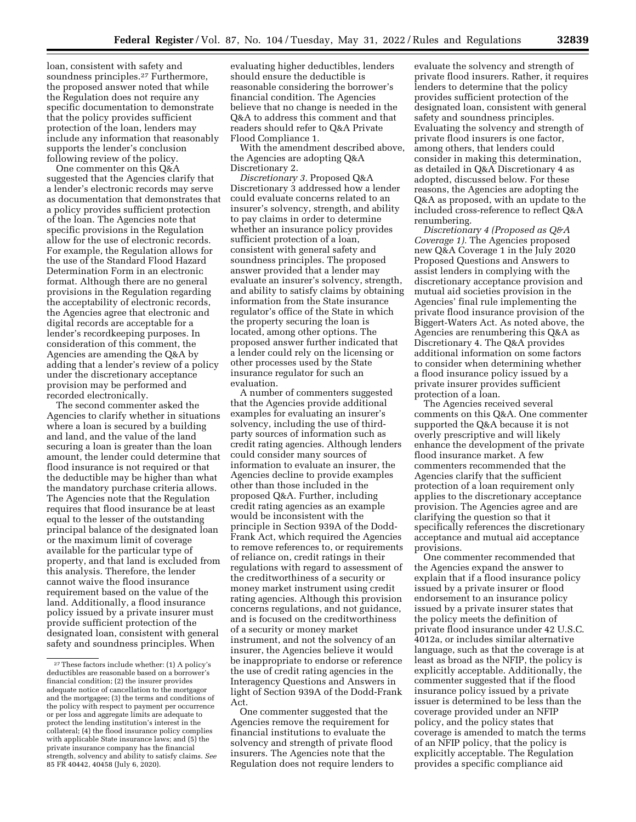loan, consistent with safety and soundness principles.<sup>27</sup> Furthermore, the proposed answer noted that while the Regulation does not require any specific documentation to demonstrate that the policy provides sufficient protection of the loan, lenders may include any information that reasonably supports the lender's conclusion following review of the policy.

One commenter on this Q&A suggested that the Agencies clarify that a lender's electronic records may serve as documentation that demonstrates that a policy provides sufficient protection of the loan. The Agencies note that specific provisions in the Regulation allow for the use of electronic records. For example, the Regulation allows for the use of the Standard Flood Hazard Determination Form in an electronic format. Although there are no general provisions in the Regulation regarding the acceptability of electronic records, the Agencies agree that electronic and digital records are acceptable for a lender's recordkeeping purposes. In consideration of this comment, the Agencies are amending the Q&A by adding that a lender's review of a policy under the discretionary acceptance provision may be performed and recorded electronically.

The second commenter asked the Agencies to clarify whether in situations where a loan is secured by a building and land, and the value of the land securing a loan is greater than the loan amount, the lender could determine that flood insurance is not required or that the deductible may be higher than what the mandatory purchase criteria allows. The Agencies note that the Regulation requires that flood insurance be at least equal to the lesser of the outstanding principal balance of the designated loan or the maximum limit of coverage available for the particular type of property, and that land is excluded from this analysis. Therefore, the lender cannot waive the flood insurance requirement based on the value of the land. Additionally, a flood insurance policy issued by a private insurer must provide sufficient protection of the designated loan, consistent with general safety and soundness principles. When

evaluating higher deductibles, lenders should ensure the deductible is reasonable considering the borrower's financial condition. The Agencies believe that no change is needed in the Q&A to address this comment and that readers should refer to Q&A Private Flood Compliance 1.

With the amendment described above, the Agencies are adopting Q&A Discretionary 2.

*Discretionary 3.* Proposed Q&A Discretionary 3 addressed how a lender could evaluate concerns related to an insurer's solvency, strength, and ability to pay claims in order to determine whether an insurance policy provides sufficient protection of a loan, consistent with general safety and soundness principles. The proposed answer provided that a lender may evaluate an insurer's solvency, strength, and ability to satisfy claims by obtaining information from the State insurance regulator's office of the State in which the property securing the loan is located, among other options. The proposed answer further indicated that a lender could rely on the licensing or other processes used by the State insurance regulator for such an evaluation.

A number of commenters suggested that the Agencies provide additional examples for evaluating an insurer's solvency, including the use of thirdparty sources of information such as credit rating agencies. Although lenders could consider many sources of information to evaluate an insurer, the Agencies decline to provide examples other than those included in the proposed Q&A. Further, including credit rating agencies as an example would be inconsistent with the principle in Section 939A of the Dodd-Frank Act, which required the Agencies to remove references to, or requirements of reliance on, credit ratings in their regulations with regard to assessment of the creditworthiness of a security or money market instrument using credit rating agencies. Although this provision concerns regulations, and not guidance, and is focused on the creditworthiness of a security or money market instrument, and not the solvency of an insurer, the Agencies believe it would be inappropriate to endorse or reference the use of credit rating agencies in the Interagency Questions and Answers in light of Section 939A of the Dodd-Frank Act.

One commenter suggested that the Agencies remove the requirement for financial institutions to evaluate the solvency and strength of private flood insurers. The Agencies note that the Regulation does not require lenders to

evaluate the solvency and strength of private flood insurers. Rather, it requires lenders to determine that the policy provides sufficient protection of the designated loan, consistent with general safety and soundness principles. Evaluating the solvency and strength of private flood insurers is one factor, among others, that lenders could consider in making this determination, as detailed in Q&A Discretionary 4 as adopted, discussed below. For these reasons, the Agencies are adopting the Q&A as proposed, with an update to the included cross-reference to reflect Q&A renumbering.

*Discretionary 4 (Proposed as Q&A Coverage 1).* The Agencies proposed new Q&A Coverage 1 in the July 2020 Proposed Questions and Answers to assist lenders in complying with the discretionary acceptance provision and mutual aid societies provision in the Agencies' final rule implementing the private flood insurance provision of the Biggert-Waters Act. As noted above, the Agencies are renumbering this Q&A as Discretionary 4. The Q&A provides additional information on some factors to consider when determining whether a flood insurance policy issued by a private insurer provides sufficient protection of a loan.

The Agencies received several comments on this Q&A. One commenter supported the Q&A because it is not overly prescriptive and will likely enhance the development of the private flood insurance market. A few commenters recommended that the Agencies clarify that the sufficient protection of a loan requirement only applies to the discretionary acceptance provision. The Agencies agree and are clarifying the question so that it specifically references the discretionary acceptance and mutual aid acceptance provisions.

One commenter recommended that the Agencies expand the answer to explain that if a flood insurance policy issued by a private insurer or flood endorsement to an insurance policy issued by a private insurer states that the policy meets the definition of private flood insurance under 42 U.S.C. 4012a, or includes similar alternative language, such as that the coverage is at least as broad as the NFIP, the policy is explicitly acceptable. Additionally, the commenter suggested that if the flood insurance policy issued by a private issuer is determined to be less than the coverage provided under an NFIP policy, and the policy states that coverage is amended to match the terms of an NFIP policy, that the policy is explicitly acceptable. The Regulation provides a specific compliance aid

<sup>27</sup>These factors include whether: (1) A policy's deductibles are reasonable based on a borrower's financial condition; (2) the insurer provides adequate notice of cancellation to the mortgagor and the mortgagee; (3) the terms and conditions of the policy with respect to payment per occurrence or per loss and aggregate limits are adequate to protect the lending institution's interest in the collateral; (4) the flood insurance policy complies with applicable State insurance laws; and (5) the private insurance company has the financial strength, solvency and ability to satisfy claims. *See*  85 FR 40442, 40458 (July 6, 2020).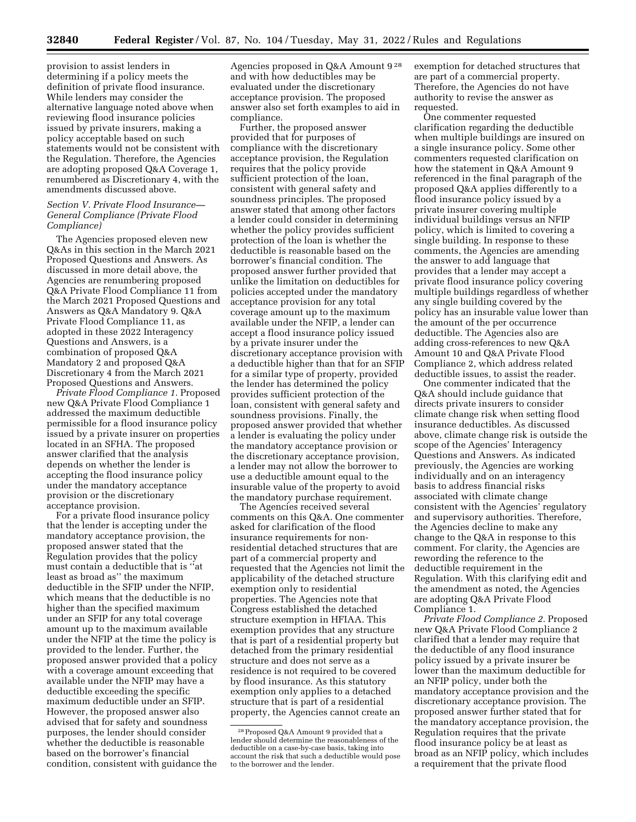provision to assist lenders in determining if a policy meets the definition of private flood insurance. While lenders may consider the alternative language noted above when reviewing flood insurance policies issued by private insurers, making a policy acceptable based on such statements would not be consistent with the Regulation. Therefore, the Agencies are adopting proposed Q&A Coverage 1, renumbered as Discretionary 4, with the amendments discussed above.

### *Section V. Private Flood Insurance— General Compliance (Private Flood Compliance)*

The Agencies proposed eleven new Q&As in this section in the March 2021 Proposed Questions and Answers. As discussed in more detail above, the Agencies are renumbering proposed Q&A Private Flood Compliance 11 from the March 2021 Proposed Questions and Answers as Q&A Mandatory 9. Q&A Private Flood Compliance 11, as adopted in these 2022 Interagency Questions and Answers, is a combination of proposed Q&A Mandatory 2 and proposed Q&A Discretionary 4 from the March 2021 Proposed Questions and Answers.

*Private Flood Compliance 1.* Proposed new Q&A Private Flood Compliance 1 addressed the maximum deductible permissible for a flood insurance policy issued by a private insurer on properties located in an SFHA. The proposed answer clarified that the analysis depends on whether the lender is accepting the flood insurance policy under the mandatory acceptance provision or the discretionary acceptance provision.

For a private flood insurance policy that the lender is accepting under the mandatory acceptance provision, the proposed answer stated that the Regulation provides that the policy must contain a deductible that is ''at least as broad as'' the maximum deductible in the SFIP under the NFIP, which means that the deductible is no higher than the specified maximum under an SFIP for any total coverage amount up to the maximum available under the NFIP at the time the policy is provided to the lender. Further, the proposed answer provided that a policy with a coverage amount exceeding that available under the NFIP may have a deductible exceeding the specific maximum deductible under an SFIP. However, the proposed answer also advised that for safety and soundness purposes, the lender should consider whether the deductible is reasonable based on the borrower's financial condition, consistent with guidance the

Agencies proposed in Q&A Amount 9 28 and with how deductibles may be evaluated under the discretionary acceptance provision. The proposed answer also set forth examples to aid in compliance.

Further, the proposed answer provided that for purposes of compliance with the discretionary acceptance provision, the Regulation requires that the policy provide sufficient protection of the loan, consistent with general safety and soundness principles. The proposed answer stated that among other factors a lender could consider in determining whether the policy provides sufficient protection of the loan is whether the deductible is reasonable based on the borrower's financial condition. The proposed answer further provided that unlike the limitation on deductibles for policies accepted under the mandatory acceptance provision for any total coverage amount up to the maximum available under the NFIP, a lender can accept a flood insurance policy issued by a private insurer under the discretionary acceptance provision with a deductible higher than that for an SFIP for a similar type of property, provided the lender has determined the policy provides sufficient protection of the loan, consistent with general safety and soundness provisions. Finally, the proposed answer provided that whether a lender is evaluating the policy under the mandatory acceptance provision or the discretionary acceptance provision, a lender may not allow the borrower to use a deductible amount equal to the insurable value of the property to avoid the mandatory purchase requirement.

The Agencies received several comments on this Q&A. One commenter asked for clarification of the flood insurance requirements for nonresidential detached structures that are part of a commercial property and requested that the Agencies not limit the applicability of the detached structure exemption only to residential properties. The Agencies note that Congress established the detached structure exemption in HFIAA. This exemption provides that any structure that is part of a residential property but detached from the primary residential structure and does not serve as a residence is not required to be covered by flood insurance. As this statutory exemption only applies to a detached structure that is part of a residential property, the Agencies cannot create an

exemption for detached structures that are part of a commercial property. Therefore, the Agencies do not have authority to revise the answer as requested.

One commenter requested clarification regarding the deductible when multiple buildings are insured on a single insurance policy. Some other commenters requested clarification on how the statement in Q&A Amount 9 referenced in the final paragraph of the proposed Q&A applies differently to a flood insurance policy issued by a private insurer covering multiple individual buildings versus an NFIP policy, which is limited to covering a single building. In response to these comments, the Agencies are amending the answer to add language that provides that a lender may accept a private flood insurance policy covering multiple buildings regardless of whether any single building covered by the policy has an insurable value lower than the amount of the per occurrence deductible. The Agencies also are adding cross-references to new Q&A Amount 10 and Q&A Private Flood Compliance 2, which address related deductible issues, to assist the reader.

One commenter indicated that the Q&A should include guidance that directs private insurers to consider climate change risk when setting flood insurance deductibles. As discussed above, climate change risk is outside the scope of the Agencies' Interagency Questions and Answers. As indicated previously, the Agencies are working individually and on an interagency basis to address financial risks associated with climate change consistent with the Agencies' regulatory and supervisory authorities. Therefore, the Agencies decline to make any change to the Q&A in response to this comment. For clarity, the Agencies are rewording the reference to the deductible requirement in the Regulation. With this clarifying edit and the amendment as noted, the Agencies are adopting Q&A Private Flood Compliance 1.

*Private Flood Compliance 2.* Proposed new Q&A Private Flood Compliance 2 clarified that a lender may require that the deductible of any flood insurance policy issued by a private insurer be lower than the maximum deductible for an NFIP policy, under both the mandatory acceptance provision and the discretionary acceptance provision. The proposed answer further stated that for the mandatory acceptance provision, the Regulation requires that the private flood insurance policy be at least as broad as an NFIP policy, which includes a requirement that the private flood

<sup>28</sup>Proposed Q&A Amount 9 provided that a lender should determine the reasonableness of the deductible on a case-by-case basis, taking into account the risk that such a deductible would pose to the borrower and the lender.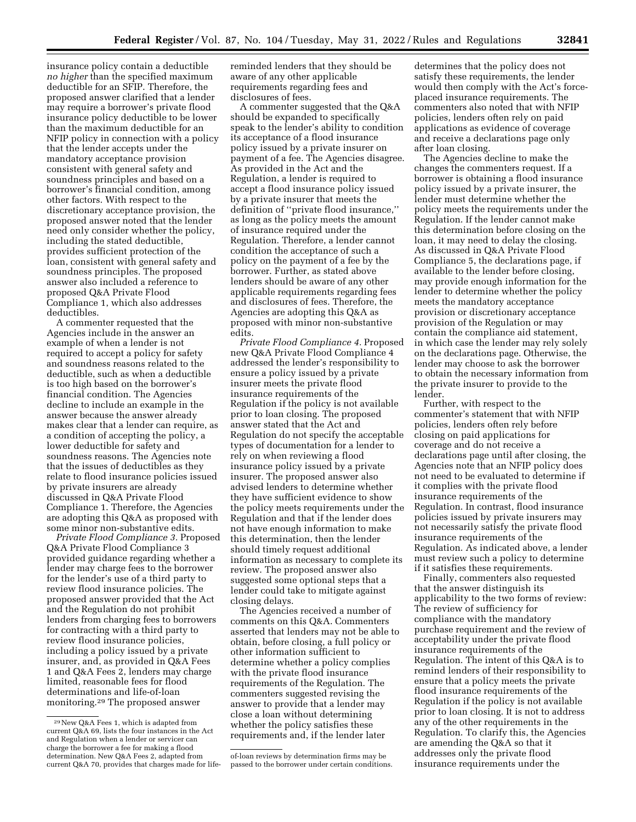insurance policy contain a deductible *no higher* than the specified maximum deductible for an SFIP. Therefore, the proposed answer clarified that a lender may require a borrower's private flood insurance policy deductible to be lower than the maximum deductible for an NFIP policy in connection with a policy that the lender accepts under the mandatory acceptance provision consistent with general safety and soundness principles and based on a borrower's financial condition, among other factors. With respect to the discretionary acceptance provision, the proposed answer noted that the lender need only consider whether the policy, including the stated deductible, provides sufficient protection of the loan, consistent with general safety and soundness principles. The proposed answer also included a reference to proposed Q&A Private Flood Compliance 1, which also addresses deductibles.

A commenter requested that the Agencies include in the answer an example of when a lender is not required to accept a policy for safety and soundness reasons related to the deductible, such as when a deductible is too high based on the borrower's financial condition. The Agencies decline to include an example in the answer because the answer already makes clear that a lender can require, as a condition of accepting the policy, a lower deductible for safety and soundness reasons. The Agencies note that the issues of deductibles as they relate to flood insurance policies issued by private insurers are already discussed in Q&A Private Flood Compliance 1. Therefore, the Agencies are adopting this Q&A as proposed with some minor non-substantive edits.

*Private Flood Compliance 3.* Proposed Q&A Private Flood Compliance 3 provided guidance regarding whether a lender may charge fees to the borrower for the lender's use of a third party to review flood insurance policies. The proposed answer provided that the Act and the Regulation do not prohibit lenders from charging fees to borrowers for contracting with a third party to review flood insurance policies, including a policy issued by a private insurer, and, as provided in Q&A Fees 1 and Q&A Fees 2, lenders may charge limited, reasonable fees for flood determinations and life-of-loan monitoring.29 The proposed answer

reminded lenders that they should be aware of any other applicable requirements regarding fees and disclosures of fees.

A commenter suggested that the Q&A should be expanded to specifically speak to the lender's ability to condition its acceptance of a flood insurance policy issued by a private insurer on payment of a fee. The Agencies disagree. As provided in the Act and the Regulation, a lender is required to accept a flood insurance policy issued by a private insurer that meets the definition of ''private flood insurance,'' as long as the policy meets the amount of insurance required under the Regulation. Therefore, a lender cannot condition the acceptance of such a policy on the payment of a fee by the borrower. Further, as stated above lenders should be aware of any other applicable requirements regarding fees and disclosures of fees. Therefore, the Agencies are adopting this Q&A as proposed with minor non-substantive edits.

*Private Flood Compliance 4.* Proposed new Q&A Private Flood Compliance 4 addressed the lender's responsibility to ensure a policy issued by a private insurer meets the private flood insurance requirements of the Regulation if the policy is not available prior to loan closing. The proposed answer stated that the Act and Regulation do not specify the acceptable types of documentation for a lender to rely on when reviewing a flood insurance policy issued by a private insurer. The proposed answer also advised lenders to determine whether they have sufficient evidence to show the policy meets requirements under the Regulation and that if the lender does not have enough information to make this determination, then the lender should timely request additional information as necessary to complete its review. The proposed answer also suggested some optional steps that a lender could take to mitigate against closing delays.

The Agencies received a number of comments on this Q&A. Commenters asserted that lenders may not be able to obtain, before closing, a full policy or other information sufficient to determine whether a policy complies with the private flood insurance requirements of the Regulation. The commenters suggested revising the answer to provide that a lender may close a loan without determining whether the policy satisfies these requirements and, if the lender later

determines that the policy does not satisfy these requirements, the lender would then comply with the Act's forceplaced insurance requirements. The commenters also noted that with NFIP policies, lenders often rely on paid applications as evidence of coverage and receive a declarations page only after loan closing.

The Agencies decline to make the changes the commenters request. If a borrower is obtaining a flood insurance policy issued by a private insurer, the lender must determine whether the policy meets the requirements under the Regulation. If the lender cannot make this determination before closing on the loan, it may need to delay the closing. As discussed in Q&A Private Flood Compliance 5, the declarations page, if available to the lender before closing, may provide enough information for the lender to determine whether the policy meets the mandatory acceptance provision or discretionary acceptance provision of the Regulation or may contain the compliance aid statement, in which case the lender may rely solely on the declarations page. Otherwise, the lender may choose to ask the borrower to obtain the necessary information from the private insurer to provide to the lender.

Further, with respect to the commenter's statement that with NFIP policies, lenders often rely before closing on paid applications for coverage and do not receive a declarations page until after closing, the Agencies note that an NFIP policy does not need to be evaluated to determine if it complies with the private flood insurance requirements of the Regulation. In contrast, flood insurance policies issued by private insurers may not necessarily satisfy the private flood insurance requirements of the Regulation. As indicated above, a lender must review such a policy to determine if it satisfies these requirements.

Finally, commenters also requested that the answer distinguish its applicability to the two forms of review: The review of sufficiency for compliance with the mandatory purchase requirement and the review of acceptability under the private flood insurance requirements of the Regulation. The intent of this Q&A is to remind lenders of their responsibility to ensure that a policy meets the private flood insurance requirements of the Regulation if the policy is not available prior to loan closing. It is not to address any of the other requirements in the Regulation. To clarify this, the Agencies are amending the Q&A so that it addresses only the private flood insurance requirements under the

<sup>29</sup>New Q&A Fees 1, which is adapted from current Q&A 69, lists the four instances in the Act and Regulation when a lender or servicer can charge the borrower a fee for making a flood determination. New Q&A Fees 2, adapted from current Q&A 70, provides that charges made for life-

of-loan reviews by determination firms may be passed to the borrower under certain conditions.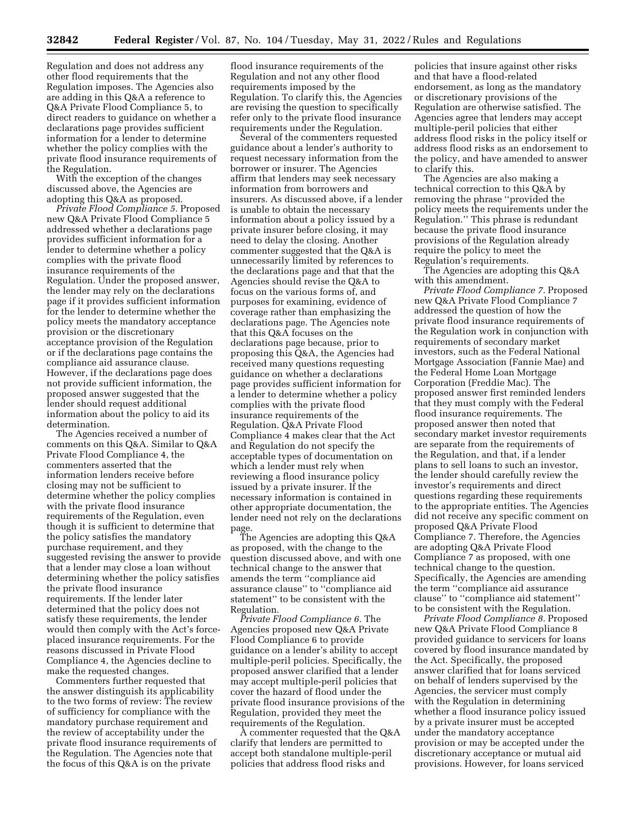Regulation and does not address any other flood requirements that the Regulation imposes. The Agencies also are adding in this Q&A a reference to Q&A Private Flood Compliance 5, to direct readers to guidance on whether a declarations page provides sufficient information for a lender to determine whether the policy complies with the private flood insurance requirements of the Regulation.

With the exception of the changes discussed above, the Agencies are adopting this Q&A as proposed.

*Private Flood Compliance 5.* Proposed new Q&A Private Flood Compliance 5 addressed whether a declarations page provides sufficient information for a lender to determine whether a policy complies with the private flood insurance requirements of the Regulation. Under the proposed answer, the lender may rely on the declarations page if it provides sufficient information for the lender to determine whether the policy meets the mandatory acceptance provision or the discretionary acceptance provision of the Regulation or if the declarations page contains the compliance aid assurance clause. However, if the declarations page does not provide sufficient information, the proposed answer suggested that the lender should request additional information about the policy to aid its determination.

The Agencies received a number of comments on this Q&A. Similar to Q&A Private Flood Compliance 4, the commenters asserted that the information lenders receive before closing may not be sufficient to determine whether the policy complies with the private flood insurance requirements of the Regulation, even though it is sufficient to determine that the policy satisfies the mandatory purchase requirement, and they suggested revising the answer to provide that a lender may close a loan without determining whether the policy satisfies the private flood insurance requirements. If the lender later determined that the policy does not satisfy these requirements, the lender would then comply with the Act's forceplaced insurance requirements. For the reasons discussed in Private Flood Compliance 4, the Agencies decline to make the requested changes.

Commenters further requested that the answer distinguish its applicability to the two forms of review: The review of sufficiency for compliance with the mandatory purchase requirement and the review of acceptability under the private flood insurance requirements of the Regulation. The Agencies note that the focus of this Q&A is on the private

flood insurance requirements of the Regulation and not any other flood requirements imposed by the Regulation. To clarify this, the Agencies are revising the question to specifically refer only to the private flood insurance requirements under the Regulation.

Several of the commenters requested guidance about a lender's authority to request necessary information from the borrower or insurer. The Agencies affirm that lenders may seek necessary information from borrowers and insurers. As discussed above, if a lender is unable to obtain the necessary information about a policy issued by a private insurer before closing, it may need to delay the closing. Another commenter suggested that the Q&A is unnecessarily limited by references to the declarations page and that that the Agencies should revise the Q&A to focus on the various forms of, and purposes for examining, evidence of coverage rather than emphasizing the declarations page. The Agencies note that this Q&A focuses on the declarations page because, prior to proposing this Q&A, the Agencies had received many questions requesting guidance on whether a declarations page provides sufficient information for a lender to determine whether a policy complies with the private flood insurance requirements of the Regulation. Q&A Private Flood Compliance 4 makes clear that the Act and Regulation do not specify the acceptable types of documentation on which a lender must rely when reviewing a flood insurance policy issued by a private insurer. If the necessary information is contained in other appropriate documentation, the lender need not rely on the declarations page.

The Agencies are adopting this Q&A as proposed, with the change to the question discussed above, and with one technical change to the answer that amends the term ''compliance aid assurance clause'' to ''compliance aid statement'' to be consistent with the Regulation.

*Private Flood Compliance 6.* The Agencies proposed new Q&A Private Flood Compliance 6 to provide guidance on a lender's ability to accept multiple-peril policies. Specifically, the proposed answer clarified that a lender may accept multiple-peril policies that cover the hazard of flood under the private flood insurance provisions of the Regulation, provided they meet the requirements of the Regulation.

A commenter requested that the Q&A clarify that lenders are permitted to accept both standalone multiple-peril policies that address flood risks and

policies that insure against other risks and that have a flood-related endorsement, as long as the mandatory or discretionary provisions of the Regulation are otherwise satisfied. The Agencies agree that lenders may accept multiple-peril policies that either address flood risks in the policy itself or address flood risks as an endorsement to the policy, and have amended to answer to clarify this.

The Agencies are also making a technical correction to this Q&A by removing the phrase ''provided the policy meets the requirements under the Regulation.'' This phrase is redundant because the private flood insurance provisions of the Regulation already require the policy to meet the Regulation's requirements.

The Agencies are adopting this Q&A with this amendment.

*Private Flood Compliance 7.* Proposed new Q&A Private Flood Compliance 7 addressed the question of how the private flood insurance requirements of the Regulation work in conjunction with requirements of secondary market investors, such as the Federal National Mortgage Association (Fannie Mae) and the Federal Home Loan Mortgage Corporation (Freddie Mac). The proposed answer first reminded lenders that they must comply with the Federal flood insurance requirements. The proposed answer then noted that secondary market investor requirements are separate from the requirements of the Regulation, and that, if a lender plans to sell loans to such an investor, the lender should carefully review the investor's requirements and direct questions regarding these requirements to the appropriate entities. The Agencies did not receive any specific comment on proposed Q&A Private Flood Compliance 7. Therefore, the Agencies are adopting Q&A Private Flood Compliance 7 as proposed, with one technical change to the question. Specifically, the Agencies are amending the term ''compliance aid assurance clause'' to ''compliance aid statement'' to be consistent with the Regulation.

*Private Flood Compliance 8.* Proposed new Q&A Private Flood Compliance 8 provided guidance to servicers for loans covered by flood insurance mandated by the Act. Specifically, the proposed answer clarified that for loans serviced on behalf of lenders supervised by the Agencies, the servicer must comply with the Regulation in determining whether a flood insurance policy issued by a private insurer must be accepted under the mandatory acceptance provision or may be accepted under the discretionary acceptance or mutual aid provisions. However, for loans serviced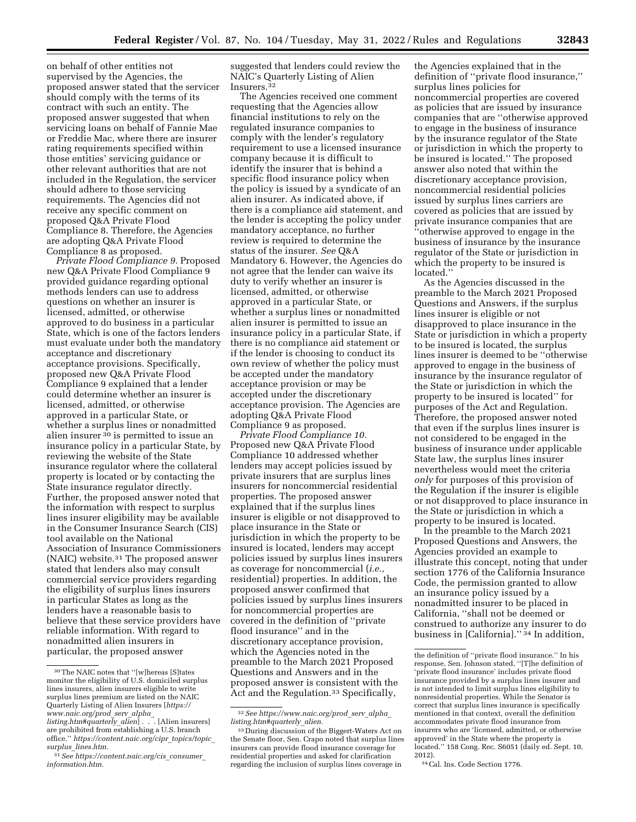on behalf of other entities not supervised by the Agencies, the proposed answer stated that the servicer should comply with the terms of its contract with such an entity. The proposed answer suggested that when servicing loans on behalf of Fannie Mae or Freddie Mac, where there are insurer rating requirements specified within those entities' servicing guidance or other relevant authorities that are not included in the Regulation, the servicer should adhere to those servicing requirements. The Agencies did not receive any specific comment on proposed Q&A Private Flood Compliance 8. Therefore, the Agencies are adopting Q&A Private Flood Compliance 8 as proposed.

*Private Flood Compliance 9.* Proposed new Q&A Private Flood Compliance 9 provided guidance regarding optional methods lenders can use to address questions on whether an insurer is licensed, admitted, or otherwise approved to do business in a particular State, which is one of the factors lenders must evaluate under both the mandatory acceptance and discretionary acceptance provisions. Specifically, proposed new Q&A Private Flood Compliance 9 explained that a lender could determine whether an insurer is licensed, admitted, or otherwise approved in a particular State, or whether a surplus lines or nonadmitted alien insurer 30 is permitted to issue an insurance policy in a particular State, by reviewing the website of the State insurance regulator where the collateral property is located or by contacting the State insurance regulator directly. Further, the proposed answer noted that the information with respect to surplus lines insurer eligibility may be available in the Consumer Insurance Search (CIS) tool available on the National Association of Insurance Commissioners (NAIC) website.31 The proposed answer stated that lenders also may consult commercial service providers regarding the eligibility of surplus lines insurers in particular States as long as the lenders have a reasonable basis to believe that these service providers have reliable information. With regard to nonadmitted alien insurers in particular, the proposed answer

suggested that lenders could review the NAIC's Quarterly Listing of Alien Insurers.32

The Agencies received one comment requesting that the Agencies allow financial institutions to rely on the regulated insurance companies to comply with the lender's regulatory requirement to use a licensed insurance company because it is difficult to identify the insurer that is behind a specific flood insurance policy when the policy is issued by a syndicate of an alien insurer. As indicated above, if there is a compliance aid statement, and the lender is accepting the policy under mandatory acceptance, no further review is required to determine the status of the insurer. *See* Q&A Mandatory 6. However, the Agencies do not agree that the lender can waive its duty to verify whether an insurer is licensed, admitted, or otherwise approved in a particular State, or whether a surplus lines or nonadmitted alien insurer is permitted to issue an insurance policy in a particular State, if there is no compliance aid statement or if the lender is choosing to conduct its own review of whether the policy must be accepted under the mandatory acceptance provision or may be accepted under the discretionary acceptance provision. The Agencies are adopting Q&A Private Flood Compliance 9 as proposed.

*Private Flood Compliance 10.*  Proposed new Q&A Private Flood Compliance 10 addressed whether lenders may accept policies issued by private insurers that are surplus lines insurers for noncommercial residential properties. The proposed answer explained that if the surplus lines insurer is eligible or not disapproved to place insurance in the State or jurisdiction in which the property to be insured is located, lenders may accept policies issued by surplus lines insurers as coverage for noncommercial (*i.e.,*  residential) properties. In addition, the proposed answer confirmed that policies issued by surplus lines insurers for noncommercial properties are covered in the definition of ''private flood insurance'' and in the discretionary acceptance provision, which the Agencies noted in the preamble to the March 2021 Proposed Questions and Answers and in the proposed answer is consistent with the Act and the Regulation.<sup>33</sup> Specifically,

the Agencies explained that in the definition of ''private flood insurance,'' surplus lines policies for noncommercial properties are covered as policies that are issued by insurance companies that are ''otherwise approved to engage in the business of insurance by the insurance regulator of the State or jurisdiction in which the property to be insured is located.'' The proposed answer also noted that within the discretionary acceptance provision, noncommercial residential policies issued by surplus lines carriers are covered as policies that are issued by private insurance companies that are ''otherwise approved to engage in the business of insurance by the insurance regulator of the State or jurisdiction in which the property to be insured is located.''

As the Agencies discussed in the preamble to the March 2021 Proposed Questions and Answers, if the surplus lines insurer is eligible or not disapproved to place insurance in the State or jurisdiction in which a property to be insured is located, the surplus lines insurer is deemed to be ''otherwise approved to engage in the business of insurance by the insurance regulator of the State or jurisdiction in which the property to be insured is located'' for purposes of the Act and Regulation. Therefore, the proposed answer noted that even if the surplus lines insurer is not considered to be engaged in the business of insurance under applicable State law, the surplus lines insurer nevertheless would meet the criteria *only* for purposes of this provision of the Regulation if the insurer is eligible or not disapproved to place insurance in the State or jurisdiction in which a property to be insured is located.

In the preamble to the March 2021 Proposed Questions and Answers, the Agencies provided an example to illustrate this concept, noting that under section 1776 of the California Insurance Code, the permission granted to allow an insurance policy issued by a nonadmitted insurer to be placed in California, ''shall not be deemed or construed to authorize any insurer to do business in [California]."<sup>34</sup> In addition,

 $\rm{^{30}The}$  NAIC notes that ''[w]hereas [S]<br>tates monitor the eligibility of U.S. domiciled surplus lines insurers, alien insurers eligible to write surplus lines premium are listed on the NAIC Quarterly Listing of Alien Insurers [*[https://](https://www.naic.org/prod_serv_alpha_listing.htm#quarterly_alien) [www.naic.org/prod](https://www.naic.org/prod_serv_alpha_listing.htm#quarterly_alien)*\_*serv*\_*alpha*\_

*[listing.htm#quarterly](https://www.naic.org/prod_serv_alpha_listing.htm#quarterly_alien)*\_*alien*] . . . [Alien insurers] are prohibited from establishing a U.S. branch office.'' *[https://content.naic.org/cipr](https://content.naic.org/cipr_topics/topic_surplus_lines.htm)*\_*topics/topic*\_ *surplus*\_*[lines.htm.](https://content.naic.org/cipr_topics/topic_surplus_lines.htm)* 

<sup>31</sup>*See [https://content.naic.org/cis](https://content.naic.org/cis_consumer_information.htm)*\_*consumer*\_ *[information.htm.](https://content.naic.org/cis_consumer_information.htm)* 

<sup>32</sup>*See [https://www.naic.org/prod](https://www.naic.org/prod_serv_alpha_listing.htm#quarterly_alien)*\_*serv*\_*alpha*\_ *[listing.htm#quarterly](https://www.naic.org/prod_serv_alpha_listing.htm#quarterly_alien)*\_*alien.* 

<sup>33</sup> During discussion of the Biggert-Waters Act on the Senate floor, Sen. Crapo noted that surplus lines insurers can provide flood insurance coverage for residential properties and asked for clarification regarding the inclusion of surplus lines coverage in

the definition of ''private flood insurance.'' In his response, Sen. Johnson stated, ''[T]he definition of 'private flood insurance' includes private flood insurance provided by a surplus lines insurer and is not intended to limit surplus lines eligibility to nonresidential properties. While the Senator is correct that surplus lines insurance is specifically mentioned in that context, overall the definition accommodates private flood insurance from insurers who are 'licensed, admitted, or otherwise approved' in the State where the property is located.'' 158 Cong. Rec. S6051 (daily ed. Sept. 10, 2012).

<sup>34</sup>Cal. Ins. Code Section 1776.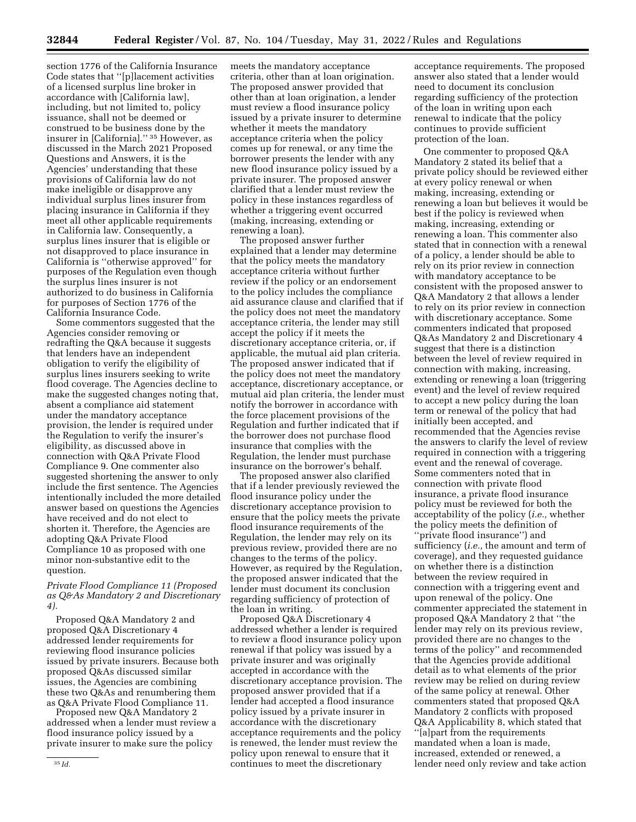section 1776 of the California Insurance Code states that ''[p]lacement activities of a licensed surplus line broker in accordance with [California law], including, but not limited to, policy issuance, shall not be deemed or construed to be business done by the insurer in [California].'' 35 However, as discussed in the March 2021 Proposed Questions and Answers, it is the Agencies' understanding that these provisions of California law do not make ineligible or disapprove any individual surplus lines insurer from placing insurance in California if they meet all other applicable requirements in California law. Consequently, a surplus lines insurer that is eligible or not disapproved to place insurance in California is ''otherwise approved'' for purposes of the Regulation even though the surplus lines insurer is not authorized to do business in California for purposes of Section 1776 of the California Insurance Code.

Some commentors suggested that the Agencies consider removing or redrafting the Q&A because it suggests that lenders have an independent obligation to verify the eligibility of surplus lines insurers seeking to write flood coverage. The Agencies decline to make the suggested changes noting that, absent a compliance aid statement under the mandatory acceptance provision, the lender is required under the Regulation to verify the insurer's eligibility, as discussed above in connection with Q&A Private Flood Compliance 9. One commenter also suggested shortening the answer to only include the first sentence. The Agencies intentionally included the more detailed answer based on questions the Agencies have received and do not elect to shorten it. Therefore, the Agencies are adopting Q&A Private Flood Compliance 10 as proposed with one minor non-substantive edit to the question.

# *Private Flood Compliance 11 (Proposed as Q&As Mandatory 2 and Discretionary 4).*

Proposed Q&A Mandatory 2 and proposed Q&A Discretionary 4 addressed lender requirements for reviewing flood insurance policies issued by private insurers. Because both proposed Q&As discussed similar issues, the Agencies are combining these two Q&As and renumbering them as Q&A Private Flood Compliance 11.

Proposed new Q&A Mandatory 2 addressed when a lender must review a flood insurance policy issued by a private insurer to make sure the policy

meets the mandatory acceptance criteria, other than at loan origination. The proposed answer provided that other than at loan origination, a lender must review a flood insurance policy issued by a private insurer to determine whether it meets the mandatory acceptance criteria when the policy comes up for renewal, or any time the borrower presents the lender with any new flood insurance policy issued by a private insurer. The proposed answer clarified that a lender must review the policy in these instances regardless of whether a triggering event occurred (making, increasing, extending or renewing a loan).

The proposed answer further explained that a lender may determine that the policy meets the mandatory acceptance criteria without further review if the policy or an endorsement to the policy includes the compliance aid assurance clause and clarified that if the policy does not meet the mandatory acceptance criteria, the lender may still accept the policy if it meets the discretionary acceptance criteria, or, if applicable, the mutual aid plan criteria. The proposed answer indicated that if the policy does not meet the mandatory acceptance, discretionary acceptance, or mutual aid plan criteria, the lender must notify the borrower in accordance with the force placement provisions of the Regulation and further indicated that if the borrower does not purchase flood insurance that complies with the Regulation, the lender must purchase insurance on the borrower's behalf.

The proposed answer also clarified that if a lender previously reviewed the flood insurance policy under the discretionary acceptance provision to ensure that the policy meets the private flood insurance requirements of the Regulation, the lender may rely on its previous review, provided there are no changes to the terms of the policy. However, as required by the Regulation, the proposed answer indicated that the lender must document its conclusion regarding sufficiency of protection of the loan in writing.

Proposed Q&A Discretionary 4 addressed whether a lender is required to review a flood insurance policy upon renewal if that policy was issued by a private insurer and was originally accepted in accordance with the discretionary acceptance provision. The proposed answer provided that if a lender had accepted a flood insurance policy issued by a private insurer in accordance with the discretionary acceptance requirements and the policy is renewed, the lender must review the policy upon renewal to ensure that it continues to meet the discretionary

acceptance requirements. The proposed answer also stated that a lender would need to document its conclusion regarding sufficiency of the protection of the loan in writing upon each renewal to indicate that the policy continues to provide sufficient protection of the loan.

One commenter to proposed Q&A Mandatory 2 stated its belief that a private policy should be reviewed either at every policy renewal or when making, increasing, extending or renewing a loan but believes it would be best if the policy is reviewed when making, increasing, extending or renewing a loan. This commenter also stated that in connection with a renewal of a policy, a lender should be able to rely on its prior review in connection with mandatory acceptance to be consistent with the proposed answer to Q&A Mandatory 2 that allows a lender to rely on its prior review in connection with discretionary acceptance. Some commenters indicated that proposed Q&As Mandatory 2 and Discretionary 4 suggest that there is a distinction between the level of review required in connection with making, increasing, extending or renewing a loan (triggering event) and the level of review required to accept a new policy during the loan term or renewal of the policy that had initially been accepted, and recommended that the Agencies revise the answers to clarify the level of review required in connection with a triggering event and the renewal of coverage. Some commenters noted that in connection with private flood insurance, a private flood insurance policy must be reviewed for both the acceptability of the policy (*i.e.,* whether the policy meets the definition of ''private flood insurance'') and sufficiency (*i.e.,* the amount and term of coverage), and they requested guidance on whether there is a distinction between the review required in connection with a triggering event and upon renewal of the policy. One commenter appreciated the statement in proposed Q&A Mandatory 2 that ''the lender may rely on its previous review, provided there are no changes to the terms of the policy'' and recommended that the Agencies provide additional detail as to what elements of the prior review may be relied on during review of the same policy at renewal. Other commenters stated that proposed Q&A Mandatory 2 conflicts with proposed Q&A Applicability 8, which stated that ''[a]part from the requirements mandated when a loan is made, increased, extended or renewed, a lender need only review and take action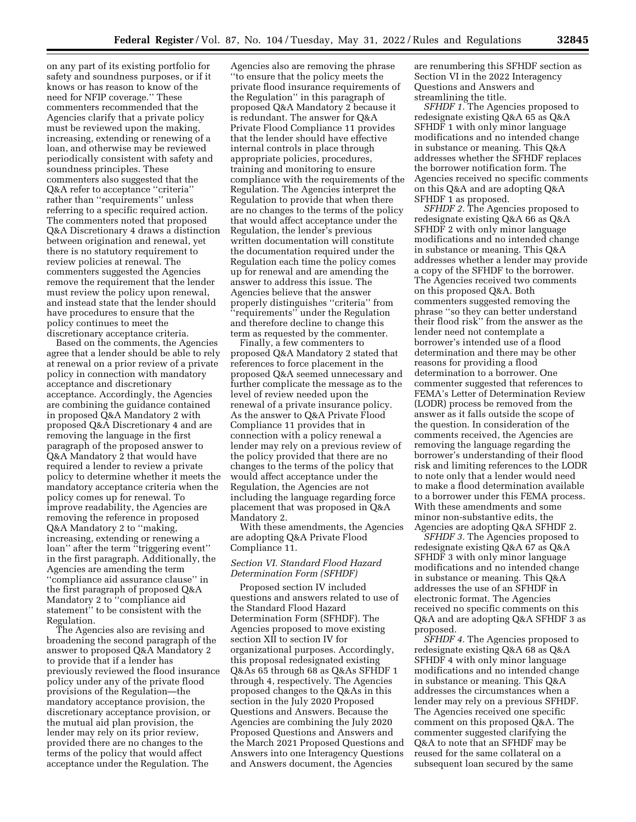on any part of its existing portfolio for safety and soundness purposes, or if it knows or has reason to know of the need for NFIP coverage.'' These commenters recommended that the Agencies clarify that a private policy must be reviewed upon the making, increasing, extending or renewing of a loan, and otherwise may be reviewed periodically consistent with safety and soundness principles. These commenters also suggested that the Q&A refer to acceptance ''criteria'' rather than ''requirements'' unless referring to a specific required action. The commenters noted that proposed Q&A Discretionary 4 draws a distinction between origination and renewal, yet there is no statutory requirement to review policies at renewal. The commenters suggested the Agencies remove the requirement that the lender must review the policy upon renewal, and instead state that the lender should have procedures to ensure that the policy continues to meet the discretionary acceptance criteria.

Based on the comments, the Agencies agree that a lender should be able to rely at renewal on a prior review of a private policy in connection with mandatory acceptance and discretionary acceptance. Accordingly, the Agencies are combining the guidance contained in proposed Q&A Mandatory 2 with proposed Q&A Discretionary 4 and are removing the language in the first paragraph of the proposed answer to Q&A Mandatory 2 that would have required a lender to review a private policy to determine whether it meets the mandatory acceptance criteria when the policy comes up for renewal. To improve readability, the Agencies are removing the reference in proposed Q&A Mandatory 2 to ''making, increasing, extending or renewing a loan'' after the term ''triggering event'' in the first paragraph. Additionally, the Agencies are amending the term ''compliance aid assurance clause'' in the first paragraph of proposed Q&A Mandatory 2 to ''compliance aid statement'' to be consistent with the Regulation.

The Agencies also are revising and broadening the second paragraph of the answer to proposed Q&A Mandatory 2 to provide that if a lender has previously reviewed the flood insurance policy under any of the private flood provisions of the Regulation—the mandatory acceptance provision, the discretionary acceptance provision, or the mutual aid plan provision, the lender may rely on its prior review, provided there are no changes to the terms of the policy that would affect acceptance under the Regulation. The

Agencies also are removing the phrase ''to ensure that the policy meets the private flood insurance requirements of the Regulation'' in this paragraph of proposed Q&A Mandatory 2 because it is redundant. The answer for Q&A Private Flood Compliance 11 provides that the lender should have effective internal controls in place through appropriate policies, procedures, training and monitoring to ensure compliance with the requirements of the Regulation. The Agencies interpret the Regulation to provide that when there are no changes to the terms of the policy that would affect acceptance under the Regulation, the lender's previous written documentation will constitute the documentation required under the Regulation each time the policy comes up for renewal and are amending the answer to address this issue. The Agencies believe that the answer properly distinguishes ''criteria'' from ''requirements'' under the Regulation and therefore decline to change this term as requested by the commenter.

Finally, a few commenters to proposed Q&A Mandatory 2 stated that references to force placement in the proposed Q&A seemed unnecessary and further complicate the message as to the level of review needed upon the renewal of a private insurance policy. As the answer to Q&A Private Flood Compliance 11 provides that in connection with a policy renewal a lender may rely on a previous review of the policy provided that there are no changes to the terms of the policy that would affect acceptance under the Regulation, the Agencies are not including the language regarding force placement that was proposed in Q&A Mandatory 2.

With these amendments, the Agencies are adopting Q&A Private Flood Compliance 11.

### *Section VI. Standard Flood Hazard Determination Form (SFHDF)*

Proposed section IV included questions and answers related to use of the Standard Flood Hazard Determination Form (SFHDF). The Agencies proposed to move existing section XII to section IV for organizational purposes. Accordingly, this proposal redesignated existing Q&As 65 through 68 as Q&As SFHDF 1 through 4, respectively. The Agencies proposed changes to the Q&As in this section in the July 2020 Proposed Questions and Answers. Because the Agencies are combining the July 2020 Proposed Questions and Answers and the March 2021 Proposed Questions and Answers into one Interagency Questions and Answers document, the Agencies

are renumbering this SFHDF section as Section VI in the 2022 Interagency Questions and Answers and streamlining the title.

*SFHDF 1.* The Agencies proposed to redesignate existing Q&A 65 as Q&A SFHDF 1 with only minor language modifications and no intended change in substance or meaning. This Q&A addresses whether the SFHDF replaces the borrower notification form. The Agencies received no specific comments on this Q&A and are adopting Q&A SFHDF 1 as proposed.

*SFHDF 2.* The Agencies proposed to redesignate existing Q&A 66 as Q&A SFHDF 2 with only minor language modifications and no intended change in substance or meaning. This Q&A addresses whether a lender may provide a copy of the SFHDF to the borrower. The Agencies received two comments on this proposed Q&A. Both commenters suggested removing the phrase ''so they can better understand their flood risk'' from the answer as the lender need not contemplate a borrower's intended use of a flood determination and there may be other reasons for providing a flood determination to a borrower. One commenter suggested that references to FEMA's Letter of Determination Review (LODR) process be removed from the answer as it falls outside the scope of the question. In consideration of the comments received, the Agencies are removing the language regarding the borrower's understanding of their flood risk and limiting references to the LODR to note only that a lender would need to make a flood determination available to a borrower under this FEMA process. With these amendments and some minor non-substantive edits, the Agencies are adopting Q&A SFHDF 2.

*SFHDF 3.* The Agencies proposed to redesignate existing Q&A 67 as Q&A SFHDF 3 with only minor language modifications and no intended change in substance or meaning. This Q&A addresses the use of an SFHDF in electronic format. The Agencies received no specific comments on this Q&A and are adopting Q&A SFHDF 3 as proposed.

*SFHDF 4.* The Agencies proposed to redesignate existing Q&A 68 as Q&A SFHDF 4 with only minor language modifications and no intended change in substance or meaning. This Q&A addresses the circumstances when a lender may rely on a previous SFHDF. The Agencies received one specific comment on this proposed Q&A. The commenter suggested clarifying the Q&A to note that an SFHDF may be reused for the same collateral on a subsequent loan secured by the same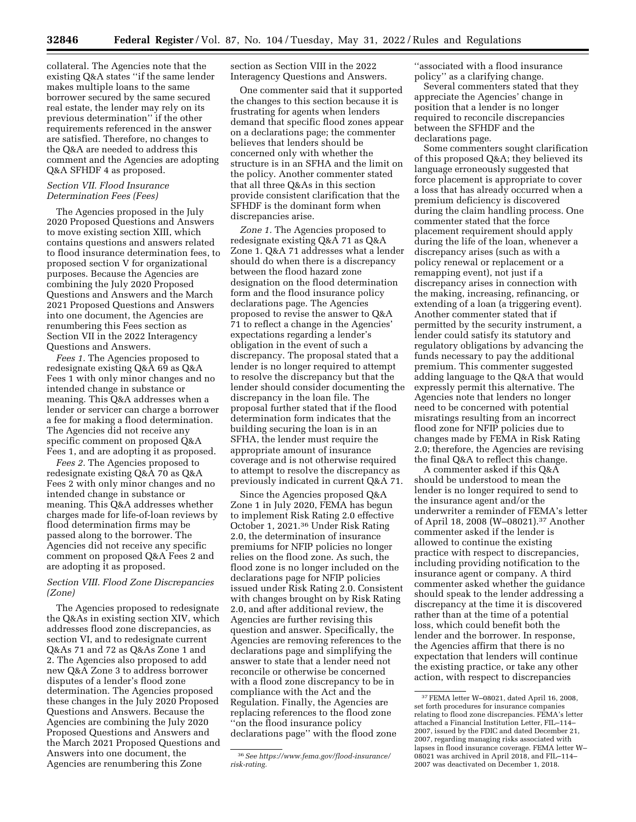collateral. The Agencies note that the existing Q&A states ''if the same lender makes multiple loans to the same borrower secured by the same secured real estate, the lender may rely on its previous determination'' if the other requirements referenced in the answer are satisfied. Therefore, no changes to the Q&A are needed to address this comment and the Agencies are adopting Q&A SFHDF 4 as proposed.

#### *Section VII. Flood Insurance Determination Fees (Fees)*

The Agencies proposed in the July 2020 Proposed Questions and Answers to move existing section XIII, which contains questions and answers related to flood insurance determination fees, to proposed section V for organizational purposes. Because the Agencies are combining the July 2020 Proposed Questions and Answers and the March 2021 Proposed Questions and Answers into one document, the Agencies are renumbering this Fees section as Section VII in the 2022 Interagency Questions and Answers.

*Fees 1.* The Agencies proposed to redesignate existing Q&A 69 as Q&A Fees 1 with only minor changes and no intended change in substance or meaning. This Q&A addresses when a lender or servicer can charge a borrower a fee for making a flood determination. The Agencies did not receive any specific comment on proposed Q&A Fees 1, and are adopting it as proposed.

*Fees 2.* The Agencies proposed to redesignate existing Q&A 70 as Q&A Fees 2 with only minor changes and no intended change in substance or meaning. This Q&A addresses whether charges made for life-of-loan reviews by flood determination firms may be passed along to the borrower. The Agencies did not receive any specific comment on proposed Q&A Fees 2 and are adopting it as proposed.

#### *Section VIII. Flood Zone Discrepancies (Zone)*

The Agencies proposed to redesignate the Q&As in existing section XIV, which addresses flood zone discrepancies, as section VI, and to redesignate current Q&As 71 and 72 as Q&As Zone 1 and 2. The Agencies also proposed to add new Q&A Zone 3 to address borrower disputes of a lender's flood zone determination. The Agencies proposed these changes in the July 2020 Proposed Questions and Answers. Because the Agencies are combining the July 2020 Proposed Questions and Answers and the March 2021 Proposed Questions and Answers into one document, the Agencies are renumbering this Zone

section as Section VIII in the 2022 Interagency Questions and Answers.

One commenter said that it supported the changes to this section because it is frustrating for agents when lenders demand that specific flood zones appear on a declarations page; the commenter believes that lenders should be concerned only with whether the structure is in an SFHA and the limit on the policy. Another commenter stated that all three Q&As in this section provide consistent clarification that the SFHDF is the dominant form when discrepancies arise.

*Zone 1.* The Agencies proposed to redesignate existing Q&A 71 as Q&A Zone 1. Q&A 71 addresses what a lender should do when there is a discrepancy between the flood hazard zone designation on the flood determination form and the flood insurance policy declarations page. The Agencies proposed to revise the answer to Q&A 71 to reflect a change in the Agencies' expectations regarding a lender's obligation in the event of such a discrepancy. The proposal stated that a lender is no longer required to attempt to resolve the discrepancy but that the lender should consider documenting the discrepancy in the loan file. The proposal further stated that if the flood determination form indicates that the building securing the loan is in an SFHA, the lender must require the appropriate amount of insurance coverage and is not otherwise required to attempt to resolve the discrepancy as previously indicated in current Q&A 71.

Since the Agencies proposed Q&A Zone 1 in July 2020, FEMA has begun to implement Risk Rating 2.0 effective October 1, 2021.36 Under Risk Rating 2.0, the determination of insurance premiums for NFIP policies no longer relies on the flood zone. As such, the flood zone is no longer included on the declarations page for NFIP policies issued under Risk Rating 2.0. Consistent with changes brought on by Risk Rating 2.0, and after additional review, the Agencies are further revising this question and answer. Specifically, the Agencies are removing references to the declarations page and simplifying the answer to state that a lender need not reconcile or otherwise be concerned with a flood zone discrepancy to be in compliance with the Act and the Regulation. Finally, the Agencies are replacing references to the flood zone ''on the flood insurance policy declarations page'' with the flood zone

''associated with a flood insurance policy'' as a clarifying change.

Several commenters stated that they appreciate the Agencies' change in position that a lender is no longer required to reconcile discrepancies between the SFHDF and the declarations page.

Some commenters sought clarification of this proposed Q&A; they believed its language erroneously suggested that force placement is appropriate to cover a loss that has already occurred when a premium deficiency is discovered during the claim handling process. One commenter stated that the force placement requirement should apply during the life of the loan, whenever a discrepancy arises (such as with a policy renewal or replacement or a remapping event), not just if a discrepancy arises in connection with the making, increasing, refinancing, or extending of a loan (a triggering event). Another commenter stated that if permitted by the security instrument, a lender could satisfy its statutory and regulatory obligations by advancing the funds necessary to pay the additional premium. This commenter suggested adding language to the Q&A that would expressly permit this alternative. The Agencies note that lenders no longer need to be concerned with potential misratings resulting from an incorrect flood zone for NFIP policies due to changes made by FEMA in Risk Rating 2.0; therefore, the Agencies are revising the final Q&A to reflect this change.

A commenter asked if this Q&A should be understood to mean the lender is no longer required to send to the insurance agent and/or the underwriter a reminder of FEMA's letter of April 18, 2008 (W–08021).37 Another commenter asked if the lender is allowed to continue the existing practice with respect to discrepancies, including providing notification to the insurance agent or company. A third commenter asked whether the guidance should speak to the lender addressing a discrepancy at the time it is discovered rather than at the time of a potential loss, which could benefit both the lender and the borrower. In response, the Agencies affirm that there is no expectation that lenders will continue the existing practice, or take any other action, with respect to discrepancies

<sup>36</sup>*See [https://www.fema.gov/flood-insurance/](https://www.fema.gov/flood-insurance/risk-rating) [risk-rating.](https://www.fema.gov/flood-insurance/risk-rating)* 

<sup>37</sup>FEMA letter W–08021, dated April 16, 2008, set forth procedures for insurance companies relating to flood zone discrepancies. FEMA's letter attached a Financial Institution Letter, FIL–114– 2007, issued by the FDIC and dated December 21, 2007, regarding managing risks associated with lapses in flood insurance coverage. FEMA letter W– 08021 was archived in April 2018, and FIL–114– 2007 was deactivated on December 1, 2018.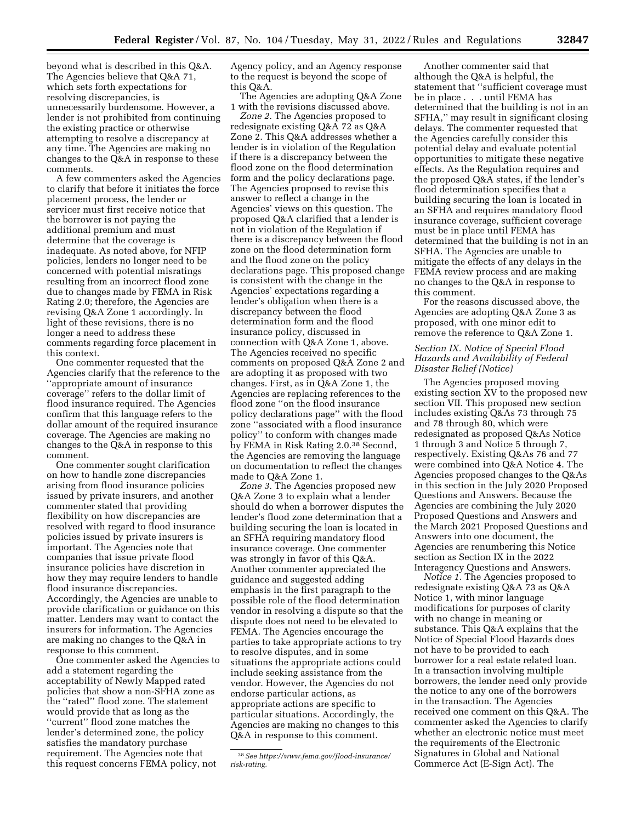beyond what is described in this Q&A. The Agencies believe that Q&A 71, which sets forth expectations for resolving discrepancies, is unnecessarily burdensome. However, a lender is not prohibited from continuing the existing practice or otherwise attempting to resolve a discrepancy at any time. The Agencies are making no changes to the Q&A in response to these comments.

A few commenters asked the Agencies to clarify that before it initiates the force placement process, the lender or servicer must first receive notice that the borrower is not paying the additional premium and must determine that the coverage is inadequate. As noted above, for NFIP policies, lenders no longer need to be concerned with potential misratings resulting from an incorrect flood zone due to changes made by FEMA in Risk Rating 2.0; therefore, the Agencies are revising Q&A Zone 1 accordingly. In light of these revisions, there is no longer a need to address these comments regarding force placement in this context.

One commenter requested that the Agencies clarify that the reference to the ''appropriate amount of insurance coverage'' refers to the dollar limit of flood insurance required. The Agencies confirm that this language refers to the dollar amount of the required insurance coverage. The Agencies are making no changes to the Q&A in response to this comment.

One commenter sought clarification on how to handle zone discrepancies arising from flood insurance policies issued by private insurers, and another commenter stated that providing flexibility on how discrepancies are resolved with regard to flood insurance policies issued by private insurers is important. The Agencies note that companies that issue private flood insurance policies have discretion in how they may require lenders to handle flood insurance discrepancies. Accordingly, the Agencies are unable to provide clarification or guidance on this matter. Lenders may want to contact the insurers for information. The Agencies are making no changes to the Q&A in response to this comment.

One commenter asked the Agencies to add a statement regarding the acceptability of Newly Mapped rated policies that show a non-SFHA zone as the ''rated'' flood zone. The statement would provide that as long as the ''current'' flood zone matches the lender's determined zone, the policy satisfies the mandatory purchase requirement. The Agencies note that this request concerns FEMA policy, not

Agency policy, and an Agency response to the request is beyond the scope of this Q&A.

The Agencies are adopting Q&A Zone 1 with the revisions discussed above.

*Zone 2.* The Agencies proposed to redesignate existing Q&A 72 as Q&A Zone 2. This Q&A addresses whether a lender is in violation of the Regulation if there is a discrepancy between the flood zone on the flood determination form and the policy declarations page. The Agencies proposed to revise this answer to reflect a change in the Agencies' views on this question. The proposed Q&A clarified that a lender is not in violation of the Regulation if there is a discrepancy between the flood zone on the flood determination form and the flood zone on the policy declarations page. This proposed change is consistent with the change in the Agencies' expectations regarding a lender's obligation when there is a discrepancy between the flood determination form and the flood insurance policy, discussed in connection with Q&A Zone 1, above. The Agencies received no specific comments on proposed Q&A Zone 2 and are adopting it as proposed with two changes. First, as in Q&A Zone 1, the Agencies are replacing references to the flood zone ''on the flood insurance policy declarations page'' with the flood zone ''associated with a flood insurance policy'' to conform with changes made by FEMA in Risk Rating 2.0.38 Second, the Agencies are removing the language on documentation to reflect the changes made to Q&A Zone 1.

*Zone 3.* The Agencies proposed new Q&A Zone 3 to explain what a lender should do when a borrower disputes the lender's flood zone determination that a building securing the loan is located in an SFHA requiring mandatory flood insurance coverage. One commenter was strongly in favor of this Q&A. Another commenter appreciated the guidance and suggested adding emphasis in the first paragraph to the possible role of the flood determination vendor in resolving a dispute so that the dispute does not need to be elevated to FEMA. The Agencies encourage the parties to take appropriate actions to try to resolve disputes, and in some situations the appropriate actions could include seeking assistance from the vendor. However, the Agencies do not endorse particular actions, as appropriate actions are specific to particular situations. Accordingly, the Agencies are making no changes to this Q&A in response to this comment.

Another commenter said that although the Q&A is helpful, the statement that ''sufficient coverage must be in place . . . until FEMA has determined that the building is not in an SFHA,'' may result in significant closing delays. The commenter requested that the Agencies carefully consider this potential delay and evaluate potential opportunities to mitigate these negative effects. As the Regulation requires and the proposed Q&A states, if the lender's flood determination specifies that a building securing the loan is located in an SFHA and requires mandatory flood insurance coverage, sufficient coverage must be in place until FEMA has determined that the building is not in an SFHA. The Agencies are unable to mitigate the effects of any delays in the FEMA review process and are making no changes to the Q&A in response to this comment.

For the reasons discussed above, the Agencies are adopting Q&A Zone 3 as proposed, with one minor edit to remove the reference to Q&A Zone 1.

## *Section IX. Notice of Special Flood Hazards and Availability of Federal Disaster Relief (Notice)*

The Agencies proposed moving existing section XV to the proposed new section VII. This proposed new section includes existing Q&As 73 through 75 and 78 through 80, which were redesignated as proposed Q&As Notice 1 through 3 and Notice 5 through 7, respectively. Existing Q&As 76 and 77 were combined into Q&A Notice 4. The Agencies proposed changes to the Q&As in this section in the July 2020 Proposed Questions and Answers. Because the Agencies are combining the July 2020 Proposed Questions and Answers and the March 2021 Proposed Questions and Answers into one document, the Agencies are renumbering this Notice section as Section IX in the 2022 Interagency Questions and Answers.

*Notice 1.* The Agencies proposed to redesignate existing Q&A 73 as Q&A Notice 1, with minor language modifications for purposes of clarity with no change in meaning or substance. This Q&A explains that the Notice of Special Flood Hazards does not have to be provided to each borrower for a real estate related loan. In a transaction involving multiple borrowers, the lender need only provide the notice to any one of the borrowers in the transaction. The Agencies received one comment on this Q&A. The commenter asked the Agencies to clarify whether an electronic notice must meet the requirements of the Electronic Signatures in Global and National Commerce Act (E-Sign Act). The

<sup>38</sup>*See [https://www.fema.gov/flood-insurance/](https://www.fema.gov/flood-insurance/risk-rating) [risk-rating.](https://www.fema.gov/flood-insurance/risk-rating)*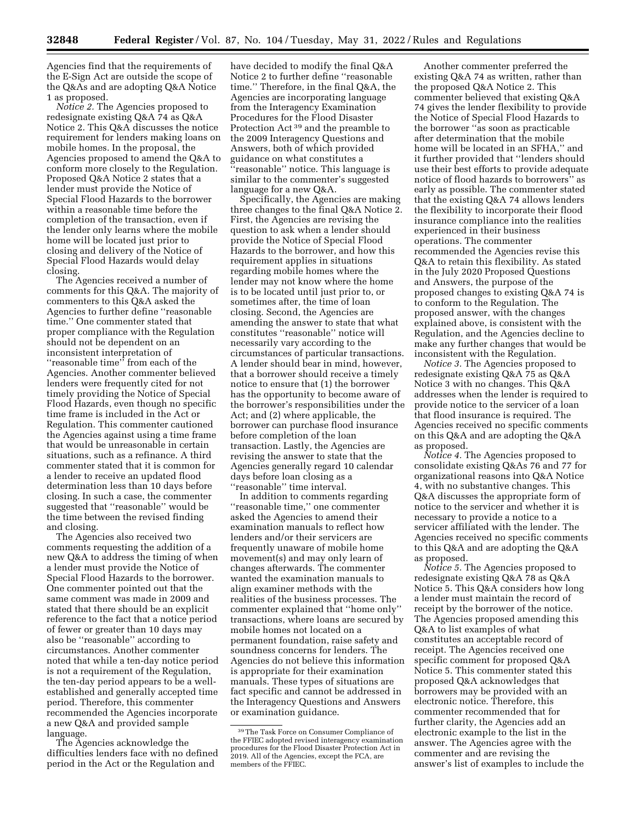Agencies find that the requirements of the E-Sign Act are outside the scope of the Q&As and are adopting Q&A Notice 1 as proposed.

*Notice 2.* The Agencies proposed to redesignate existing Q&A 74 as Q&A Notice 2. This Q&A discusses the notice requirement for lenders making loans on mobile homes. In the proposal, the Agencies proposed to amend the Q&A to conform more closely to the Regulation. Proposed Q&A Notice 2 states that a lender must provide the Notice of Special Flood Hazards to the borrower within a reasonable time before the completion of the transaction, even if the lender only learns where the mobile home will be located just prior to closing and delivery of the Notice of Special Flood Hazards would delay closing.

The Agencies received a number of comments for this Q&A. The majority of commenters to this Q&A asked the Agencies to further define ''reasonable time.'' One commenter stated that proper compliance with the Regulation should not be dependent on an inconsistent interpretation of ''reasonable time'' from each of the Agencies. Another commenter believed lenders were frequently cited for not timely providing the Notice of Special Flood Hazards, even though no specific time frame is included in the Act or Regulation. This commenter cautioned the Agencies against using a time frame that would be unreasonable in certain situations, such as a refinance. A third commenter stated that it is common for a lender to receive an updated flood determination less than 10 days before closing. In such a case, the commenter suggested that ''reasonable'' would be the time between the revised finding and closing.

The Agencies also received two comments requesting the addition of a new Q&A to address the timing of when a lender must provide the Notice of Special Flood Hazards to the borrower. One commenter pointed out that the same comment was made in 2009 and stated that there should be an explicit reference to the fact that a notice period of fewer or greater than 10 days may also be ''reasonable'' according to circumstances. Another commenter noted that while a ten-day notice period is not a requirement of the Regulation, the ten-day period appears to be a wellestablished and generally accepted time period. Therefore, this commenter recommended the Agencies incorporate a new Q&A and provided sample language.

The Agencies acknowledge the difficulties lenders face with no defined period in the Act or the Regulation and

have decided to modify the final Q&A Notice 2 to further define ''reasonable time.'' Therefore, in the final Q&A, the Agencies are incorporating language from the Interagency Examination Procedures for the Flood Disaster Protection Act 39 and the preamble to the 2009 Interagency Questions and Answers, both of which provided guidance on what constitutes a ''reasonable'' notice. This language is similar to the commenter's suggested language for a new Q&A.

Specifically, the Agencies are making three changes to the final Q&A Notice 2. First, the Agencies are revising the question to ask when a lender should provide the Notice of Special Flood Hazards to the borrower, and how this requirement applies in situations regarding mobile homes where the lender may not know where the home is to be located until just prior to, or sometimes after, the time of loan closing. Second, the Agencies are amending the answer to state that what constitutes ''reasonable'' notice will necessarily vary according to the circumstances of particular transactions. A lender should bear in mind, however, that a borrower should receive a timely notice to ensure that (1) the borrower has the opportunity to become aware of the borrower's responsibilities under the Act; and (2) where applicable, the borrower can purchase flood insurance before completion of the loan transaction. Lastly, the Agencies are revising the answer to state that the Agencies generally regard 10 calendar days before loan closing as a ''reasonable'' time interval.

In addition to comments regarding ''reasonable time,'' one commenter asked the Agencies to amend their examination manuals to reflect how lenders and/or their servicers are frequently unaware of mobile home movement(s) and may only learn of changes afterwards. The commenter wanted the examination manuals to align examiner methods with the realities of the business processes. The commenter explained that ''home only'' transactions, where loans are secured by mobile homes not located on a permanent foundation, raise safety and soundness concerns for lenders. The Agencies do not believe this information is appropriate for their examination manuals. These types of situations are fact specific and cannot be addressed in the Interagency Questions and Answers or examination guidance.

Another commenter preferred the existing Q&A 74 as written, rather than the proposed Q&A Notice 2. This commenter believed that existing Q&A 74 gives the lender flexibility to provide the Notice of Special Flood Hazards to the borrower ''as soon as practicable after determination that the mobile home will be located in an SFHA,'' and it further provided that ''lenders should use their best efforts to provide adequate notice of flood hazards to borrowers'' as early as possible. The commenter stated that the existing Q&A 74 allows lenders the flexibility to incorporate their flood insurance compliance into the realities experienced in their business operations. The commenter recommended the Agencies revise this Q&A to retain this flexibility. As stated in the July 2020 Proposed Questions and Answers, the purpose of the proposed changes to existing Q&A 74 is to conform to the Regulation. The proposed answer, with the changes explained above, is consistent with the Regulation, and the Agencies decline to make any further changes that would be inconsistent with the Regulation.

*Notice 3.* The Agencies proposed to redesignate existing Q&A 75 as Q&A Notice 3 with no changes. This Q&A addresses when the lender is required to provide notice to the servicer of a loan that flood insurance is required. The Agencies received no specific comments on this Q&A and are adopting the Q&A as proposed.

*Notice 4.* The Agencies proposed to consolidate existing Q&As 76 and 77 for organizational reasons into Q&A Notice 4, with no substantive changes. This Q&A discusses the appropriate form of notice to the servicer and whether it is necessary to provide a notice to a servicer affiliated with the lender. The Agencies received no specific comments to this Q&A and are adopting the Q&A as proposed.

*Notice 5.* The Agencies proposed to redesignate existing Q&A 78 as Q&A Notice 5. This Q&A considers how long a lender must maintain the record of receipt by the borrower of the notice. The Agencies proposed amending this Q&A to list examples of what constitutes an acceptable record of receipt. The Agencies received one specific comment for proposed Q&A Notice 5. This commenter stated this proposed Q&A acknowledges that borrowers may be provided with an electronic notice. Therefore, this commenter recommended that for further clarity, the Agencies add an electronic example to the list in the answer. The Agencies agree with the commenter and are revising the answer's list of examples to include the

<sup>39</sup>The Task Force on Consumer Compliance of the FFIEC adopted revised interagency examination procedures for the Flood Disaster Protection Act in 2019. All of the Agencies, except the FCA, are members of the FFIEC.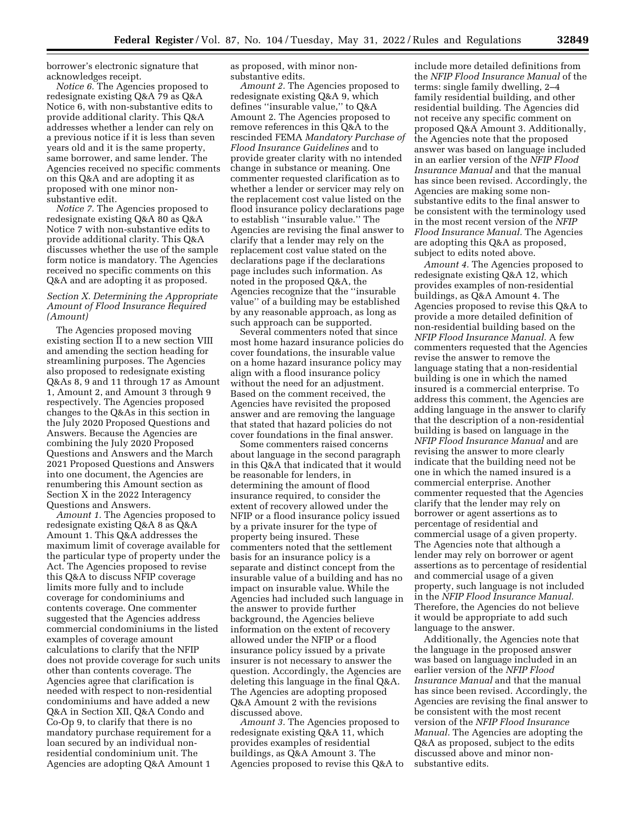borrower's electronic signature that acknowledges receipt.

*Notice 6.* The Agencies proposed to redesignate existing Q&A 79 as Q&A Notice 6, with non-substantive edits to provide additional clarity. This Q&A addresses whether a lender can rely on a previous notice if it is less than seven years old and it is the same property, same borrower, and same lender. The Agencies received no specific comments on this Q&A and are adopting it as proposed with one minor nonsubstantive edit.

*Notice 7.* The Agencies proposed to redesignate existing Q&A 80 as Q&A Notice 7 with non-substantive edits to provide additional clarity. This Q&A discusses whether the use of the sample form notice is mandatory. The Agencies received no specific comments on this Q&A and are adopting it as proposed.

### *Section X. Determining the Appropriate Amount of Flood Insurance Required (Amount)*

The Agencies proposed moving existing section II to a new section VIII and amending the section heading for streamlining purposes. The Agencies also proposed to redesignate existing Q&As 8, 9 and 11 through 17 as Amount 1, Amount 2, and Amount 3 through 9 respectively. The Agencies proposed changes to the Q&As in this section in the July 2020 Proposed Questions and Answers. Because the Agencies are combining the July 2020 Proposed Questions and Answers and the March 2021 Proposed Questions and Answers into one document, the Agencies are renumbering this Amount section as Section X in the 2022 Interagency Questions and Answers.

*Amount 1.* The Agencies proposed to redesignate existing Q&A 8 as Q&A Amount 1. This Q&A addresses the maximum limit of coverage available for the particular type of property under the Act. The Agencies proposed to revise this Q&A to discuss NFIP coverage limits more fully and to include coverage for condominiums and contents coverage. One commenter suggested that the Agencies address commercial condominiums in the listed examples of coverage amount calculations to clarify that the NFIP does not provide coverage for such units other than contents coverage. The Agencies agree that clarification is needed with respect to non-residential condominiums and have added a new Q&A in Section XII, Q&A Condo and Co-Op 9, to clarify that there is no mandatory purchase requirement for a loan secured by an individual nonresidential condominium unit. The Agencies are adopting Q&A Amount 1

as proposed, with minor nonsubstantive edits.

*Amount 2.* The Agencies proposed to redesignate existing Q&A 9, which defines ''insurable value,'' to Q&A Amount 2. The Agencies proposed to remove references in this Q&A to the rescinded FEMA *Mandatory Purchase of Flood Insurance Guidelines* and to provide greater clarity with no intended change in substance or meaning. One commenter requested clarification as to whether a lender or servicer may rely on the replacement cost value listed on the flood insurance policy declarations page to establish ''insurable value.'' The Agencies are revising the final answer to clarify that a lender may rely on the replacement cost value stated on the declarations page if the declarations page includes such information. As noted in the proposed Q&A, the Agencies recognize that the ''insurable value'' of a building may be established by any reasonable approach, as long as such approach can be supported.

Several commenters noted that since most home hazard insurance policies do cover foundations, the insurable value on a home hazard insurance policy may align with a flood insurance policy without the need for an adjustment. Based on the comment received, the Agencies have revisited the proposed answer and are removing the language that stated that hazard policies do not cover foundations in the final answer.

Some commenters raised concerns about language in the second paragraph in this Q&A that indicated that it would be reasonable for lenders, in determining the amount of flood insurance required, to consider the extent of recovery allowed under the NFIP or a flood insurance policy issued by a private insurer for the type of property being insured. These commenters noted that the settlement basis for an insurance policy is a separate and distinct concept from the insurable value of a building and has no impact on insurable value. While the Agencies had included such language in the answer to provide further background, the Agencies believe information on the extent of recovery allowed under the NFIP or a flood insurance policy issued by a private insurer is not necessary to answer the question. Accordingly, the Agencies are deleting this language in the final Q&A. The Agencies are adopting proposed Q&A Amount 2 with the revisions discussed above.

*Amount 3.* The Agencies proposed to redesignate existing Q&A 11, which provides examples of residential buildings, as Q&A Amount 3. The Agencies proposed to revise this Q&A to

include more detailed definitions from the *NFIP Flood Insurance Manual* of the terms: single family dwelling, 2–4 family residential building, and other residential building. The Agencies did not receive any specific comment on proposed Q&A Amount 3. Additionally, the Agencies note that the proposed answer was based on language included in an earlier version of the *NFIP Flood Insurance Manual* and that the manual has since been revised. Accordingly, the Agencies are making some nonsubstantive edits to the final answer to be consistent with the terminology used in the most recent version of the *NFIP Flood Insurance Manual.* The Agencies are adopting this Q&A as proposed, subject to edits noted above.

*Amount 4.* The Agencies proposed to redesignate existing Q&A 12, which provides examples of non-residential buildings, as Q&A Amount 4. The Agencies proposed to revise this Q&A to provide a more detailed definition of non-residential building based on the *NFIP Flood Insurance Manual.* A few commenters requested that the Agencies revise the answer to remove the language stating that a non-residential building is one in which the named insured is a commercial enterprise. To address this comment, the Agencies are adding language in the answer to clarify that the description of a non-residential building is based on language in the *NFIP Flood Insurance Manual* and are revising the answer to more clearly indicate that the building need not be one in which the named insured is a commercial enterprise. Another commenter requested that the Agencies clarify that the lender may rely on borrower or agent assertions as to percentage of residential and commercial usage of a given property. The Agencies note that although a lender may rely on borrower or agent assertions as to percentage of residential and commercial usage of a given property, such language is not included in the *NFIP Flood Insurance Manual.*  Therefore, the Agencies do not believe it would be appropriate to add such language to the answer.

Additionally, the Agencies note that the language in the proposed answer was based on language included in an earlier version of the *NFIP Flood Insurance Manual* and that the manual has since been revised. Accordingly, the Agencies are revising the final answer to be consistent with the most recent version of the *NFIP Flood Insurance Manual.* The Agencies are adopting the Q&A as proposed, subject to the edits discussed above and minor nonsubstantive edits.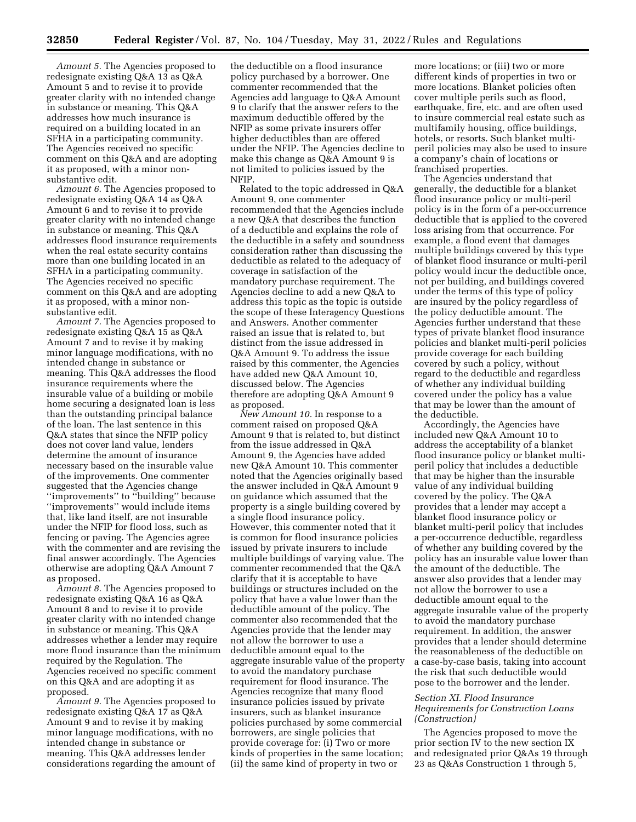*Amount 5.* The Agencies proposed to redesignate existing Q&A 13 as Q&A Amount 5 and to revise it to provide greater clarity with no intended change in substance or meaning. This Q&A addresses how much insurance is required on a building located in an SFHA in a participating community. The Agencies received no specific comment on this Q&A and are adopting it as proposed, with a minor nonsubstantive edit.

*Amount 6.* The Agencies proposed to redesignate existing Q&A 14 as Q&A Amount 6 and to revise it to provide greater clarity with no intended change in substance or meaning. This Q&A addresses flood insurance requirements when the real estate security contains more than one building located in an SFHA in a participating community. The Agencies received no specific comment on this Q&A and are adopting it as proposed, with a minor nonsubstantive edit.

*Amount 7.* The Agencies proposed to redesignate existing Q&A 15 as Q&A Amount 7 and to revise it by making minor language modifications, with no intended change in substance or meaning. This Q&A addresses the flood insurance requirements where the insurable value of a building or mobile home securing a designated loan is less than the outstanding principal balance of the loan. The last sentence in this Q&A states that since the NFIP policy does not cover land value, lenders determine the amount of insurance necessary based on the insurable value of the improvements. One commenter suggested that the Agencies change ''improvements'' to ''building'' because ''improvements'' would include items that, like land itself, are not insurable under the NFIP for flood loss, such as fencing or paving. The Agencies agree with the commenter and are revising the final answer accordingly. The Agencies otherwise are adopting Q&A Amount 7 as proposed.

*Amount 8.* The Agencies proposed to redesignate existing Q&A 16 as Q&A Amount 8 and to revise it to provide greater clarity with no intended change in substance or meaning. This Q&A addresses whether a lender may require more flood insurance than the minimum required by the Regulation. The Agencies received no specific comment on this Q&A and are adopting it as proposed.

*Amount 9.* The Agencies proposed to redesignate existing Q&A 17 as Q&A Amount 9 and to revise it by making minor language modifications, with no intended change in substance or meaning. This Q&A addresses lender considerations regarding the amount of

the deductible on a flood insurance policy purchased by a borrower. One commenter recommended that the Agencies add language to Q&A Amount 9 to clarify that the answer refers to the maximum deductible offered by the NFIP as some private insurers offer higher deductibles than are offered under the NFIP. The Agencies decline to make this change as Q&A Amount 9 is not limited to policies issued by the NFIP.

Related to the topic addressed in Q&A Amount 9, one commenter recommended that the Agencies include a new Q&A that describes the function of a deductible and explains the role of the deductible in a safety and soundness consideration rather than discussing the deductible as related to the adequacy of coverage in satisfaction of the mandatory purchase requirement. The Agencies decline to add a new Q&A to address this topic as the topic is outside the scope of these Interagency Questions and Answers. Another commenter raised an issue that is related to, but distinct from the issue addressed in Q&A Amount 9. To address the issue raised by this commenter, the Agencies have added new Q&A Amount 10, discussed below. The Agencies therefore are adopting Q&A Amount 9 as proposed.

*New Amount 10.* In response to a comment raised on proposed Q&A Amount 9 that is related to, but distinct from the issue addressed in Q&A Amount 9, the Agencies have added new Q&A Amount 10. This commenter noted that the Agencies originally based the answer included in Q&A Amount 9 on guidance which assumed that the property is a single building covered by a single flood insurance policy. However, this commenter noted that it is common for flood insurance policies issued by private insurers to include multiple buildings of varying value. The commenter recommended that the Q&A clarify that it is acceptable to have buildings or structures included on the policy that have a value lower than the deductible amount of the policy. The commenter also recommended that the Agencies provide that the lender may not allow the borrower to use a deductible amount equal to the aggregate insurable value of the property to avoid the mandatory purchase requirement for flood insurance. The Agencies recognize that many flood insurance policies issued by private insurers, such as blanket insurance policies purchased by some commercial borrowers, are single policies that provide coverage for: (i) Two or more kinds of properties in the same location; (ii) the same kind of property in two or

more locations; or (iii) two or more different kinds of properties in two or more locations. Blanket policies often cover multiple perils such as flood, earthquake, fire, etc. and are often used to insure commercial real estate such as multifamily housing, office buildings, hotels, or resorts. Such blanket multiperil policies may also be used to insure a company's chain of locations or franchised properties.

The Agencies understand that generally, the deductible for a blanket flood insurance policy or multi-peril policy is in the form of a per-occurrence deductible that is applied to the covered loss arising from that occurrence. For example, a flood event that damages multiple buildings covered by this type of blanket flood insurance or multi-peril policy would incur the deductible once, not per building, and buildings covered under the terms of this type of policy are insured by the policy regardless of the policy deductible amount. The Agencies further understand that these types of private blanket flood insurance policies and blanket multi-peril policies provide coverage for each building covered by such a policy, without regard to the deductible and regardless of whether any individual building covered under the policy has a value that may be lower than the amount of the deductible.

Accordingly, the Agencies have included new Q&A Amount 10 to address the acceptability of a blanket flood insurance policy or blanket multiperil policy that includes a deductible that may be higher than the insurable value of any individual building covered by the policy. The Q&A provides that a lender may accept a blanket flood insurance policy or blanket multi-peril policy that includes a per-occurrence deductible, regardless of whether any building covered by the policy has an insurable value lower than the amount of the deductible. The answer also provides that a lender may not allow the borrower to use a deductible amount equal to the aggregate insurable value of the property to avoid the mandatory purchase requirement. In addition, the answer provides that a lender should determine the reasonableness of the deductible on a case-by-case basis, taking into account the risk that such deductible would pose to the borrower and the lender.

## *Section XI. Flood Insurance Requirements for Construction Loans (Construction)*

The Agencies proposed to move the prior section IV to the new section IX and redesignated prior Q&As 19 through 23 as Q&As Construction 1 through 5,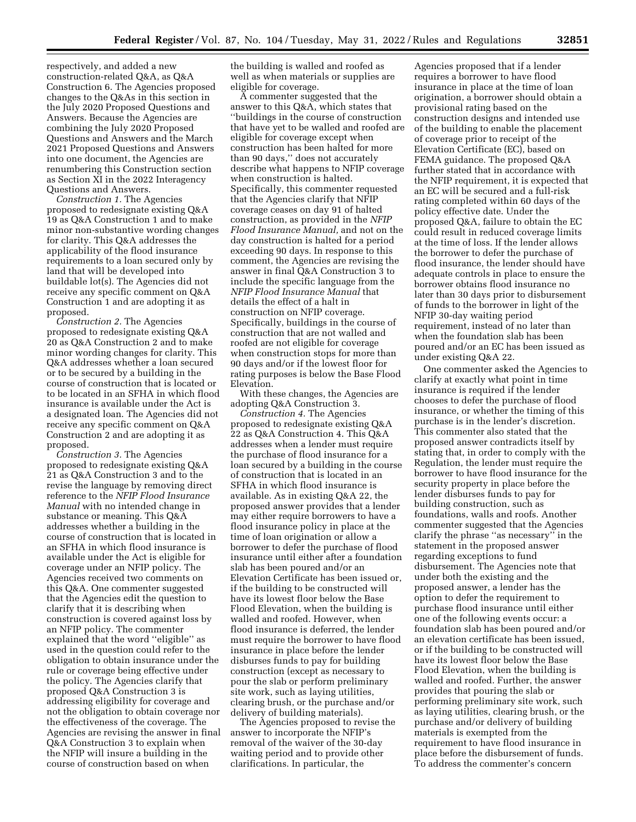respectively, and added a new construction-related Q&A, as Q&A Construction 6. The Agencies proposed changes to the Q&As in this section in the July 2020 Proposed Questions and Answers. Because the Agencies are combining the July 2020 Proposed Questions and Answers and the March 2021 Proposed Questions and Answers into one document, the Agencies are renumbering this Construction section as Section XI in the 2022 Interagency Questions and Answers.

*Construction 1.* The Agencies proposed to redesignate existing Q&A 19 as Q&A Construction 1 and to make minor non-substantive wording changes for clarity. This Q&A addresses the applicability of the flood insurance requirements to a loan secured only by land that will be developed into buildable lot(s). The Agencies did not receive any specific comment on Q&A Construction 1 and are adopting it as proposed.

*Construction 2.* The Agencies proposed to redesignate existing Q&A 20 as Q&A Construction 2 and to make minor wording changes for clarity. This Q&A addresses whether a loan secured or to be secured by a building in the course of construction that is located or to be located in an SFHA in which flood insurance is available under the Act is a designated loan. The Agencies did not receive any specific comment on Q&A Construction 2 and are adopting it as proposed.

*Construction 3.* The Agencies proposed to redesignate existing Q&A 21 as Q&A Construction 3 and to the revise the language by removing direct reference to the *NFIP Flood Insurance Manual* with no intended change in substance or meaning. This Q&A addresses whether a building in the course of construction that is located in an SFHA in which flood insurance is available under the Act is eligible for coverage under an NFIP policy. The Agencies received two comments on this Q&A. One commenter suggested that the Agencies edit the question to clarify that it is describing when construction is covered against loss by an NFIP policy. The commenter explained that the word ''eligible'' as used in the question could refer to the obligation to obtain insurance under the rule or coverage being effective under the policy. The Agencies clarify that proposed Q&A Construction 3 is addressing eligibility for coverage and not the obligation to obtain coverage nor the effectiveness of the coverage. The Agencies are revising the answer in final Q&A Construction 3 to explain when the NFIP will insure a building in the course of construction based on when

the building is walled and roofed as well as when materials or supplies are eligible for coverage.

A commenter suggested that the answer to this Q&A, which states that ''buildings in the course of construction that have yet to be walled and roofed are eligible for coverage except when construction has been halted for more than 90 days,'' does not accurately describe what happens to NFIP coverage when construction is halted. Specifically, this commenter requested that the Agencies clarify that NFIP coverage ceases on day 91 of halted construction, as provided in the *NFIP Flood Insurance Manual,* and not on the day construction is halted for a period exceeding 90 days. In response to this comment, the Agencies are revising the answer in final Q&A Construction 3 to include the specific language from the *NFIP Flood Insurance Manual* that details the effect of a halt in construction on NFIP coverage. Specifically, buildings in the course of construction that are not walled and roofed are not eligible for coverage when construction stops for more than 90 days and/or if the lowest floor for rating purposes is below the Base Flood Elevation.

With these changes, the Agencies are adopting Q&A Construction 3.

*Construction 4.* The Agencies proposed to redesignate existing Q&A 22 as Q&A Construction 4. This Q&A addresses when a lender must require the purchase of flood insurance for a loan secured by a building in the course of construction that is located in an SFHA in which flood insurance is available. As in existing Q&A 22, the proposed answer provides that a lender may either require borrowers to have a flood insurance policy in place at the time of loan origination or allow a borrower to defer the purchase of flood insurance until either after a foundation slab has been poured and/or an Elevation Certificate has been issued or, if the building to be constructed will have its lowest floor below the Base Flood Elevation, when the building is walled and roofed. However, when flood insurance is deferred, the lender must require the borrower to have flood insurance in place before the lender disburses funds to pay for building construction (except as necessary to pour the slab or perform preliminary site work, such as laying utilities, clearing brush, or the purchase and/or delivery of building materials).

The Agencies proposed to revise the answer to incorporate the NFIP's removal of the waiver of the 30-day waiting period and to provide other clarifications. In particular, the

Agencies proposed that if a lender requires a borrower to have flood insurance in place at the time of loan origination, a borrower should obtain a provisional rating based on the construction designs and intended use of the building to enable the placement of coverage prior to receipt of the Elevation Certificate (EC), based on FEMA guidance. The proposed Q&A further stated that in accordance with the NFIP requirement, it is expected that an EC will be secured and a full-risk rating completed within 60 days of the policy effective date. Under the proposed Q&A, failure to obtain the EC could result in reduced coverage limits at the time of loss. If the lender allows the borrower to defer the purchase of flood insurance, the lender should have adequate controls in place to ensure the borrower obtains flood insurance no later than 30 days prior to disbursement of funds to the borrower in light of the NFIP 30-day waiting period requirement, instead of no later than when the foundation slab has been poured and/or an EC has been issued as under existing Q&A 22.

One commenter asked the Agencies to clarify at exactly what point in time insurance is required if the lender chooses to defer the purchase of flood insurance, or whether the timing of this purchase is in the lender's discretion. This commenter also stated that the proposed answer contradicts itself by stating that, in order to comply with the Regulation, the lender must require the borrower to have flood insurance for the security property in place before the lender disburses funds to pay for building construction, such as foundations, walls and roofs. Another commenter suggested that the Agencies clarify the phrase ''as necessary'' in the statement in the proposed answer regarding exceptions to fund disbursement. The Agencies note that under both the existing and the proposed answer, a lender has the option to defer the requirement to purchase flood insurance until either one of the following events occur: a foundation slab has been poured and/or an elevation certificate has been issued, or if the building to be constructed will have its lowest floor below the Base Flood Elevation, when the building is walled and roofed. Further, the answer provides that pouring the slab or performing preliminary site work, such as laying utilities, clearing brush, or the purchase and/or delivery of building materials is exempted from the requirement to have flood insurance in place before the disbursement of funds. To address the commenter's concern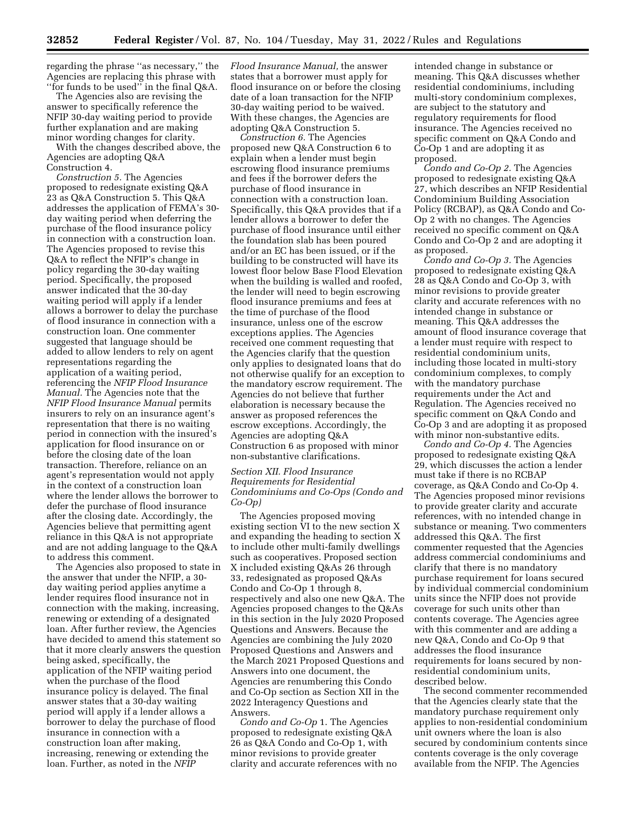regarding the phrase ''as necessary,'' the Agencies are replacing this phrase with ''for funds to be used'' in the final Q&A.

The Agencies also are revising the answer to specifically reference the NFIP 30-day waiting period to provide further explanation and are making minor wording changes for clarity.

With the changes described above, the Agencies are adopting Q&A Construction 4.

*Construction 5.* The Agencies proposed to redesignate existing Q&A 23 as Q&A Construction 5. This Q&A addresses the application of FEMA's 30 day waiting period when deferring the purchase of the flood insurance policy in connection with a construction loan. The Agencies proposed to revise this Q&A to reflect the NFIP's change in policy regarding the 30-day waiting period. Specifically, the proposed answer indicated that the 30-day waiting period will apply if a lender allows a borrower to delay the purchase of flood insurance in connection with a construction loan. One commenter suggested that language should be added to allow lenders to rely on agent representations regarding the application of a waiting period, referencing the *NFIP Flood Insurance Manual.* The Agencies note that the *NFIP Flood Insurance Manual* permits insurers to rely on an insurance agent's representation that there is no waiting period in connection with the insured's application for flood insurance on or before the closing date of the loan transaction. Therefore, reliance on an agent's representation would not apply in the context of a construction loan where the lender allows the borrower to defer the purchase of flood insurance after the closing date. Accordingly, the Agencies believe that permitting agent reliance in this Q&A is not appropriate and are not adding language to the Q&A to address this comment.

The Agencies also proposed to state in the answer that under the NFIP, a 30 day waiting period applies anytime a lender requires flood insurance not in connection with the making, increasing, renewing or extending of a designated loan. After further review, the Agencies have decided to amend this statement so that it more clearly answers the question being asked, specifically, the application of the NFIP waiting period when the purchase of the flood insurance policy is delayed. The final answer states that a 30-day waiting period will apply if a lender allows a borrower to delay the purchase of flood insurance in connection with a construction loan after making, increasing, renewing or extending the loan. Further, as noted in the *NFIP* 

*Flood Insurance Manual,* the answer states that a borrower must apply for flood insurance on or before the closing date of a loan transaction for the NFIP 30-day waiting period to be waived. With these changes, the Agencies are adopting Q&A Construction 5.

*Construction 6.* The Agencies proposed new Q&A Construction 6 to explain when a lender must begin escrowing flood insurance premiums and fees if the borrower defers the purchase of flood insurance in connection with a construction loan. Specifically, this Q&A provides that if a lender allows a borrower to defer the purchase of flood insurance until either the foundation slab has been poured and/or an EC has been issued, or if the building to be constructed will have its lowest floor below Base Flood Elevation when the building is walled and roofed, the lender will need to begin escrowing flood insurance premiums and fees at the time of purchase of the flood insurance, unless one of the escrow exceptions applies. The Agencies received one comment requesting that the Agencies clarify that the question only applies to designated loans that do not otherwise qualify for an exception to the mandatory escrow requirement. The Agencies do not believe that further elaboration is necessary because the answer as proposed references the escrow exceptions. Accordingly, the Agencies are adopting Q&A Construction 6 as proposed with minor non-substantive clarifications.

## *Section XII. Flood Insurance Requirements for Residential Condominiums and Co-Ops (Condo and Co-Op)*

The Agencies proposed moving existing section VI to the new section X and expanding the heading to section X to include other multi-family dwellings such as cooperatives. Proposed section X included existing Q&As 26 through 33, redesignated as proposed Q&As Condo and Co-Op 1 through 8, respectively and also one new Q&A. The Agencies proposed changes to the Q&As in this section in the July 2020 Proposed Questions and Answers. Because the Agencies are combining the July 2020 Proposed Questions and Answers and the March 2021 Proposed Questions and Answers into one document, the Agencies are renumbering this Condo and Co-Op section as Section XII in the 2022 Interagency Questions and Answers.

*Condo and Co-Op* 1. The Agencies proposed to redesignate existing Q&A 26 as Q&A Condo and Co-Op 1, with minor revisions to provide greater clarity and accurate references with no intended change in substance or meaning. This Q&A discusses whether residential condominiums, including multi-story condominium complexes, are subject to the statutory and regulatory requirements for flood insurance. The Agencies received no specific comment on Q&A Condo and Co-Op 1 and are adopting it as proposed.

*Condo and Co-Op 2.* The Agencies proposed to redesignate existing Q&A 27, which describes an NFIP Residential Condominium Building Association Policy (RCBAP), as Q&A Condo and Co-Op 2 with no changes. The Agencies received no specific comment on Q&A Condo and Co-Op 2 and are adopting it as proposed.

*Condo and Co-Op 3.* The Agencies proposed to redesignate existing Q&A 28 as Q&A Condo and Co-Op 3, with minor revisions to provide greater clarity and accurate references with no intended change in substance or meaning. This Q&A addresses the amount of flood insurance coverage that a lender must require with respect to residential condominium units, including those located in multi-story condominium complexes, to comply with the mandatory purchase requirements under the Act and Regulation. The Agencies received no specific comment on Q&A Condo and Co-Op 3 and are adopting it as proposed with minor non-substantive edits.

*Condo and Co-Op 4.* The Agencies proposed to redesignate existing Q&A 29, which discusses the action a lender must take if there is no RCBAP coverage, as Q&A Condo and Co-Op 4. The Agencies proposed minor revisions to provide greater clarity and accurate references, with no intended change in substance or meaning. Two commenters addressed this Q&A. The first commenter requested that the Agencies address commercial condominiums and clarify that there is no mandatory purchase requirement for loans secured by individual commercial condominium units since the NFIP does not provide coverage for such units other than contents coverage. The Agencies agree with this commenter and are adding a new Q&A, Condo and Co-Op 9 that addresses the flood insurance requirements for loans secured by nonresidential condominium units, described below.

The second commenter recommended that the Agencies clearly state that the mandatory purchase requirement only applies to non-residential condominium unit owners where the loan is also secured by condominium contents since contents coverage is the only coverage available from the NFIP. The Agencies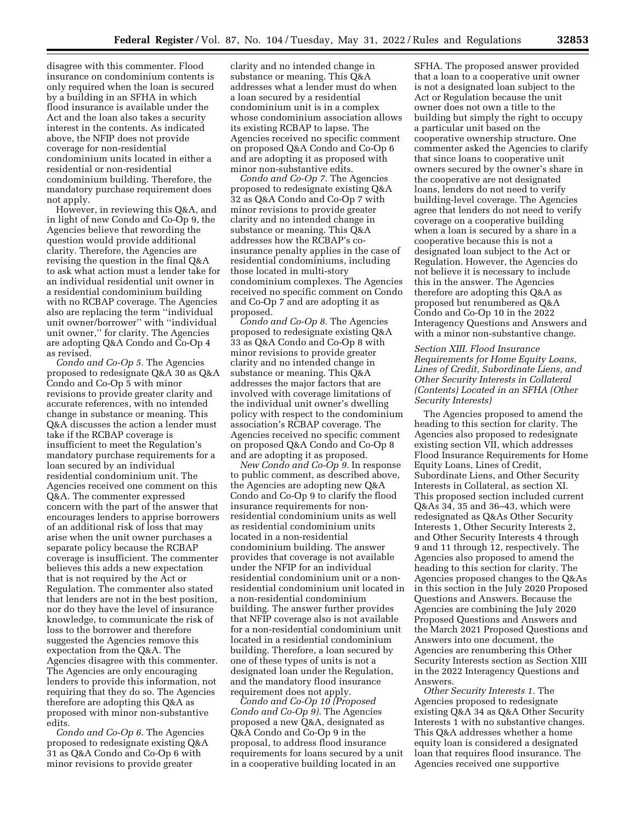disagree with this commenter. Flood insurance on condominium contents is only required when the loan is secured by a building in an SFHA in which flood insurance is available under the Act and the loan also takes a security interest in the contents. As indicated above, the NFIP does not provide coverage for non-residential condominium units located in either a residential or non-residential condominium building. Therefore, the mandatory purchase requirement does not apply.

However, in reviewing this Q&A, and in light of new Condo and Co-Op 9, the Agencies believe that rewording the question would provide additional clarity. Therefore, the Agencies are revising the question in the final Q&A to ask what action must a lender take for an individual residential unit owner in a residential condominium building with no RCBAP coverage. The Agencies also are replacing the term ''individual unit owner/borrower'' with ''individual unit owner,'' for clarity. The Agencies are adopting Q&A Condo and Co-Op 4 as revised.

*Condo and Co-Op 5.* The Agencies proposed to redesignate Q&A 30 as Q&A Condo and Co-Op 5 with minor revisions to provide greater clarity and accurate references, with no intended change in substance or meaning. This Q&A discusses the action a lender must take if the RCBAP coverage is insufficient to meet the Regulation's mandatory purchase requirements for a loan secured by an individual residential condominium unit. The Agencies received one comment on this Q&A. The commenter expressed concern with the part of the answer that encourages lenders to apprise borrowers of an additional risk of loss that may arise when the unit owner purchases a separate policy because the RCBAP coverage is insufficient. The commenter believes this adds a new expectation that is not required by the Act or Regulation. The commenter also stated that lenders are not in the best position, nor do they have the level of insurance knowledge, to communicate the risk of loss to the borrower and therefore suggested the Agencies remove this expectation from the Q&A. The Agencies disagree with this commenter. The Agencies are only encouraging lenders to provide this information, not requiring that they do so. The Agencies therefore are adopting this Q&A as proposed with minor non-substantive edits.

*Condo and Co-Op 6.* The Agencies proposed to redesignate existing Q&A 31 as Q&A Condo and Co-Op 6 with minor revisions to provide greater

clarity and no intended change in substance or meaning. This Q&A addresses what a lender must do when a loan secured by a residential condominium unit is in a complex whose condominium association allows its existing RCBAP to lapse. The Agencies received no specific comment on proposed Q&A Condo and Co-Op 6 and are adopting it as proposed with minor non-substantive edits.

*Condo and Co-Op 7.* The Agencies proposed to redesignate existing Q&A 32 as Q&A Condo and Co-Op 7 with minor revisions to provide greater clarity and no intended change in substance or meaning. This Q&A addresses how the RCBAP's coinsurance penalty applies in the case of residential condominiums, including those located in multi-story condominium complexes. The Agencies received no specific comment on Condo and Co-Op 7 and are adopting it as proposed.

*Condo and Co-Op 8.* The Agencies proposed to redesignate existing Q&A 33 as Q&A Condo and Co-Op 8 with minor revisions to provide greater clarity and no intended change in substance or meaning. This Q&A addresses the major factors that are involved with coverage limitations of the individual unit owner's dwelling policy with respect to the condominium association's RCBAP coverage. The Agencies received no specific comment on proposed Q&A Condo and Co-Op 8 and are adopting it as proposed.

*New Condo and Co-Op 9.* In response to public comment, as described above, the Agencies are adopting new Q&A Condo and Co-Op 9 to clarify the flood insurance requirements for nonresidential condominium units as well as residential condominium units located in a non-residential condominium building. The answer provides that coverage is not available under the NFIP for an individual residential condominium unit or a nonresidential condominium unit located in a non-residential condominium building. The answer further provides that NFIP coverage also is not available for a non-residential condominium unit located in a residential condominium building. Therefore, a loan secured by one of these types of units is not a designated loan under the Regulation, and the mandatory flood insurance requirement does not apply.

*Condo and Co-Op 10 (Proposed Condo and Co-Op 9).* The Agencies proposed a new Q&A, designated as Q&A Condo and Co-Op 9 in the proposal, to address flood insurance requirements for loans secured by a unit in a cooperative building located in an

SFHA. The proposed answer provided that a loan to a cooperative unit owner is not a designated loan subject to the Act or Regulation because the unit owner does not own a title to the building but simply the right to occupy a particular unit based on the cooperative ownership structure. One commenter asked the Agencies to clarify that since loans to cooperative unit owners secured by the owner's share in the cooperative are not designated loans, lenders do not need to verify building-level coverage. The Agencies agree that lenders do not need to verify coverage on a cooperative building when a loan is secured by a share in a cooperative because this is not a designated loan subject to the Act or Regulation. However, the Agencies do not believe it is necessary to include this in the answer. The Agencies therefore are adopting this Q&A as proposed but renumbered as Q&A Condo and Co-Op 10 in the 2022 Interagency Questions and Answers and with a minor non-substantive change.

### *Section XIII. Flood Insurance Requirements for Home Equity Loans, Lines of Credit, Subordinate Liens, and Other Security Interests in Collateral (Contents) Located in an SFHA (Other Security Interests)*

The Agencies proposed to amend the heading to this section for clarity. The Agencies also proposed to redesignate existing section VII, which addresses Flood Insurance Requirements for Home Equity Loans, Lines of Credit, Subordinate Liens, and Other Security Interests in Collateral, as section XI. This proposed section included current Q&As 34, 35 and 36–43, which were redesignated as Q&As Other Security Interests 1, Other Security Interests 2, and Other Security Interests 4 through 9 and 11 through 12, respectively. The Agencies also proposed to amend the heading to this section for clarity. The Agencies proposed changes to the Q&As in this section in the July 2020 Proposed Questions and Answers. Because the Agencies are combining the July 2020 Proposed Questions and Answers and the March 2021 Proposed Questions and Answers into one document, the Agencies are renumbering this Other Security Interests section as Section XIII in the 2022 Interagency Questions and Answers.

*Other Security Interests 1.* The Agencies proposed to redesignate existing Q&A 34 as Q&A Other Security Interests 1 with no substantive changes. This Q&A addresses whether a home equity loan is considered a designated loan that requires flood insurance. The Agencies received one supportive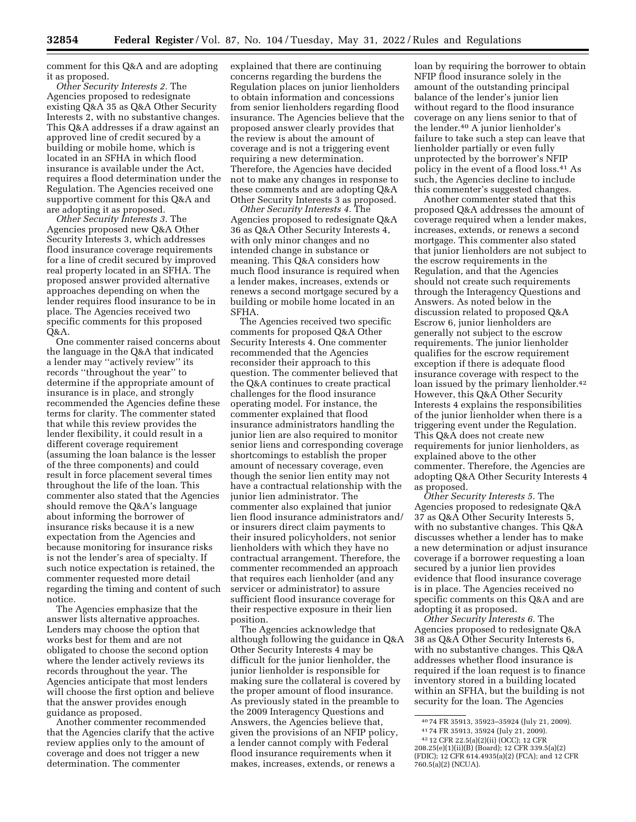comment for this Q&A and are adopting it as proposed.

*Other Security Interests 2.* The Agencies proposed to redesignate existing Q&A 35 as Q&A Other Security Interests 2, with no substantive changes. This Q&A addresses if a draw against an approved line of credit secured by a building or mobile home, which is located in an SFHA in which flood insurance is available under the Act, requires a flood determination under the Regulation. The Agencies received one supportive comment for this Q&A and are adopting it as proposed.

*Other Security Interests 3.* The Agencies proposed new Q&A Other Security Interests 3, which addresses flood insurance coverage requirements for a line of credit secured by improved real property located in an SFHA. The proposed answer provided alternative approaches depending on when the lender requires flood insurance to be in place. The Agencies received two specific comments for this proposed Q&A.

One commenter raised concerns about the language in the Q&A that indicated a lender may ''actively review'' its records ''throughout the year'' to determine if the appropriate amount of insurance is in place, and strongly recommended the Agencies define these terms for clarity. The commenter stated that while this review provides the lender flexibility, it could result in a different coverage requirement (assuming the loan balance is the lesser of the three components) and could result in force placement several times throughout the life of the loan. This commenter also stated that the Agencies should remove the Q&A's language about informing the borrower of insurance risks because it is a new expectation from the Agencies and because monitoring for insurance risks is not the lender's area of specialty. If such notice expectation is retained, the commenter requested more detail regarding the timing and content of such notice.

The Agencies emphasize that the answer lists alternative approaches. Lenders may choose the option that works best for them and are not obligated to choose the second option where the lender actively reviews its records throughout the year. The Agencies anticipate that most lenders will choose the first option and believe that the answer provides enough guidance as proposed.

Another commenter recommended that the Agencies clarify that the active review applies only to the amount of coverage and does not trigger a new determination. The commenter

explained that there are continuing concerns regarding the burdens the Regulation places on junior lienholders to obtain information and concessions from senior lienholders regarding flood insurance. The Agencies believe that the proposed answer clearly provides that the review is about the amount of coverage and is not a triggering event requiring a new determination. Therefore, the Agencies have decided not to make any changes in response to these comments and are adopting Q&A Other Security Interests 3 as proposed.

*Other Security Interests 4.* The Agencies proposed to redesignate Q&A 36 as Q&A Other Security Interests 4, with only minor changes and no intended change in substance or meaning. This Q&A considers how much flood insurance is required when a lender makes, increases, extends or renews a second mortgage secured by a building or mobile home located in an SFHA.

The Agencies received two specific comments for proposed Q&A Other Security Interests 4. One commenter recommended that the Agencies reconsider their approach to this question. The commenter believed that the Q&A continues to create practical challenges for the flood insurance operating model. For instance, the commenter explained that flood insurance administrators handling the junior lien are also required to monitor senior liens and corresponding coverage shortcomings to establish the proper amount of necessary coverage, even though the senior lien entity may not have a contractual relationship with the junior lien administrator. The commenter also explained that junior lien flood insurance administrators and/ or insurers direct claim payments to their insured policyholders, not senior lienholders with which they have no contractual arrangement. Therefore, the commenter recommended an approach that requires each lienholder (and any servicer or administrator) to assure sufficient flood insurance coverage for their respective exposure in their lien position.

The Agencies acknowledge that although following the guidance in Q&A Other Security Interests 4 may be difficult for the junior lienholder, the junior lienholder is responsible for making sure the collateral is covered by the proper amount of flood insurance. As previously stated in the preamble to the 2009 Interagency Questions and Answers, the Agencies believe that, given the provisions of an NFIP policy, a lender cannot comply with Federal flood insurance requirements when it makes, increases, extends, or renews a

loan by requiring the borrower to obtain NFIP flood insurance solely in the amount of the outstanding principal balance of the lender's junior lien without regard to the flood insurance coverage on any liens senior to that of the lender.40 A junior lienholder's failure to take such a step can leave that lienholder partially or even fully unprotected by the borrower's NFIP policy in the event of a flood loss.41 As such, the Agencies decline to include this commenter's suggested changes.

Another commenter stated that this proposed Q&A addresses the amount of coverage required when a lender makes, increases, extends, or renews a second mortgage. This commenter also stated that junior lienholders are not subject to the escrow requirements in the Regulation, and that the Agencies should not create such requirements through the Interagency Questions and Answers. As noted below in the discussion related to proposed Q&A Escrow 6, junior lienholders are generally not subject to the escrow requirements. The junior lienholder qualifies for the escrow requirement exception if there is adequate flood insurance coverage with respect to the loan issued by the primary lienholder.<sup>42</sup> However, this Q&A Other Security Interests 4 explains the responsibilities of the junior lienholder when there is a triggering event under the Regulation. This Q&A does not create new requirements for junior lienholders, as explained above to the other commenter. Therefore, the Agencies are adopting Q&A Other Security Interests 4 as proposed.

*Other Security Interests 5.* The Agencies proposed to redesignate Q&A 37 as Q&A Other Security Interests 5, with no substantive changes. This Q&A discusses whether a lender has to make a new determination or adjust insurance coverage if a borrower requesting a loan secured by a junior lien provides evidence that flood insurance coverage is in place. The Agencies received no specific comments on this Q&A and are adopting it as proposed.

*Other Security Interests 6.* The Agencies proposed to redesignate Q&A 38 as Q&A Other Security Interests 6, with no substantive changes. This Q&A addresses whether flood insurance is required if the loan request is to finance inventory stored in a building located within an SFHA, but the building is not security for the loan. The Agencies

<sup>40</sup> 74 FR 35913, 35923–35924 (July 21, 2009). 41 74 FR 35913, 35924 (July 21, 2009). 42 12 CFR 22.5(a)(2)(ii) (OCC); 12 CFR

<sup>208.25(</sup>e)(1)(ii)(B) (Board); 12 CFR 339.5(a)(2) (FDIC); 12 CFR 614.4935(a)(2) (FCA); and 12 CFR 760.5(a)(2) (NCUA).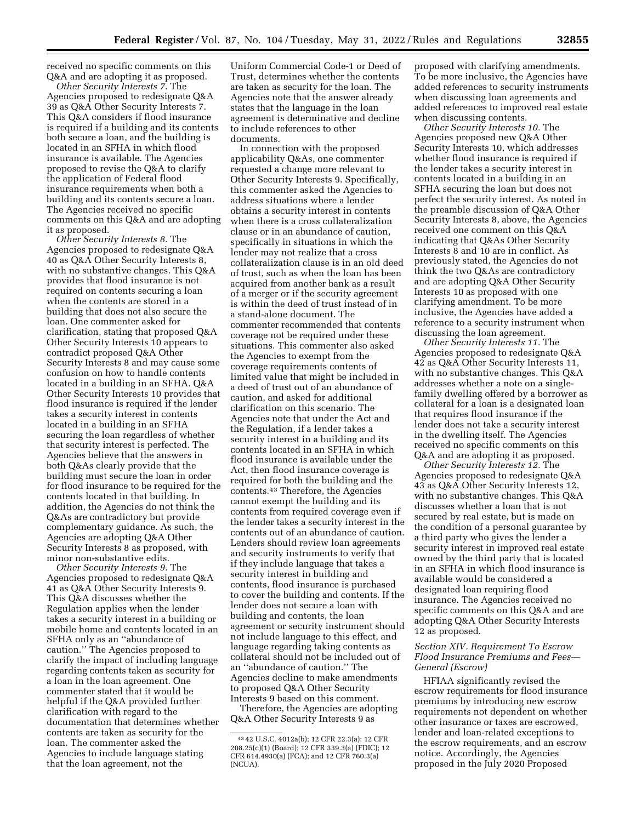received no specific comments on this Q&A and are adopting it as proposed.

*Other Security Interests 7.* The Agencies proposed to redesignate Q&A 39 as Q&A Other Security Interests 7. This Q&A considers if flood insurance is required if a building and its contents both secure a loan, and the building is located in an SFHA in which flood insurance is available. The Agencies proposed to revise the Q&A to clarify the application of Federal flood insurance requirements when both a building and its contents secure a loan. The Agencies received no specific comments on this Q&A and are adopting it as proposed.

*Other Security Interests 8.* The Agencies proposed to redesignate Q&A 40 as Q&A Other Security Interests 8, with no substantive changes. This Q&A provides that flood insurance is not required on contents securing a loan when the contents are stored in a building that does not also secure the loan. One commenter asked for clarification, stating that proposed Q&A Other Security Interests 10 appears to contradict proposed Q&A Other Security Interests 8 and may cause some confusion on how to handle contents located in a building in an SFHA. Q&A Other Security Interests 10 provides that flood insurance is required if the lender takes a security interest in contents located in a building in an SFHA securing the loan regardless of whether that security interest is perfected. The Agencies believe that the answers in both Q&As clearly provide that the building must secure the loan in order for flood insurance to be required for the contents located in that building. In addition, the Agencies do not think the Q&As are contradictory but provide complementary guidance. As such, the Agencies are adopting Q&A Other Security Interests 8 as proposed, with minor non-substantive edits.

*Other Security Interests 9.* The Agencies proposed to redesignate Q&A 41 as Q&A Other Security Interests 9. This Q&A discusses whether the Regulation applies when the lender takes a security interest in a building or mobile home and contents located in an SFHA only as an ''abundance of caution.'' The Agencies proposed to clarify the impact of including language regarding contents taken as security for a loan in the loan agreement. One commenter stated that it would be helpful if the Q&A provided further clarification with regard to the documentation that determines whether contents are taken as security for the loan. The commenter asked the Agencies to include language stating that the loan agreement, not the

Uniform Commercial Code-1 or Deed of Trust, determines whether the contents are taken as security for the loan. The Agencies note that the answer already states that the language in the loan agreement is determinative and decline to include references to other documents.

In connection with the proposed applicability Q&As, one commenter requested a change more relevant to Other Security Interests 9. Specifically, this commenter asked the Agencies to address situations where a lender obtains a security interest in contents when there is a cross collateralization clause or in an abundance of caution, specifically in situations in which the lender may not realize that a cross collateralization clause is in an old deed of trust, such as when the loan has been acquired from another bank as a result of a merger or if the security agreement is within the deed of trust instead of in a stand-alone document. The commenter recommended that contents coverage not be required under these situations. This commenter also asked the Agencies to exempt from the coverage requirements contents of limited value that might be included in a deed of trust out of an abundance of caution, and asked for additional clarification on this scenario. The Agencies note that under the Act and the Regulation, if a lender takes a security interest in a building and its contents located in an SFHA in which flood insurance is available under the Act, then flood insurance coverage is required for both the building and the contents.43 Therefore, the Agencies cannot exempt the building and its contents from required coverage even if the lender takes a security interest in the contents out of an abundance of caution. Lenders should review loan agreements and security instruments to verify that if they include language that takes a security interest in building and contents, flood insurance is purchased to cover the building and contents. If the lender does not secure a loan with building and contents, the loan agreement or security instrument should not include language to this effect, and language regarding taking contents as collateral should not be included out of an ''abundance of caution.'' The Agencies decline to make amendments to proposed Q&A Other Security Interests 9 based on this comment.

Therefore, the Agencies are adopting Q&A Other Security Interests 9 as

proposed with clarifying amendments. To be more inclusive, the Agencies have added references to security instruments when discussing loan agreements and added references to improved real estate when discussing contents.

*Other Security Interests 10.* The Agencies proposed new Q&A Other Security Interests 10, which addresses whether flood insurance is required if the lender takes a security interest in contents located in a building in an SFHA securing the loan but does not perfect the security interest. As noted in the preamble discussion of Q&A Other Security Interests 8, above, the Agencies received one comment on this Q&A indicating that Q&As Other Security Interests 8 and 10 are in conflict. As previously stated, the Agencies do not think the two Q&As are contradictory and are adopting Q&A Other Security Interests 10 as proposed with one clarifying amendment. To be more inclusive, the Agencies have added a reference to a security instrument when discussing the loan agreement.

*Other Security Interests 11.* The Agencies proposed to redesignate Q&A 42 as Q&A Other Security Interests 11, with no substantive changes. This Q&A addresses whether a note on a singlefamily dwelling offered by a borrower as collateral for a loan is a designated loan that requires flood insurance if the lender does not take a security interest in the dwelling itself. The Agencies received no specific comments on this Q&A and are adopting it as proposed.

*Other Security Interests 12.* The Agencies proposed to redesignate Q&A 43 as Q&A Other Security Interests 12, with no substantive changes. This Q&A discusses whether a loan that is not secured by real estate, but is made on the condition of a personal guarantee by a third party who gives the lender a security interest in improved real estate owned by the third party that is located in an SFHA in which flood insurance is available would be considered a designated loan requiring flood insurance. The Agencies received no specific comments on this Q&A and are adopting Q&A Other Security Interests 12 as proposed.

## *Section XIV. Requirement To Escrow Flood Insurance Premiums and Fees— General (Escrow)*

HFIAA significantly revised the escrow requirements for flood insurance premiums by introducing new escrow requirements not dependent on whether other insurance or taxes are escrowed, lender and loan-related exceptions to the escrow requirements, and an escrow notice. Accordingly, the Agencies proposed in the July 2020 Proposed

<sup>43</sup> 42 U.S.C. 4012a(b); 12 CFR 22.3(a); 12 CFR 208.25(c)(1) (Board); 12 CFR 339.3(a) (FDIC); 12 CFR 614.4930(a) (FCA); and 12 CFR 760.3(a) (NCUA).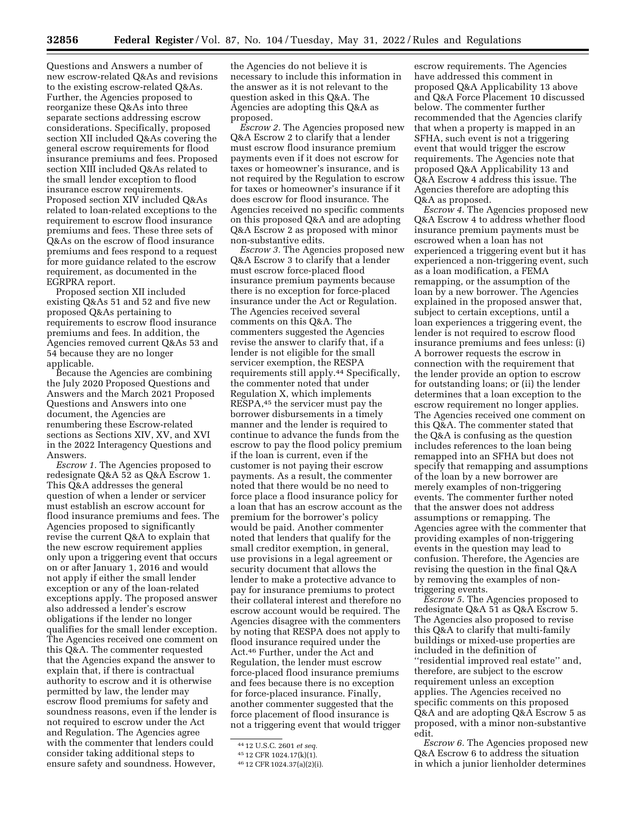Questions and Answers a number of new escrow-related Q&As and revisions to the existing escrow-related Q&As. Further, the Agencies proposed to reorganize these Q&As into three separate sections addressing escrow considerations. Specifically, proposed section XII included Q&As covering the general escrow requirements for flood insurance premiums and fees. Proposed section XIII included Q&As related to the small lender exception to flood insurance escrow requirements. Proposed section XIV included Q&As related to loan-related exceptions to the requirement to escrow flood insurance premiums and fees. These three sets of Q&As on the escrow of flood insurance premiums and fees respond to a request for more guidance related to the escrow requirement, as documented in the EGRPRA report.

Proposed section XII included existing Q&As 51 and 52 and five new proposed Q&As pertaining to requirements to escrow flood insurance premiums and fees. In addition, the Agencies removed current Q&As 53 and 54 because they are no longer applicable.

Because the Agencies are combining the July 2020 Proposed Questions and Answers and the March 2021 Proposed Questions and Answers into one document, the Agencies are renumbering these Escrow-related sections as Sections XIV, XV, and XVI in the 2022 Interagency Questions and Answers.

*Escrow 1.* The Agencies proposed to redesignate Q&A 52 as Q&A Escrow 1. This Q&A addresses the general question of when a lender or servicer must establish an escrow account for flood insurance premiums and fees. The Agencies proposed to significantly revise the current Q&A to explain that the new escrow requirement applies only upon a triggering event that occurs on or after January 1, 2016 and would not apply if either the small lender exception or any of the loan-related exceptions apply. The proposed answer also addressed a lender's escrow obligations if the lender no longer qualifies for the small lender exception. The Agencies received one comment on this Q&A. The commenter requested that the Agencies expand the answer to explain that, if there is contractual authority to escrow and it is otherwise permitted by law, the lender may escrow flood premiums for safety and soundness reasons, even if the lender is not required to escrow under the Act and Regulation. The Agencies agree with the commenter that lenders could consider taking additional steps to ensure safety and soundness. However,

the Agencies do not believe it is necessary to include this information in the answer as it is not relevant to the question asked in this Q&A. The Agencies are adopting this Q&A as proposed.

*Escrow 2.* The Agencies proposed new Q&A Escrow 2 to clarify that a lender must escrow flood insurance premium payments even if it does not escrow for taxes or homeowner's insurance, and is not required by the Regulation to escrow for taxes or homeowner's insurance if it does escrow for flood insurance. The Agencies received no specific comments on this proposed Q&A and are adopting Q&A Escrow 2 as proposed with minor non-substantive edits.

*Escrow 3.* The Agencies proposed new Q&A Escrow 3 to clarify that a lender must escrow force-placed flood insurance premium payments because there is no exception for force-placed insurance under the Act or Regulation. The Agencies received several comments on this Q&A. The commenters suggested the Agencies revise the answer to clarify that, if a lender is not eligible for the small servicer exemption, the RESPA requirements still apply.44 Specifically, the commenter noted that under Regulation X, which implements RESPA,45 the servicer must pay the borrower disbursements in a timely manner and the lender is required to continue to advance the funds from the escrow to pay the flood policy premium if the loan is current, even if the customer is not paying their escrow payments. As a result, the commenter noted that there would be no need to force place a flood insurance policy for a loan that has an escrow account as the premium for the borrower's policy would be paid. Another commenter noted that lenders that qualify for the small creditor exemption, in general, use provisions in a legal agreement or security document that allows the lender to make a protective advance to pay for insurance premiums to protect their collateral interest and therefore no escrow account would be required. The Agencies disagree with the commenters by noting that RESPA does not apply to flood insurance required under the Act.46 Further, under the Act and Regulation, the lender must escrow force-placed flood insurance premiums and fees because there is no exception for force-placed insurance. Finally, another commenter suggested that the force placement of flood insurance is not a triggering event that would trigger

escrow requirements. The Agencies have addressed this comment in proposed Q&A Applicability 13 above and Q&A Force Placement 10 discussed below. The commenter further recommended that the Agencies clarify that when a property is mapped in an SFHA, such event is not a triggering event that would trigger the escrow requirements. The Agencies note that proposed Q&A Applicability 13 and Q&A Escrow 4 address this issue. The Agencies therefore are adopting this Q&A as proposed.

*Escrow 4.* The Agencies proposed new Q&A Escrow 4 to address whether flood insurance premium payments must be escrowed when a loan has not experienced a triggering event but it has experienced a non-triggering event, such as a loan modification, a FEMA remapping, or the assumption of the loan by a new borrower. The Agencies explained in the proposed answer that, subject to certain exceptions, until a loan experiences a triggering event, the lender is not required to escrow flood insurance premiums and fees unless: (i) A borrower requests the escrow in connection with the requirement that the lender provide an option to escrow for outstanding loans; or (ii) the lender determines that a loan exception to the escrow requirement no longer applies. The Agencies received one comment on this Q&A. The commenter stated that the Q&A is confusing as the question includes references to the loan being remapped into an SFHA but does not specify that remapping and assumptions of the loan by a new borrower are merely examples of non-triggering events. The commenter further noted that the answer does not address assumptions or remapping. The Agencies agree with the commenter that providing examples of non-triggering events in the question may lead to confusion. Therefore, the Agencies are revising the question in the final Q&A by removing the examples of nontriggering events.

*Escrow 5.* The Agencies proposed to redesignate Q&A 51 as Q&A Escrow 5. The Agencies also proposed to revise this Q&A to clarify that multi-family buildings or mixed-use properties are included in the definition of ''residential improved real estate'' and, therefore, are subject to the escrow requirement unless an exception applies. The Agencies received no specific comments on this proposed Q&A and are adopting Q&A Escrow 5 as proposed, with a minor non-substantive edit.

*Escrow 6.* The Agencies proposed new Q&A Escrow 6 to address the situation in which a junior lienholder determines

<sup>44</sup> 12 U.S.C. 2601 *et seq.* 

<sup>45</sup> 12 CFR 1024.17(k)(1).

<sup>46</sup> 12 CFR 1024.37(a)(2)(i).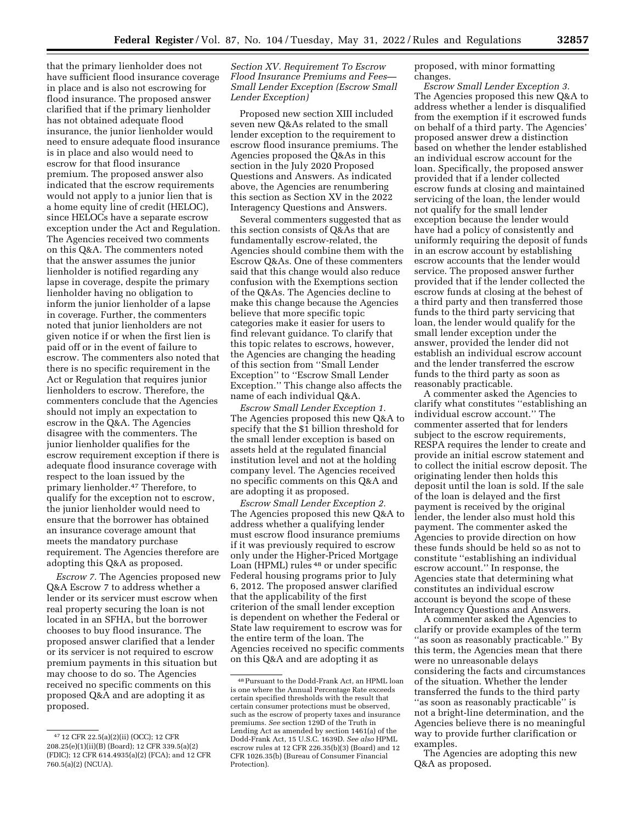that the primary lienholder does not have sufficient flood insurance coverage in place and is also not escrowing for flood insurance. The proposed answer clarified that if the primary lienholder has not obtained adequate flood insurance, the junior lienholder would need to ensure adequate flood insurance is in place and also would need to escrow for that flood insurance premium. The proposed answer also indicated that the escrow requirements would not apply to a junior lien that is a home equity line of credit (HELOC), since HELOCs have a separate escrow exception under the Act and Regulation. The Agencies received two comments on this Q&A. The commenters noted that the answer assumes the junior lienholder is notified regarding any lapse in coverage, despite the primary lienholder having no obligation to inform the junior lienholder of a lapse in coverage. Further, the commenters noted that junior lienholders are not given notice if or when the first lien is paid off or in the event of failure to escrow. The commenters also noted that there is no specific requirement in the Act or Regulation that requires junior lienholders to escrow. Therefore, the commenters conclude that the Agencies should not imply an expectation to escrow in the Q&A. The Agencies disagree with the commenters. The junior lienholder qualifies for the escrow requirement exception if there is adequate flood insurance coverage with respect to the loan issued by the primary lienholder.47 Therefore, to qualify for the exception not to escrow, the junior lienholder would need to ensure that the borrower has obtained an insurance coverage amount that meets the mandatory purchase requirement. The Agencies therefore are

*Escrow 7.* The Agencies proposed new Q&A Escrow 7 to address whether a lender or its servicer must escrow when real property securing the loan is not located in an SFHA, but the borrower chooses to buy flood insurance. The proposed answer clarified that a lender or its servicer is not required to escrow premium payments in this situation but may choose to do so. The Agencies received no specific comments on this proposed Q&A and are adopting it as proposed.

adopting this Q&A as proposed.

### *Section XV. Requirement To Escrow Flood Insurance Premiums and Fees— Small Lender Exception (Escrow Small Lender Exception)*

Proposed new section XIII included seven new Q&As related to the small lender exception to the requirement to escrow flood insurance premiums. The Agencies proposed the Q&As in this section in the July 2020 Proposed Questions and Answers. As indicated above, the Agencies are renumbering this section as Section XV in the 2022 Interagency Questions and Answers.

Several commenters suggested that as this section consists of Q&As that are fundamentally escrow-related, the Agencies should combine them with the Escrow Q&As. One of these commenters said that this change would also reduce confusion with the Exemptions section of the Q&As. The Agencies decline to make this change because the Agencies believe that more specific topic categories make it easier for users to find relevant guidance. To clarify that this topic relates to escrows, however, the Agencies are changing the heading of this section from ''Small Lender Exception'' to ''Escrow Small Lender Exception.'' This change also affects the name of each individual Q&A.

*Escrow Small Lender Exception 1.*  The Agencies proposed this new Q&A to specify that the \$1 billion threshold for the small lender exception is based on assets held at the regulated financial institution level and not at the holding company level. The Agencies received no specific comments on this Q&A and are adopting it as proposed.

*Escrow Small Lender Exception 2.*  The Agencies proposed this new Q&A to address whether a qualifying lender must escrow flood insurance premiums if it was previously required to escrow only under the Higher-Priced Mortgage Loan (HPML) rules 48 or under specific Federal housing programs prior to July 6, 2012. The proposed answer clarified that the applicability of the first criterion of the small lender exception is dependent on whether the Federal or State law requirement to escrow was for the entire term of the loan. The Agencies received no specific comments on this Q&A and are adopting it as

proposed, with minor formatting changes.

*Escrow Small Lender Exception 3.*  The Agencies proposed this new Q&A to address whether a lender is disqualified from the exemption if it escrowed funds on behalf of a third party. The Agencies' proposed answer drew a distinction based on whether the lender established an individual escrow account for the loan. Specifically, the proposed answer provided that if a lender collected escrow funds at closing and maintained servicing of the loan, the lender would not qualify for the small lender exception because the lender would have had a policy of consistently and uniformly requiring the deposit of funds in an escrow account by establishing escrow accounts that the lender would service. The proposed answer further provided that if the lender collected the escrow funds at closing at the behest of a third party and then transferred those funds to the third party servicing that loan, the lender would qualify for the small lender exception under the answer, provided the lender did not establish an individual escrow account and the lender transferred the escrow funds to the third party as soon as reasonably practicable.

A commenter asked the Agencies to clarify what constitutes ''establishing an individual escrow account.'' The commenter asserted that for lenders subject to the escrow requirements, RESPA requires the lender to create and provide an initial escrow statement and to collect the initial escrow deposit. The originating lender then holds this deposit until the loan is sold. If the sale of the loan is delayed and the first payment is received by the original lender, the lender also must hold this payment. The commenter asked the Agencies to provide direction on how these funds should be held so as not to constitute ''establishing an individual escrow account.'' In response, the Agencies state that determining what constitutes an individual escrow account is beyond the scope of these Interagency Questions and Answers.

A commenter asked the Agencies to clarify or provide examples of the term ''as soon as reasonably practicable.'' By this term, the Agencies mean that there were no unreasonable delays considering the facts and circumstances of the situation. Whether the lender transferred the funds to the third party ''as soon as reasonably practicable'' is not a bright-line determination, and the Agencies believe there is no meaningful way to provide further clarification or examples.

The Agencies are adopting this new Q&A as proposed.

<sup>47</sup> 12 CFR 22.5(a)(2)(ii) (OCC); 12 CFR 208.25(e)(1)(ii)(B) (Board); 12 CFR 339.5(a)(2) (FDIC); 12 CFR 614.4935(a)(2) (FCA); and 12 CFR 760.5(a)(2) (NCUA).

<sup>48</sup>Pursuant to the Dodd-Frank Act, an HPML loan is one where the Annual Percentage Rate exceeds certain specified thresholds with the result that certain consumer protections must be observed, such as the escrow of property taxes and insurance premiums. *See* section 129D of the Truth in Lending Act as amended by section 1461(a) of the Dodd-Frank Act, 15 U.S.C. 1639D. *See also* HPML escrow rules at 12 CFR 226.35(b)(3) (Board) and 12 CFR 1026.35(b) (Bureau of Consumer Financial Protection).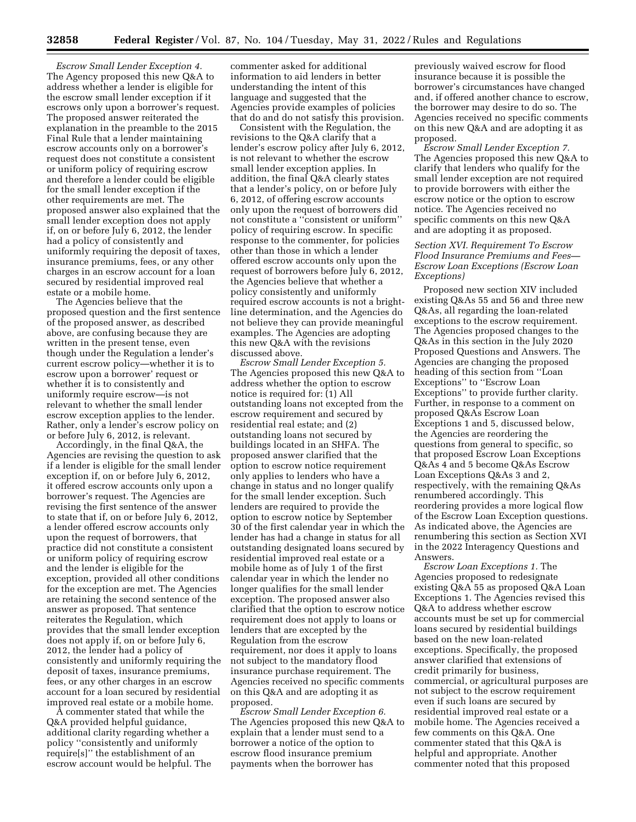*Escrow Small Lender Exception 4.*  The Agency proposed this new Q&A to address whether a lender is eligible for the escrow small lender exception if it escrows only upon a borrower's request. The proposed answer reiterated the explanation in the preamble to the 2015 Final Rule that a lender maintaining escrow accounts only on a borrower's request does not constitute a consistent or uniform policy of requiring escrow and therefore a lender could be eligible for the small lender exception if the other requirements are met. The proposed answer also explained that the small lender exception does not apply if, on or before July 6, 2012, the lender had a policy of consistently and uniformly requiring the deposit of taxes, insurance premiums, fees, or any other charges in an escrow account for a loan secured by residential improved real estate or a mobile home.

The Agencies believe that the proposed question and the first sentence of the proposed answer, as described above, are confusing because they are written in the present tense, even though under the Regulation a lender's current escrow policy—whether it is to escrow upon a borrower' request or whether it is to consistently and uniformly require escrow—is not relevant to whether the small lender escrow exception applies to the lender. Rather, only a lender's escrow policy on or before July 6, 2012, is relevant.

Accordingly, in the final Q&A, the Agencies are revising the question to ask if a lender is eligible for the small lender exception if, on or before July 6, 2012, it offered escrow accounts only upon a borrower's request. The Agencies are revising the first sentence of the answer to state that if, on or before July 6, 2012, a lender offered escrow accounts only upon the request of borrowers, that practice did not constitute a consistent or uniform policy of requiring escrow and the lender is eligible for the exception, provided all other conditions for the exception are met. The Agencies are retaining the second sentence of the answer as proposed. That sentence reiterates the Regulation, which provides that the small lender exception does not apply if, on or before July 6, 2012, the lender had a policy of consistently and uniformly requiring the deposit of taxes, insurance premiums, fees, or any other charges in an escrow account for a loan secured by residential improved real estate or a mobile home.

A commenter stated that while the Q&A provided helpful guidance, additional clarity regarding whether a policy ''consistently and uniformly require[s]'' the establishment of an escrow account would be helpful. The commenter asked for additional information to aid lenders in better understanding the intent of this language and suggested that the Agencies provide examples of policies that do and do not satisfy this provision.

Consistent with the Regulation, the revisions to the Q&A clarify that a lender's escrow policy after July 6, 2012, is not relevant to whether the escrow small lender exception applies. In addition, the final Q&A clearly states that a lender's policy, on or before July 6, 2012, of offering escrow accounts only upon the request of borrowers did not constitute a ''consistent or uniform'' policy of requiring escrow. In specific response to the commenter, for policies other than those in which a lender offered escrow accounts only upon the request of borrowers before July 6, 2012, the Agencies believe that whether a policy consistently and uniformly required escrow accounts is not a brightline determination, and the Agencies do not believe they can provide meaningful examples. The Agencies are adopting this new Q&A with the revisions discussed above.

*Escrow Small Lender Exception 5.*  The Agencies proposed this new Q&A to address whether the option to escrow notice is required for: (1) All outstanding loans not excepted from the escrow requirement and secured by residential real estate; and (2) outstanding loans not secured by buildings located in an SHFA. The proposed answer clarified that the option to escrow notice requirement only applies to lenders who have a change in status and no longer qualify for the small lender exception. Such lenders are required to provide the option to escrow notice by September 30 of the first calendar year in which the lender has had a change in status for all outstanding designated loans secured by residential improved real estate or a mobile home as of July 1 of the first calendar year in which the lender no longer qualifies for the small lender exception. The proposed answer also clarified that the option to escrow notice requirement does not apply to loans or lenders that are excepted by the Regulation from the escrow requirement, nor does it apply to loans not subject to the mandatory flood insurance purchase requirement. The Agencies received no specific comments on this Q&A and are adopting it as proposed.

*Escrow Small Lender Exception 6.*  The Agencies proposed this new Q&A to explain that a lender must send to a borrower a notice of the option to escrow flood insurance premium payments when the borrower has

previously waived escrow for flood insurance because it is possible the borrower's circumstances have changed and, if offered another chance to escrow, the borrower may desire to do so. The Agencies received no specific comments on this new Q&A and are adopting it as proposed.

*Escrow Small Lender Exception 7.*  The Agencies proposed this new Q&A to clarify that lenders who qualify for the small lender exception are not required to provide borrowers with either the escrow notice or the option to escrow notice. The Agencies received no specific comments on this new Q&A and are adopting it as proposed.

## *Section XVI. Requirement To Escrow Flood Insurance Premiums and Fees— Escrow Loan Exceptions (Escrow Loan Exceptions)*

Proposed new section XIV included existing Q&As 55 and 56 and three new Q&As, all regarding the loan-related exceptions to the escrow requirement. The Agencies proposed changes to the Q&As in this section in the July 2020 Proposed Questions and Answers. The Agencies are changing the proposed heading of this section from ''Loan Exceptions" to "Escrow Loan Exceptions'' to provide further clarity. Further, in response to a comment on proposed Q&As Escrow Loan Exceptions 1 and 5, discussed below, the Agencies are reordering the questions from general to specific, so that proposed Escrow Loan Exceptions Q&As 4 and 5 become Q&As Escrow Loan Exceptions Q&As 3 and 2, respectively, with the remaining Q&As renumbered accordingly. This reordering provides a more logical flow of the Escrow Loan Exception questions. As indicated above, the Agencies are renumbering this section as Section XVI in the 2022 Interagency Questions and Answers.

*Escrow Loan Exceptions 1.* The Agencies proposed to redesignate existing Q&A 55 as proposed Q&A Loan Exceptions 1. The Agencies revised this Q&A to address whether escrow accounts must be set up for commercial loans secured by residential buildings based on the new loan-related exceptions. Specifically, the proposed answer clarified that extensions of credit primarily for business, commercial, or agricultural purposes are not subject to the escrow requirement even if such loans are secured by residential improved real estate or a mobile home. The Agencies received a few comments on this Q&A. One commenter stated that this Q&A is helpful and appropriate. Another commenter noted that this proposed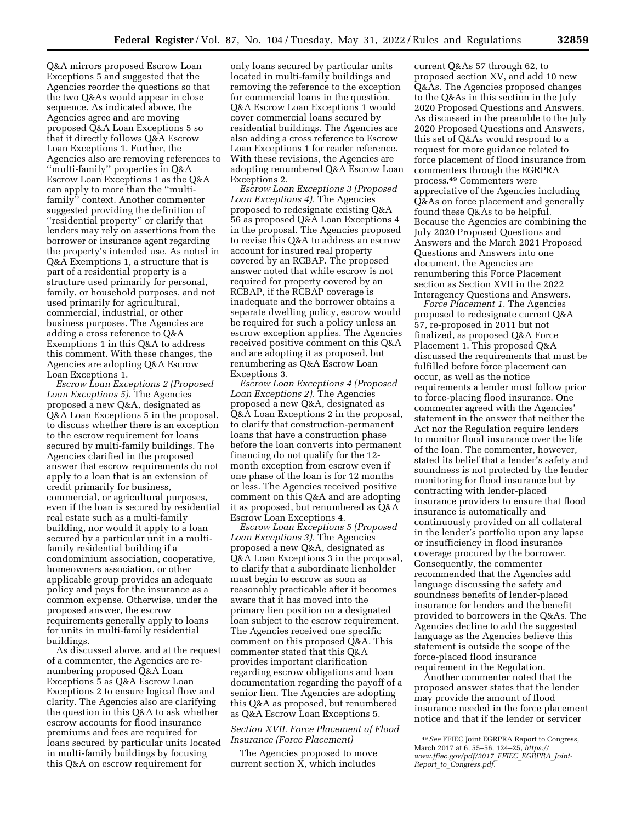Q&A mirrors proposed Escrow Loan Exceptions 5 and suggested that the Agencies reorder the questions so that the two Q&As would appear in close sequence. As indicated above, the Agencies agree and are moving proposed Q&A Loan Exceptions 5 so that it directly follows Q&A Escrow Loan Exceptions 1. Further, the Agencies also are removing references to ''multi-family'' properties in Q&A Escrow Loan Exceptions 1 as the Q&A can apply to more than the ''multifamily'' context. Another commenter suggested providing the definition of ''residential property'' or clarify that lenders may rely on assertions from the borrower or insurance agent regarding the property's intended use. As noted in Q&A Exemptions 1, a structure that is part of a residential property is a structure used primarily for personal, family, or household purposes, and not used primarily for agricultural, commercial, industrial, or other business purposes. The Agencies are adding a cross reference to Q&A Exemptions 1 in this Q&A to address this comment. With these changes, the Agencies are adopting Q&A Escrow Loan Exceptions 1.

*Escrow Loan Exceptions 2 (Proposed Loan Exceptions 5).* The Agencies proposed a new Q&A, designated as Q&A Loan Exceptions 5 in the proposal, to discuss whether there is an exception to the escrow requirement for loans secured by multi-family buildings. The Agencies clarified in the proposed answer that escrow requirements do not apply to a loan that is an extension of credit primarily for business, commercial, or agricultural purposes, even if the loan is secured by residential real estate such as a multi-family building, nor would it apply to a loan secured by a particular unit in a multifamily residential building if a condominium association, cooperative, homeowners association, or other applicable group provides an adequate policy and pays for the insurance as a common expense. Otherwise, under the proposed answer, the escrow requirements generally apply to loans for units in multi-family residential buildings.

As discussed above, and at the request of a commenter, the Agencies are renumbering proposed Q&A Loan Exceptions 5 as Q&A Escrow Loan Exceptions 2 to ensure logical flow and clarity. The Agencies also are clarifying the question in this Q&A to ask whether escrow accounts for flood insurance premiums and fees are required for loans secured by particular units located in multi-family buildings by focusing this Q&A on escrow requirement for

only loans secured by particular units located in multi-family buildings and removing the reference to the exception for commercial loans in the question. Q&A Escrow Loan Exceptions 1 would cover commercial loans secured by residential buildings. The Agencies are also adding a cross reference to Escrow Loan Exceptions 1 for reader reference. With these revisions, the Agencies are adopting renumbered Q&A Escrow Loan Exceptions 2.

*Escrow Loan Exceptions 3 (Proposed Loan Exceptions 4).* The Agencies proposed to redesignate existing Q&A 56 as proposed Q&A Loan Exceptions 4 in the proposal. The Agencies proposed to revise this Q&A to address an escrow account for insured real property covered by an RCBAP. The proposed answer noted that while escrow is not required for property covered by an RCBAP, if the RCBAP coverage is inadequate and the borrower obtains a separate dwelling policy, escrow would be required for such a policy unless an escrow exception applies. The Agencies received positive comment on this Q&A and are adopting it as proposed, but renumbering as Q&A Escrow Loan Exceptions 3.

*Escrow Loan Exceptions 4 (Proposed Loan Exceptions 2).* The Agencies proposed a new Q&A, designated as Q&A Loan Exceptions 2 in the proposal, to clarify that construction-permanent loans that have a construction phase before the loan converts into permanent financing do not qualify for the 12 month exception from escrow even if one phase of the loan is for 12 months or less. The Agencies received positive comment on this Q&A and are adopting it as proposed, but renumbered as Q&A Escrow Loan Exceptions 4.

*Escrow Loan Exceptions 5 (Proposed Loan Exceptions 3).* The Agencies proposed a new Q&A, designated as Q&A Loan Exceptions 3 in the proposal, to clarify that a subordinate lienholder must begin to escrow as soon as reasonably practicable after it becomes aware that it has moved into the primary lien position on a designated loan subject to the escrow requirement. The Agencies received one specific comment on this proposed Q&A. This commenter stated that this Q&A provides important clarification regarding escrow obligations and loan documentation regarding the payoff of a senior lien. The Agencies are adopting this Q&A as proposed, but renumbered as Q&A Escrow Loan Exceptions 5.

## *Section XVII. Force Placement of Flood Insurance (Force Placement)*

The Agencies proposed to move current section X, which includes current Q&As 57 through 62, to proposed section XV, and add 10 new Q&As. The Agencies proposed changes to the Q&As in this section in the July 2020 Proposed Questions and Answers. As discussed in the preamble to the July 2020 Proposed Questions and Answers, this set of Q&As would respond to a request for more guidance related to force placement of flood insurance from commenters through the EGRPRA process.49 Commenters were appreciative of the Agencies including Q&As on force placement and generally found these Q&As to be helpful. Because the Agencies are combining the July 2020 Proposed Questions and Answers and the March 2021 Proposed Questions and Answers into one document, the Agencies are renumbering this Force Placement section as Section XVII in the 2022 Interagency Questions and Answers.

*Force Placement 1.* The Agencies proposed to redesignate current Q&A 57, re-proposed in 2011 but not finalized, as proposed Q&A Force Placement 1. This proposed Q&A discussed the requirements that must be fulfilled before force placement can occur, as well as the notice requirements a lender must follow prior to force-placing flood insurance. One commenter agreed with the Agencies' statement in the answer that neither the Act nor the Regulation require lenders to monitor flood insurance over the life of the loan. The commenter, however, stated its belief that a lender's safety and soundness is not protected by the lender monitoring for flood insurance but by contracting with lender-placed insurance providers to ensure that flood insurance is automatically and continuously provided on all collateral in the lender's portfolio upon any lapse or insufficiency in flood insurance coverage procured by the borrower. Consequently, the commenter recommended that the Agencies add language discussing the safety and soundness benefits of lender-placed insurance for lenders and the benefit provided to borrowers in the Q&As. The Agencies decline to add the suggested language as the Agencies believe this statement is outside the scope of the force-placed flood insurance requirement in the Regulation.

Another commenter noted that the proposed answer states that the lender may provide the amount of flood insurance needed in the force placement notice and that if the lender or servicer

<sup>49</sup>*See* FFIEC Joint EGRPRA Report to Congress, March 2017 at 6, 55–56, 124–25, *[https://](https://www.ffiec.gov/pdf/2017_FFIEC_EGRPRA_Joint-Report_to_Congress.pdf) [www.ffiec.gov/pdf/2017](https://www.ffiec.gov/pdf/2017_FFIEC_EGRPRA_Joint-Report_to_Congress.pdf)*\_*FFIEC*\_*EGRPRA*\_*Joint-Report*\_*to*\_*[Congress.pdf.](https://www.ffiec.gov/pdf/2017_FFIEC_EGRPRA_Joint-Report_to_Congress.pdf)*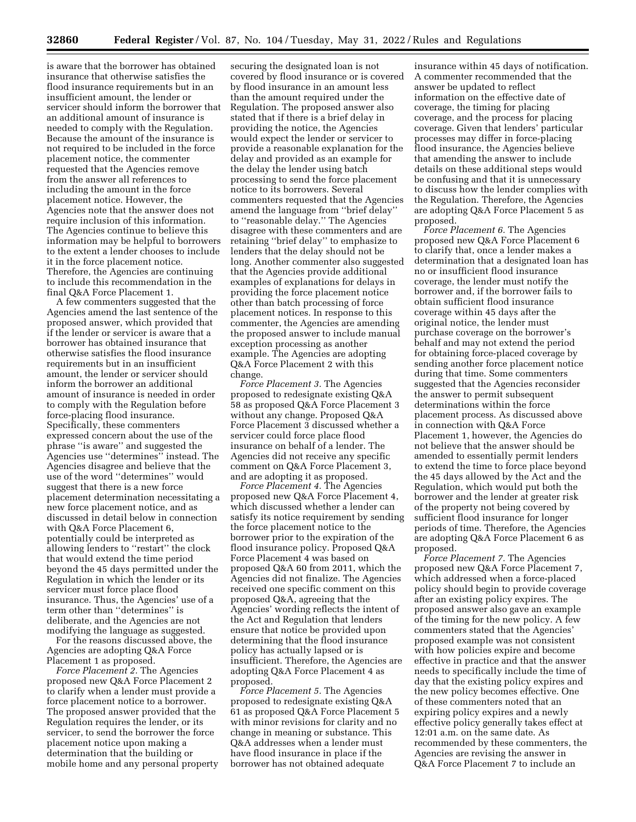is aware that the borrower has obtained insurance that otherwise satisfies the flood insurance requirements but in an insufficient amount, the lender or servicer should inform the borrower that an additional amount of insurance is needed to comply with the Regulation. Because the amount of the insurance is not required to be included in the force placement notice, the commenter requested that the Agencies remove from the answer all references to including the amount in the force placement notice. However, the Agencies note that the answer does not require inclusion of this information. The Agencies continue to believe this information may be helpful to borrowers to the extent a lender chooses to include it in the force placement notice. Therefore, the Agencies are continuing to include this recommendation in the final Q&A Force Placement 1.

A few commenters suggested that the Agencies amend the last sentence of the proposed answer, which provided that if the lender or servicer is aware that a borrower has obtained insurance that otherwise satisfies the flood insurance requirements but in an insufficient amount, the lender or servicer should inform the borrower an additional amount of insurance is needed in order to comply with the Regulation before force-placing flood insurance. Specifically, these commenters expressed concern about the use of the phrase ''is aware'' and suggested the Agencies use ''determines'' instead. The Agencies disagree and believe that the use of the word ''determines'' would suggest that there is a new force placement determination necessitating a new force placement notice, and as discussed in detail below in connection with Q&A Force Placement 6, potentially could be interpreted as allowing lenders to ''restart'' the clock that would extend the time period beyond the 45 days permitted under the Regulation in which the lender or its servicer must force place flood insurance. Thus, the Agencies' use of a term other than ''determines'' is deliberate, and the Agencies are not modifying the language as suggested.

For the reasons discussed above, the Agencies are adopting Q&A Force Placement 1 as proposed.

*Force Placement 2.* The Agencies proposed new Q&A Force Placement 2 to clarify when a lender must provide a force placement notice to a borrower. The proposed answer provided that the Regulation requires the lender, or its servicer, to send the borrower the force placement notice upon making a determination that the building or mobile home and any personal property

securing the designated loan is not covered by flood insurance or is covered by flood insurance in an amount less than the amount required under the Regulation. The proposed answer also stated that if there is a brief delay in providing the notice, the Agencies would expect the lender or servicer to provide a reasonable explanation for the delay and provided as an example for the delay the lender using batch processing to send the force placement notice to its borrowers. Several commenters requested that the Agencies amend the language from ''brief delay'' to ''reasonable delay.'' The Agencies disagree with these commenters and are retaining ''brief delay'' to emphasize to lenders that the delay should not be long. Another commenter also suggested that the Agencies provide additional examples of explanations for delays in providing the force placement notice other than batch processing of force placement notices. In response to this commenter, the Agencies are amending the proposed answer to include manual exception processing as another example. The Agencies are adopting Q&A Force Placement 2 with this change.

*Force Placement 3.* The Agencies proposed to redesignate existing Q&A 58 as proposed Q&A Force Placement 3 without any change. Proposed Q&A Force Placement 3 discussed whether a servicer could force place flood insurance on behalf of a lender. The Agencies did not receive any specific comment on Q&A Force Placement 3, and are adopting it as proposed.

*Force Placement 4.* The Agencies proposed new Q&A Force Placement 4, which discussed whether a lender can satisfy its notice requirement by sending the force placement notice to the borrower prior to the expiration of the flood insurance policy. Proposed Q&A Force Placement 4 was based on proposed Q&A 60 from 2011, which the Agencies did not finalize. The Agencies received one specific comment on this proposed Q&A, agreeing that the Agencies' wording reflects the intent of the Act and Regulation that lenders ensure that notice be provided upon determining that the flood insurance policy has actually lapsed or is insufficient. Therefore, the Agencies are adopting Q&A Force Placement 4 as proposed.

*Force Placement 5.* The Agencies proposed to redesignate existing Q&A 61 as proposed Q&A Force Placement 5 with minor revisions for clarity and no change in meaning or substance. This Q&A addresses when a lender must have flood insurance in place if the borrower has not obtained adequate

insurance within 45 days of notification. A commenter recommended that the answer be updated to reflect information on the effective date of coverage, the timing for placing coverage, and the process for placing coverage. Given that lenders' particular processes may differ in force-placing flood insurance, the Agencies believe that amending the answer to include details on these additional steps would be confusing and that it is unnecessary to discuss how the lender complies with the Regulation. Therefore, the Agencies are adopting Q&A Force Placement 5 as proposed.

*Force Placement 6.* The Agencies proposed new Q&A Force Placement 6 to clarify that, once a lender makes a determination that a designated loan has no or insufficient flood insurance coverage, the lender must notify the borrower and, if the borrower fails to obtain sufficient flood insurance coverage within 45 days after the original notice, the lender must purchase coverage on the borrower's behalf and may not extend the period for obtaining force-placed coverage by sending another force placement notice during that time. Some commenters suggested that the Agencies reconsider the answer to permit subsequent determinations within the force placement process. As discussed above in connection with Q&A Force Placement 1, however, the Agencies do not believe that the answer should be amended to essentially permit lenders to extend the time to force place beyond the 45 days allowed by the Act and the Regulation, which would put both the borrower and the lender at greater risk of the property not being covered by sufficient flood insurance for longer periods of time. Therefore, the Agencies are adopting Q&A Force Placement 6 as proposed.

*Force Placement 7.* The Agencies proposed new Q&A Force Placement 7, which addressed when a force-placed policy should begin to provide coverage after an existing policy expires. The proposed answer also gave an example of the timing for the new policy. A few commenters stated that the Agencies' proposed example was not consistent with how policies expire and become effective in practice and that the answer needs to specifically include the time of day that the existing policy expires and the new policy becomes effective. One of these commenters noted that an expiring policy expires and a newly effective policy generally takes effect at 12:01 a.m. on the same date. As recommended by these commenters, the Agencies are revising the answer in Q&A Force Placement 7 to include an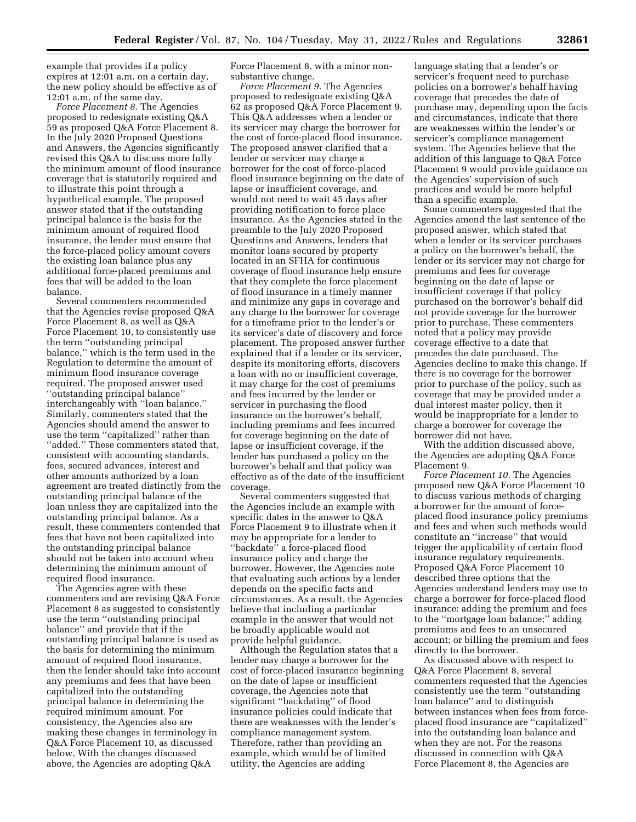example that provides if a policy expires at 12:01 a.m. on a certain day, the new policy should be effective as of 12:01 a.m. of the same day.

*Force Placement 8.* The Agencies proposed to redesignate existing Q&A 59 as proposed Q&A Force Placement 8. In the July 2020 Proposed Questions and Answers, the Agencies significantly revised this Q&A to discuss more fully the minimum amount of flood insurance coverage that is statutorily required and to illustrate this point through a hypothetical example. The proposed answer stated that if the outstanding principal balance is the basis for the minimum amount of required flood insurance, the lender must ensure that the force-placed policy amount covers the existing loan balance plus any additional force-placed premiums and fees that will be added to the loan balance.

Several commenters recommended that the Agencies revise proposed Q&A Force Placement 8, as well as Q&A Force Placement 10, to consistently use the term ''outstanding principal balance,'' which is the term used in the Regulation to determine the amount of minimum flood insurance coverage required. The proposed answer used ''outstanding principal balance'' interchangeably with ''loan balance.'' Similarly, commenters stated that the Agencies should amend the answer to use the term ''capitalized'' rather than ''added.'' These commenters stated that, consistent with accounting standards, fees, secured advances, interest and other amounts authorized by a loan agreement are treated distinctly from the outstanding principal balance of the loan unless they are capitalized into the outstanding principal balance. As a result, these commenters contended that fees that have not been capitalized into the outstanding principal balance should not be taken into account when determining the minimum amount of required flood insurance.

The Agencies agree with these commenters and are revising Q&A Force Placement 8 as suggested to consistently use the term ''outstanding principal balance'' and provide that if the outstanding principal balance is used as the basis for determining the minimum amount of required flood insurance, then the lender should take into account any premiums and fees that have been capitalized into the outstanding principal balance in determining the required minimum amount. For consistency, the Agencies also are making these changes in terminology in Q&A Force Placement 10, as discussed below. With the changes discussed above, the Agencies are adopting Q&A

Force Placement 8, with a minor nonsubstantive change.

*Force Placement 9.* The Agencies proposed to redesignate existing Q&A 62 as proposed Q&A Force Placement 9. This Q&A addresses when a lender or its servicer may charge the borrower for the cost of force-placed flood insurance. The proposed answer clarified that a lender or servicer may charge a borrower for the cost of force-placed flood insurance beginning on the date of lapse or insufficient coverage, and would not need to wait 45 days after providing notification to force place insurance. As the Agencies stated in the preamble to the July 2020 Proposed Questions and Answers, lenders that monitor loans secured by property located in an SFHA for continuous coverage of flood insurance help ensure that they complete the force placement of flood insurance in a timely manner and minimize any gaps in coverage and any charge to the borrower for coverage for a timeframe prior to the lender's or its servicer's date of discovery and force placement. The proposed answer further explained that if a lender or its servicer, despite its monitoring efforts, discovers a loan with no or insufficient coverage, it may charge for the cost of premiums and fees incurred by the lender or servicer in purchasing the flood insurance on the borrower's behalf, including premiums and fees incurred for coverage beginning on the date of lapse or insufficient coverage, if the lender has purchased a policy on the borrower's behalf and that policy was effective as of the date of the insufficient coverage.

Several commenters suggested that the Agencies include an example with specific dates in the answer to Q&A Force Placement 9 to illustrate when it may be appropriate for a lender to ''backdate'' a force-placed flood insurance policy and charge the borrower. However, the Agencies note that evaluating such actions by a lender depends on the specific facts and circumstances. As a result, the Agencies believe that including a particular example in the answer that would not be broadly applicable would not provide helpful guidance.

Although the Regulation states that a lender may charge a borrower for the cost of force-placed insurance beginning on the date of lapse or insufficient coverage, the Agencies note that significant ''backdating'' of flood insurance policies could indicate that there are weaknesses with the lender's compliance management system. Therefore, rather than providing an example, which would be of limited utility, the Agencies are adding

language stating that a lender's or servicer's frequent need to purchase policies on a borrower's behalf having coverage that precedes the date of purchase may, depending upon the facts and circumstances, indicate that there are weaknesses within the lender's or servicer's compliance management system. The Agencies believe that the addition of this language to Q&A Force Placement 9 would provide guidance on the Agencies' supervision of such practices and would be more helpful than a specific example.

Some commenters suggested that the Agencies amend the last sentence of the proposed answer, which stated that when a lender or its servicer purchases a policy on the borrower's behalf, the lender or its servicer may not charge for premiums and fees for coverage beginning on the date of lapse or insufficient coverage if that policy purchased on the borrower's behalf did not provide coverage for the borrower prior to purchase. These commenters noted that a policy may provide coverage effective to a date that precedes the date purchased. The Agencies decline to make this change. If there is no coverage for the borrower prior to purchase of the policy, such as coverage that may be provided under a dual interest master policy, then it would be inappropriate for a lender to charge a borrower for coverage the borrower did not have.

With the addition discussed above, the Agencies are adopting Q&A Force Placement 9.

*Force Placement 10.* The Agencies proposed new Q&A Force Placement 10 to discuss various methods of charging a borrower for the amount of forceplaced flood insurance policy premiums and fees and when such methods would constitute an ''increase'' that would trigger the applicability of certain flood insurance regulatory requirements. Proposed Q&A Force Placement 10 described three options that the Agencies understand lenders may use to charge a borrower for force-placed flood insurance: adding the premium and fees to the ''mortgage loan balance;'' adding premiums and fees to an unsecured account; or billing the premium and fees directly to the borrower.

As discussed above with respect to Q&A Force Placement 8, several commenters requested that the Agencies consistently use the term ''outstanding loan balance'' and to distinguish between instances when fees from forceplaced flood insurance are ''capitalized'' into the outstanding loan balance and when they are not. For the reasons discussed in connection with Q&A Force Placement 8, the Agencies are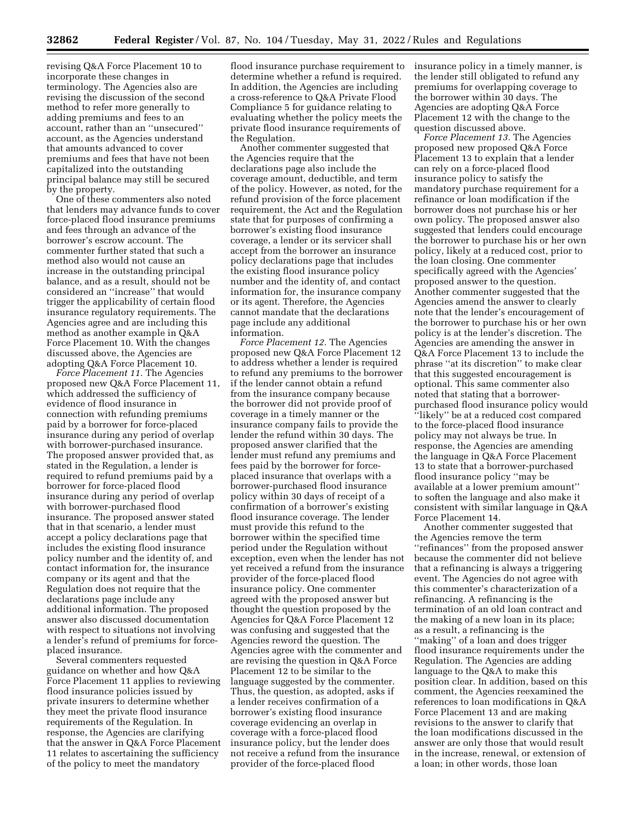revising Q&A Force Placement 10 to incorporate these changes in terminology. The Agencies also are revising the discussion of the second method to refer more generally to adding premiums and fees to an account, rather than an ''unsecured'' account, as the Agencies understand that amounts advanced to cover premiums and fees that have not been capitalized into the outstanding principal balance may still be secured by the property.

One of these commenters also noted that lenders may advance funds to cover force-placed flood insurance premiums and fees through an advance of the borrower's escrow account. The commenter further stated that such a method also would not cause an increase in the outstanding principal balance, and as a result, should not be considered an ''increase'' that would trigger the applicability of certain flood insurance regulatory requirements. The Agencies agree and are including this method as another example in Q&A Force Placement 10. With the changes discussed above, the Agencies are adopting Q&A Force Placement 10.

*Force Placement 11.* The Agencies proposed new Q&A Force Placement 11, which addressed the sufficiency of evidence of flood insurance in connection with refunding premiums paid by a borrower for force-placed insurance during any period of overlap with borrower-purchased insurance. The proposed answer provided that, as stated in the Regulation, a lender is required to refund premiums paid by a borrower for force-placed flood insurance during any period of overlap with borrower-purchased flood insurance. The proposed answer stated that in that scenario, a lender must accept a policy declarations page that includes the existing flood insurance policy number and the identity of, and contact information for, the insurance company or its agent and that the Regulation does not require that the declarations page include any additional information. The proposed answer also discussed documentation with respect to situations not involving a lender's refund of premiums for forceplaced insurance.

Several commenters requested guidance on whether and how Q&A Force Placement 11 applies to reviewing flood insurance policies issued by private insurers to determine whether they meet the private flood insurance requirements of the Regulation. In response, the Agencies are clarifying that the answer in Q&A Force Placement 11 relates to ascertaining the sufficiency of the policy to meet the mandatory

flood insurance purchase requirement to determine whether a refund is required. In addition, the Agencies are including a cross-reference to Q&A Private Flood Compliance 5 for guidance relating to evaluating whether the policy meets the private flood insurance requirements of the Regulation.

Another commenter suggested that the Agencies require that the declarations page also include the coverage amount, deductible, and term of the policy. However, as noted, for the refund provision of the force placement requirement, the Act and the Regulation state that for purposes of confirming a borrower's existing flood insurance coverage, a lender or its servicer shall accept from the borrower an insurance policy declarations page that includes the existing flood insurance policy number and the identity of, and contact information for, the insurance company or its agent. Therefore, the Agencies cannot mandate that the declarations page include any additional information.

*Force Placement 12.* The Agencies proposed new Q&A Force Placement 12 to address whether a lender is required to refund any premiums to the borrower if the lender cannot obtain a refund from the insurance company because the borrower did not provide proof of coverage in a timely manner or the insurance company fails to provide the lender the refund within 30 days. The proposed answer clarified that the lender must refund any premiums and fees paid by the borrower for forceplaced insurance that overlaps with a borrower-purchased flood insurance policy within 30 days of receipt of a confirmation of a borrower's existing flood insurance coverage. The lender must provide this refund to the borrower within the specified time period under the Regulation without exception, even when the lender has not yet received a refund from the insurance provider of the force-placed flood insurance policy. One commenter agreed with the proposed answer but thought the question proposed by the Agencies for Q&A Force Placement 12 was confusing and suggested that the Agencies reword the question. The Agencies agree with the commenter and are revising the question in Q&A Force Placement 12 to be similar to the language suggested by the commenter. Thus, the question, as adopted, asks if a lender receives confirmation of a borrower's existing flood insurance coverage evidencing an overlap in coverage with a force-placed flood insurance policy, but the lender does not receive a refund from the insurance provider of the force-placed flood

insurance policy in a timely manner, is the lender still obligated to refund any premiums for overlapping coverage to the borrower within 30 days. The Agencies are adopting Q&A Force Placement 12 with the change to the question discussed above.

*Force Placement 13.* The Agencies proposed new proposed Q&A Force Placement 13 to explain that a lender can rely on a force-placed flood insurance policy to satisfy the mandatory purchase requirement for a refinance or loan modification if the borrower does not purchase his or her own policy. The proposed answer also suggested that lenders could encourage the borrower to purchase his or her own policy, likely at a reduced cost, prior to the loan closing. One commenter specifically agreed with the Agencies' proposed answer to the question. Another commenter suggested that the Agencies amend the answer to clearly note that the lender's encouragement of the borrower to purchase his or her own policy is at the lender's discretion. The Agencies are amending the answer in Q&A Force Placement 13 to include the phrase ''at its discretion'' to make clear that this suggested encouragement is optional. This same commenter also noted that stating that a borrowerpurchased flood insurance policy would ''likely'' be at a reduced cost compared to the force-placed flood insurance policy may not always be true. In response, the Agencies are amending the language in Q&A Force Placement 13 to state that a borrower-purchased flood insurance policy ''may be available at a lower premium amount'' to soften the language and also make it consistent with similar language in Q&A Force Placement 14.

Another commenter suggested that the Agencies remove the term ''refinances'' from the proposed answer because the commenter did not believe that a refinancing is always a triggering event. The Agencies do not agree with this commenter's characterization of a refinancing. A refinancing is the termination of an old loan contract and the making of a new loan in its place; as a result, a refinancing is the ''making'' of a loan and does trigger flood insurance requirements under the Regulation. The Agencies are adding language to the Q&A to make this position clear. In addition, based on this comment, the Agencies reexamined the references to loan modifications in Q&A Force Placement 13 and are making revisions to the answer to clarify that the loan modifications discussed in the answer are only those that would result in the increase, renewal, or extension of a loan; in other words, those loan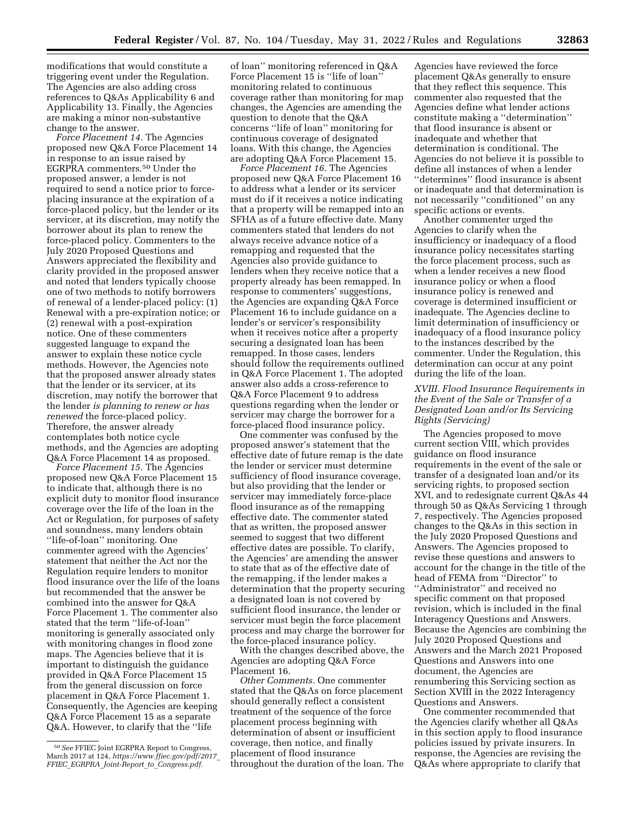modifications that would constitute a triggering event under the Regulation. The Agencies are also adding cross references to Q&As Applicability 6 and Applicability 13. Finally, the Agencies are making a minor non-substantive change to the answer.

*Force Placement 14.* The Agencies proposed new Q&A Force Placement 14 in response to an issue raised by EGRPRA commenters.50 Under the proposed answer, a lender is not required to send a notice prior to forceplacing insurance at the expiration of a force-placed policy, but the lender or its servicer, at its discretion, may notify the borrower about its plan to renew the force-placed policy. Commenters to the July 2020 Proposed Questions and Answers appreciated the flexibility and clarity provided in the proposed answer and noted that lenders typically choose one of two methods to notify borrowers of renewal of a lender-placed policy: (1) Renewal with a pre-expiration notice; or (2) renewal with a post-expiration notice. One of these commenters suggested language to expand the answer to explain these notice cycle methods. However, the Agencies note that the proposed answer already states that the lender or its servicer, at its discretion, may notify the borrower that the lender *is planning to renew or has renewed* the force-placed policy. Therefore, the answer already contemplates both notice cycle methods, and the Agencies are adopting Q&A Force Placement 14 as proposed.

*Force Placement 15.* The Agencies proposed new Q&A Force Placement 15 to indicate that, although there is no explicit duty to monitor flood insurance coverage over the life of the loan in the Act or Regulation, for purposes of safety and soundness, many lenders obtain ''life-of-loan'' monitoring. One commenter agreed with the Agencies' statement that neither the Act nor the Regulation require lenders to monitor flood insurance over the life of the loans but recommended that the answer be combined into the answer for Q&A Force Placement 1. The commenter also stated that the term ''life-of-loan'' monitoring is generally associated only with monitoring changes in flood zone maps. The Agencies believe that it is important to distinguish the guidance provided in Q&A Force Placement 15 from the general discussion on force placement in Q&A Force Placement 1. Consequently, the Agencies are keeping Q&A Force Placement 15 as a separate Q&A. However, to clarify that the ''life

of loan'' monitoring referenced in Q&A Force Placement 15 is ''life of loan'' monitoring related to continuous coverage rather than monitoring for map changes, the Agencies are amending the question to denote that the Q&A concerns ''life of loan'' monitoring for continuous coverage of designated loans. With this change, the Agencies are adopting Q&A Force Placement 15.

*Force Placement 16.* The Agencies proposed new Q&A Force Placement 16 to address what a lender or its servicer must do if it receives a notice indicating that a property will be remapped into an SFHA as of a future effective date. Many commenters stated that lenders do not always receive advance notice of a remapping and requested that the Agencies also provide guidance to lenders when they receive notice that a property already has been remapped. In response to commenters' suggestions, the Agencies are expanding Q&A Force Placement 16 to include guidance on a lender's or servicer's responsibility when it receives notice after a property securing a designated loan has been remapped. In those cases, lenders should follow the requirements outlined in Q&A Force Placement 1. The adopted answer also adds a cross-reference to Q&A Force Placement 9 to address questions regarding when the lender or servicer may charge the borrower for a force-placed flood insurance policy.

One commenter was confused by the proposed answer's statement that the effective date of future remap is the date the lender or servicer must determine sufficiency of flood insurance coverage, but also providing that the lender or servicer may immediately force-place flood insurance as of the remapping effective date. The commenter stated that as written, the proposed answer seemed to suggest that two different effective dates are possible. To clarify, the Agencies' are amending the answer to state that as of the effective date of the remapping, if the lender makes a determination that the property securing a designated loan is not covered by sufficient flood insurance, the lender or servicer must begin the force placement process and may charge the borrower for the force-placed insurance policy.

With the changes described above, the Agencies are adopting Q&A Force Placement 16.

*Other Comments.* One commenter stated that the Q&As on force placement should generally reflect a consistent treatment of the sequence of the force placement process beginning with determination of absent or insufficient coverage, then notice, and finally placement of flood insurance throughout the duration of the loan. The

Agencies have reviewed the force placement Q&As generally to ensure that they reflect this sequence. This commenter also requested that the Agencies define what lender actions constitute making a ''determination'' that flood insurance is absent or inadequate and whether that determination is conditional. The Agencies do not believe it is possible to define all instances of when a lender ''determines'' flood insurance is absent or inadequate and that determination is not necessarily ''conditioned'' on any specific actions or events.

Another commenter urged the Agencies to clarify when the insufficiency or inadequacy of a flood insurance policy necessitates starting the force placement process, such as when a lender receives a new flood insurance policy or when a flood insurance policy is renewed and coverage is determined insufficient or inadequate. The Agencies decline to limit determination of insufficiency or inadequacy of a flood insurance policy to the instances described by the commenter. Under the Regulation, this determination can occur at any point during the life of the loan.

### *XVIII. Flood Insurance Requirements in the Event of the Sale or Transfer of a Designated Loan and/or Its Servicing Rights (Servicing)*

The Agencies proposed to move current section VIII, which provides guidance on flood insurance requirements in the event of the sale or transfer of a designated loan and/or its servicing rights, to proposed section XVI, and to redesignate current Q&As 44 through 50 as Q&As Servicing 1 through 7, respectively. The Agencies proposed changes to the Q&As in this section in the July 2020 Proposed Questions and Answers. The Agencies proposed to revise these questions and answers to account for the change in the title of the head of FEMA from ''Director'' to ''Administrator'' and received no specific comment on that proposed revision, which is included in the final Interagency Questions and Answers. Because the Agencies are combining the July 2020 Proposed Questions and Answers and the March 2021 Proposed Questions and Answers into one document, the Agencies are renumbering this Servicing section as Section XVIII in the 2022 Interagency Questions and Answers.

One commenter recommended that the Agencies clarify whether all Q&As in this section apply to flood insurance policies issued by private insurers. In response, the Agencies are revising the Q&As where appropriate to clarify that

<sup>50</sup>*See* FFIEC Joint EGRPRA Report to Congress, March 2017 at 124, *[https://www.ffiec.gov/pdf/2017](https://www.ffiec.gov/pdf/2017_FFIEC_EGRPRA_Joint-Report_to_Congress.pdf)*\_ *FFIEC*\_*EGRPRA*\_*Joint-Report*\_*to*\_*[Congress.pdf.](https://www.ffiec.gov/pdf/2017_FFIEC_EGRPRA_Joint-Report_to_Congress.pdf)*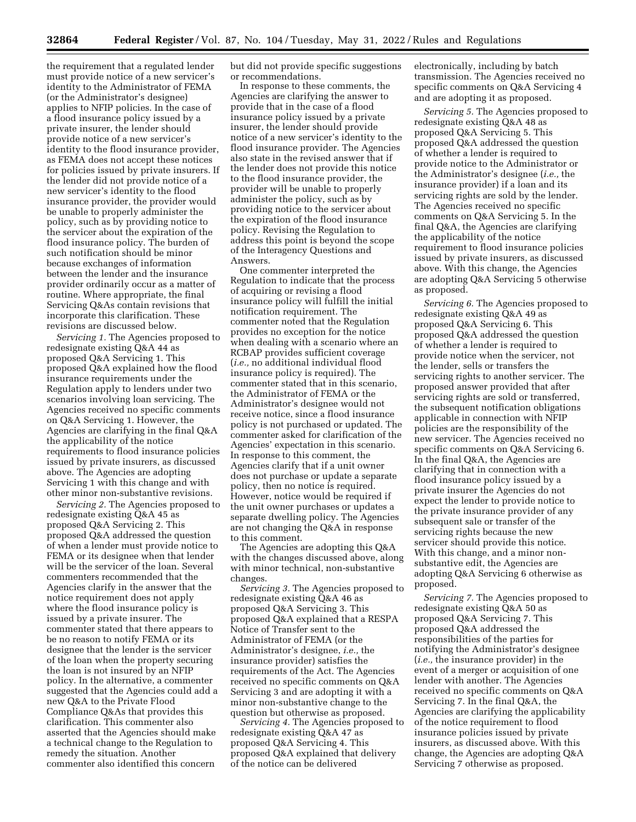the requirement that a regulated lender must provide notice of a new servicer's identity to the Administrator of FEMA (or the Administrator's designee) applies to NFIP policies. In the case of a flood insurance policy issued by a private insurer, the lender should provide notice of a new servicer's identity to the flood insurance provider, as FEMA does not accept these notices for policies issued by private insurers. If the lender did not provide notice of a new servicer's identity to the flood insurance provider, the provider would be unable to properly administer the policy, such as by providing notice to the servicer about the expiration of the flood insurance policy. The burden of such notification should be minor because exchanges of information between the lender and the insurance provider ordinarily occur as a matter of routine. Where appropriate, the final Servicing Q&As contain revisions that incorporate this clarification. These revisions are discussed below.

*Servicing 1.* The Agencies proposed to redesignate existing Q&A 44 as proposed Q&A Servicing 1. This proposed Q&A explained how the flood insurance requirements under the Regulation apply to lenders under two scenarios involving loan servicing. The Agencies received no specific comments on Q&A Servicing 1. However, the Agencies are clarifying in the final Q&A the applicability of the notice requirements to flood insurance policies issued by private insurers, as discussed above. The Agencies are adopting Servicing 1 with this change and with other minor non-substantive revisions.

*Servicing 2.* The Agencies proposed to redesignate existing Q&A 45 as proposed Q&A Servicing 2. This proposed Q&A addressed the question of when a lender must provide notice to FEMA or its designee when that lender will be the servicer of the loan. Several commenters recommended that the Agencies clarify in the answer that the notice requirement does not apply where the flood insurance policy is issued by a private insurer. The commenter stated that there appears to be no reason to notify FEMA or its designee that the lender is the servicer of the loan when the property securing the loan is not insured by an NFIP policy. In the alternative, a commenter suggested that the Agencies could add a new Q&A to the Private Flood Compliance Q&As that provides this clarification. This commenter also asserted that the Agencies should make a technical change to the Regulation to remedy the situation. Another commenter also identified this concern

but did not provide specific suggestions or recommendations.

In response to these comments, the Agencies are clarifying the answer to provide that in the case of a flood insurance policy issued by a private insurer, the lender should provide notice of a new servicer's identity to the flood insurance provider. The Agencies also state in the revised answer that if the lender does not provide this notice to the flood insurance provider, the provider will be unable to properly administer the policy, such as by providing notice to the servicer about the expiration of the flood insurance policy. Revising the Regulation to address this point is beyond the scope of the Interagency Questions and Answers.

One commenter interpreted the Regulation to indicate that the process of acquiring or revising a flood insurance policy will fulfill the initial notification requirement. The commenter noted that the Regulation provides no exception for the notice when dealing with a scenario where an RCBAP provides sufficient coverage (*i.e.,* no additional individual flood insurance policy is required). The commenter stated that in this scenario, the Administrator of FEMA or the Administrator's designee would not receive notice, since a flood insurance policy is not purchased or updated. The commenter asked for clarification of the Agencies' expectation in this scenario. In response to this comment, the Agencies clarify that if a unit owner does not purchase or update a separate policy, then no notice is required. However, notice would be required if the unit owner purchases or updates a separate dwelling policy. The Agencies are not changing the Q&A in response to this comment.

The Agencies are adopting this Q&A with the changes discussed above, along with minor technical, non-substantive changes.

*Servicing 3.* The Agencies proposed to redesignate existing Q&A 46 as proposed Q&A Servicing 3. This proposed Q&A explained that a RESPA Notice of Transfer sent to the Administrator of FEMA (or the Administrator's designee, *i.e.,* the insurance provider) satisfies the requirements of the Act. The Agencies received no specific comments on Q&A Servicing 3 and are adopting it with a minor non-substantive change to the question but otherwise as proposed.

*Servicing 4.* The Agencies proposed to redesignate existing Q&A 47 as proposed Q&A Servicing 4. This proposed Q&A explained that delivery of the notice can be delivered

electronically, including by batch transmission. The Agencies received no specific comments on Q&A Servicing 4 and are adopting it as proposed.

*Servicing 5.* The Agencies proposed to redesignate existing Q&A 48 as proposed Q&A Servicing 5. This proposed Q&A addressed the question of whether a lender is required to provide notice to the Administrator or the Administrator's designee (*i.e.,* the insurance provider) if a loan and its servicing rights are sold by the lender. The Agencies received no specific comments on Q&A Servicing 5. In the final Q&A, the Agencies are clarifying the applicability of the notice requirement to flood insurance policies issued by private insurers, as discussed above. With this change, the Agencies are adopting Q&A Servicing 5 otherwise as proposed.

*Servicing 6.* The Agencies proposed to redesignate existing Q&A 49 as proposed Q&A Servicing 6. This proposed Q&A addressed the question of whether a lender is required to provide notice when the servicer, not the lender, sells or transfers the servicing rights to another servicer. The proposed answer provided that after servicing rights are sold or transferred, the subsequent notification obligations applicable in connection with NFIP policies are the responsibility of the new servicer. The Agencies received no specific comments on Q&A Servicing 6. In the final Q&A, the Agencies are clarifying that in connection with a flood insurance policy issued by a private insurer the Agencies do not expect the lender to provide notice to the private insurance provider of any subsequent sale or transfer of the servicing rights because the new servicer should provide this notice. With this change, and a minor nonsubstantive edit, the Agencies are adopting Q&A Servicing 6 otherwise as proposed.

*Servicing 7.* The Agencies proposed to redesignate existing Q&A 50 as proposed Q&A Servicing 7. This proposed Q&A addressed the responsibilities of the parties for notifying the Administrator's designee (*i.e.,* the insurance provider) in the event of a merger or acquisition of one lender with another. The Agencies received no specific comments on Q&A Servicing 7. In the final Q&A, the Agencies are clarifying the applicability of the notice requirement to flood insurance policies issued by private insurers, as discussed above. With this change, the Agencies are adopting Q&A Servicing 7 otherwise as proposed.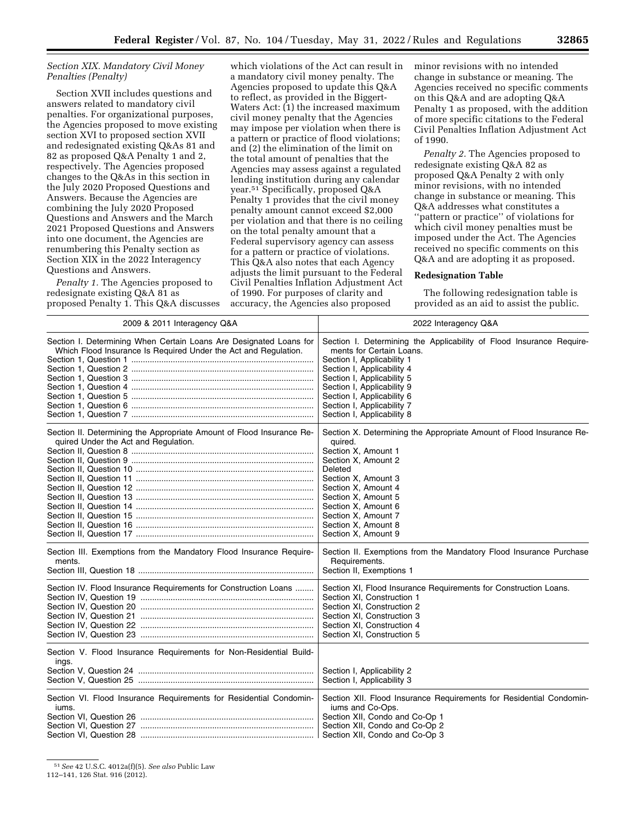# *Section XIX. Mandatory Civil Money Penalties (Penalty)*

Section XVII includes questions and answers related to mandatory civil penalties. For organizational purposes, the Agencies proposed to move existing section XVI to proposed section XVII and redesignated existing Q&As 81 and 82 as proposed Q&A Penalty 1 and 2, respectively. The Agencies proposed changes to the Q&As in this section in the July 2020 Proposed Questions and Answers. Because the Agencies are combining the July 2020 Proposed Questions and Answers and the March 2021 Proposed Questions and Answers into one document, the Agencies are renumbering this Penalty section as Section XIX in the 2022 Interagency Questions and Answers.

*Penalty 1.* The Agencies proposed to redesignate existing Q&A 81 as proposed Penalty 1. This Q&A discusses

which violations of the Act can result in a mandatory civil money penalty. The Agencies proposed to update this Q&A to reflect, as provided in the Biggert-Waters Act:  $(1)$  the increased maximum civil money penalty that the Agencies may impose per violation when there is a pattern or practice of flood violations; and (2) the elimination of the limit on the total amount of penalties that the Agencies may assess against a regulated lending institution during any calendar year.51 Specifically, proposed Q&A Penalty 1 provides that the civil money penalty amount cannot exceed \$2,000 per violation and that there is no ceiling on the total penalty amount that a Federal supervisory agency can assess for a pattern or practice of violations. This Q&A also notes that each Agency adjusts the limit pursuant to the Federal Civil Penalties Inflation Adjustment Act of 1990. For purposes of clarity and accuracy, the Agencies also proposed

minor revisions with no intended change in substance or meaning. The Agencies received no specific comments on this Q&A and are adopting Q&A Penalty 1 as proposed, with the addition of more specific citations to the Federal Civil Penalties Inflation Adjustment Act of 1990.

*Penalty 2.* The Agencies proposed to redesignate existing Q&A 82 as proposed Q&A Penalty 2 with only minor revisions, with no intended change in substance or meaning. This Q&A addresses what constitutes a ''pattern or practice'' of violations for which civil money penalties must be imposed under the Act. The Agencies received no specific comments on this Q&A and are adopting it as proposed.

#### **Redesignation Table**

The following redesignation table is provided as an aid to assist the public.

| 2009 & 2011 Interagency Q&A                                                 | 2022 Interagency Q&A                                                 |
|-----------------------------------------------------------------------------|----------------------------------------------------------------------|
| Section I. Determining When Certain Loans Are Designated Loans for          | Section I. Determining the Applicability of Flood Insurance Require- |
| Which Flood Insurance Is Required Under the Act and Regulation.             | ments for Certain Loans.                                             |
|                                                                             | Section I, Applicability 1                                           |
|                                                                             | Section I, Applicability 4                                           |
|                                                                             | Section I, Applicability 5                                           |
|                                                                             | Section I, Applicability 9                                           |
|                                                                             | Section I, Applicability 6                                           |
|                                                                             | Section I, Applicability 7                                           |
|                                                                             | Section I, Applicability 8                                           |
| Section II. Determining the Appropriate Amount of Flood Insurance Re-       | Section X. Determining the Appropriate Amount of Flood Insurance Re- |
| quired Under the Act and Regulation.                                        | quired.                                                              |
|                                                                             | Section X, Amount 1                                                  |
|                                                                             | Section X, Amount 2                                                  |
|                                                                             | Deleted                                                              |
|                                                                             | Section X, Amount 3                                                  |
|                                                                             | Section X, Amount 4                                                  |
|                                                                             | Section X, Amount 5                                                  |
|                                                                             | Section X, Amount 6                                                  |
|                                                                             | Section X, Amount 7                                                  |
|                                                                             | Section X, Amount 8                                                  |
|                                                                             | Section X, Amount 9                                                  |
| Section III. Exemptions from the Mandatory Flood Insurance Require-         | Section II. Exemptions from the Mandatory Flood Insurance Purchase   |
| ments.                                                                      | Requirements.                                                        |
|                                                                             | Section II, Exemptions 1                                             |
| Section IV. Flood Insurance Requirements for Construction Loans             | Section XI, Flood Insurance Requirements for Construction Loans.     |
|                                                                             | Section XI, Construction 1                                           |
|                                                                             | Section XI, Construction 2                                           |
|                                                                             | Section XI, Construction 3                                           |
|                                                                             | Section XI, Construction 4                                           |
|                                                                             | Section XI, Construction 5                                           |
| Section V. Flood Insurance Requirements for Non-Residential Build-<br>ings. | Section I, Applicability 2<br>Section I, Applicability 3             |
| Section VI. Flood Insurance Requirements for Residential Condomin-          | Section XII. Flood Insurance Requirements for Residential Condomin-  |
| jums.                                                                       | iums and Co-Ops.                                                     |
|                                                                             | Section XII, Condo and Co-Op 1                                       |
|                                                                             | Section XII, Condo and Co-Op 2                                       |
|                                                                             | Section XII, Condo and Co-Op 3                                       |

51*See* 42 U.S.C. 4012a(f)(5). *See also* Public Law

112–141, 126 Stat. 916 (2012).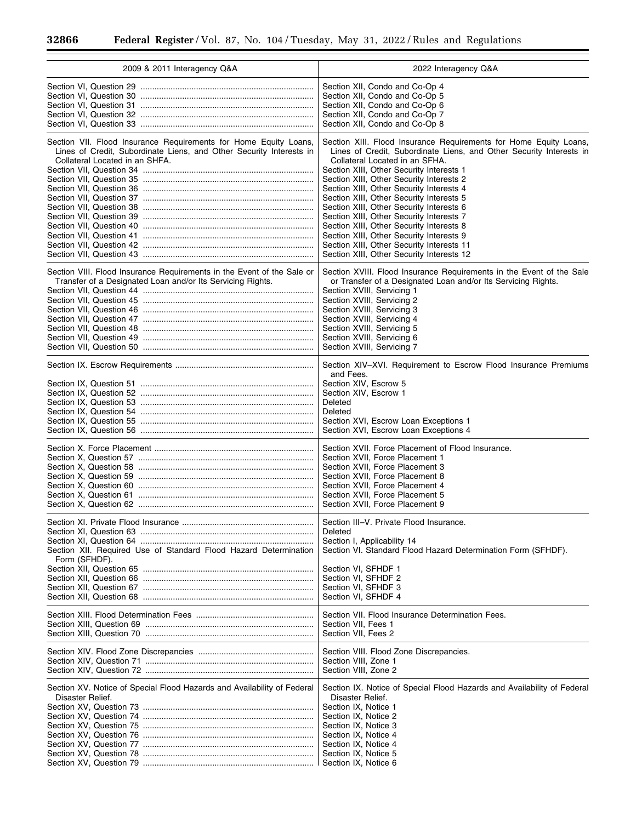$\equiv$ 

▀

| 2009 & 2011 Interagency Q&A                                                       | 2022 Interagency Q&A                                                                                                                                                                                                                   |
|-----------------------------------------------------------------------------------|----------------------------------------------------------------------------------------------------------------------------------------------------------------------------------------------------------------------------------------|
|                                                                                   | Section XII, Condo and Co-Op 4                                                                                                                                                                                                         |
|                                                                                   | Section XII, Condo and Co-Op 5                                                                                                                                                                                                         |
|                                                                                   | Section XII, Condo and Co-Op 6                                                                                                                                                                                                         |
|                                                                                   | Section XII, Condo and Co-Op 7                                                                                                                                                                                                         |
|                                                                                   | Section XII, Condo and Co-Op 8                                                                                                                                                                                                         |
| Section VII. Flood Insurance Requirements for Home Equity Loans,                  | Section XIII. Flood Insurance Requirements for Home Equity Loans,                                                                                                                                                                      |
| Lines of Credit, Subordinate Liens, and Other Security Interests in               | Lines of Credit, Subordinate Liens, and Other Security Interests in                                                                                                                                                                    |
| Collateral Located in an SHFA.                                                    | Collateral Located in an SFHA.                                                                                                                                                                                                         |
|                                                                                   | Section XIII, Other Security Interests 1                                                                                                                                                                                               |
|                                                                                   | Section XIII, Other Security Interests 2                                                                                                                                                                                               |
|                                                                                   | Section XIII, Other Security Interests 4                                                                                                                                                                                               |
|                                                                                   | Section XIII, Other Security Interests 5                                                                                                                                                                                               |
|                                                                                   | Section XIII, Other Security Interests 6                                                                                                                                                                                               |
|                                                                                   | Section XIII, Other Security Interests 7                                                                                                                                                                                               |
|                                                                                   | Section XIII, Other Security Interests 8                                                                                                                                                                                               |
|                                                                                   | Section XIII, Other Security Interests 9                                                                                                                                                                                               |
|                                                                                   | Section XIII, Other Security Interests 11                                                                                                                                                                                              |
|                                                                                   | Section XIII, Other Security Interests 12                                                                                                                                                                                              |
| Section VIII. Flood Insurance Requirements in the Event of the Sale or            | Section XVIII. Flood Insurance Requirements in the Event of the Sale                                                                                                                                                                   |
| Transfer of a Designated Loan and/or Its Servicing Rights.                        | or Transfer of a Designated Loan and/or Its Servicing Rights.                                                                                                                                                                          |
|                                                                                   | Section XVIII, Servicing 1                                                                                                                                                                                                             |
|                                                                                   | Section XVIII, Servicing 2                                                                                                                                                                                                             |
|                                                                                   | Section XVIII, Servicing 3                                                                                                                                                                                                             |
|                                                                                   | Section XVIII, Servicing 4                                                                                                                                                                                                             |
|                                                                                   | Section XVIII, Servicing 5                                                                                                                                                                                                             |
|                                                                                   | Section XVIII, Servicing 6                                                                                                                                                                                                             |
|                                                                                   | Section XVIII, Servicing 7                                                                                                                                                                                                             |
|                                                                                   | Section XIV-XVI. Requirement to Escrow Flood Insurance Premiums<br>and Fees.<br>Section XIV, Escrow 5<br>Section XIV, Escrow 1<br>Deleted<br>Deleted<br>Section XVI, Escrow Loan Exceptions 1<br>Section XVI, Escrow Loan Exceptions 4 |
|                                                                                   | Section XVII. Force Placement of Flood Insurance.                                                                                                                                                                                      |
|                                                                                   | Section XVII, Force Placement 1                                                                                                                                                                                                        |
|                                                                                   | Section XVII, Force Placement 3                                                                                                                                                                                                        |
|                                                                                   | Section XVII. Force Placement 8                                                                                                                                                                                                        |
|                                                                                   | Section XVII, Force Placement 4                                                                                                                                                                                                        |
|                                                                                   | Section XVII, Force Placement 5                                                                                                                                                                                                        |
|                                                                                   | Section XVII, Force Placement 9                                                                                                                                                                                                        |
| Section XII. Required Use of Standard Flood Hazard Determination<br>Form (SFHDF). | Section III-V. Private Flood Insurance.<br>Deleted<br>Section I, Applicability 14<br>Section VI. Standard Flood Hazard Determination Form (SFHDF).<br>Section VI, SFHDF 1<br>Section VI, SFHDF 2<br>Section VI, SFHDF 3                |
|                                                                                   | Section VI, SFHDF 4                                                                                                                                                                                                                    |
|                                                                                   | Section VII. Flood Insurance Determination Fees.                                                                                                                                                                                       |
|                                                                                   | Section VII, Fees 1                                                                                                                                                                                                                    |
|                                                                                   | Section VII, Fees 2                                                                                                                                                                                                                    |
|                                                                                   | Section VIII. Flood Zone Discrepancies.                                                                                                                                                                                                |
|                                                                                   | Section VIII, Zone 1                                                                                                                                                                                                                   |
|                                                                                   | Section VIII, Zone 2                                                                                                                                                                                                                   |
| Section XV. Notice of Special Flood Hazards and Availability of Federal           | Section IX. Notice of Special Flood Hazards and Availability of Federal                                                                                                                                                                |
| Disaster Relief.                                                                  | Disaster Relief.                                                                                                                                                                                                                       |
|                                                                                   | Section IX, Notice 1                                                                                                                                                                                                                   |
|                                                                                   | Section IX, Notice 2                                                                                                                                                                                                                   |
|                                                                                   | Section IX, Notice 3                                                                                                                                                                                                                   |
|                                                                                   | Section IX, Notice 4                                                                                                                                                                                                                   |
|                                                                                   | Section IX, Notice 4                                                                                                                                                                                                                   |
|                                                                                   | Section IX, Notice 5                                                                                                                                                                                                                   |
|                                                                                   | Section IX, Notice 6                                                                                                                                                                                                                   |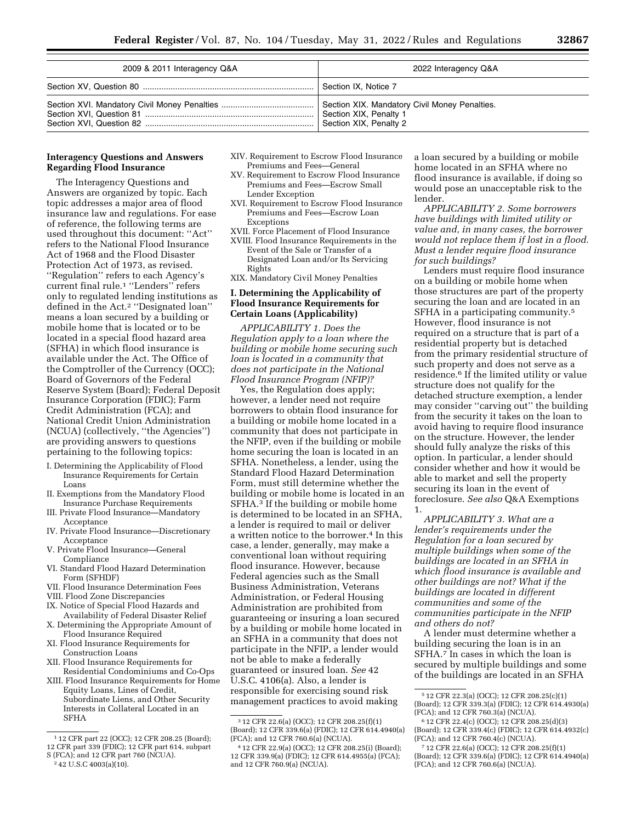| 2009 & 2011 Interagency Q&A | 2022 Interagency Q&A                                                                              |
|-----------------------------|---------------------------------------------------------------------------------------------------|
|                             | Section IX, Notice 7                                                                              |
|                             | Section XIX. Mandatory Civil Money Penalties.<br>Section XIX, Penalty 1<br>Section XIX, Penalty 2 |

#### **Interagency Questions and Answers Regarding Flood Insurance**

The Interagency Questions and Answers are organized by topic. Each topic addresses a major area of flood insurance law and regulations. For ease of reference, the following terms are used throughout this document: ''Act'' refers to the National Flood Insurance Act of 1968 and the Flood Disaster Protection Act of 1973, as revised. ''Regulation'' refers to each Agency's current final rule.1 ''Lenders'' refers only to regulated lending institutions as defined in the Act.2 ''Designated loan'' means a loan secured by a building or mobile home that is located or to be located in a special flood hazard area (SFHA) in which flood insurance is available under the Act. The Office of the Comptroller of the Currency (OCC); Board of Governors of the Federal Reserve System (Board); Federal Deposit Insurance Corporation (FDIC); Farm Credit Administration (FCA); and National Credit Union Administration (NCUA) (collectively, ''the Agencies'') are providing answers to questions pertaining to the following topics:

- I. Determining the Applicability of Flood Insurance Requirements for Certain Loans
- II. Exemptions from the Mandatory Flood Insurance Purchase Requirements
- III. Private Flood Insurance—Mandatory Acceptance
- IV. Private Flood Insurance—Discretionary Acceptance
- V. Private Flood Insurance—General Compliance
- VI. Standard Flood Hazard Determination Form (SFHDF)
- VII. Flood Insurance Determination Fees
- VIII. Flood Zone Discrepancies
- IX. Notice of Special Flood Hazards and Availability of Federal Disaster Relief
- X. Determining the Appropriate Amount of Flood Insurance Required
- XI. Flood Insurance Requirements for Construction Loans
- XII. Flood Insurance Requirements for Residential Condominiums and Co-Ops
- XIII. Flood Insurance Requirements for Home Equity Loans, Lines of Credit, Subordinate Liens, and Other Security Interests in Collateral Located in an SFHA
- XIV. Requirement to Escrow Flood Insurance Premiums and Fees—General
- XV. Requirement to Escrow Flood Insurance Premiums and Fees—Escrow Small Lender Exception
- XVI. Requirement to Escrow Flood Insurance Premiums and Fees—Escrow Loan Exceptions
- XVII. Force Placement of Flood Insurance XVIII. Flood Insurance Requirements in the Event of the Sale or Transfer of a Designated Loan and/or Its Servicing Rights
- XIX. Mandatory Civil Money Penalties

## **I. Determining the Applicability of Flood Insurance Requirements for Certain Loans (Applicability)**

*APPLICABILITY 1. Does the Regulation apply to a loan where the building or mobile home securing such loan is located in a community that does not participate in the National Flood Insurance Program (NFIP)?* 

Yes, the Regulation does apply; however, a lender need not require borrowers to obtain flood insurance for a building or mobile home located in a community that does not participate in the NFIP, even if the building or mobile home securing the loan is located in an SFHA. Nonetheless, a lender, using the Standard Flood Hazard Determination Form, must still determine whether the building or mobile home is located in an SFHA.3 If the building or mobile home is determined to be located in an SFHA, a lender is required to mail or deliver a written notice to the borrower.<sup>4</sup> In this case, a lender, generally, may make a conventional loan without requiring flood insurance. However, because Federal agencies such as the Small Business Administration, Veterans Administration, or Federal Housing Administration are prohibited from guaranteeing or insuring a loan secured by a building or mobile home located in an SFHA in a community that does not participate in the NFIP, a lender would not be able to make a federally guaranteed or insured loan. *See* 42 U.S.C. 4106(a). Also, a lender is responsible for exercising sound risk management practices to avoid making

a loan secured by a building or mobile home located in an SFHA where no flood insurance is available, if doing so would pose an unacceptable risk to the lender.

*APPLICABILITY 2. Some borrowers have buildings with limited utility or value and, in many cases, the borrower would not replace them if lost in a flood. Must a lender require flood insurance for such buildings?* 

Lenders must require flood insurance on a building or mobile home when those structures are part of the property securing the loan and are located in an SFHA in a participating community.5 However, flood insurance is not required on a structure that is part of a residential property but is detached from the primary residential structure of such property and does not serve as a residence.6 If the limited utility or value structure does not qualify for the detached structure exemption, a lender may consider ''carving out'' the building from the security it takes on the loan to avoid having to require flood insurance on the structure. However, the lender should fully analyze the risks of this option. In particular, a lender should consider whether and how it would be able to market and sell the property securing its loan in the event of foreclosure. *See also* Q&A Exemptions 1.

*APPLICABILITY 3. What are a lender's requirements under the Regulation for a loan secured by multiple buildings when some of the buildings are located in an SFHA in which flood insurance is available and other buildings are not? What if the buildings are located in different communities and some of the communities participate in the NFIP and others do not?* 

A lender must determine whether a building securing the loan is in an SFHA.7 In cases in which the loan is secured by multiple buildings and some of the buildings are located in an SFHA

<sup>1</sup> 12 CFR part 22 (OCC); 12 CFR 208.25 (Board); 12 CFR part 339 (FDIC); 12 CFR part 614, subpart

S (FCA); and 12 CFR part 760 (NCUA). 2 42 U.S.C 4003(a)(10).

<sup>3</sup> 12 CFR 22.6(a) (OCC); 12 CFR 208.25(f)(1) (Board); 12 CFR 339.6(a) (FDIC); 12 CFR 614.4940(a) (FCA); and 12 CFR 760.6(a) (NCUA).

<sup>4</sup> 12 CFR 22.9(a) (OCC); 12 CFR 208.25(i) (Board); 12 CFR 339.9(a) (FDIC); 12 CFR 614.4955(a) (FCA); and 12 CFR 760.9(a) (NCUA).

<sup>5</sup> 12 CFR 22.3(a) (OCC); 12 CFR 208.25(c)(1) (Board); 12 CFR 339.3(a) (FDIC); 12 CFR 614.4930(a) (FCA); and 12 CFR 760.3(a) (NCUA).

<sup>6</sup> 12 CFR 22.4(c) (OCC); 12 CFR 208.25(d)(3) (Board); 12 CFR 339.4(c) (FDIC); 12 CFR 614.4932(c) (FCA); and 12 CFR 760.4(c) (NCUA).

<sup>7</sup> 12 CFR 22.6(a) (OCC); 12 CFR 208.25(f)(1) (Board); 12 CFR 339.6(a) (FDIC); 12 CFR 614.4940(a) (FCA); and 12 CFR 760.6(a) (NCUA).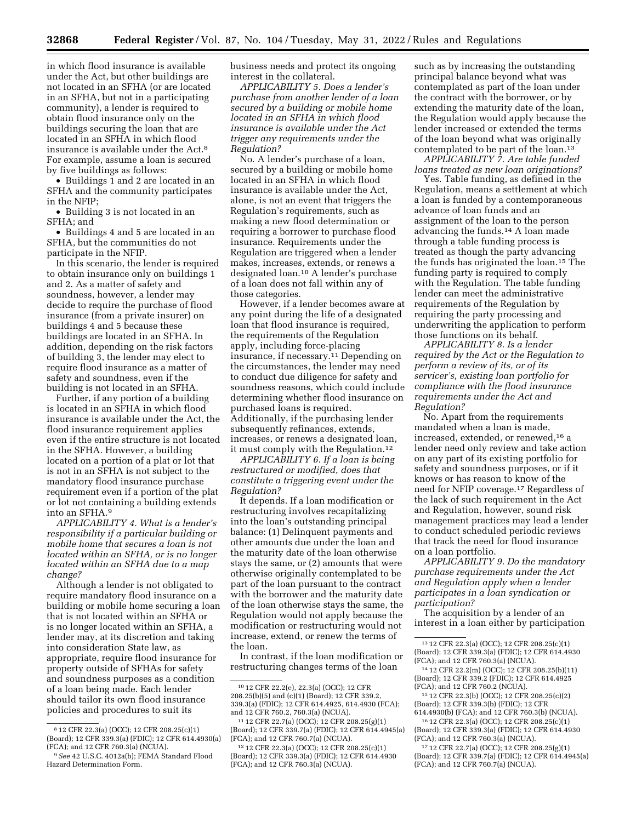in which flood insurance is available under the Act, but other buildings are not located in an SFHA (or are located in an SFHA, but not in a participating community), a lender is required to obtain flood insurance only on the buildings securing the loan that are located in an SFHA in which flood insurance is available under the Act.8 For example, assume a loan is secured by five buildings as follows:

• Buildings 1 and 2 are located in an SFHA and the community participates in the NFIP;

• Building 3 is not located in an SFHA; and

• Buildings 4 and 5 are located in an SFHA, but the communities do not participate in the NFIP.

In this scenario, the lender is required to obtain insurance only on buildings 1 and 2. As a matter of safety and soundness, however, a lender may decide to require the purchase of flood insurance (from a private insurer) on buildings 4 and 5 because these buildings are located in an SFHA. In addition, depending on the risk factors of building 3, the lender may elect to require flood insurance as a matter of safety and soundness, even if the building is not located in an SFHA.

Further, if any portion of a building is located in an SFHA in which flood insurance is available under the Act, the flood insurance requirement applies even if the entire structure is not located in the SFHA. However, a building located on a portion of a plat or lot that is not in an SFHA is not subject to the mandatory flood insurance purchase requirement even if a portion of the plat or lot not containing a building extends into an SFHA.9

*APPLICABILITY 4. What is a lender's responsibility if a particular building or mobile home that secures a loan is not located within an SFHA, or is no longer located within an SFHA due to a map change?* 

Although a lender is not obligated to require mandatory flood insurance on a building or mobile home securing a loan that is not located within an SFHA or is no longer located within an SFHA, a lender may, at its discretion and taking into consideration State law, as appropriate, require flood insurance for property outside of SFHAs for safety and soundness purposes as a condition of a loan being made. Each lender should tailor its own flood insurance policies and procedures to suit its

business needs and protect its ongoing interest in the collateral.

*APPLICABILITY 5. Does a lender's purchase from another lender of a loan secured by a building or mobile home located in an SFHA in which flood insurance is available under the Act trigger any requirements under the Regulation?* 

No. A lender's purchase of a loan, secured by a building or mobile home located in an SFHA in which flood insurance is available under the Act, alone, is not an event that triggers the Regulation's requirements, such as making a new flood determination or requiring a borrower to purchase flood insurance. Requirements under the Regulation are triggered when a lender makes, increases, extends, or renews a designated loan.10 A lender's purchase of a loan does not fall within any of those categories.

However, if a lender becomes aware at any point during the life of a designated loan that flood insurance is required, the requirements of the Regulation apply, including force-placing insurance, if necessary.11 Depending on the circumstances, the lender may need to conduct due diligence for safety and soundness reasons, which could include determining whether flood insurance on purchased loans is required. Additionally, if the purchasing lender subsequently refinances, extends, increases, or renews a designated loan, it must comply with the Regulation.<sup>12</sup>

*APPLICABILITY 6. If a loan is being restructured or modified, does that constitute a triggering event under the Regulation?* 

It depends. If a loan modification or restructuring involves recapitalizing into the loan's outstanding principal balance: (1) Delinquent payments and other amounts due under the loan and the maturity date of the loan otherwise stays the same, or (2) amounts that were otherwise originally contemplated to be part of the loan pursuant to the contract with the borrower and the maturity date of the loan otherwise stays the same, the Regulation would not apply because the modification or restructuring would not increase, extend, or renew the terms of the loan.

In contrast, if the loan modification or restructuring changes terms of the loan

such as by increasing the outstanding principal balance beyond what was contemplated as part of the loan under the contract with the borrower, or by extending the maturity date of the loan, the Regulation would apply because the lender increased or extended the terms of the loan beyond what was originally contemplated to be part of the loan.13

*APPLICABILITY 7. Are table funded loans treated as new loan originations?* 

Yes. Table funding, as defined in the Regulation, means a settlement at which a loan is funded by a contemporaneous advance of loan funds and an assignment of the loan to the person advancing the funds.14 A loan made through a table funding process is treated as though the party advancing the funds has originated the loan.15 The funding party is required to comply with the Regulation. The table funding lender can meet the administrative requirements of the Regulation by requiring the party processing and underwriting the application to perform those functions on its behalf.

*APPLICABILITY 8. Is a lender required by the Act or the Regulation to perform a review of its, or of its servicer's, existing loan portfolio for compliance with the flood insurance requirements under the Act and Regulation?* 

No. Apart from the requirements mandated when a loan is made, increased, extended, or renewed,16 a lender need only review and take action on any part of its existing portfolio for safety and soundness purposes, or if it knows or has reason to know of the need for NFIP coverage.17 Regardless of the lack of such requirement in the Act and Regulation, however, sound risk management practices may lead a lender to conduct scheduled periodic reviews that track the need for flood insurance on a loan portfolio.

*APPLICABILITY 9. Do the mandatory purchase requirements under the Act and Regulation apply when a lender participates in a loan syndication or participation?* 

The acquisition by a lender of an interest in a loan either by participation

<sup>8</sup> 12 CFR 22.3(a) (OCC); 12 CFR 208.25(c)(1) (Board); 12 CFR 339.3(a) (FDIC); 12 CFR 614.4930(a) (FCA); and 12 CFR 760.3(a) (NCUA).

<sup>9</sup>*See* 42 U.S.C. 4012a(b); FEMA Standard Flood Hazard Determination Form.

<sup>10</sup> 12 CFR 22.2(e), 22.3(a) (OCC); 12 CFR 208.25(b)(5) and (c)(1) (Board); 12 CFR 339.2, 339.3(a) (FDIC); 12 CFR 614.4925, 614.4930 (FCA); and 12 CFR 760.2, 760.3(a) (NCUA).

<sup>11</sup> 12 CFR 22.7(a) (OCC); 12 CFR 208.25(g)(1) (Board); 12 CFR 339.7(a) (FDIC); 12 CFR 614.4945(a) (FCA); and 12 CFR 760.7(a) (NCUA).

<sup>12</sup> 12 CFR 22.3(a) (OCC); 12 CFR 208.25(c)(1) (Board); 12 CFR 339.3(a) (FDIC); 12 CFR 614.4930 (FCA); and 12 CFR 760.3(a) (NCUA).

<sup>13</sup> 12 CFR 22.3(a) (OCC); 12 CFR 208.25(c)(1) (Board); 12 CFR 339.3(a) (FDIC); 12 CFR 614.4930 (FCA); and 12 CFR 760.3(a) (NCUA).

<sup>14</sup> 12 CFR 22.2(m) (OCC); 12 CFR 208.25(b)(11) (Board); 12 CFR 339.2 (FDIC); 12 CFR 614.4925 (FCA); and 12 CFR 760.2 (NCUA).

<sup>15</sup> 12 CFR 22.3(b) (OCC); 12 CFR 208.25(c)(2) (Board); 12 CFR 339.3(b) (FDIC); 12 CFR 614.4930(b) (FCA); and 12 CFR 760.3(b) (NCUA).

<sup>16</sup> 12 CFR 22.3(a) (OCC); 12 CFR 208.25(c)(1) (Board); 12 CFR 339.3(a) (FDIC); 12 CFR 614.4930

<sup>(</sup>FCA); and 12 CFR 760.3(a) (NCUA). 17 12 CFR 22.7(a) (OCC); 12 CFR 208.25(g)(1)

<sup>(</sup>Board); 12 CFR 339.7(a) (FDIC); 12 CFR 614.4945(a) (FCA); and 12 CFR 760.7(a) (NCUA).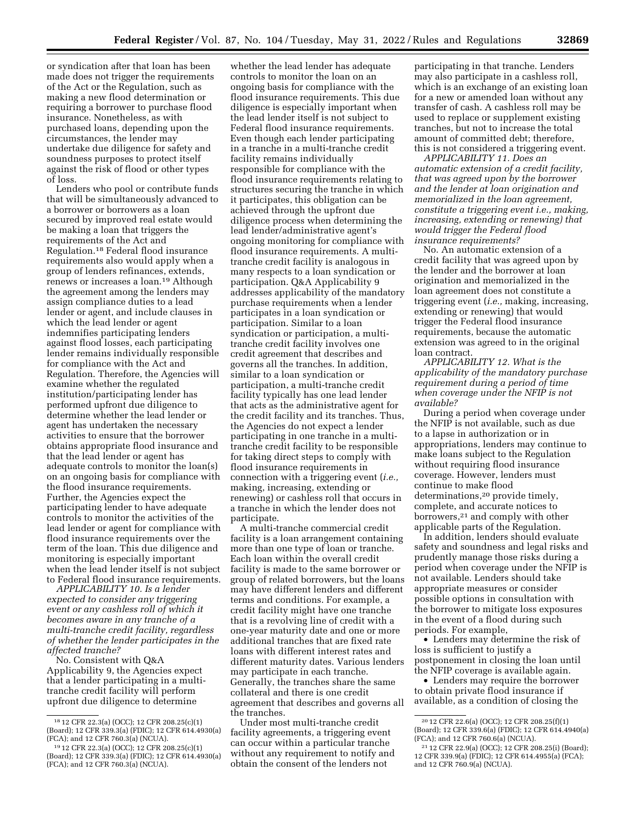or syndication after that loan has been made does not trigger the requirements of the Act or the Regulation, such as making a new flood determination or requiring a borrower to purchase flood insurance. Nonetheless, as with purchased loans, depending upon the circumstances, the lender may undertake due diligence for safety and soundness purposes to protect itself against the risk of flood or other types of loss.

Lenders who pool or contribute funds that will be simultaneously advanced to a borrower or borrowers as a loan secured by improved real estate would be making a loan that triggers the requirements of the Act and Regulation.18 Federal flood insurance requirements also would apply when a group of lenders refinances, extends, renews or increases a loan.19 Although the agreement among the lenders may assign compliance duties to a lead lender or agent, and include clauses in which the lead lender or agent indemnifies participating lenders against flood losses, each participating lender remains individually responsible for compliance with the Act and Regulation. Therefore, the Agencies will examine whether the regulated institution/participating lender has performed upfront due diligence to determine whether the lead lender or agent has undertaken the necessary activities to ensure that the borrower obtains appropriate flood insurance and that the lead lender or agent has adequate controls to monitor the loan(s) on an ongoing basis for compliance with the flood insurance requirements. Further, the Agencies expect the participating lender to have adequate controls to monitor the activities of the lead lender or agent for compliance with flood insurance requirements over the term of the loan. This due diligence and monitoring is especially important when the lead lender itself is not subject to Federal flood insurance requirements.

*APPLICABILITY 10. Is a lender expected to consider any triggering event or any cashless roll of which it becomes aware in any tranche of a multi-tranche credit facility, regardless of whether the lender participates in the affected tranche?* 

No. Consistent with Q&A Applicability 9, the Agencies expect that a lender participating in a multitranche credit facility will perform upfront due diligence to determine

whether the lead lender has adequate controls to monitor the loan on an ongoing basis for compliance with the flood insurance requirements. This due diligence is especially important when the lead lender itself is not subject to Federal flood insurance requirements. Even though each lender participating in a tranche in a multi-tranche credit facility remains individually responsible for compliance with the flood insurance requirements relating to structures securing the tranche in which it participates, this obligation can be achieved through the upfront due diligence process when determining the lead lender/administrative agent's ongoing monitoring for compliance with flood insurance requirements. A multitranche credit facility is analogous in many respects to a loan syndication or participation. Q&A Applicability 9 addresses applicability of the mandatory purchase requirements when a lender participates in a loan syndication or participation. Similar to a loan syndication or participation, a multitranche credit facility involves one credit agreement that describes and governs all the tranches. In addition, similar to a loan syndication or participation, a multi-tranche credit facility typically has one lead lender that acts as the administrative agent for the credit facility and its tranches. Thus, the Agencies do not expect a lender participating in one tranche in a multitranche credit facility to be responsible for taking direct steps to comply with flood insurance requirements in connection with a triggering event (*i.e.,*  making, increasing, extending or renewing) or cashless roll that occurs in a tranche in which the lender does not participate.

A multi-tranche commercial credit facility is a loan arrangement containing more than one type of loan or tranche. Each loan within the overall credit facility is made to the same borrower or group of related borrowers, but the loans may have different lenders and different terms and conditions. For example, a credit facility might have one tranche that is a revolving line of credit with a one-year maturity date and one or more additional tranches that are fixed rate loans with different interest rates and different maturity dates. Various lenders may participate in each tranche. Generally, the tranches share the same collateral and there is one credit agreement that describes and governs all the tranches.

Under most multi-tranche credit facility agreements, a triggering event can occur within a particular tranche without any requirement to notify and obtain the consent of the lenders not

participating in that tranche. Lenders may also participate in a cashless roll, which is an exchange of an existing loan for a new or amended loan without any transfer of cash. A cashless roll may be used to replace or supplement existing tranches, but not to increase the total amount of committed debt; therefore, this is not considered a triggering event.

*APPLICABILITY 11. Does an automatic extension of a credit facility, that was agreed upon by the borrower and the lender at loan origination and memorialized in the loan agreement, constitute a triggering event i.e., making, increasing, extending or renewing) that would trigger the Federal flood insurance requirements?* 

No. An automatic extension of a credit facility that was agreed upon by the lender and the borrower at loan origination and memorialized in the loan agreement does not constitute a triggering event (*i.e.,* making, increasing, extending or renewing) that would trigger the Federal flood insurance requirements, because the automatic extension was agreed to in the original loan contract.

*APPLICABILITY 12. What is the applicability of the mandatory purchase requirement during a period of time when coverage under the NFIP is not available?* 

During a period when coverage under the NFIP is not available, such as due to a lapse in authorization or in appropriations, lenders may continue to make loans subject to the Regulation without requiring flood insurance coverage. However, lenders must continue to make flood determinations,<sup>20</sup> provide timely, complete, and accurate notices to borrowers,21 and comply with other applicable parts of the Regulation.

In addition, lenders should evaluate safety and soundness and legal risks and prudently manage those risks during a period when coverage under the NFIP is not available. Lenders should take appropriate measures or consider possible options in consultation with the borrower to mitigate loss exposures in the event of a flood during such periods. For example,

• Lenders may determine the risk of loss is sufficient to justify a postponement in closing the loan until the NFIP coverage is available again.

• Lenders may require the borrower to obtain private flood insurance if available, as a condition of closing the

<sup>18</sup> 12 CFR 22.3(a) (OCC); 12 CFR 208.25(c)(1) (Board); 12 CFR 339.3(a) (FDIC); 12 CFR 614.4930(a) (FCA); and 12 CFR 760.3(a) (NCUA).

<sup>19</sup> 12 CFR 22.3(a) (OCC); 12 CFR 208.25(c)(1) (Board); 12 CFR 339.3(a) (FDIC); 12 CFR 614.4930(a) (FCA); and 12 CFR 760.3(a) (NCUA).

<sup>20</sup> 12 CFR 22.6(a) (OCC); 12 CFR 208.25(f)(1) (Board); 12 CFR 339.6(a) (FDIC); 12 CFR 614.4940(a) (FCA); and 12 CFR 760.6(a) (NCUA).

<sup>21</sup> 12 CFR 22.9(a) (OCC); 12 CFR 208.25(i) (Board); 12 CFR 339.9(a) (FDIC); 12 CFR 614.4955(a) (FCA); and 12 CFR 760.9(a) (NCUA).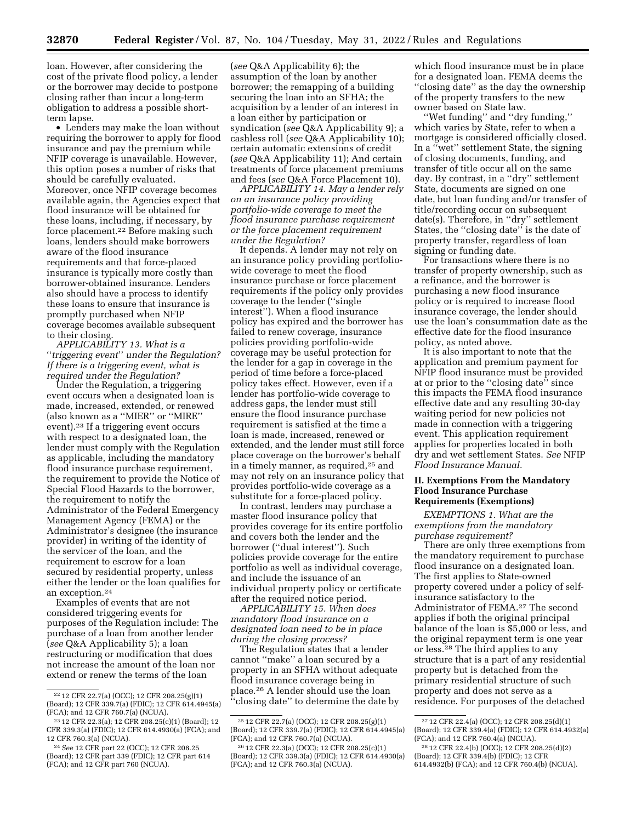loan. However, after considering the cost of the private flood policy, a lender or the borrower may decide to postpone closing rather than incur a long-term obligation to address a possible shortterm lapse.

• Lenders may make the loan without requiring the borrower to apply for flood insurance and pay the premium while NFIP coverage is unavailable. However, this option poses a number of risks that should be carefully evaluated. Moreover, once NFIP coverage becomes available again, the Agencies expect that flood insurance will be obtained for these loans, including, if necessary, by force placement.22 Before making such loans, lenders should make borrowers aware of the flood insurance requirements and that force-placed insurance is typically more costly than borrower-obtained insurance. Lenders also should have a process to identify these loans to ensure that insurance is promptly purchased when NFIP coverage becomes available subsequent to their closing.

*APPLICABILITY 13. What is a*  ''*triggering event*'' *under the Regulation? If there is a triggering event, what is required under the Regulation?* 

Under the Regulation, a triggering event occurs when a designated loan is made, increased, extended, or renewed (also known as a ''MIER'' or ''MIRE'' event).23 If a triggering event occurs with respect to a designated loan, the lender must comply with the Regulation as applicable, including the mandatory flood insurance purchase requirement, the requirement to provide the Notice of Special Flood Hazards to the borrower, the requirement to notify the Administrator of the Federal Emergency Management Agency (FEMA) or the Administrator's designee (the insurance provider) in writing of the identity of the servicer of the loan, and the requirement to escrow for a loan secured by residential property, unless either the lender or the loan qualifies for an exception.24

Examples of events that are not considered triggering events for purposes of the Regulation include: The purchase of a loan from another lender (*see* Q&A Applicability 5); a loan restructuring or modification that does not increase the amount of the loan nor extend or renew the terms of the loan

(*see* Q&A Applicability 6); the assumption of the loan by another borrower; the remapping of a building securing the loan into an SFHA; the acquisition by a lender of an interest in a loan either by participation or syndication (*see* Q&A Applicability 9); a cashless roll (*see* Q&A Applicability 10); certain automatic extensions of credit (*see* Q&A Applicability 11); And certain treatments of force placement premiums and fees (*see* Q&A Force Placement 10).

*APPLICABILITY 14. May a lender rely on an insurance policy providing portfolio-wide coverage to meet the flood insurance purchase requirement or the force placement requirement under the Regulation?* 

It depends. A lender may not rely on an insurance policy providing portfoliowide coverage to meet the flood insurance purchase or force placement requirements if the policy only provides coverage to the lender (''single interest''). When a flood insurance policy has expired and the borrower has failed to renew coverage, insurance policies providing portfolio-wide coverage may be useful protection for the lender for a gap in coverage in the period of time before a force-placed policy takes effect. However, even if a lender has portfolio-wide coverage to address gaps, the lender must still ensure the flood insurance purchase requirement is satisfied at the time a loan is made, increased, renewed or extended, and the lender must still force place coverage on the borrower's behalf in a timely manner, as required,25 and may not rely on an insurance policy that provides portfolio-wide coverage as a substitute for a force-placed policy.

In contrast, lenders may purchase a master flood insurance policy that provides coverage for its entire portfolio and covers both the lender and the borrower (''dual interest''). Such policies provide coverage for the entire portfolio as well as individual coverage, and include the issuance of an individual property policy or certificate after the required notice period.

*APPLICABILITY 15. When does mandatory flood insurance on a designated loan need to be in place during the closing process?* 

The Regulation states that a lender cannot ''make'' a loan secured by a property in an SFHA without adequate flood insurance coverage being in place.26 A lender should use the loan ''closing date'' to determine the date by which flood insurance must be in place for a designated loan. FEMA deems the ''closing date'' as the day the ownership of the property transfers to the new owner based on State law.

''Wet funding'' and ''dry funding,'' which varies by State, refer to when a mortgage is considered officially closed. In a ''wet'' settlement State, the signing of closing documents, funding, and transfer of title occur all on the same day. By contrast, in a ''dry'' settlement State, documents are signed on one date, but loan funding and/or transfer of title/recording occur on subsequent date(s). Therefore, in ''dry'' settlement States, the "closing date" is the date of property transfer, regardless of loan signing or funding date.

For transactions where there is no transfer of property ownership, such as a refinance, and the borrower is purchasing a new flood insurance policy or is required to increase flood insurance coverage, the lender should use the loan's consummation date as the effective date for the flood insurance policy, as noted above.

It is also important to note that the application and premium payment for NFIP flood insurance must be provided at or prior to the ''closing date'' since this impacts the FEMA flood insurance effective date and any resulting 30-day waiting period for new policies not made in connection with a triggering event. This application requirement applies for properties located in both dry and wet settlement States. *See* NFIP *Flood Insurance Manual.* 

### **II. Exemptions From the Mandatory Flood Insurance Purchase Requirements (Exemptions)**

*EXEMPTIONS 1. What are the exemptions from the mandatory purchase requirement?* 

There are only three exemptions from the mandatory requirement to purchase flood insurance on a designated loan. The first applies to State-owned property covered under a policy of selfinsurance satisfactory to the Administrator of FEMA.27 The second applies if both the original principal balance of the loan is \$5,000 or less, and the original repayment term is one year or less.28 The third applies to any structure that is a part of any residential property but is detached from the primary residential structure of such property and does not serve as a residence. For purposes of the detached

<sup>22</sup> 12 CFR 22.7(a) (OCC); 12 CFR 208.25(g)(1) (Board); 12 CFR 339.7(a) (FDIC); 12 CFR 614.4945(a) (FCA); and 12 CFR 760.7(a) (NCUA).

<sup>23</sup> 12 CFR 22.3(a); 12 CFR 208.25(c)(1) (Board); 12 CFR 339.3(a) (FDIC); 12 CFR 614.4930(a) (FCA); and 12 CFR 760.3(a) (NCUA).

<sup>24</sup>*See* 12 CFR part 22 (OCC); 12 CFR 208.25 (Board); 12 CFR part 339 (FDIC); 12 CFR part 614 (FCA); and 12 CFR part 760 (NCUA).

<sup>25</sup> 12 CFR 22.7(a) (OCC); 12 CFR 208.25(g)(1) (Board); 12 CFR 339.7(a) (FDIC); 12 CFR 614.4945(a) (FCA); and 12 CFR 760.7(a) (NCUA).

<sup>26</sup> 12 CFR 22.3(a) (OCC); 12 CFR 208.25(c)(1) (Board); 12 CFR 339.3(a) (FDIC); 12 CFR 614.4930(a) (FCA); and 12 CFR 760.3(a) (NCUA).

<sup>27</sup> 12 CFR 22.4(a) (OCC); 12 CFR 208.25(d)(1) (Board); 12 CFR 339.4(a) (FDIC); 12 CFR 614.4932(a) (FCA); and 12 CFR 760.4(a) (NCUA).

<sup>28</sup> 12 CFR 22.4(b) (OCC); 12 CFR 208.25(d)(2) (Board); 12 CFR 339.4(b) (FDIC); 12 CFR 614.4932(b) (FCA); and 12 CFR 760.4(b) (NCUA).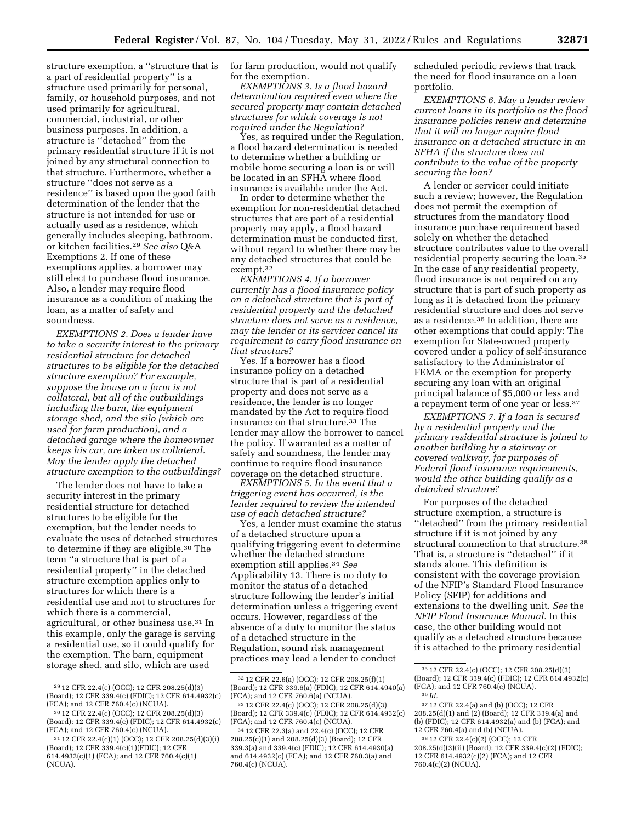structure exemption, a ''structure that is a part of residential property'' is a structure used primarily for personal, family, or household purposes, and not used primarily for agricultural, commercial, industrial, or other business purposes. In addition, a structure is ''detached'' from the primary residential structure if it is not joined by any structural connection to that structure. Furthermore, whether a structure ''does not serve as a residence'' is based upon the good faith determination of the lender that the structure is not intended for use or actually used as a residence, which generally includes sleeping, bathroom, or kitchen facilities.29 *See also* Q&A Exemptions 2. If one of these exemptions applies, a borrower may still elect to purchase flood insurance. Also, a lender may require flood insurance as a condition of making the loan, as a matter of safety and soundness.

*EXEMPTIONS 2. Does a lender have to take a security interest in the primary residential structure for detached structures to be eligible for the detached structure exemption? For example, suppose the house on a farm is not collateral, but all of the outbuildings including the barn, the equipment storage shed, and the silo (which are used for farm production), and a detached garage where the homeowner keeps his car, are taken as collateral. May the lender apply the detached structure exemption to the outbuildings?* 

The lender does not have to take a security interest in the primary residential structure for detached structures to be eligible for the exemption, but the lender needs to evaluate the uses of detached structures to determine if they are eligible.30 The term ''a structure that is part of a residential property'' in the detached structure exemption applies only to structures for which there is a residential use and not to structures for which there is a commercial, agricultural, or other business use.31 In this example, only the garage is serving a residential use, so it could qualify for the exemption. The barn, equipment storage shed, and silo, which are used

for farm production, would not qualify for the exemption.

*EXEMPTIONS 3. Is a flood hazard determination required even where the secured property may contain detached structures for which coverage is not required under the Regulation?* 

Yes, as required under the Regulation, a flood hazard determination is needed to determine whether a building or mobile home securing a loan is or will be located in an SFHA where flood insurance is available under the Act.

In order to determine whether the exemption for non-residential detached structures that are part of a residential property may apply, a flood hazard determination must be conducted first, without regard to whether there may be any detached structures that could be exempt.32

*EXEMPTIONS 4. If a borrower currently has a flood insurance policy on a detached structure that is part of residential property and the detached structure does not serve as a residence, may the lender or its servicer cancel its requirement to carry flood insurance on that structure?* 

Yes. If a borrower has a flood insurance policy on a detached structure that is part of a residential property and does not serve as a residence, the lender is no longer mandated by the Act to require flood insurance on that structure.33 The lender may allow the borrower to cancel the policy. If warranted as a matter of safety and soundness, the lender may continue to require flood insurance coverage on the detached structure.

*EXEMPTIONS 5. In the event that a triggering event has occurred, is the lender required to review the intended use of each detached structure?* 

Yes, a lender must examine the status of a detached structure upon a qualifying triggering event to determine whether the detached structure exemption still applies.34 *See*  Applicability 13. There is no duty to monitor the status of a detached structure following the lender's initial determination unless a triggering event occurs. However, regardless of the absence of a duty to monitor the status of a detached structure in the Regulation, sound risk management practices may lead a lender to conduct

scheduled periodic reviews that track the need for flood insurance on a loan portfolio.

*EXEMPTIONS 6. May a lender review current loans in its portfolio as the flood insurance policies renew and determine that it will no longer require flood insurance on a detached structure in an SFHA if the structure does not contribute to the value of the property securing the loan?* 

A lender or servicer could initiate such a review; however, the Regulation does not permit the exemption of structures from the mandatory flood insurance purchase requirement based solely on whether the detached structure contributes value to the overall residential property securing the loan.35 In the case of any residential property, flood insurance is not required on any structure that is part of such property as long as it is detached from the primary residential structure and does not serve as a residence.36 In addition, there are other exemptions that could apply: The exemption for State-owned property covered under a policy of self-insurance satisfactory to the Administrator of FEMA or the exemption for property securing any loan with an original principal balance of \$5,000 or less and a repayment term of one year or less.37

*EXEMPTIONS 7. If a loan is secured by a residential property and the primary residential structure is joined to another building by a stairway or covered walkway, for purposes of Federal flood insurance requirements, would the other building qualify as a detached structure?* 

For purposes of the detached structure exemption, a structure is ''detached'' from the primary residential structure if it is not joined by any structural connection to that structure.38 That is, a structure is ''detached'' if it stands alone. This definition is consistent with the coverage provision of the NFIP's Standard Flood Insurance Policy (SFIP) for additions and extensions to the dwelling unit. *See* the *NFIP Flood Insurance Manual.* In this case, the other building would not qualify as a detached structure because it is attached to the primary residential

<sup>29</sup> 12 CFR 22.4(c) (OCC); 12 CFR 208.25(d)(3) (Board); 12 CFR 339.4(c) (FDIC); 12 CFR 614.4932(c) (FCA); and 12 CFR 760.4(c) (NCUA).

<sup>30</sup> 12 CFR 22.4(c) (OCC); 12 CFR 208.25(d)(3) (Board); 12 CFR 339.4(c) (FDIC); 12 CFR 614.4932(c) (FCA); and 12 CFR 760.4(c) (NCUA).

<sup>31</sup> 12 CFR 22.4(c)(1) (OCC); 12 CFR 208.25(d)(3)(i) (Board); 12 CFR 339.4(c)(1)(FDIC); 12 CFR 614.4932(c)(1) (FCA); and 12 CFR 760.4(c)(1) (NCUA).

<sup>32</sup> 12 CFR 22.6(a) (OCC); 12 CFR 208.25(f)(1) (Board); 12 CFR 339.6(a) (FDIC); 12 CFR 614.4940(a) (FCA); and 12 CFR 760.6(a) (NCUA).

<sup>33</sup> 12 CFR 22.4(c) (OCC); 12 CFR 208.25(d)(3) (Board); 12 CFR 339.4(c) (FDIC); 12 CFR 614.4932(c) (FCA); and 12 CFR 760.4(c) (NCUA).

<sup>34</sup> 12 CFR 22.3(a) and 22.4(c) (OCC); 12 CFR 208.25(c)(1) and 208.25(d)(3) (Board); 12 CFR 339.3(a) and 339.4(c) (FDIC); 12 CFR 614.4930(a) and 614.4932(c) (FCA); and 12 CFR 760.3(a) and 760.4(c) (NCUA).

<sup>35</sup> 12 CFR 22.4(c) (OCC); 12 CFR 208.25(d)(3) (Board); 12 CFR 339.4(c) (FDIC); 12 CFR 614.4932(c) (FCA); and 12 CFR 760.4(c) (NCUA). 36 *Id.* 

<sup>37</sup> 12 CFR 22.4(a) and (b) (OCC); 12 CFR 208.25(d)(1) and (2) (Board); 12 CFR 339.4(a) and (b) (FDIC); 12 CFR 614.4932(a) and (b) (FCA); and 12 CFR 760.4(a) and (b) (NCUA).

<sup>38</sup> 12 CFR 22.4(c)(2) (OCC); 12 CFR 208.25(d)(3)(ii) (Board); 12 CFR 339.4(c)(2) (FDIC); 12 CFR 614.4932(c)(2) (FCA); and 12 CFR 760.4(c)(2) (NCUA).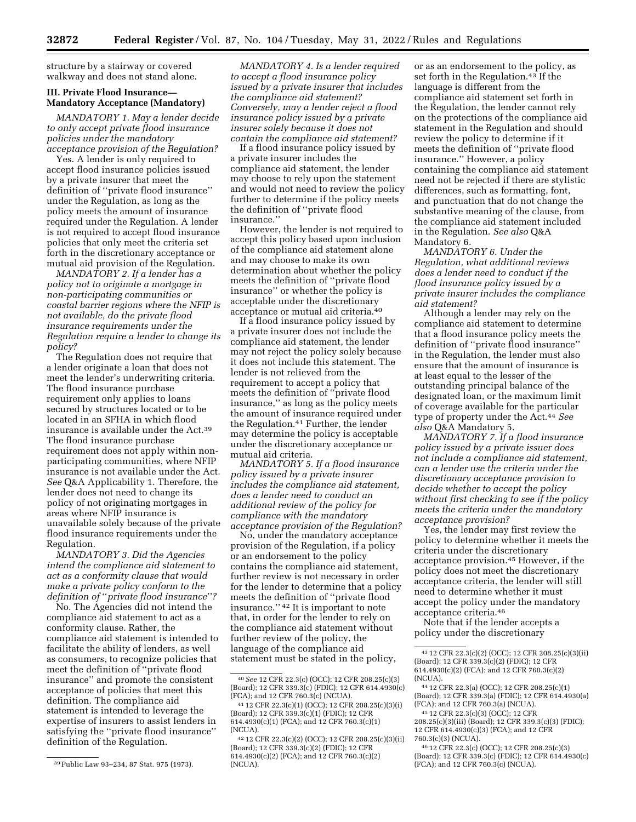structure by a stairway or covered walkway and does not stand alone.

#### **III. Private Flood Insurance— Mandatory Acceptance (Mandatory)**

*MANDATORY 1. May a lender decide to only accept private flood insurance policies under the mandatory acceptance provision of the Regulation?* 

Yes. A lender is only required to accept flood insurance policies issued by a private insurer that meet the definition of ''private flood insurance'' under the Regulation, as long as the policy meets the amount of insurance required under the Regulation. A lender is not required to accept flood insurance policies that only meet the criteria set forth in the discretionary acceptance or mutual aid provision of the Regulation.

*MANDATORY 2. If a lender has a policy not to originate a mortgage in non-participating communities or coastal barrier regions where the NFIP is not available, do the private flood insurance requirements under the Regulation require a lender to change its policy?* 

The Regulation does not require that a lender originate a loan that does not meet the lender's underwriting criteria. The flood insurance purchase requirement only applies to loans secured by structures located or to be located in an SFHA in which flood insurance is available under the Act.39 The flood insurance purchase requirement does not apply within nonparticipating communities, where NFIP insurance is not available under the Act. *See* Q&A Applicability 1. Therefore, the lender does not need to change its policy of not originating mortgages in areas where NFIP insurance is unavailable solely because of the private flood insurance requirements under the Regulation.

*MANDATORY 3. Did the Agencies intend the compliance aid statement to act as a conformity clause that would make a private policy conform to the definition of* ''*private flood insurance*''*?* 

No. The Agencies did not intend the compliance aid statement to act as a conformity clause. Rather, the compliance aid statement is intended to facilitate the ability of lenders, as well as consumers, to recognize policies that meet the definition of ''private flood insurance'' and promote the consistent acceptance of policies that meet this definition. The compliance aid statement is intended to leverage the expertise of insurers to assist lenders in satisfying the ''private flood insurance'' definition of the Regulation.

*MANDATORY 4. Is a lender required to accept a flood insurance policy issued by a private insurer that includes the compliance aid statement? Conversely, may a lender reject a flood insurance policy issued by a private insurer solely because it does not contain the compliance aid statement?* 

If a flood insurance policy issued by a private insurer includes the compliance aid statement, the lender may choose to rely upon the statement and would not need to review the policy further to determine if the policy meets the definition of ''private flood insurance.''

However, the lender is not required to accept this policy based upon inclusion of the compliance aid statement alone and may choose to make its own determination about whether the policy meets the definition of ''private flood insurance'' or whether the policy is acceptable under the discretionary acceptance or mutual aid criteria.40

If a flood insurance policy issued by a private insurer does not include the compliance aid statement, the lender may not reject the policy solely because it does not include this statement. The lender is not relieved from the requirement to accept a policy that meets the definition of ''private flood insurance,'' as long as the policy meets the amount of insurance required under the Regulation.41 Further, the lender may determine the policy is acceptable under the discretionary acceptance or mutual aid criteria.

*MANDATORY 5. If a flood insurance policy issued by a private insurer includes the compliance aid statement, does a lender need to conduct an additional review of the policy for compliance with the mandatory acceptance provision of the Regulation?* 

No, under the mandatory acceptance provision of the Regulation, if a policy or an endorsement to the policy contains the compliance aid statement, further review is not necessary in order for the lender to determine that a policy meets the definition of ''private flood insurance.'' 42 It is important to note that, in order for the lender to rely on the compliance aid statement without further review of the policy, the language of the compliance aid statement must be stated in the policy,

or as an endorsement to the policy, as set forth in the Regulation.<sup>43</sup> If the language is different from the compliance aid statement set forth in the Regulation, the lender cannot rely on the protections of the compliance aid statement in the Regulation and should review the policy to determine if it meets the definition of ''private flood insurance.'' However, a policy containing the compliance aid statement need not be rejected if there are stylistic differences, such as formatting, font, and punctuation that do not change the substantive meaning of the clause, from the compliance aid statement included in the Regulation. *See also* Q&A Mandatory 6.

*MANDATORY 6. Under the Regulation, what additional reviews does a lender need to conduct if the flood insurance policy issued by a private insurer includes the compliance aid statement?* 

Although a lender may rely on the compliance aid statement to determine that a flood insurance policy meets the definition of ''private flood insurance'' in the Regulation, the lender must also ensure that the amount of insurance is at least equal to the lesser of the outstanding principal balance of the designated loan, or the maximum limit of coverage available for the particular type of property under the Act.44 *See also* Q&A Mandatory 5.

*MANDATORY 7. If a flood insurance policy issued by a private issuer does not include a compliance aid statement, can a lender use the criteria under the discretionary acceptance provision to decide whether to accept the policy without first checking to see if the policy meets the criteria under the mandatory acceptance provision?* 

Yes, the lender may first review the policy to determine whether it meets the criteria under the discretionary acceptance provision.45 However, if the policy does not meet the discretionary acceptance criteria, the lender will still need to determine whether it must accept the policy under the mandatory acceptance criteria.46

Note that if the lender accepts a policy under the discretionary

<sup>39</sup>Public Law 93–234, 87 Stat. 975 (1973).

<sup>40</sup>*See* 12 CFR 22.3(c) (OCC); 12 CFR 208.25(c)(3) (Board); 12 CFR 339.3(c) (FDIC); 12 CFR 614.4930(c) (FCA); and 12 CFR 760.3(c) (NCUA).

<sup>41</sup> 12 CFR 22.3(c)(1) (OCC); 12 CFR 208.25(c)(3)(i) (Board); 12 CFR 339.3(c)(1) (FDIC); 12 CFR 614.4930(c)(1) (FCA); and 12 CFR 760.3(c)(1) (NCUA).

<sup>42</sup> 12 CFR 22.3(c)(2) (OCC); 12 CFR 208.25(c)(3)(ii) (Board); 12 CFR 339.3(c)(2) (FDIC); 12 CFR 614.4930(c)(2) (FCA); and 12 CFR 760.3(c)(2) (NCUA).

<sup>43</sup> 12 CFR 22.3(c)(2) (OCC); 12 CFR 208.25(c)(3)(ii) (Board); 12 CFR 339.3(c)(2) (FDIC); 12 CFR 614.4930(c)(2) (FCA); and 12 CFR 760.3(c)(2) (NCUA).

<sup>44</sup> 12 CFR 22.3(a) (OCC); 12 CFR 208.25(c)(1) (Board); 12 CFR 339.3(a) (FDIC); 12 CFR 614.4930(a) (FCA); and 12 CFR 760.3(a) (NCUA).

<sup>45</sup> 12 CFR 22.3(c)(3) (OCC); 12 CFR

<sup>208.25(</sup>c)(3)(iii) (Board); 12 CFR 339.3(c)(3) (FDIC); 12 CFR 614.4930(c)(3) (FCA); and 12 CFR 760.3(c)(3) (NCUA).

<sup>46</sup> 12 CFR 22.3(c) (OCC); 12 CFR 208.25(c)(3) (Board); 12 CFR 339.3(c) (FDIC); 12 CFR 614.4930(c) (FCA); and 12 CFR 760.3(c) (NCUA).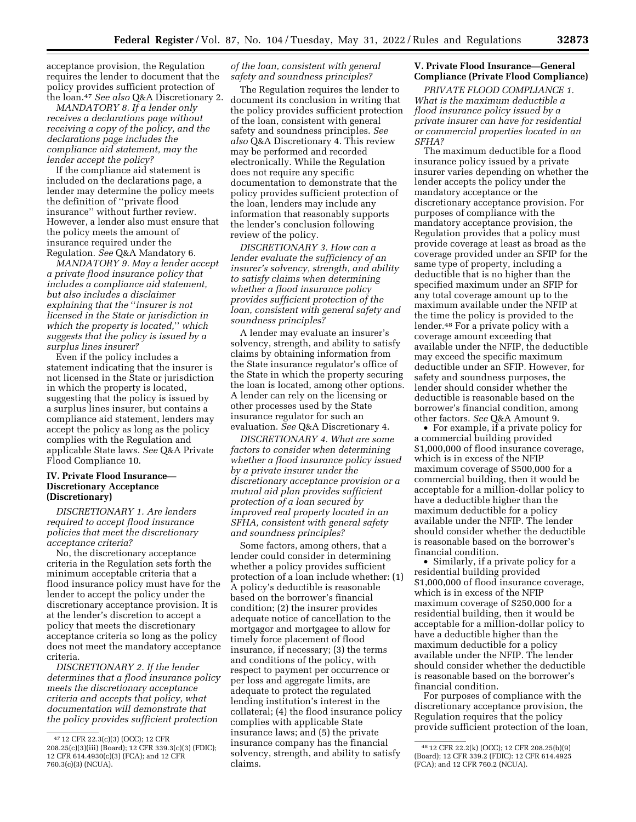acceptance provision, the Regulation requires the lender to document that the policy provides sufficient protection of the loan.47 *See also* Q&A Discretionary 2.

*MANDATORY 8. If a lender only receives a declarations page without receiving a copy of the policy, and the declarations page includes the compliance aid statement, may the lender accept the policy?* 

If the compliance aid statement is included on the declarations page, a lender may determine the policy meets the definition of ''private flood insurance'' without further review. However, a lender also must ensure that the policy meets the amount of insurance required under the Regulation. *See* Q&A Mandatory 6.

*MANDATORY 9. May a lender accept a private flood insurance policy that includes a compliance aid statement, but also includes a disclaimer explaining that the* ''*insurer is not licensed in the State or jurisdiction in which the property is located,*'' *which suggests that the policy is issued by a surplus lines insurer?* 

Even if the policy includes a statement indicating that the insurer is not licensed in the State or jurisdiction in which the property is located, suggesting that the policy is issued by a surplus lines insurer, but contains a compliance aid statement, lenders may accept the policy as long as the policy complies with the Regulation and applicable State laws. *See* Q&A Private Flood Compliance 10.

### **IV. Private Flood Insurance— Discretionary Acceptance (Discretionary)**

*DISCRETIONARY 1. Are lenders required to accept flood insurance policies that meet the discretionary acceptance criteria?* 

No, the discretionary acceptance criteria in the Regulation sets forth the minimum acceptable criteria that a flood insurance policy must have for the lender to accept the policy under the discretionary acceptance provision. It is at the lender's discretion to accept a policy that meets the discretionary acceptance criteria so long as the policy does not meet the mandatory acceptance criteria.

*DISCRETIONARY 2. If the lender determines that a flood insurance policy meets the discretionary acceptance criteria and accepts that policy, what documentation will demonstrate that the policy provides sufficient protection* 

#### *of the loan, consistent with general safety and soundness principles?*

The Regulation requires the lender to document its conclusion in writing that the policy provides sufficient protection of the loan, consistent with general safety and soundness principles. *See also* Q&A Discretionary 4. This review may be performed and recorded electronically. While the Regulation does not require any specific documentation to demonstrate that the policy provides sufficient protection of the loan, lenders may include any information that reasonably supports the lender's conclusion following review of the policy.

*DISCRETIONARY 3. How can a lender evaluate the sufficiency of an insurer's solvency, strength, and ability to satisfy claims when determining whether a flood insurance policy provides sufficient protection of the loan, consistent with general safety and soundness principles?* 

A lender may evaluate an insurer's solvency, strength, and ability to satisfy claims by obtaining information from the State insurance regulator's office of the State in which the property securing the loan is located, among other options. A lender can rely on the licensing or other processes used by the State insurance regulator for such an evaluation. *See* Q&A Discretionary 4.

*DISCRETIONARY 4. What are some factors to consider when determining whether a flood insurance policy issued by a private insurer under the discretionary acceptance provision or a mutual aid plan provides sufficient protection of a loan secured by improved real property located in an SFHA, consistent with general safety and soundness principles?* 

Some factors, among others, that a lender could consider in determining whether a policy provides sufficient protection of a loan include whether: (1) A policy's deductible is reasonable based on the borrower's financial condition; (2) the insurer provides adequate notice of cancellation to the mortgagor and mortgagee to allow for timely force placement of flood insurance, if necessary; (3) the terms and conditions of the policy, with respect to payment per occurrence or per loss and aggregate limits, are adequate to protect the regulated lending institution's interest in the collateral; (4) the flood insurance policy complies with applicable State insurance laws; and (5) the private insurance company has the financial solvency, strength, and ability to satisfy claims.

# **V. Private Flood Insurance—General Compliance (Private Flood Compliance)**

*PRIVATE FLOOD COMPLIANCE 1. What is the maximum deductible a flood insurance policy issued by a private insurer can have for residential or commercial properties located in an SFHA?* 

The maximum deductible for a flood insurance policy issued by a private insurer varies depending on whether the lender accepts the policy under the mandatory acceptance or the discretionary acceptance provision. For purposes of compliance with the mandatory acceptance provision, the Regulation provides that a policy must provide coverage at least as broad as the coverage provided under an SFIP for the same type of property, including a deductible that is no higher than the specified maximum under an SFIP for any total coverage amount up to the maximum available under the NFIP at the time the policy is provided to the lender.48 For a private policy with a coverage amount exceeding that available under the NFIP, the deductible may exceed the specific maximum deductible under an SFIP. However, for safety and soundness purposes, the lender should consider whether the deductible is reasonable based on the borrower's financial condition, among other factors. *See* Q&A Amount 9.

• For example, if a private policy for a commercial building provided \$1,000,000 of flood insurance coverage, which is in excess of the NFIP maximum coverage of \$500,000 for a commercial building, then it would be acceptable for a million-dollar policy to have a deductible higher than the maximum deductible for a policy available under the NFIP. The lender should consider whether the deductible is reasonable based on the borrower's financial condition.

• Similarly, if a private policy for a residential building provided \$1,000,000 of flood insurance coverage, which is in excess of the NFIP maximum coverage of \$250,000 for a residential building, then it would be acceptable for a million-dollar policy to have a deductible higher than the maximum deductible for a policy available under the NFIP. The lender should consider whether the deductible is reasonable based on the borrower's financial condition.

For purposes of compliance with the discretionary acceptance provision, the Regulation requires that the policy provide sufficient protection of the loan,

<sup>47</sup> 12 CFR 22.3(c)(3) (OCC); 12 CFR 208.25(c)(3)(iii) (Board); 12 CFR 339.3(c)(3) (FDIC); 12 CFR 614.4930(c)(3) (FCA); and 12 CFR 760.3(c)(3) (NCUA).

<sup>48</sup> 12 CFR 22.2(k) (OCC); 12 CFR 208.25(b)(9) (Board); 12 CFR 339.2 (FDIC): 12 CFR 614.4925 (FCA); and 12 CFR 760.2 (NCUA).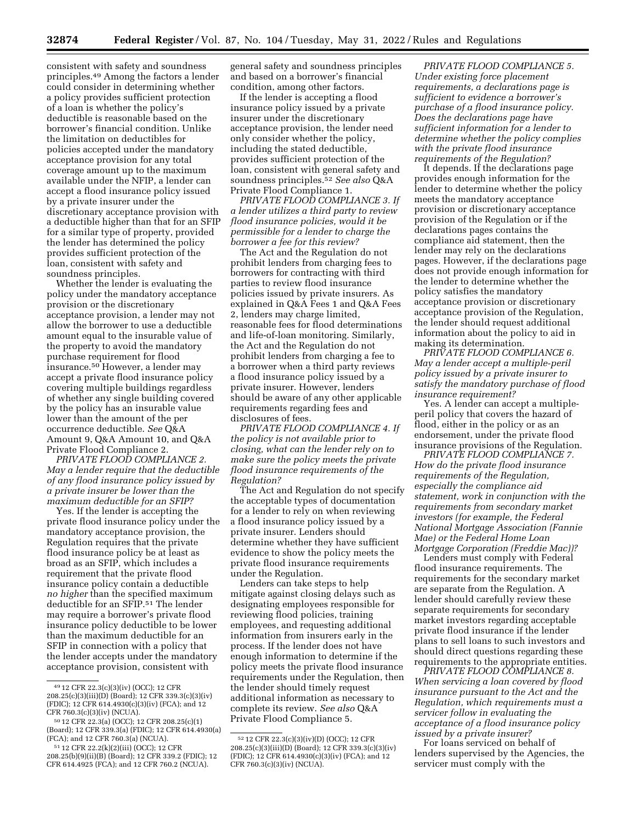consistent with safety and soundness principles.49 Among the factors a lender could consider in determining whether a policy provides sufficient protection of a loan is whether the policy's deductible is reasonable based on the borrower's financial condition. Unlike the limitation on deductibles for policies accepted under the mandatory acceptance provision for any total coverage amount up to the maximum available under the NFIP, a lender can accept a flood insurance policy issued by a private insurer under the discretionary acceptance provision with a deductible higher than that for an SFIP for a similar type of property, provided the lender has determined the policy provides sufficient protection of the loan, consistent with safety and soundness principles.

Whether the lender is evaluating the policy under the mandatory acceptance provision or the discretionary acceptance provision, a lender may not allow the borrower to use a deductible amount equal to the insurable value of the property to avoid the mandatory purchase requirement for flood insurance.50 However, a lender may accept a private flood insurance policy covering multiple buildings regardless of whether any single building covered by the policy has an insurable value lower than the amount of the per occurrence deductible. *See* Q&A Amount 9, Q&A Amount 10, and Q&A Private Flood Compliance 2.

*PRIVATE FLOOD COMPLIANCE 2. May a lender require that the deductible of any flood insurance policy issued by a private insurer be lower than the maximum deductible for an SFIP?* 

Yes. If the lender is accepting the private flood insurance policy under the mandatory acceptance provision, the Regulation requires that the private flood insurance policy be at least as broad as an SFIP, which includes a requirement that the private flood insurance policy contain a deductible *no higher* than the specified maximum deductible for an SFIP.51 The lender may require a borrower's private flood insurance policy deductible to be lower than the maximum deductible for an SFIP in connection with a policy that the lender accepts under the mandatory acceptance provision, consistent with

general safety and soundness principles and based on a borrower's financial condition, among other factors.

If the lender is accepting a flood insurance policy issued by a private insurer under the discretionary acceptance provision, the lender need only consider whether the policy, including the stated deductible, provides sufficient protection of the loan, consistent with general safety and soundness principles.52 *See also* Q&A Private Flood Compliance 1.

*PRIVATE FLOOD COMPLIANCE 3. If a lender utilizes a third party to review flood insurance policies, would it be permissible for a lender to charge the borrower a fee for this review?* 

The Act and the Regulation do not prohibit lenders from charging fees to borrowers for contracting with third parties to review flood insurance policies issued by private insurers. As explained in Q&A Fees 1 and Q&A Fees 2, lenders may charge limited, reasonable fees for flood determinations and life-of-loan monitoring. Similarly, the Act and the Regulation do not prohibit lenders from charging a fee to a borrower when a third party reviews a flood insurance policy issued by a private insurer. However, lenders should be aware of any other applicable requirements regarding fees and disclosures of fees.

*PRIVATE FLOOD COMPLIANCE 4. If the policy is not available prior to closing, what can the lender rely on to make sure the policy meets the private flood insurance requirements of the Regulation?* 

The Act and Regulation do not specify the acceptable types of documentation for a lender to rely on when reviewing a flood insurance policy issued by a private insurer. Lenders should determine whether they have sufficient evidence to show the policy meets the private flood insurance requirements under the Regulation.

Lenders can take steps to help mitigate against closing delays such as designating employees responsible for reviewing flood policies, training employees, and requesting additional information from insurers early in the process. If the lender does not have enough information to determine if the policy meets the private flood insurance requirements under the Regulation, then the lender should timely request additional information as necessary to complete its review. *See also* Q&A Private Flood Compliance 5.

*PRIVATE FLOOD COMPLIANCE 5. Under existing force placement requirements, a declarations page is sufficient to evidence a borrower's purchase of a flood insurance policy. Does the declarations page have sufficient information for a lender to determine whether the policy complies with the private flood insurance requirements of the Regulation?* 

It depends. If the declarations page provides enough information for the lender to determine whether the policy meets the mandatory acceptance provision or discretionary acceptance provision of the Regulation or if the declarations pages contains the compliance aid statement, then the lender may rely on the declarations pages. However, if the declarations page does not provide enough information for the lender to determine whether the policy satisfies the mandatory acceptance provision or discretionary acceptance provision of the Regulation, the lender should request additional information about the policy to aid in making its determination.

*PRIVATE FLOOD COMPLIANCE 6. May a lender accept a multiple-peril policy issued by a private insurer to satisfy the mandatory purchase of flood insurance requirement?* 

Yes. A lender can accept a multipleperil policy that covers the hazard of flood, either in the policy or as an endorsement, under the private flood insurance provisions of the Regulation.

*PRIVATE FLOOD COMPLIANCE 7. How do the private flood insurance requirements of the Regulation, especially the compliance aid statement, work in conjunction with the requirements from secondary market investors (for example, the Federal National Mortgage Association (Fannie Mae) or the Federal Home Loan Mortgage Corporation (Freddie Mac))?* 

Lenders must comply with Federal flood insurance requirements. The requirements for the secondary market are separate from the Regulation. A lender should carefully review these separate requirements for secondary market investors regarding acceptable private flood insurance if the lender plans to sell loans to such investors and should direct questions regarding these requirements to the appropriate entities.

*PRIVATE FLOOD COMPLIANCE 8. When servicing a loan covered by flood insurance pursuant to the Act and the Regulation, which requirements must a servicer follow in evaluating the acceptance of a flood insurance policy issued by a private insurer?* 

For loans serviced on behalf of lenders supervised by the Agencies, the servicer must comply with the

<sup>49</sup> 12 CFR 22.3(c)(3)(iv) (OCC); 12 CFR 208.25(c)(3)(iii)(D) (Board); 12 CFR 339.3(c)(3)(iv) (FDIC); 12 CFR 614.4930(c)(3)(iv) (FCA); and 12 CFR 760.3(c)(3)(iv) (NCUA).

<sup>50</sup> 12 CFR 22.3(a) (OCC); 12 CFR 208.25(c)(1) (Board); 12 CFR 339.3(a) (FDIC); 12 CFR 614.4930(a) (FCA); and 12 CFR 760.3(a) (NCUA).

<sup>51</sup> 12 CFR 22.2(k)(2)(iii) (OCC); 12 CFR 208.25(b)(9)(ii)(B) (Board); 12 CFR 339.2 (FDIC); 12 CFR 614.4925 (FCA); and 12 CFR 760.2 (NCUA).

<sup>52</sup> 12 CFR 22.3(c)(3)(iv)(D) (OCC); 12 CFR 208.25(c)(3)(iii)(D) (Board); 12 CFR 339.3(c)(3)(iv) (FDIC); 12 CFR 614.4930(c)(3)(iv) (FCA); and 12 CFR 760.3(c)(3)(iv) (NCUA).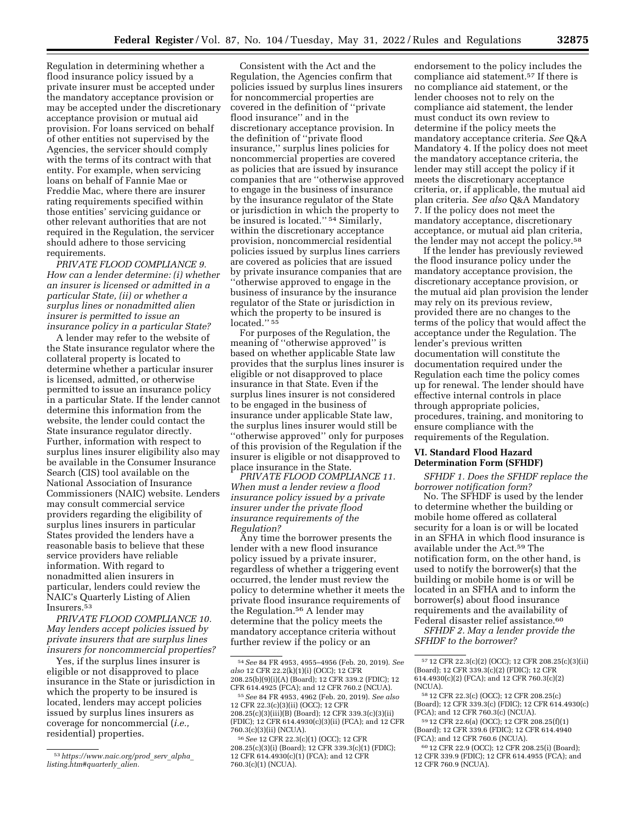Regulation in determining whether a flood insurance policy issued by a private insurer must be accepted under the mandatory acceptance provision or may be accepted under the discretionary acceptance provision or mutual aid provision. For loans serviced on behalf of other entities not supervised by the Agencies, the servicer should comply with the terms of its contract with that entity. For example, when servicing loans on behalf of Fannie Mae or Freddie Mac, where there are insurer rating requirements specified within those entities' servicing guidance or other relevant authorities that are not required in the Regulation, the servicer should adhere to those servicing requirements.

*PRIVATE FLOOD COMPLIANCE 9. How can a lender determine: (i) whether an insurer is licensed or admitted in a particular State, (ii) or whether a surplus lines or nonadmitted alien insurer is permitted to issue an insurance policy in a particular State?* 

A lender may refer to the website of the State insurance regulator where the collateral property is located to determine whether a particular insurer is licensed, admitted, or otherwise permitted to issue an insurance policy in a particular State. If the lender cannot determine this information from the website, the lender could contact the State insurance regulator directly. Further, information with respect to surplus lines insurer eligibility also may be available in the Consumer Insurance Search (CIS) tool available on the National Association of Insurance Commissioners (NAIC) website. Lenders may consult commercial service providers regarding the eligibility of surplus lines insurers in particular States provided the lenders have a reasonable basis to believe that these service providers have reliable information. With regard to nonadmitted alien insurers in particular, lenders could review the NAIC's Quarterly Listing of Alien Insurers.53

*PRIVATE FLOOD COMPLIANCE 10. May lenders accept policies issued by private insurers that are surplus lines insurers for noncommercial properties?* 

Yes, if the surplus lines insurer is eligible or not disapproved to place insurance in the State or jurisdiction in which the property to be insured is located, lenders may accept policies issued by surplus lines insurers as coverage for noncommercial (*i.e.,*  residential) properties.

Consistent with the Act and the Regulation, the Agencies confirm that policies issued by surplus lines insurers for noncommercial properties are covered in the definition of ''private flood insurance'' and in the discretionary acceptance provision. In the definition of ''private flood insurance,'' surplus lines policies for noncommercial properties are covered as policies that are issued by insurance companies that are ''otherwise approved to engage in the business of insurance by the insurance regulator of the State or jurisdiction in which the property to be insured is located.'' 54 Similarly, within the discretionary acceptance provision, noncommercial residential policies issued by surplus lines carriers are covered as policies that are issued by private insurance companies that are ''otherwise approved to engage in the business of insurance by the insurance regulator of the State or jurisdiction in which the property to be insured is located."<sup>55</sup>

For purposes of the Regulation, the meaning of ''otherwise approved'' is based on whether applicable State law provides that the surplus lines insurer is eligible or not disapproved to place insurance in that State. Even if the surplus lines insurer is not considered to be engaged in the business of insurance under applicable State law, the surplus lines insurer would still be ''otherwise approved'' only for purposes of this provision of the Regulation if the insurer is eligible or not disapproved to place insurance in the State.

*PRIVATE FLOOD COMPLIANCE 11. When must a lender review a flood insurance policy issued by a private insurer under the private flood insurance requirements of the Regulation?* 

Any time the borrower presents the lender with a new flood insurance policy issued by a private insurer, regardless of whether a triggering event occurred, the lender must review the policy to determine whether it meets the private flood insurance requirements of the Regulation.56 A lender may determine that the policy meets the mandatory acceptance criteria without further review if the policy or an

endorsement to the policy includes the compliance aid statement.57 If there is no compliance aid statement, or the lender chooses not to rely on the compliance aid statement, the lender must conduct its own review to determine if the policy meets the mandatory acceptance criteria. *See* Q&A Mandatory 4. If the policy does not meet the mandatory acceptance criteria, the lender may still accept the policy if it meets the discretionary acceptance criteria, or, if applicable, the mutual aid plan criteria. *See also* Q&A Mandatory 7. If the policy does not meet the mandatory acceptance, discretionary acceptance, or mutual aid plan criteria, the lender may not accept the policy.58

If the lender has previously reviewed the flood insurance policy under the mandatory acceptance provision, the discretionary acceptance provision, or the mutual aid plan provision the lender may rely on its previous review, provided there are no changes to the terms of the policy that would affect the acceptance under the Regulation. The lender's previous written documentation will constitute the documentation required under the Regulation each time the policy comes up for renewal. The lender should have effective internal controls in place through appropriate policies, procedures, training, and monitoring to ensure compliance with the requirements of the Regulation.

## **VI. Standard Flood Hazard Determination Form (SFHDF)**

*SFHDF 1. Does the SFHDF replace the borrower notification form?* 

No. The SFHDF is used by the lender to determine whether the building or mobile home offered as collateral security for a loan is or will be located in an SFHA in which flood insurance is available under the Act.59 The notification form, on the other hand, is used to notify the borrower(s) that the building or mobile home is or will be located in an SFHA and to inform the borrower(s) about flood insurance requirements and the availability of Federal disaster relief assistance.<sup>60</sup>

*SFHDF 2. May a lender provide the SFHDF to the borrower?* 

<sup>53</sup>*[https://www.naic.org/prod](https://www.naic.org/prod_serv_alpha_listing.htm#quarterly_alien)*\_*serv*\_*alpha*\_ *[listing.htm#quarterly](https://www.naic.org/prod_serv_alpha_listing.htm#quarterly_alien)*\_*alien.* 

<sup>54</sup>*See* 84 FR 4953, 4955–4956 (Feb. 20, 2019). *See also* 12 CFR 22.2(k)(1)(i) (OCC); 12 CFR 208.25(b)(9)(i)(A) (Board); 12 CFR 339.2 (FDIC); 12 CFR 614.4925 (FCA); and 12 CFR 760.2 (NCUA).

<sup>55</sup>*See* 84 FR 4953, 4962 (Feb. 20, 2019). *See also*  12 CFR 22.3(c)(3)(ii) (OCC); 12 CFR 208.25(c)(3)(iii)(B) (Board); 12 CFR 339.3(c)(3)(ii) (FDIC); 12 CFR 614.4930(c)(3)(ii) (FCA); and 12 CFR 760.3(c)(3)(ii) (NCUA).

<sup>56</sup>*See* 12 CFR 22.3(c)(1) (OCC); 12 CFR 208.25(c)(3)(i) (Board); 12 CFR 339.3(c)(1) (FDIC); 12 CFR 614.4930(c)(1) (FCA); and 12 CFR 760.3(c)(1) (NCUA).

<sup>57</sup> 12 CFR 22.3(c)(2) (OCC); 12 CFR 208.25(c)(3)(ii) (Board); 12 CFR 339.3(c)(2) (FDIC); 12 CFR 614.4930(c)(2) (FCA); and 12 CFR 760.3(c)(2) (NCUA).

<sup>58</sup> 12 CFR 22.3(c) (OCC); 12 CFR 208.25(c) (Board); 12 CFR 339.3(c) (FDIC); 12 CFR 614.4930(c) (FCA); and 12 CFR 760.3(c) (NCUA).

<sup>59</sup> 12 CFR 22.6(a) (OCC); 12 CFR 208.25(f)(1) (Board); 12 CFR 339.6 (FDIC); 12 CFR 614.4940 (FCA); and 12 CFR 760.6 (NCUA).

<sup>60</sup> 12 CFR 22.9 (OCC); 12 CFR 208.25(i) (Board); 12 CFR 339.9 (FDIC); 12 CFR 614.4955 (FCA); and 12 CFR 760.9 (NCUA).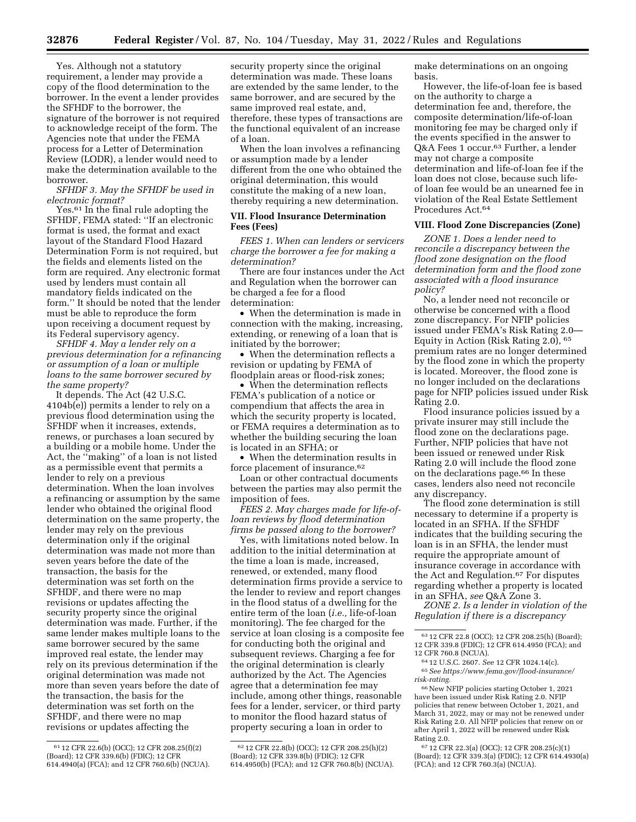Yes. Although not a statutory requirement, a lender may provide a copy of the flood determination to the borrower. In the event a lender provides the SFHDF to the borrower, the signature of the borrower is not required to acknowledge receipt of the form. The Agencies note that under the FEMA process for a Letter of Determination Review (LODR), a lender would need to make the determination available to the borrower.

*SFHDF 3. May the SFHDF be used in electronic format?* 

Yes.<sup>61</sup> In the final rule adopting the SFHDF, FEMA stated: ''If an electronic format is used, the format and exact layout of the Standard Flood Hazard Determination Form is not required, but the fields and elements listed on the form are required. Any electronic format used by lenders must contain all mandatory fields indicated on the form.'' It should be noted that the lender must be able to reproduce the form upon receiving a document request by its Federal supervisory agency.

*SFHDF 4. May a lender rely on a previous determination for a refinancing or assumption of a loan or multiple loans to the same borrower secured by the same property?* 

It depends. The Act (42 U.S.C. 4104b(e)) permits a lender to rely on a previous flood determination using the SFHDF when it increases, extends, renews, or purchases a loan secured by a building or a mobile home. Under the Act, the ''making'' of a loan is not listed as a permissible event that permits a lender to rely on a previous determination. When the loan involves a refinancing or assumption by the same lender who obtained the original flood determination on the same property, the lender may rely on the previous determination only if the original determination was made not more than seven years before the date of the transaction, the basis for the determination was set forth on the SFHDF, and there were no map revisions or updates affecting the security property since the original determination was made. Further, if the same lender makes multiple loans to the same borrower secured by the same improved real estate, the lender may rely on its previous determination if the original determination was made not more than seven years before the date of the transaction, the basis for the determination was set forth on the SFHDF, and there were no map revisions or updates affecting the

security property since the original determination was made. These loans are extended by the same lender, to the same borrower, and are secured by the same improved real estate, and, therefore, these types of transactions are the functional equivalent of an increase of a loan.

When the loan involves a refinancing or assumption made by a lender different from the one who obtained the original determination, this would constitute the making of a new loan, thereby requiring a new determination.

## **VII. Flood Insurance Determination Fees (Fees)**

*FEES 1. When can lenders or servicers charge the borrower a fee for making a determination?* 

There are four instances under the Act and Regulation when the borrower can be charged a fee for a flood determination:

• When the determination is made in connection with the making, increasing, extending, or renewing of a loan that is initiated by the borrower;

• When the determination reflects a revision or updating by FEMA of floodplain areas or flood-risk zones;

• When the determination reflects FEMA's publication of a notice or compendium that affects the area in which the security property is located, or FEMA requires a determination as to whether the building securing the loan is located in an SFHA; or

• When the determination results in force placement of insurance.62

Loan or other contractual documents between the parties may also permit the imposition of fees.

*FEES 2. May charges made for life-ofloan reviews by flood determination firms be passed along to the borrower?* 

Yes, with limitations noted below. In addition to the initial determination at the time a loan is made, increased, renewed, or extended, many flood determination firms provide a service to the lender to review and report changes in the flood status of a dwelling for the entire term of the loan (*i.e.,* life-of-loan monitoring). The fee charged for the service at loan closing is a composite fee for conducting both the original and subsequent reviews. Charging a fee for the original determination is clearly authorized by the Act. The Agencies agree that a determination fee may include, among other things, reasonable fees for a lender, servicer, or third party to monitor the flood hazard status of property securing a loan in order to

make determinations on an ongoing basis.

However, the life-of-loan fee is based on the authority to charge a determination fee and, therefore, the composite determination/life-of-loan monitoring fee may be charged only if the events specified in the answer to Q&A Fees 1 occur.63 Further, a lender may not charge a composite determination and life-of-loan fee if the loan does not close, because such lifeof loan fee would be an unearned fee in violation of the Real Estate Settlement Procedures Act.64

#### **VIII. Flood Zone Discrepancies (Zone)**

*ZONE 1. Does a lender need to reconcile a discrepancy between the flood zone designation on the flood determination form and the flood zone associated with a flood insurance policy?* 

No, a lender need not reconcile or otherwise be concerned with a flood zone discrepancy. For NFIP policies issued under FEMA's Risk Rating 2.0— Equity in Action (Risk Rating 2.0), 65 premium rates are no longer determined by the flood zone in which the property is located. Moreover, the flood zone is no longer included on the declarations page for NFIP policies issued under Risk Rating 2.0.

Flood insurance policies issued by a private insurer may still include the flood zone on the declarations page. Further, NFIP policies that have not been issued or renewed under Risk Rating 2.0 will include the flood zone on the declarations page.66 In these cases, lenders also need not reconcile any discrepancy.

The flood zone determination is still necessary to determine if a property is located in an SFHA. If the SFHDF indicates that the building securing the loan is in an SFHA, the lender must require the appropriate amount of insurance coverage in accordance with the Act and Regulation.<sup>67</sup> For disputes regarding whether a property is located in an SFHA, *see* Q&A Zone 3.

*ZONE 2. Is a lender in violation of the Regulation if there is a discrepancy* 

<sup>61</sup> 12 CFR 22.6(b) (OCC); 12 CFR 208.25(f)(2) (Board); 12 CFR 339.6(b) (FDIC); 12 CFR 614.4940(a) (FCA); and 12 CFR 760.6(b) (NCUA).

<sup>62</sup> 12 CFR 22.8(b) (OCC); 12 CFR 208.25(h)(2) (Board); 12 CFR 339.8(b) (FDIC); 12 CFR 614.4950(b) (FCA); and 12 CFR 760.8(b) (NCUA).

<sup>63</sup> 12 CFR 22.8 (OCC); 12 CFR 208.25(h) (Board); 12 CFR 339.8 (FDIC); 12 CFR 614.4950 (FCA); and 12 CFR 760.8 (NCUA).

<sup>64</sup> 12 U.S.C. 2607. *See* 12 CFR 1024.14(c). 65*See [https://www.fema.gov/flood-insurance/](https://www.fema.gov/flood-insurance/risk-rating) [risk-rating.](https://www.fema.gov/flood-insurance/risk-rating)* 

<sup>&</sup>lt;sup>66</sup> New NFIP policies starting October 1, 2021 have been issued under Risk Rating 2.0. NFIP policies that renew between October 1, 2021, and March 31, 2022, may or may not be renewed under Risk Rating 2.0. All NFIP policies that renew on or after April 1, 2022 will be renewed under Risk Rating 2.0.

<sup>67</sup> 12 CFR 22.3(a) (OCC); 12 CFR 208.25(c)(1) (Board); 12 CFR 339.3(a) (FDIC); 12 CFR 614.4930(a) (FCA); and 12 CFR 760.3(a) (NCUA).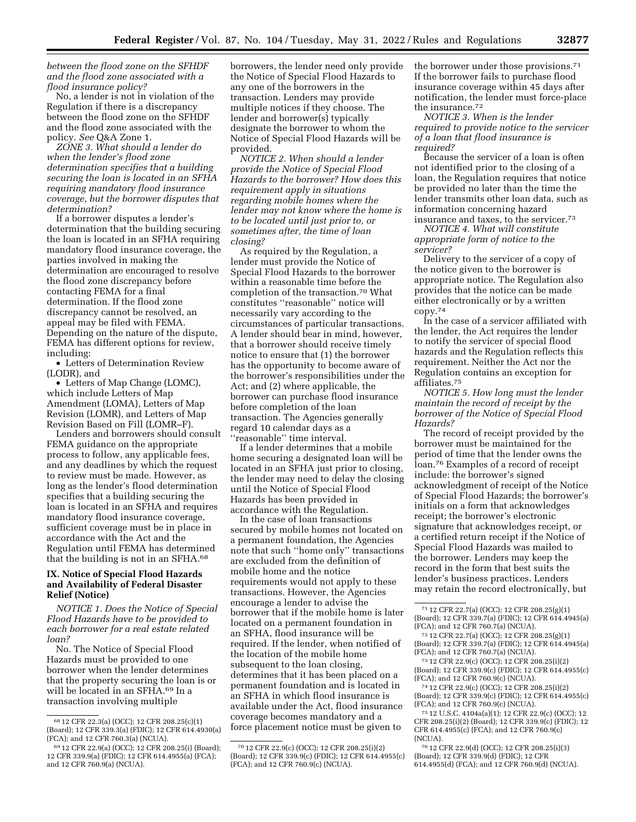*between the flood zone on the SFHDF and the flood zone associated with a flood insurance policy?* 

No, a lender is not in violation of the Regulation if there is a discrepancy between the flood zone on the SFHDF and the flood zone associated with the policy. *See* Q&A Zone 1.

*ZONE 3. What should a lender do when the lender's flood zone determination specifies that a building securing the loan is located in an SFHA requiring mandatory flood insurance coverage, but the borrower disputes that determination?* 

If a borrower disputes a lender's determination that the building securing the loan is located in an SFHA requiring mandatory flood insurance coverage, the parties involved in making the determination are encouraged to resolve the flood zone discrepancy before contacting FEMA for a final determination. If the flood zone discrepancy cannot be resolved, an appeal may be filed with FEMA. Depending on the nature of the dispute, FEMA has different options for review, including:

• Letters of Determination Review (LODR), and

• Letters of Map Change (LOMC), which include Letters of Map Amendment (LOMA), Letters of Map Revision (LOMR), and Letters of Map Revision Based on Fill (LOMR–F).

Lenders and borrowers should consult FEMA guidance on the appropriate process to follow, any applicable fees, and any deadlines by which the request to review must be made. However, as long as the lender's flood determination specifies that a building securing the loan is located in an SFHA and requires mandatory flood insurance coverage, sufficient coverage must be in place in accordance with the Act and the Regulation until FEMA has determined that the building is not in an SFHA.68

# **IX. Notice of Special Flood Hazards and Availability of Federal Disaster Relief (Notice)**

*NOTICE 1. Does the Notice of Special Flood Hazards have to be provided to each borrower for a real estate related loan?* 

No. The Notice of Special Flood Hazards must be provided to one borrower when the lender determines that the property securing the loan is or will be located in an SFHA.69 In a transaction involving multiple

borrowers, the lender need only provide the Notice of Special Flood Hazards to any one of the borrowers in the transaction. Lenders may provide multiple notices if they choose. The lender and borrower(s) typically designate the borrower to whom the Notice of Special Flood Hazards will be provided.

*NOTICE 2. When should a lender provide the Notice of Special Flood Hazards to the borrower? How does this requirement apply in situations regarding mobile homes where the lender may not know where the home is to be located until just prior to, or sometimes after, the time of loan closing?* 

As required by the Regulation, a lender must provide the Notice of Special Flood Hazards to the borrower within a reasonable time before the completion of the transaction.70 What constitutes ''reasonable'' notice will necessarily vary according to the circumstances of particular transactions. A lender should bear in mind, however, that a borrower should receive timely notice to ensure that (1) the borrower has the opportunity to become aware of the borrower's responsibilities under the Act; and (2) where applicable, the borrower can purchase flood insurance before completion of the loan transaction. The Agencies generally regard 10 calendar days as a ''reasonable'' time interval.

If a lender determines that a mobile home securing a designated loan will be located in an SFHA just prior to closing, the lender may need to delay the closing until the Notice of Special Flood Hazards has been provided in accordance with the Regulation.

In the case of loan transactions secured by mobile homes not located on a permanent foundation, the Agencies note that such ''home only'' transactions are excluded from the definition of mobile home and the notice requirements would not apply to these transactions. However, the Agencies encourage a lender to advise the borrower that if the mobile home is later located on a permanent foundation in an SFHA, flood insurance will be required. If the lender, when notified of the location of the mobile home subsequent to the loan closing, determines that it has been placed on a permanent foundation and is located in an SFHA in which flood insurance is available under the Act, flood insurance coverage becomes mandatory and a force placement notice must be given to

the borrower under those provisions.71 If the borrower fails to purchase flood insurance coverage within 45 days after notification, the lender must force-place the insurance.72

*NOTICE 3. When is the lender required to provide notice to the servicer of a loan that flood insurance is required?* 

Because the servicer of a loan is often not identified prior to the closing of a loan, the Regulation requires that notice be provided no later than the time the lender transmits other loan data, such as information concerning hazard insurance and taxes, to the servicer.73

*NOTICE 4. What will constitute appropriate form of notice to the servicer?* 

Delivery to the servicer of a copy of the notice given to the borrower is appropriate notice. The Regulation also provides that the notice can be made either electronically or by a written  $copy.<sup>74</sup>$ 

In the case of a servicer affiliated with the lender, the Act requires the lender to notify the servicer of special flood hazards and the Regulation reflects this requirement. Neither the Act nor the Regulation contains an exception for affiliates.75

*NOTICE 5. How long must the lender maintain the record of receipt by the borrower of the Notice of Special Flood Hazards?* 

The record of receipt provided by the borrower must be maintained for the period of time that the lender owns the loan.76 Examples of a record of receipt include: the borrower's signed acknowledgment of receipt of the Notice of Special Flood Hazards; the borrower's initials on a form that acknowledges receipt; the borrower's electronic signature that acknowledges receipt, or a certified return receipt if the Notice of Special Flood Hazards was mailed to the borrower. Lenders may keep the record in the form that best suits the lender's business practices. Lenders may retain the record electronically, but

72 12 CFR 22.7(a) (OCC); 12 CFR 208.25(g)(1) (Board); 12 CFR 339.7(a) (FDIC); 12 CFR 614.4945(a) (FCA); and 12 CFR 760.7(a) (NCUA).

73 12 CFR 22.9(c) (OCC); 12 CFR 208.25(i)(2) (Board); 12 CFR 339.9(c) (FDIC); 12 CFR 614.4955(c) (FCA); and 12 CFR 760.9(c) (NCUA).

74 12 CFR 22.9(c) (OCC); 12 CFR 208.25(i)(2) (Board); 12 CFR 339.9(c) (FDIC); 12 CFR 614.4955(c) (FCA); and 12 CFR 760.9(c) (NCUA).

75 12 U.S.C. 4104a(a)(1); 12 CFR 22.9(c) (OCC); 12 CFR 208.25(i)(2) (Board); 12 CFR 339.9(c) (FDIC); 12 CFR 614.4955(c) (FCA); and 12 CFR 760.9(c) (NCUA).

76 12 CFR 22.9(d) (OCC); 12 CFR 208.25(i)(3) (Board); 12 CFR 339.9(d) (FDIC); 12 CFR 614.4955(d) (FCA); and 12 CFR 760.9(d) (NCUA).

<sup>68</sup> 12 CFR 22.3(a) (OCC); 12 CFR 208.25(c)(1) (Board); 12 CFR 339.3(a) (FDIC); 12 CFR 614.4930(a) (FCA); and 12 CFR 760.3(a) (NCUA).

<sup>69</sup> 12 CFR 22.9(a) (OCC); 12 CFR 208.25(i) (Board); 12 CFR 339.9(a) (FDIC); 12 CFR 614.4955(a) (FCA); and 12 CFR 760.9(a) (NCUA).

<sup>70</sup> 12 CFR 22.9(c) (OCC); 12 CFR 208.25(i)(2) (Board); 12 CFR 339.9(c) (FDIC); 12 CFR 614.4955(c) (FCA); and 12 CFR 760.9(c) (NCUA).

<sup>71</sup> 12 CFR 22.7(a) (OCC); 12 CFR 208.25(g)(1) (Board); 12 CFR 339.7(a) (FDIC); 12 CFR 614.4945(a) (FCA); and 12 CFR 760.7(a) (NCUA).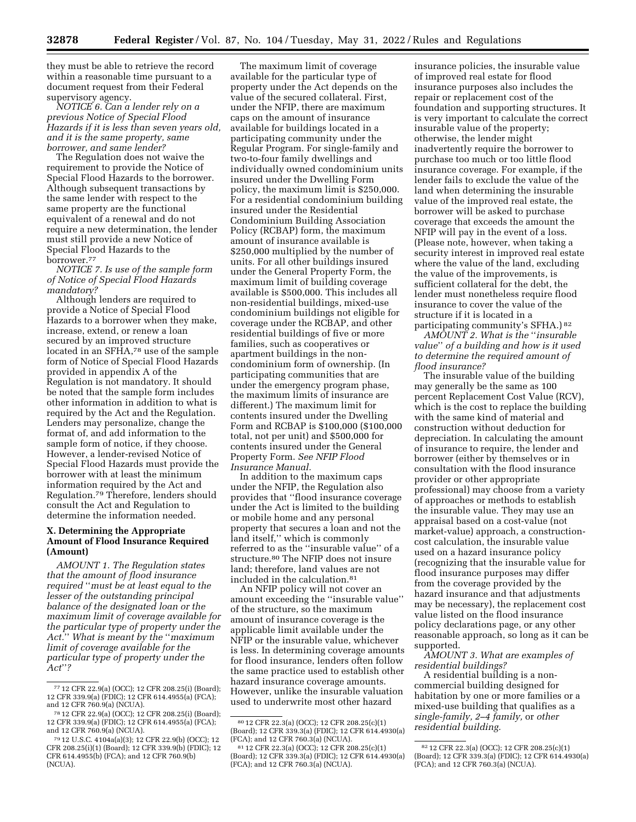they must be able to retrieve the record within a reasonable time pursuant to a document request from their Federal supervisory agency.

*NOTICE 6. Can a lender rely on a previous Notice of Special Flood Hazards if it is less than seven years old, and it is the same property, same borrower, and same lender?* 

The Regulation does not waive the requirement to provide the Notice of Special Flood Hazards to the borrower. Although subsequent transactions by the same lender with respect to the same property are the functional equivalent of a renewal and do not require a new determination, the lender must still provide a new Notice of Special Flood Hazards to the borrower.77

*NOTICE 7. Is use of the sample form of Notice of Special Flood Hazards mandatory?* 

Although lenders are required to provide a Notice of Special Flood Hazards to a borrower when they make, increase, extend, or renew a loan secured by an improved structure located in an SFHA,78 use of the sample form of Notice of Special Flood Hazards provided in appendix A of the Regulation is not mandatory. It should be noted that the sample form includes other information in addition to what is required by the Act and the Regulation. Lenders may personalize, change the format of, and add information to the sample form of notice, if they choose. However, a lender-revised Notice of Special Flood Hazards must provide the borrower with at least the minimum information required by the Act and Regulation.79 Therefore, lenders should consult the Act and Regulation to determine the information needed.

# **X. Determining the Appropriate Amount of Flood Insurance Required (Amount)**

*AMOUNT 1. The Regulation states that the amount of flood insurance required* ''*must be at least equal to the lesser of the outstanding principal balance of the designated loan or the maximum limit of coverage available for the particular type of property under the Act.*'' *What is meant by the* ''*maximum limit of coverage available for the particular type of property under the Act*''*?* 

The maximum limit of coverage available for the particular type of property under the Act depends on the value of the secured collateral. First, under the NFIP, there are maximum caps on the amount of insurance available for buildings located in a participating community under the Regular Program. For single-family and two-to-four family dwellings and individually owned condominium units insured under the Dwelling Form policy, the maximum limit is \$250,000. For a residential condominium building insured under the Residential Condominium Building Association Policy (RCBAP) form, the maximum amount of insurance available is \$250,000 multiplied by the number of units. For all other buildings insured under the General Property Form, the maximum limit of building coverage available is \$500,000. This includes all non-residential buildings, mixed-use condominium buildings not eligible for coverage under the RCBAP, and other residential buildings of five or more families, such as cooperatives or apartment buildings in the noncondominium form of ownership. (In participating communities that are under the emergency program phase, the maximum limits of insurance are different.) The maximum limit for contents insured under the Dwelling Form and RCBAP is \$100,000 (\$100,000 total, not per unit) and \$500,000 for contents insured under the General Property Form. *See NFIP Flood Insurance Manual.* 

In addition to the maximum caps under the NFIP, the Regulation also provides that ''flood insurance coverage under the Act is limited to the building or mobile home and any personal property that secures a loan and not the land itself,'' which is commonly referred to as the ''insurable value'' of a structure.80 The NFIP does not insure land; therefore, land values are not included in the calculation.81

An NFIP policy will not cover an amount exceeding the ''insurable value'' of the structure, so the maximum amount of insurance coverage is the applicable limit available under the NFIP or the insurable value, whichever is less. In determining coverage amounts for flood insurance, lenders often follow the same practice used to establish other hazard insurance coverage amounts. However, unlike the insurable valuation used to underwrite most other hazard

insurance policies, the insurable value of improved real estate for flood insurance purposes also includes the repair or replacement cost of the foundation and supporting structures. It is very important to calculate the correct insurable value of the property; otherwise, the lender might inadvertently require the borrower to purchase too much or too little flood insurance coverage. For example, if the lender fails to exclude the value of the land when determining the insurable value of the improved real estate, the borrower will be asked to purchase coverage that exceeds the amount the NFIP will pay in the event of a loss. (Please note, however, when taking a security interest in improved real estate where the value of the land, excluding the value of the improvements, is sufficient collateral for the debt, the lender must nonetheless require flood insurance to cover the value of the structure if it is located in a participating community's SFHA.) 82

*AMOUNT 2. What is the* ''*insurable value*'' *of a building and how is it used to determine the required amount of flood insurance?* 

The insurable value of the building may generally be the same as 100 percent Replacement Cost Value (RCV), which is the cost to replace the building with the same kind of material and construction without deduction for depreciation. In calculating the amount of insurance to require, the lender and borrower (either by themselves or in consultation with the flood insurance provider or other appropriate professional) may choose from a variety of approaches or methods to establish the insurable value. They may use an appraisal based on a cost-value (not market-value) approach, a constructioncost calculation, the insurable value used on a hazard insurance policy (recognizing that the insurable value for flood insurance purposes may differ from the coverage provided by the hazard insurance and that adjustments may be necessary), the replacement cost value listed on the flood insurance policy declarations page, or any other reasonable approach, so long as it can be supported.

*AMOUNT 3. What are examples of residential buildings?* 

A residential building is a noncommercial building designed for habitation by one or more families or a mixed-use building that qualifies as a *single-family, 2–4 family,* or *other residential building.* 

<sup>77</sup> 12 CFR 22.9(a) (OCC); 12 CFR 208.25(i) (Board); 12 CFR 339.9(a) (FDIC); 12 CFR 614.4955(a) (FCA); and 12 CFR 760.9(a) (NCUA).

<sup>78</sup> 12 CFR 22.9(a) (OCC); 12 CFR 208.25(i) (Board); 12 CFR 339.9(a) (FDIC); 12 CFR 614.4955(a) (FCA); and 12 CFR 760.9(a) (NCUA).

<sup>79</sup> 12 U.S.C. 4104a(a)(3); 12 CFR 22.9(b) (OCC); 12 CFR 208.25(i)(1) (Board); 12 CFR 339.9(b) (FDIC); 12 CFR 614.4955(b) (FCA); and 12 CFR 760.9(b) (NCUA).

<sup>80</sup> 12 CFR 22.3(a) (OCC); 12 CFR 208.25(c)(1) (Board); 12 CFR 339.3(a) (FDIC); 12 CFR 614.4930(a) (FCA); and 12 CFR 760.3(a) (NCUA).

 $8112$  CFR 22.3(a) (OCC); 12 CFR 208.25(c)(1) (Board); 12 CFR 339.3(a) (FDIC); 12 CFR 614.4930(a) (FCA); and 12 CFR 760.3(a) (NCUA).

<sup>82</sup> 12 CFR 22.3(a) (OCC); 12 CFR 208.25(c)(1) (Board); 12 CFR 339.3(a) (FDIC); 12 CFR 614.4930(a) (FCA); and 12 CFR 760.3(a) (NCUA).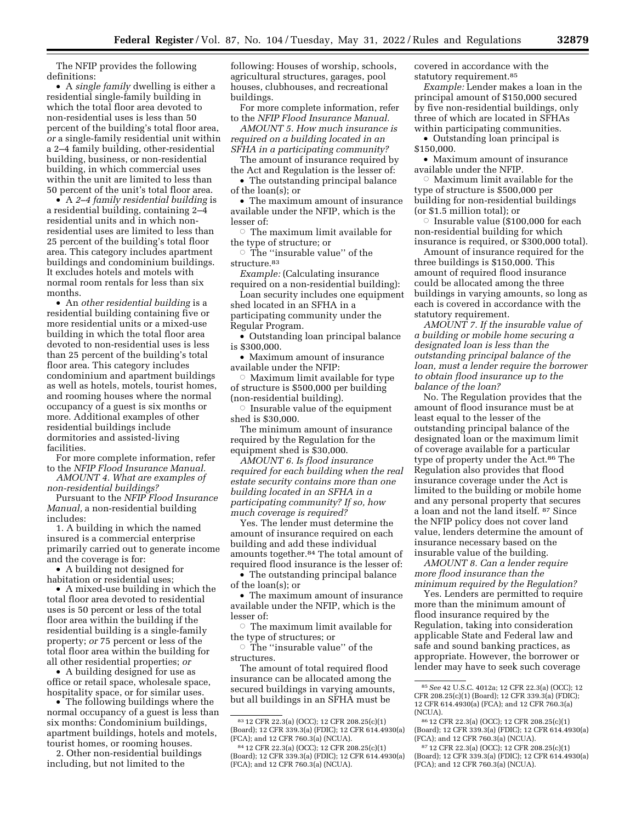The NFIP provides the following definitions:

• A *single family* dwelling is either a residential single-family building in which the total floor area devoted to non-residential uses is less than 50 percent of the building's total floor area, *or* a single-family residential unit within a 2–4 family building, other-residential building, business, or non-residential building, in which commercial uses within the unit are limited to less than 50 percent of the unit's total floor area.

• A *2–4 family residential building* is a residential building, containing 2–4 residential units and in which nonresidential uses are limited to less than 25 percent of the building's total floor area. This category includes apartment buildings and condominium buildings. It excludes hotels and motels with normal room rentals for less than six months.

• An *other residential building* is a residential building containing five or more residential units or a mixed-use building in which the total floor area devoted to non-residential uses is less than 25 percent of the building's total floor area. This category includes condominium and apartment buildings as well as hotels, motels, tourist homes, and rooming houses where the normal occupancy of a guest is six months or more. Additional examples of other residential buildings include dormitories and assisted-living facilities.

For more complete information, refer to the *NFIP Flood Insurance Manual.* 

*AMOUNT 4. What are examples of non-residential buildings?* 

Pursuant to the *NFIP Flood Insurance Manual,* a non-residential building includes:

1. A building in which the named insured is a commercial enterprise primarily carried out to generate income and the coverage is for:

• A building not designed for habitation or residential uses;

• A mixed-use building in which the total floor area devoted to residential uses is 50 percent or less of the total floor area within the building if the residential building is a single-family property; *or* 75 percent or less of the total floor area within the building for all other residential properties; *or* 

• A building designed for use as office or retail space, wholesale space, hospitality space, or for similar uses.

• The following buildings where the normal occupancy of a guest is less than six months: Condominium buildings, apartment buildings, hotels and motels, tourist homes, or rooming houses.

2. Other non-residential buildings including, but not limited to the

following: Houses of worship, schools, agricultural structures, garages, pool houses, clubhouses, and recreational buildings.

For more complete information, refer to the *NFIP Flood Insurance Manual.* 

*AMOUNT 5. How much insurance is required on a building located in an SFHA in a participating community?* 

The amount of insurance required by the Act and Regulation is the lesser of:

• The outstanding principal balance of the loan(s); or

• The maximum amount of insurance available under the NFIP, which is the lesser of:

 $\circ$  The maximum limit available for the type of structure; or

 $\circ$  The ''insurable value'' of the structure.83

*Example:* (Calculating insurance required on a non-residential building):

Loan security includes one equipment shed located in an SFHA in a participating community under the Regular Program.

• Outstanding loan principal balance is \$300,000.

• Maximum amount of insurance available under the NFIP:

 $\circ$  Maximum limit available for type of structure is \$500,000 per building (non-residential building).

 $\circ$  Insurable value of the equipment shed is \$30,000.

The minimum amount of insurance required by the Regulation for the equipment shed is \$30,000.

*AMOUNT 6. Is flood insurance required for each building when the real estate security contains more than one building located in an SFHA in a participating community? If so, how much coverage is required?* 

Yes. The lender must determine the amount of insurance required on each building and add these individual amounts together.84 The total amount of required flood insurance is the lesser of:

• The outstanding principal balance of the loan(s); or

• The maximum amount of insurance available under the NFIP, which is the lesser of:

 $\circ$  The maximum limit available for the type of structures; or

 $\circ$  The "insurable value" of the structures.

The amount of total required flood insurance can be allocated among the secured buildings in varying amounts, but all buildings in an SFHA must be

covered in accordance with the statutory requirement.85

*Example:* Lender makes a loan in the principal amount of \$150,000 secured by five non-residential buildings, only three of which are located in SFHAs within participating communities.

• Outstanding loan principal is \$150,000.

• Maximum amount of insurance available under the NFIP.

 $\circ$ Maximum limit available for the type of structure is \$500,000 per building for non-residential buildings (or \$1.5 million total); or

 $\circ$  Insurable value (\$100,000 for each non-residential building for which insurance is required, or \$300,000 total).

Amount of insurance required for the three buildings is \$150,000. This amount of required flood insurance could be allocated among the three buildings in varying amounts, so long as each is covered in accordance with the statutory requirement.

*AMOUNT 7. If the insurable value of a building or mobile home securing a designated loan is less than the outstanding principal balance of the loan, must a lender require the borrower to obtain flood insurance up to the balance of the loan?* 

No. The Regulation provides that the amount of flood insurance must be at least equal to the lesser of the outstanding principal balance of the designated loan or the maximum limit of coverage available for a particular type of property under the Act.86 The Regulation also provides that flood insurance coverage under the Act is limited to the building or mobile home and any personal property that secures a loan and not the land itself. 87 Since the NFIP policy does not cover land value, lenders determine the amount of insurance necessary based on the insurable value of the building.

*AMOUNT 8. Can a lender require more flood insurance than the minimum required by the Regulation?* 

Yes. Lenders are permitted to require more than the minimum amount of flood insurance required by the Regulation, taking into consideration applicable State and Federal law and safe and sound banking practices, as appropriate. However, the borrower or lender may have to seek such coverage

<sup>83</sup> 12 CFR 22.3(a) (OCC); 12 CFR 208.25(c)(1) (Board); 12 CFR 339.3(a) (FDIC); 12 CFR 614.4930(a) (FCA); and 12 CFR 760.3(a) (NCUA).

<sup>84</sup> 12 CFR 22.3(a) (OCC); 12 CFR 208.25(c)(1) (Board); 12 CFR 339.3(a) (FDIC); 12 CFR 614.4930(a) (FCA); and 12 CFR 760.3(a) (NCUA).

<sup>85</sup>*See* 42 U.S.C. 4012a; 12 CFR 22.3(a) (OCC); 12 CFR 208.25(c)(1) (Board); 12 CFR 339.3(a) (FDIC); 12 CFR 614.4930(a) (FCA); and 12 CFR 760.3(a) (NCUA).

<sup>86</sup> 12 CFR 22.3(a) (OCC); 12 CFR 208.25(c)(1) (Board); 12 CFR 339.3(a) (FDIC); 12 CFR 614.4930(a) (FCA); and 12 CFR 760.3(a) (NCUA).

<sup>87</sup> 12 CFR 22.3(a) (OCC); 12 CFR 208.25(c)(1) (Board); 12 CFR 339.3(a) (FDIC); 12 CFR 614.4930(a) (FCA); and 12 CFR 760.3(a) (NCUA).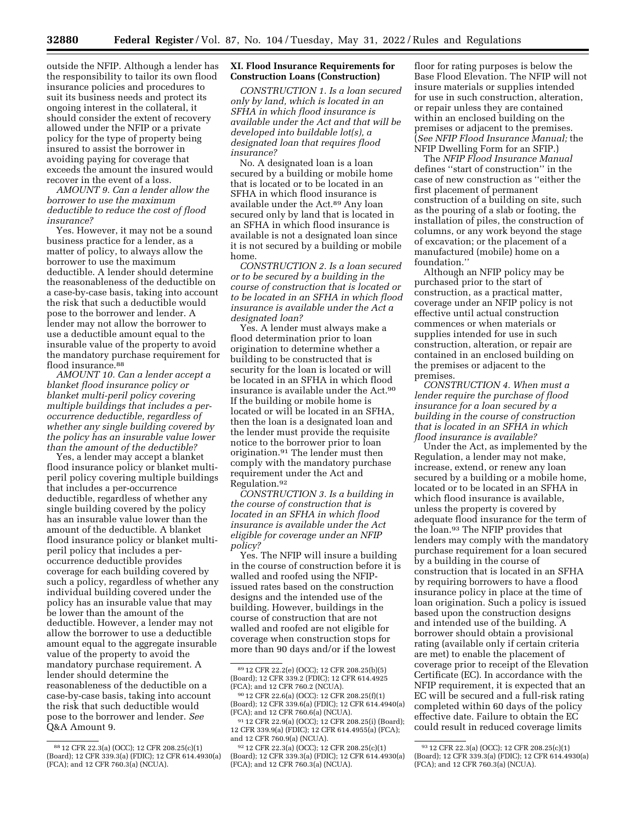outside the NFIP. Although a lender has the responsibility to tailor its own flood insurance policies and procedures to suit its business needs and protect its ongoing interest in the collateral, it should consider the extent of recovery allowed under the NFIP or a private policy for the type of property being insured to assist the borrower in avoiding paying for coverage that exceeds the amount the insured would recover in the event of a loss.

### *AMOUNT 9. Can a lender allow the borrower to use the maximum deductible to reduce the cost of flood insurance?*

Yes. However, it may not be a sound business practice for a lender, as a matter of policy, to always allow the borrower to use the maximum deductible. A lender should determine the reasonableness of the deductible on a case-by-case basis, taking into account the risk that such a deductible would pose to the borrower and lender. A lender may not allow the borrower to use a deductible amount equal to the insurable value of the property to avoid the mandatory purchase requirement for flood insurance.<sup>88</sup>

*AMOUNT 10. Can a lender accept a blanket flood insurance policy or blanket multi-peril policy covering multiple buildings that includes a peroccurrence deductible, regardless of whether any single building covered by the policy has an insurable value lower than the amount of the deductible?* 

Yes, a lender may accept a blanket flood insurance policy or blanket multiperil policy covering multiple buildings that includes a per-occurrence deductible, regardless of whether any single building covered by the policy has an insurable value lower than the amount of the deductible. A blanket flood insurance policy or blanket multiperil policy that includes a peroccurrence deductible provides coverage for each building covered by such a policy, regardless of whether any individual building covered under the policy has an insurable value that may be lower than the amount of the deductible. However, a lender may not allow the borrower to use a deductible amount equal to the aggregate insurable value of the property to avoid the mandatory purchase requirement. A lender should determine the reasonableness of the deductible on a case-by-case basis, taking into account the risk that such deductible would pose to the borrower and lender. *See*  Q&A Amount 9.

## **XI. Flood Insurance Requirements for Construction Loans (Construction)**

*CONSTRUCTION 1. Is a loan secured only by land, which is located in an SFHA in which flood insurance is available under the Act and that will be developed into buildable lot(s), a designated loan that requires flood insurance?* 

No. A designated loan is a loan secured by a building or mobile home that is located or to be located in an SFHA in which flood insurance is available under the Act.89 Any loan secured only by land that is located in an SFHA in which flood insurance is available is not a designated loan since it is not secured by a building or mobile home.

*CONSTRUCTION 2. Is a loan secured or to be secured by a building in the course of construction that is located or to be located in an SFHA in which flood insurance is available under the Act a designated loan?* 

Yes. A lender must always make a flood determination prior to loan origination to determine whether a building to be constructed that is security for the loan is located or will be located in an SFHA in which flood insurance is available under the Act.90 If the building or mobile home is located or will be located in an SFHA, then the loan is a designated loan and the lender must provide the requisite notice to the borrower prior to loan origination.91 The lender must then comply with the mandatory purchase requirement under the Act and Regulation.92

*CONSTRUCTION 3. Is a building in the course of construction that is located in an SFHA in which flood insurance is available under the Act eligible for coverage under an NFIP policy?* 

Yes. The NFIP will insure a building in the course of construction before it is walled and roofed using the NFIPissued rates based on the construction designs and the intended use of the building. However, buildings in the course of construction that are not walled and roofed are not eligible for coverage when construction stops for more than 90 days and/or if the lowest

floor for rating purposes is below the Base Flood Elevation. The NFIP will not insure materials or supplies intended for use in such construction, alteration, or repair unless they are contained within an enclosed building on the premises or adjacent to the premises. (*See NFIP Flood Insurance Manual;* the NFIP Dwelling Form for an SFIP.)

The *NFIP Flood Insurance Manual*  defines ''start of construction'' in the case of new construction as ''either the first placement of permanent construction of a building on site, such as the pouring of a slab or footing, the installation of piles, the construction of columns, or any work beyond the stage of excavation; or the placement of a manufactured (mobile) home on a foundation.''

Although an NFIP policy may be purchased prior to the start of construction, as a practical matter, coverage under an NFIP policy is not effective until actual construction commences or when materials or supplies intended for use in such construction, alteration, or repair are contained in an enclosed building on the premises or adjacent to the premises.

*CONSTRUCTION 4. When must a lender require the purchase of flood insurance for a loan secured by a building in the course of construction that is located in an SFHA in which flood insurance is available?* 

Under the Act, as implemented by the Regulation, a lender may not make, increase, extend, or renew any loan secured by a building or a mobile home, located or to be located in an SFHA in which flood insurance is available, unless the property is covered by adequate flood insurance for the term of the loan.93 The NFIP provides that lenders may comply with the mandatory purchase requirement for a loan secured by a building in the course of construction that is located in an SFHA by requiring borrowers to have a flood insurance policy in place at the time of loan origination. Such a policy is issued based upon the construction designs and intended use of the building. A borrower should obtain a provisional rating (available only if certain criteria are met) to enable the placement of coverage prior to receipt of the Elevation Certificate (EC). In accordance with the NFIP requirement, it is expected that an EC will be secured and a full-risk rating completed within 60 days of the policy effective date. Failure to obtain the EC could result in reduced coverage limits

<sup>88</sup> 12 CFR 22.3(a) (OCC); 12 CFR 208.25(c)(1) (Board); 12 CFR 339.3(a) (FDIC); 12 CFR 614.4930(a) (FCA); and 12 CFR 760.3(a) (NCUA).

<sup>89</sup> 12 CFR 22.2(e) (OCC); 12 CFR 208.25(b)(5) (Board); 12 CFR 339.2 (FDIC); 12 CFR 614.4925 (FCA); and 12 CFR 760.2 (NCUA).

<sup>90</sup> 12 CFR 22.6(a) (OCC): 12 CFR 208.25(f)(1) (Board); 12 CFR 339.6(a) (FDIC); 12 CFR 614.4940(a) (FCA); and 12 CFR 760.6(a) (NCUA).

<sup>91</sup> 12 CFR 22.9(a) (OCC); 12 CFR 208.25(i) (Board); 12 CFR 339.9(a) (FDIC); 12 CFR 614.4955(a) (FCA); and 12 CFR 760.9(a) (NCUA).

<sup>92</sup> 12 CFR 22.3(a) (OCC); 12 CFR 208.25(c)(1) (Board); 12 CFR 339.3(a) (FDIC); 12 CFR 614.4930(a) (FCA); and 12 CFR 760.3(a) (NCUA).

<sup>93</sup> 12 CFR 22.3(a) (OCC); 12 CFR 208.25(c)(1) (Board); 12 CFR 339.3(a) (FDIC); 12 CFR 614.4930(a) (FCA); and 12 CFR 760.3(a) (NCUA).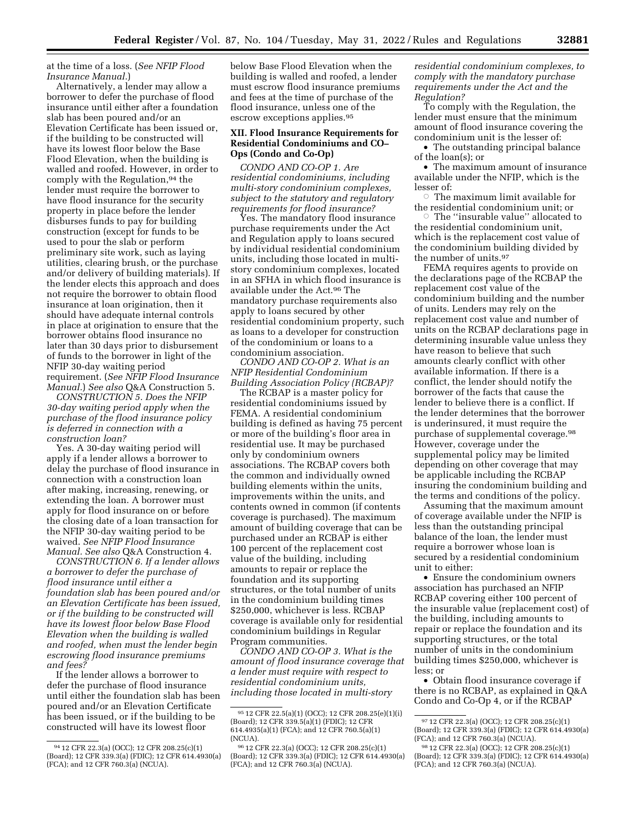### at the time of a loss. (*See NFIP Flood Insurance Manual.*)

Alternatively, a lender may allow a borrower to defer the purchase of flood insurance until either after a foundation slab has been poured and/or an Elevation Certificate has been issued or, if the building to be constructed will have its lowest floor below the Base Flood Elevation, when the building is walled and roofed. However, in order to comply with the Regulation,94 the lender must require the borrower to have flood insurance for the security property in place before the lender disburses funds to pay for building construction (except for funds to be used to pour the slab or perform preliminary site work, such as laying utilities, clearing brush, or the purchase and/or delivery of building materials). If the lender elects this approach and does not require the borrower to obtain flood insurance at loan origination, then it should have adequate internal controls in place at origination to ensure that the borrower obtains flood insurance no later than 30 days prior to disbursement of funds to the borrower in light of the NFIP 30-day waiting period requirement. (*See NFIP Flood Insurance Manual.*) *See also* Q&A Construction 5.

*CONSTRUCTION 5. Does the NFIP 30-day waiting period apply when the purchase of the flood insurance policy is deferred in connection with a construction loan?* 

Yes. A 30-day waiting period will apply if a lender allows a borrower to delay the purchase of flood insurance in connection with a construction loan after making, increasing, renewing, or extending the loan. A borrower must apply for flood insurance on or before the closing date of a loan transaction for the NFIP 30-day waiting period to be waived. *See NFIP Flood Insurance Manual. See also* Q&A Construction 4.

*CONSTRUCTION 6. If a lender allows a borrower to defer the purchase of flood insurance until either a foundation slab has been poured and/or an Elevation Certificate has been issued, or if the building to be constructed will have its lowest floor below Base Flood Elevation when the building is walled and roofed, when must the lender begin escrowing flood insurance premiums and fees?* 

If the lender allows a borrower to defer the purchase of flood insurance until either the foundation slab has been poured and/or an Elevation Certificate has been issued, or if the building to be constructed will have its lowest floor

below Base Flood Elevation when the building is walled and roofed, a lender must escrow flood insurance premiums and fees at the time of purchase of the flood insurance, unless one of the escrow exceptions applies.95

# **XII. Flood Insurance Requirements for Residential Condominiums and CO– Ops (Condo and Co-Op)**

*CONDO AND CO-OP 1. Are residential condominiums, including multi-story condominium complexes, subject to the statutory and regulatory requirements for flood insurance?* 

Yes. The mandatory flood insurance purchase requirements under the Act and Regulation apply to loans secured by individual residential condominium units, including those located in multistory condominium complexes, located in an SFHA in which flood insurance is available under the Act.96 The mandatory purchase requirements also apply to loans secured by other residential condominium property, such as loans to a developer for construction of the condominium or loans to a condominium association.

*CONDO AND CO-OP 2. What is an NFIP Residential Condominium Building Association Policy (RCBAP)?* 

The RCBAP is a master policy for residential condominiums issued by FEMA. A residential condominium building is defined as having 75 percent or more of the building's floor area in residential use. It may be purchased only by condominium owners associations. The RCBAP covers both the common and individually owned building elements within the units, improvements within the units, and contents owned in common (if contents coverage is purchased). The maximum amount of building coverage that can be purchased under an RCBAP is either 100 percent of the replacement cost value of the building, including amounts to repair or replace the foundation and its supporting structures, or the total number of units in the condominium building times \$250,000, whichever is less. RCBAP coverage is available only for residential condominium buildings in Regular Program communities.

*CONDO AND CO-OP 3. What is the amount of flood insurance coverage that a lender must require with respect to residential condominium units, including those located in multi-story* 

*residential condominium complexes, to comply with the mandatory purchase requirements under the Act and the Regulation?* 

To comply with the Regulation, the lender must ensure that the minimum amount of flood insurance covering the condominium unit is the lesser of:

• The outstanding principal balance of the loan(s); or

• The maximum amount of insurance available under the NFIP, which is the lesser of:

 $\circ$  The maximum limit available for the residential condominium unit; or

The "insurable value" allocated to the residential condominium unit, which is the replacement cost value of the condominium building divided by the number of units.97

FEMA requires agents to provide on the declarations page of the RCBAP the replacement cost value of the condominium building and the number of units. Lenders may rely on the replacement cost value and number of units on the RCBAP declarations page in determining insurable value unless they have reason to believe that such amounts clearly conflict with other available information. If there is a conflict, the lender should notify the borrower of the facts that cause the lender to believe there is a conflict. If the lender determines that the borrower is underinsured, it must require the purchase of supplemental coverage.98 However, coverage under the supplemental policy may be limited depending on other coverage that may be applicable including the RCBAP insuring the condominium building and the terms and conditions of the policy.

Assuming that the maximum amount of coverage available under the NFIP is less than the outstanding principal balance of the loan, the lender must require a borrower whose loan is secured by a residential condominium unit to either:

• Ensure the condominium owners association has purchased an NFIP RCBAP covering either 100 percent of the insurable value (replacement cost) of the building, including amounts to repair or replace the foundation and its supporting structures, or the total number of units in the condominium building times \$250,000, whichever is less; or

• Obtain flood insurance coverage if there is no RCBAP, as explained in Q&A Condo and Co-Op 4, or if the RCBAP

<sup>94</sup> 12 CFR 22.3(a) (OCC); 12 CFR 208.25(c)(1) (Board); 12 CFR 339.3(a) (FDIC); 12 CFR 614.4930(a) (FCA); and 12 CFR 760.3(a) (NCUA).

<sup>95</sup> 12 CFR 22.5(a)(1) (OCC); 12 CFR 208.25(e)(1)(i) (Board); 12 CFR 339.5(a)(1) (FDIC); 12 CFR 614.4935(a)(1) (FCA); and 12 CFR 760.5(a)(1) (NCUA).

<sup>96</sup> 12 CFR 22.3(a) (OCC); 12 CFR 208.25(c)(1) (Board); 12 CFR 339.3(a) (FDIC); 12 CFR 614.4930(a) (FCA); and 12 CFR 760.3(a) (NCUA).

<sup>97</sup> 12 CFR 22.3(a) (OCC); 12 CFR 208.25(c)(1) (Board); 12 CFR 339.3(a) (FDIC); 12 CFR 614.4930(a) (FCA); and 12 CFR 760.3(a) (NCUA).

<sup>98</sup> 12 CFR 22.3(a) (OCC); 12 CFR 208.25(c)(1) (Board); 12 CFR 339.3(a) (FDIC); 12 CFR 614.4930(a) (FCA); and 12 CFR 760.3(a) (NCUA).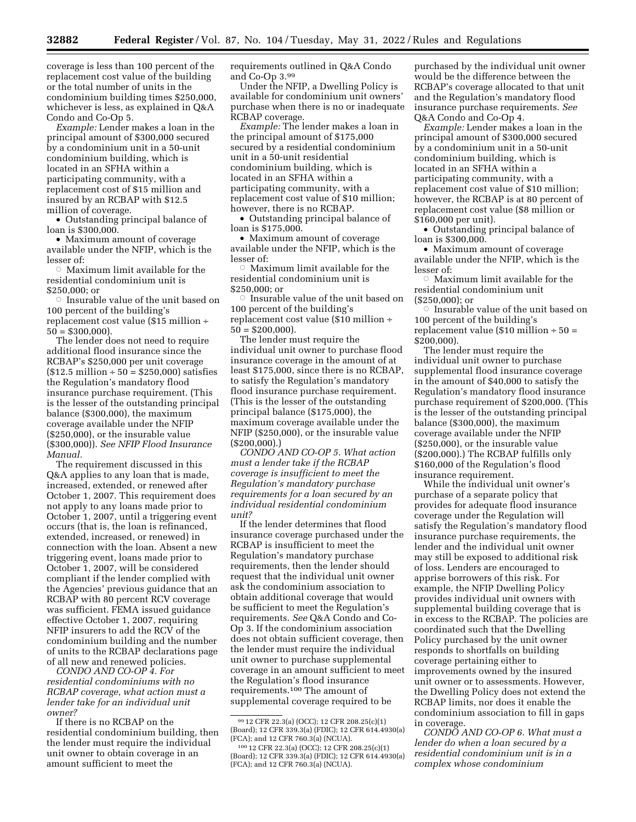coverage is less than 100 percent of the replacement cost value of the building or the total number of units in the condominium building times \$250,000, whichever is less, as explained in Q&A Condo and Co-Op 5.

*Example:* Lender makes a loan in the principal amount of \$300,000 secured by a condominium unit in a 50-unit condominium building, which is located in an SFHA within a participating community, with a replacement cost of \$15 million and insured by an RCBAP with \$12.5 million of coverage.

• Outstanding principal balance of loan is \$300,000.

• Maximum amount of coverage available under the NFIP, which is the lesser of:

 $\circ$ Maximum limit available for the residential condominium unit is \$250,000; or

 $\circ$  Insurable value of the unit based on 100 percent of the building's replacement cost value (\$15 million ÷  $50 = $300,000$ .

The lender does not need to require additional flood insurance since the RCBAP's \$250,000 per unit coverage  $($12.5 \text{ million} \div 50 = $250,000) \text{ satisfies}$ the Regulation's mandatory flood insurance purchase requirement. (This is the lesser of the outstanding principal balance (\$300,000), the maximum coverage available under the NFIP (\$250,000), or the insurable value (\$300,000)). *See NFIP Flood Insurance Manual.* 

The requirement discussed in this Q&A applies to any loan that is made, increased, extended, or renewed after October 1, 2007. This requirement does not apply to any loans made prior to October 1, 2007, until a triggering event occurs (that is, the loan is refinanced, extended, increased, or renewed) in connection with the loan. Absent a new triggering event, loans made prior to October 1, 2007, will be considered compliant if the lender complied with the Agencies' previous guidance that an RCBAP with 80 percent RCV coverage was sufficient. FEMA issued guidance effective October 1, 2007, requiring NFIP insurers to add the RCV of the condominium building and the number of units to the RCBAP declarations page of all new and renewed policies.

*CONDO AND CO-OP 4. For residential condominiums with no RCBAP coverage, what action must a lender take for an individual unit owner?* 

If there is no RCBAP on the residential condominium building, then the lender must require the individual unit owner to obtain coverage in an amount sufficient to meet the

requirements outlined in Q&A Condo and Co-Op 3.99

Under the NFIP, a Dwelling Policy is available for condominium unit owners' purchase when there is no or inadequate RCBAP coverage.

*Example:* The lender makes a loan in the principal amount of \$175,000 secured by a residential condominium unit in a 50-unit residential condominium building, which is located in an SFHA within a participating community, with a replacement cost value of \$10 million; however, there is no RCBAP.

• Outstanding principal balance of loan is \$175,000.

• Maximum amount of coverage available under the NFIP, which is the lesser of:

 $\circ$ Maximum limit available for the residential condominium unit is \$250,000; or

 $\circ$  Insurable value of the unit based on 100 percent of the building's replacement cost value (\$10 million ÷  $50 = $200,000$ .

The lender must require the individual unit owner to purchase flood insurance coverage in the amount of at least \$175,000, since there is no RCBAP, to satisfy the Regulation's mandatory flood insurance purchase requirement. (This is the lesser of the outstanding principal balance (\$175,000), the maximum coverage available under the NFIP (\$250,000), or the insurable value (\$200,000).)

*CONDO AND CO-OP 5. What action must a lender take if the RCBAP coverage is insufficient to meet the Regulation's mandatory purchase requirements for a loan secured by an individual residential condominium unit?* 

If the lender determines that flood insurance coverage purchased under the RCBAP is insufficient to meet the Regulation's mandatory purchase requirements, then the lender should request that the individual unit owner ask the condominium association to obtain additional coverage that would be sufficient to meet the Regulation's requirements. *See* Q&A Condo and Co-Op 3. If the condominium association does not obtain sufficient coverage, then the lender must require the individual unit owner to purchase supplemental coverage in an amount sufficient to meet the Regulation's flood insurance requirements.100 The amount of supplemental coverage required to be

purchased by the individual unit owner would be the difference between the RCBAP's coverage allocated to that unit and the Regulation's mandatory flood insurance purchase requirements. *See*  Q&A Condo and Co-Op 4.

*Example:* Lender makes a loan in the principal amount of \$300,000 secured by a condominium unit in a 50-unit condominium building, which is located in an SFHA within a participating community, with a replacement cost value of \$10 million; however, the RCBAP is at 80 percent of replacement cost value (\$8 million or \$160,000 per unit).

• Outstanding principal balance of loan is \$300,000.

• Maximum amount of coverage available under the NFIP, which is the lesser of:

 $\circ$ Maximum limit available for the residential condominium unit (\$250,000); or

 $\circ$  Insurable value of the unit based on 100 percent of the building's replacement value (\$10 million  $\div$  50 = \$200,000).

The lender must require the individual unit owner to purchase supplemental flood insurance coverage in the amount of \$40,000 to satisfy the Regulation's mandatory flood insurance purchase requirement of \$200,000. (This is the lesser of the outstanding principal balance (\$300,000), the maximum coverage available under the NFIP (\$250,000), or the insurable value (\$200,000).) The RCBAP fulfills only \$160,000 of the Regulation's flood insurance requirement.

While the individual unit owner's purchase of a separate policy that provides for adequate flood insurance coverage under the Regulation will satisfy the Regulation's mandatory flood insurance purchase requirements, the lender and the individual unit owner may still be exposed to additional risk of loss. Lenders are encouraged to apprise borrowers of this risk. For example, the NFIP Dwelling Policy provides individual unit owners with supplemental building coverage that is in excess to the RCBAP. The policies are coordinated such that the Dwelling Policy purchased by the unit owner responds to shortfalls on building coverage pertaining either to improvements owned by the insured unit owner or to assessments. However, the Dwelling Policy does not extend the RCBAP limits, nor does it enable the condominium association to fill in gaps in coverage.

*CONDO AND CO-OP 6. What must a lender do when a loan secured by a residential condominium unit is in a complex whose condominium* 

<sup>99</sup> 12 CFR 22.3(a) (OCC); 12 CFR 208.25(c)(1) (Board); 12 CFR 339.3(a) (FDIC); 12 CFR 614.4930(a) (FCA); and 12 CFR 760.3(a) (NCUA).

<sup>100</sup> 12 CFR 22.3(a) (OCC); 12 CFR 208.25(c)(1) (Board); 12 CFR 339.3(a) (FDIC); 12 CFR 614.4930(a) (FCA); and 12 CFR 760.3(a) (NCUA).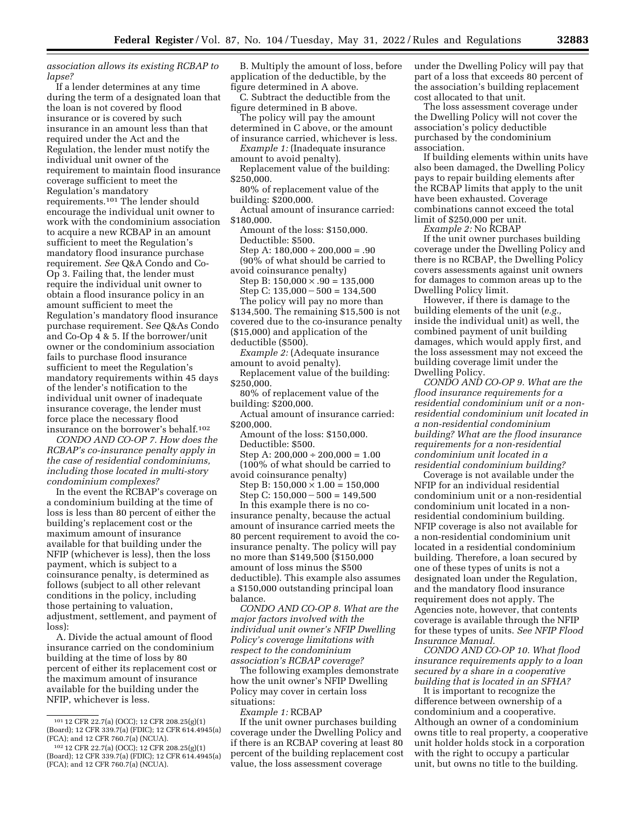*association allows its existing RCBAP to lapse?* 

If a lender determines at any time during the term of a designated loan that the loan is not covered by flood insurance or is covered by such insurance in an amount less than that required under the Act and the Regulation, the lender must notify the individual unit owner of the requirement to maintain flood insurance coverage sufficient to meet the Regulation's mandatory requirements.101 The lender should encourage the individual unit owner to work with the condominium association to acquire a new RCBAP in an amount sufficient to meet the Regulation's mandatory flood insurance purchase requirement. *See* Q&A Condo and Co-Op 3. Failing that, the lender must require the individual unit owner to obtain a flood insurance policy in an amount sufficient to meet the Regulation's mandatory flood insurance purchase requirement. S*ee* Q&As Condo and Co-Op 4 & 5. If the borrower/unit owner or the condominium association fails to purchase flood insurance sufficient to meet the Regulation's mandatory requirements within 45 days of the lender's notification to the individual unit owner of inadequate insurance coverage, the lender must force place the necessary flood insurance on the borrower's behalf.102

*CONDO AND CO-OP 7. How does the RCBAP's co-insurance penalty apply in the case of residential condominiums, including those located in multi-story condominium complexes?* 

In the event the RCBAP's coverage on a condominium building at the time of loss is less than 80 percent of either the building's replacement cost or the maximum amount of insurance available for that building under the NFIP (whichever is less), then the loss payment, which is subject to a coinsurance penalty, is determined as follows (subject to all other relevant conditions in the policy, including those pertaining to valuation, adjustment, settlement, and payment of loss):

A. Divide the actual amount of flood insurance carried on the condominium building at the time of loss by 80 percent of either its replacement cost or the maximum amount of insurance available for the building under the NFIP, whichever is less.

B. Multiply the amount of loss, before application of the deductible, by the figure determined in A above.

C. Subtract the deductible from the figure determined in B above.

The policy will pay the amount determined in C above, or the amount of insurance carried, whichever is less.

*Example 1:* (Inadequate insurance amount to avoid penalty).

- Replacement value of the building: \$250,000.
- 80% of replacement value of the building: \$200,000.

Actual amount of insurance carried: \$180,000.

- Amount of the loss: \$150,000. Deductible: \$500. Step A:  $180,000 \div 200,000 = .90$
- (90% of what should be carried to avoid coinsurance penalty) Step B:  $150,000 \times .90 = 135,000$
- Step C:  $135,000 500 = 134,500$ The policy will pay no more than
- \$134,500. The remaining \$15,500 is not covered due to the co-insurance penalty (\$15,000) and application of the
- deductible (\$500).

*Example 2:* (Adequate insurance amount to avoid penalty).

- Replacement value of the building: \$250,000.
- 80% of replacement value of the building: \$200,000.
- Actual amount of insurance carried: \$200,000.
	- Amount of the loss: \$150,000. Deductible: \$500.
- Step A:  $200,000 \div 200,000 = 1.00$ (100% of what should be carried to
- avoid coinsurance penalty) Step B:  $150,000 \times 1.00 = 150,000$ Step C:  $150,000 - 500 = 149,500$

In this example there is no coinsurance penalty, because the actual amount of insurance carried meets the 80 percent requirement to avoid the coinsurance penalty. The policy will pay no more than \$149,500 (\$150,000 amount of loss minus the \$500 deductible). This example also assumes a \$150,000 outstanding principal loan balance.

*CONDO AND CO-OP 8. What are the major factors involved with the individual unit owner's NFIP Dwelling Policy's coverage limitations with respect to the condominium association's RCBAP coverage?* 

The following examples demonstrate how the unit owner's NFIP Dwelling Policy may cover in certain loss situations:

*Example 1:* RCBAP

If the unit owner purchases building coverage under the Dwelling Policy and if there is an RCBAP covering at least 80 percent of the building replacement cost value, the loss assessment coverage

under the Dwelling Policy will pay that part of a loss that exceeds 80 percent of the association's building replacement cost allocated to that unit.

The loss assessment coverage under the Dwelling Policy will not cover the association's policy deductible purchased by the condominium association.

If building elements within units have also been damaged, the Dwelling Policy pays to repair building elements after the RCBAP limits that apply to the unit have been exhausted. Coverage combinations cannot exceed the total limit of \$250,000 per unit.

*Example 2:* No RCBAP

If the unit owner purchases building coverage under the Dwelling Policy and there is no RCBAP, the Dwelling Policy covers assessments against unit owners for damages to common areas up to the Dwelling Policy limit.

However, if there is damage to the building elements of the unit (*e.g.,*  inside the individual unit) as well, the combined payment of unit building damages, which would apply first, and the loss assessment may not exceed the building coverage limit under the Dwelling Policy.

*CONDO AND CO-OP 9. What are the flood insurance requirements for a residential condominium unit or a nonresidential condominium unit located in a non-residential condominium building? What are the flood insurance requirements for a non-residential condominium unit located in a residential condominium building?* 

Coverage is not available under the NFIP for an individual residential condominium unit or a non-residential condominium unit located in a nonresidential condominium building. NFIP coverage is also not available for a non-residential condominium unit located in a residential condominium building. Therefore, a loan secured by one of these types of units is not a designated loan under the Regulation, and the mandatory flood insurance requirement does not apply. The Agencies note, however, that contents coverage is available through the NFIP for these types of units. *See NFIP Flood Insurance Manual.* 

*CONDO AND CO-OP 10. What flood insurance requirements apply to a loan secured by a share in a cooperative building that is located in an SFHA?* 

It is important to recognize the difference between ownership of a condominium and a cooperative. Although an owner of a condominium owns title to real property, a cooperative unit holder holds stock in a corporation with the right to occupy a particular unit, but owns no title to the building.

<sup>101</sup> 12 CFR 22.7(a) (OCC); 12 CFR 208.25(g)(1) (Board); 12 CFR 339.7(a) (FDIC); 12 CFR 614.4945(a) (FCA); and 12 CFR 760.7(a) (NCUA).

<sup>102</sup> 12 CFR 22.7(a) (OCC); 12 CFR 208.25(g)(1) (Board); 12 CFR 339.7(a) (FDIC); 12 CFR 614.4945(a) (FCA); and 12 CFR 760.7(a) (NCUA).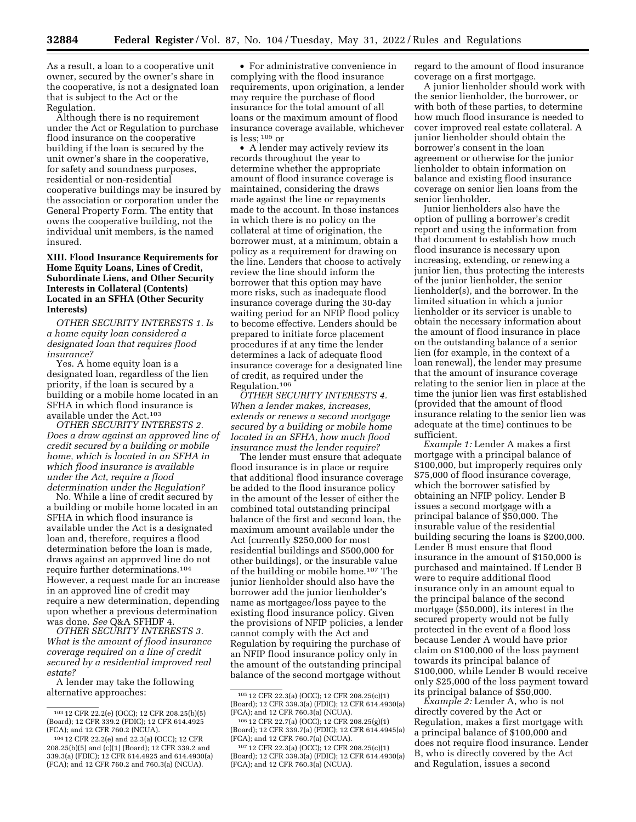As a result, a loan to a cooperative unit owner, secured by the owner's share in the cooperative, is not a designated loan that is subject to the Act or the Regulation.

Although there is no requirement under the Act or Regulation to purchase flood insurance on the cooperative building if the loan is secured by the unit owner's share in the cooperative, for safety and soundness purposes, residential or non-residential cooperative buildings may be insured by the association or corporation under the General Property Form. The entity that owns the cooperative building, not the individual unit members, is the named insured.

## **XIII. Flood Insurance Requirements for Home Equity Loans, Lines of Credit, Subordinate Liens, and Other Security Interests in Collateral (Contents) Located in an SFHA (Other Security Interests)**

*OTHER SECURITY INTERESTS 1. Is a home equity loan considered a designated loan that requires flood insurance?* 

Yes. A home equity loan is a designated loan, regardless of the lien priority, if the loan is secured by a building or a mobile home located in an SFHA in which flood insurance is available under the Act.103

*OTHER SECURITY INTERESTS 2. Does a draw against an approved line of credit secured by a building or mobile home, which is located in an SFHA in which flood insurance is available under the Act, require a flood determination under the Regulation?* 

No. While a line of credit secured by a building or mobile home located in an SFHA in which flood insurance is available under the Act is a designated loan and, therefore, requires a flood determination before the loan is made, draws against an approved line do not require further determinations.104 However, a request made for an increase in an approved line of credit may require a new determination, depending upon whether a previous determination was done. *See* Q&A SFHDF 4.

*OTHER SECURITY INTERESTS 3. What is the amount of flood insurance coverage required on a line of credit secured by a residential improved real estate?* 

A lender may take the following alternative approaches:

• For administrative convenience in complying with the flood insurance requirements, upon origination, a lender may require the purchase of flood insurance for the total amount of all loans or the maximum amount of flood insurance coverage available, whichever is less;  $^{105}$  or

• A lender may actively review its records throughout the year to determine whether the appropriate amount of flood insurance coverage is maintained, considering the draws made against the line or repayments made to the account. In those instances in which there is no policy on the collateral at time of origination, the borrower must, at a minimum, obtain a policy as a requirement for drawing on the line. Lenders that choose to actively review the line should inform the borrower that this option may have more risks, such as inadequate flood insurance coverage during the 30-day waiting period for an NFIP flood policy to become effective. Lenders should be prepared to initiate force placement procedures if at any time the lender determines a lack of adequate flood insurance coverage for a designated line of credit, as required under the Regulation.106

*OTHER SECURITY INTERESTS 4. When a lender makes, increases, extends or renews a second mortgage secured by a building or mobile home located in an SFHA, how much flood insurance must the lender require?* 

The lender must ensure that adequate flood insurance is in place or require that additional flood insurance coverage be added to the flood insurance policy in the amount of the lesser of either the combined total outstanding principal balance of the first and second loan, the maximum amount available under the Act (currently \$250,000 for most residential buildings and \$500,000 for other buildings), or the insurable value of the building or mobile home.107 The junior lienholder should also have the borrower add the junior lienholder's name as mortgagee/loss payee to the existing flood insurance policy. Given the provisions of NFIP policies, a lender cannot comply with the Act and Regulation by requiring the purchase of an NFIP flood insurance policy only in the amount of the outstanding principal balance of the second mortgage without

regard to the amount of flood insurance coverage on a first mortgage.

A junior lienholder should work with the senior lienholder, the borrower, or with both of these parties, to determine how much flood insurance is needed to cover improved real estate collateral. A junior lienholder should obtain the borrower's consent in the loan agreement or otherwise for the junior lienholder to obtain information on balance and existing flood insurance coverage on senior lien loans from the senior lienholder.

Junior lienholders also have the option of pulling a borrower's credit report and using the information from that document to establish how much flood insurance is necessary upon increasing, extending, or renewing a junior lien, thus protecting the interests of the junior lienholder, the senior lienholder(s), and the borrower. In the limited situation in which a junior lienholder or its servicer is unable to obtain the necessary information about the amount of flood insurance in place on the outstanding balance of a senior lien (for example, in the context of a loan renewal), the lender may presume that the amount of insurance coverage relating to the senior lien in place at the time the junior lien was first established (provided that the amount of flood insurance relating to the senior lien was adequate at the time) continues to be sufficient.

*Example 1:* Lender A makes a first mortgage with a principal balance of \$100,000, but improperly requires only \$75,000 of flood insurance coverage, which the borrower satisfied by obtaining an NFIP policy. Lender B issues a second mortgage with a principal balance of \$50,000. The insurable value of the residential building securing the loans is \$200,000. Lender B must ensure that flood insurance in the amount of \$150,000 is purchased and maintained. If Lender B were to require additional flood insurance only in an amount equal to the principal balance of the second mortgage (\$50,000), its interest in the secured property would not be fully protected in the event of a flood loss because Lender A would have prior claim on \$100,000 of the loss payment towards its principal balance of \$100,000, while Lender B would receive only \$25,000 of the loss payment toward its principal balance of \$50,000.

*Example 2:* Lender A, who is not directly covered by the Act or Regulation, makes a first mortgage with a principal balance of \$100,000 and does not require flood insurance. Lender B, who is directly covered by the Act and Regulation, issues a second

<sup>103</sup> 12 CFR 22.2(e) (OCC); 12 CFR 208.25(b)(5) (Board); 12 CFR 339.2 (FDIC); 12 CFR 614.4925 (FCA); and 12 CFR 760.2 (NCUA).

<sup>104</sup> 12 CFR 22.2(e) and 22.3(a) (OCC); 12 CFR 208.25(b)(5) and (c)(1) (Board); 12 CFR 339.2 and 339.3(a) (FDIC); 12 CFR 614.4925 and 614.4930(a) (FCA); and 12 CFR 760.2 and 760.3(a) (NCUA).

<sup>105</sup> 12 CFR 22.3(a) (OCC); 12 CFR 208.25(c)(1) (Board); 12 CFR 339.3(a) (FDIC); 12 CFR 614.4930(a) (FCA); and 12 CFR 760.3(a) (NCUA).

<sup>106</sup> 12 CFR 22.7(a) (OCC); 12 CFR 208.25(g)(1) (Board); 12 CFR 339.7(a) (FDIC); 12 CFR 614.4945(a) (FCA); and 12 CFR 760.7(a) (NCUA).

<sup>107</sup> 12 CFR 22.3(a) (OCC); 12 CFR 208.25(c)(1) (Board); 12 CFR 339.3(a) (FDIC); 12 CFR 614.4930(a) (FCA); and 12 CFR 760.3(a) (NCUA).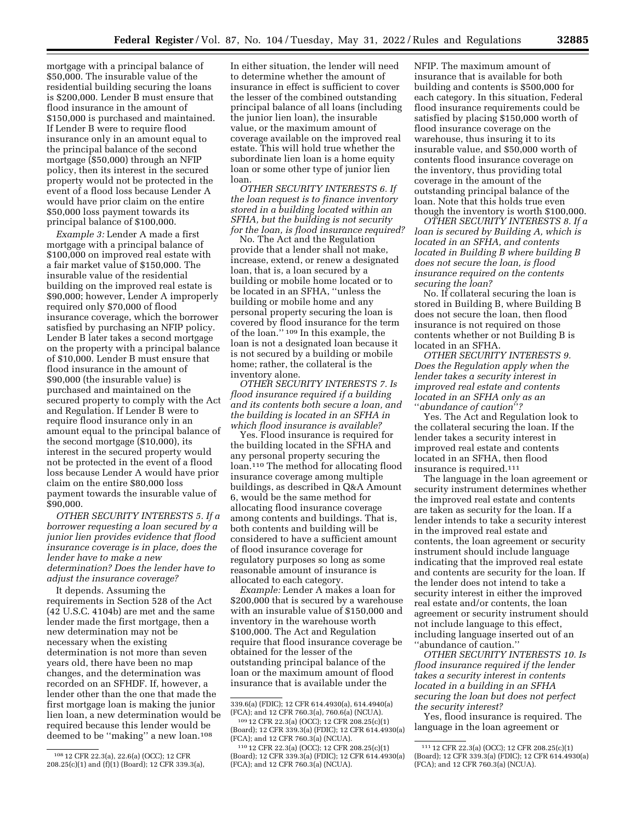mortgage with a principal balance of \$50,000. The insurable value of the residential building securing the loans is \$200,000. Lender B must ensure that flood insurance in the amount of \$150,000 is purchased and maintained. If Lender B were to require flood insurance only in an amount equal to the principal balance of the second mortgage (\$50,000) through an NFIP policy, then its interest in the secured property would not be protected in the event of a flood loss because Lender A would have prior claim on the entire \$50,000 loss payment towards its principal balance of \$100,000.

*Example 3:* Lender A made a first mortgage with a principal balance of \$100,000 on improved real estate with a fair market value of \$150,000. The insurable value of the residential building on the improved real estate is \$90,000; however, Lender A improperly required only \$70,000 of flood insurance coverage, which the borrower satisfied by purchasing an NFIP policy. Lender B later takes a second mortgage on the property with a principal balance of \$10,000. Lender B must ensure that flood insurance in the amount of \$90,000 (the insurable value) is purchased and maintained on the secured property to comply with the Act and Regulation. If Lender B were to require flood insurance only in an amount equal to the principal balance of the second mortgage (\$10,000), its interest in the secured property would not be protected in the event of a flood loss because Lender A would have prior claim on the entire \$80,000 loss payment towards the insurable value of \$90,000.

*OTHER SECURITY INTERESTS 5. If a borrower requesting a loan secured by a junior lien provides evidence that flood insurance coverage is in place, does the lender have to make a new determination? Does the lender have to adjust the insurance coverage?* 

It depends. Assuming the requirements in Section 528 of the Act (42 U.S.C. 4104b) are met and the same lender made the first mortgage, then a new determination may not be necessary when the existing determination is not more than seven years old, there have been no map changes, and the determination was recorded on an SFHDF. If, however, a lender other than the one that made the first mortgage loan is making the junior lien loan, a new determination would be required because this lender would be deemed to be ''making'' a new loan.108

In either situation, the lender will need to determine whether the amount of insurance in effect is sufficient to cover the lesser of the combined outstanding principal balance of all loans (including the junior lien loan), the insurable value, or the maximum amount of coverage available on the improved real estate. This will hold true whether the subordinate lien loan is a home equity loan or some other type of junior lien loan.

*OTHER SECURITY INTERESTS 6. If the loan request is to finance inventory stored in a building located within an SFHA, but the building is not security for the loan, is flood insurance required?* 

No. The Act and the Regulation provide that a lender shall not make, increase, extend, or renew a designated loan, that is, a loan secured by a building or mobile home located or to be located in an SFHA, ''unless the building or mobile home and any personal property securing the loan is covered by flood insurance for the term of the loan.'' 109 In this example, the loan is not a designated loan because it is not secured by a building or mobile home; rather, the collateral is the inventory alone.

*OTHER SECURITY INTERESTS 7. Is flood insurance required if a building and its contents both secure a loan, and the building is located in an SFHA in which flood insurance is available?* 

Yes. Flood insurance is required for the building located in the SFHA and any personal property securing the loan.110 The method for allocating flood insurance coverage among multiple buildings, as described in Q&A Amount 6, would be the same method for allocating flood insurance coverage among contents and buildings. That is, both contents and building will be considered to have a sufficient amount of flood insurance coverage for regulatory purposes so long as some reasonable amount of insurance is allocated to each category.

*Example:* Lender A makes a loan for \$200,000 that is secured by a warehouse with an insurable value of \$150,000 and inventory in the warehouse worth \$100,000. The Act and Regulation require that flood insurance coverage be obtained for the lesser of the outstanding principal balance of the loan or the maximum amount of flood insurance that is available under the

NFIP. The maximum amount of insurance that is available for both building and contents is \$500,000 for each category. In this situation, Federal flood insurance requirements could be satisfied by placing \$150,000 worth of flood insurance coverage on the warehouse, thus insuring it to its insurable value, and \$50,000 worth of contents flood insurance coverage on the inventory, thus providing total coverage in the amount of the outstanding principal balance of the loan. Note that this holds true even though the inventory is worth \$100,000.

*OTHER SECURITY INTERESTS 8. If a loan is secured by Building A, which is located in an SFHA, and contents located in Building B where building B does not secure the loan, is flood insurance required on the contents securing the loan?* 

No. If collateral securing the loan is stored in Building B, where Building B does not secure the loan, then flood insurance is not required on those contents whether or not Building B is located in an SFHA.

*OTHER SECURITY INTERESTS 9. Does the Regulation apply when the lender takes a security interest in improved real estate and contents located in an SFHA only as an*  ''*abundance of caution*''*?* 

Yes. The Act and Regulation look to the collateral securing the loan. If the lender takes a security interest in improved real estate and contents located in an SFHA, then flood insurance is required.111

The language in the loan agreement or security instrument determines whether the improved real estate and contents are taken as security for the loan. If a lender intends to take a security interest in the improved real estate and contents, the loan agreement or security instrument should include language indicating that the improved real estate and contents are security for the loan. If the lender does not intend to take a security interest in either the improved real estate and/or contents, the loan agreement or security instrument should not include language to this effect, including language inserted out of an ''abundance of caution.''

*OTHER SECURITY INTERESTS 10. Is flood insurance required if the lender takes a security interest in contents located in a building in an SFHA securing the loan but does not perfect the security interest?* 

Yes, flood insurance is required. The language in the loan agreement or

<sup>108</sup> 12 CFR 22.3(a), 22.6(a) (OCC); 12 CFR 208.25(c)(1) and (f)(1) (Board); 12 CFR 339.3(a),

<sup>339.6(</sup>a) (FDIC); 12 CFR 614.4930(a), 614.4940(a) (FCA); and 12 CFR 760.3(a), 760.6(a) (NCUA).

<sup>109</sup> 12 CFR 22.3(a) (OCC); 12 CFR 208.25(c)(1) (Board); 12 CFR 339.3(a) (FDIC); 12 CFR 614.4930(a) (FCA); and 12 CFR 760.3(a) (NCUA).

<sup>110</sup> 12 CFR 22.3(a) (OCC); 12 CFR 208.25(c)(1) (Board); 12 CFR 339.3(a) (FDIC); 12 CFR 614.4930(a) (FCA); and 12 CFR 760.3(a) (NCUA).

<sup>111</sup> 12 CFR 22.3(a) (OCC); 12 CFR 208.25(c)(1) (Board); 12 CFR 339.3(a) (FDIC); 12 CFR 614.4930(a) (FCA); and 12 CFR 760.3(a) (NCUA).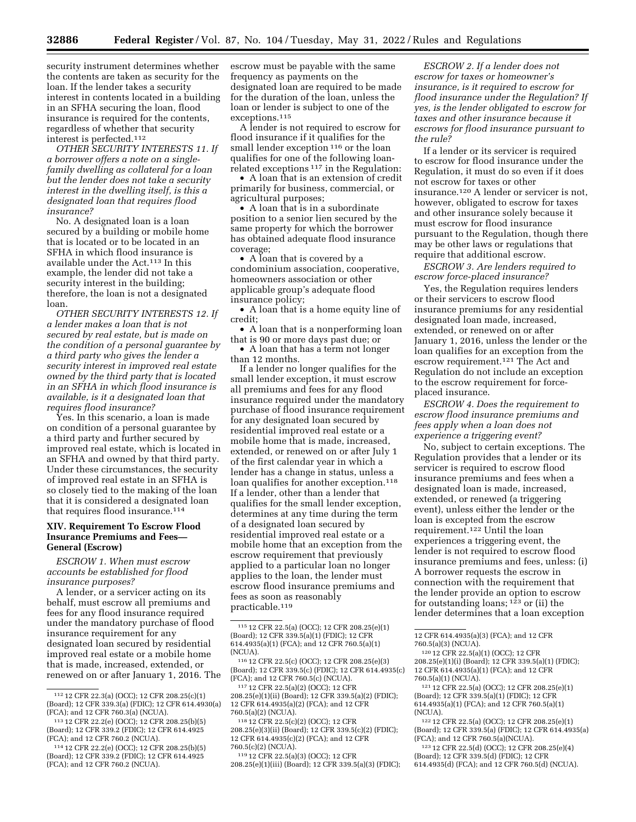security instrument determines whether the contents are taken as security for the loan. If the lender takes a security interest in contents located in a building in an SFHA securing the loan, flood insurance is required for the contents, regardless of whether that security interest is perfected.112

*OTHER SECURITY INTERESTS 11. If a borrower offers a note on a singlefamily dwelling as collateral for a loan but the lender does not take a security interest in the dwelling itself, is this a designated loan that requires flood insurance?* 

No. A designated loan is a loan secured by a building or mobile home that is located or to be located in an SFHA in which flood insurance is available under the Act.113 In this example, the lender did not take a security interest in the building; therefore, the loan is not a designated loan.

*OTHER SECURITY INTERESTS 12. If a lender makes a loan that is not secured by real estate, but is made on the condition of a personal guarantee by a third party who gives the lender a security interest in improved real estate owned by the third party that is located in an SFHA in which flood insurance is available, is it a designated loan that requires flood insurance?* 

Yes. In this scenario, a loan is made on condition of a personal guarantee by a third party and further secured by improved real estate, which is located in an SFHA and owned by that third party. Under these circumstances, the security of improved real estate in an SFHA is so closely tied to the making of the loan that it is considered a designated loan that requires flood insurance.114

#### **XIV. Requirement To Escrow Flood Insurance Premiums and Fees— General (Escrow)**

*ESCROW 1. When must escrow accounts be established for flood insurance purposes?* 

A lender, or a servicer acting on its behalf, must escrow all premiums and fees for any flood insurance required under the mandatory purchase of flood insurance requirement for any designated loan secured by residential improved real estate or a mobile home that is made, increased, extended, or renewed on or after January 1, 2016. The

escrow must be payable with the same frequency as payments on the designated loan are required to be made for the duration of the loan, unless the loan or lender is subject to one of the exceptions.115

A lender is not required to escrow for flood insurance if it qualifies for the small lender exception <sup>116</sup> or the loan qualifies for one of the following loanrelated exceptions 117 in the Regulation:

• A loan that is an extension of credit primarily for business, commercial, or agricultural purposes;

• A loan that is in a subordinate position to a senior lien secured by the same property for which the borrower has obtained adequate flood insurance coverage;

• A loan that is covered by a condominium association, cooperative, homeowners association or other applicable group's adequate flood insurance policy;

• A loan that is a home equity line of credit;

• A loan that is a nonperforming loan that is 90 or more days past due; or

• A loan that has a term not longer than 12 months.

If a lender no longer qualifies for the small lender exception, it must escrow all premiums and fees for any flood insurance required under the mandatory purchase of flood insurance requirement for any designated loan secured by residential improved real estate or a mobile home that is made, increased, extended, or renewed on or after July 1 of the first calendar year in which a lender has a change in status, unless a loan qualifies for another exception.<sup>118</sup> If a lender, other than a lender that qualifies for the small lender exception, determines at any time during the term of a designated loan secured by residential improved real estate or a mobile home that an exception from the escrow requirement that previously applied to a particular loan no longer applies to the loan, the lender must escrow flood insurance premiums and fees as soon as reasonably practicable.119

117 12 CFR 22.5(a)(2) (OCC); 12 CFR 208.25(e)(1)(ii) (Board); 12 CFR 339.5(a)(2) (FDIC); 12 CFR 614.4935(a)(2) (FCA); and 12 CFR 760.5(a)(2) (NCUA).

118 12 CFR 22.5(c)(2) (OCC); 12 CFR 208.25(e)(3)(ii) (Board); 12 CFR 339.5(c)(2) (FDIC); 12 CFR 614.4935(c)(2) (FCA); and 12 CFR 760.5(c)(2) (NCUA).

119 12 CFR 22.5(a)(3) (OCC); 12 CFR 208.25(e)(1)(iii) (Board); 12 CFR 339.5(a)(3) (FDIC);

*ESCROW 2. If a lender does not escrow for taxes or homeowner's insurance, is it required to escrow for flood insurance under the Regulation? If yes, is the lender obligated to escrow for taxes and other insurance because it escrows for flood insurance pursuant to the rule?* 

If a lender or its servicer is required to escrow for flood insurance under the Regulation, it must do so even if it does not escrow for taxes or other insurance.120 A lender or servicer is not, however, obligated to escrow for taxes and other insurance solely because it must escrow for flood insurance pursuant to the Regulation, though there may be other laws or regulations that require that additional escrow.

*ESCROW 3. Are lenders required to escrow force-placed insurance?* 

Yes, the Regulation requires lenders or their servicers to escrow flood insurance premiums for any residential designated loan made, increased, extended, or renewed on or after January 1, 2016, unless the lender or the loan qualifies for an exception from the escrow requirement.<sup>121</sup> The Act and Regulation do not include an exception to the escrow requirement for forceplaced insurance.

*ESCROW 4. Does the requirement to escrow flood insurance premiums and fees apply when a loan does not experience a triggering event?* 

No, subject to certain exceptions. The Regulation provides that a lender or its servicer is required to escrow flood insurance premiums and fees when a designated loan is made, increased, extended, or renewed (a triggering event), unless either the lender or the loan is excepted from the escrow requirement.122 Until the loan experiences a triggering event, the lender is not required to escrow flood insurance premiums and fees, unless: (i) A borrower requests the escrow in connection with the requirement that the lender provide an option to escrow for outstanding loans; 123 or (ii) the lender determines that a loan exception

12 CFR 614.4935(a)(3) (FCA); and 12 CFR 760.5(a)(3) (NCUA).

122 12 CFR 22.5(a) (OCC); 12 CFR 208.25(e)(1) (Board); 12 CFR 339.5(a) (FDIC); 12 CFR 614.4935(a) (FCA); and 12 CFR 760.5(a)(NCUA).

123 12 CFR 22.5(d) (OCC); 12 CFR 208.25(e)(4) (Board); 12 CFR 339.5(d) (FDIC); 12 CFR 614.4935(d) (FCA); and 12 CFR 760.5(d) (NCUA).

<sup>112</sup> 12 CFR 22.3(a) (OCC); 12 CFR 208.25(c)(1) (Board); 12 CFR 339.3(a) (FDIC); 12 CFR 614.4930(a) (FCA); and 12 CFR 760.3(a) (NCUA).

<sup>113</sup> 12 CFR 22.2(e) (OCC); 12 CFR 208.25(b)(5) (Board); 12 CFR 339.2 (FDIC); 12 CFR 614.4925 (FCA); and 12 CFR 760.2 (NCUA).

<sup>114</sup> 12 CFR 22.2(e) (OCC); 12 CFR 208.25(b)(5) (Board); 12 CFR 339.2 (FDIC); 12 CFR 614.4925 (FCA); and 12 CFR 760.2 (NCUA).

<sup>115</sup> 12 CFR 22.5(a) (OCC); 12 CFR 208.25(e)(1) (Board); 12 CFR 339.5(a)(1) (FDIC); 12 CFR 614.4935(a)(1) (FCA); and 12 CFR 760.5(a)(1) (NCUA).

<sup>116</sup> 12 CFR 22.5(c) (OCC); 12 CFR 208.25(e)(3) (Board); 12 CFR 339.5(c) (FDIC); 12 CFR 614.4935(c) (FCA); and 12 CFR 760.5(c) (NCUA).

<sup>120</sup> 12 CFR 22.5(a)(1) (OCC); 12 CFR 208.25(e)(1)(i) (Board); 12 CFR 339.5(a)(1) (FDIC); 12 CFR 614.4935(a)(1) (FCA); and 12 CFR 760.5(a)(1) (NCUA).

<sup>121</sup> 12 CFR 22.5(a) (OCC); 12 CFR 208.25(e)(1) (Board); 12 CFR 339.5(a)(1) (FDIC); 12 CFR 614.4935(a)(1) (FCA); and 12 CFR 760.5(a)(1) (NCUA).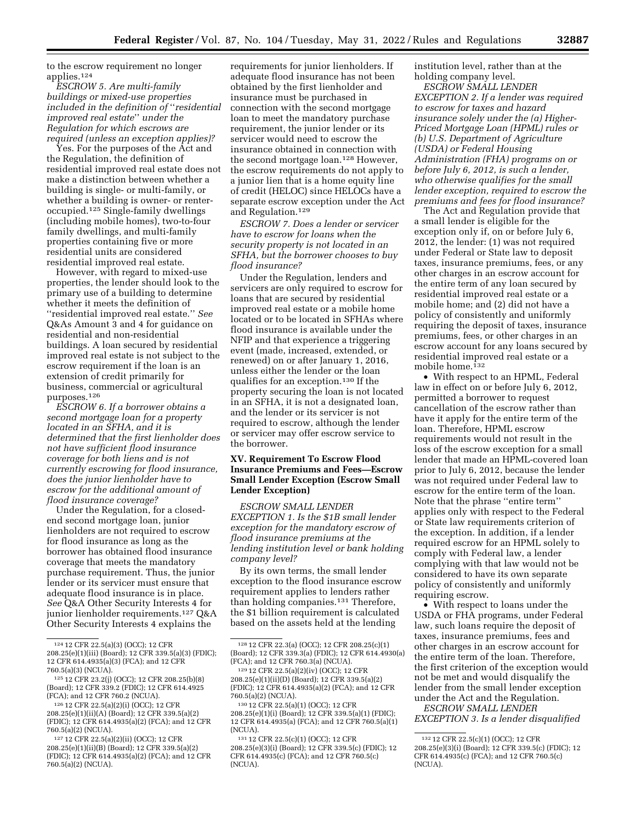to the escrow requirement no longer applies.124

*ESCROW 5. Are multi-family buildings or mixed-use properties included in the definition of* ''*residential improved real estate*'' *under the Regulation for which escrows are required (unless an exception applies)?* 

Yes. For the purposes of the Act and the Regulation, the definition of residential improved real estate does not make a distinction between whether a building is single- or multi-family, or whether a building is owner- or renteroccupied.125 Single-family dwellings (including mobile homes), two-to-four family dwellings, and multi-family properties containing five or more residential units are considered residential improved real estate.

However, with regard to mixed-use properties, the lender should look to the primary use of a building to determine whether it meets the definition of ''residential improved real estate.'' *See*  Q&As Amount 3 and 4 for guidance on residential and non-residential buildings. A loan secured by residential improved real estate is not subject to the escrow requirement if the loan is an extension of credit primarily for business, commercial or agricultural purposes.126

*ESCROW 6. If a borrower obtains a second mortgage loan for a property located in an SFHA, and it is determined that the first lienholder does not have sufficient flood insurance coverage for both liens and is not currently escrowing for flood insurance, does the junior lienholder have to escrow for the additional amount of flood insurance coverage?* 

Under the Regulation, for a closedend second mortgage loan, junior lienholders are not required to escrow for flood insurance as long as the borrower has obtained flood insurance coverage that meets the mandatory purchase requirement. Thus, the junior lender or its servicer must ensure that adequate flood insurance is in place. *See* Q&A Other Security Interests 4 for junior lienholder requirements.127 Q&A Other Security Interests 4 explains the

requirements for junior lienholders. If adequate flood insurance has not been obtained by the first lienholder and insurance must be purchased in connection with the second mortgage loan to meet the mandatory purchase requirement, the junior lender or its servicer would need to escrow the insurance obtained in connection with the second mortgage loan.128 However, the escrow requirements do not apply to a junior lien that is a home equity line of credit (HELOC) since HELOCs have a separate escrow exception under the Act and Regulation.129

*ESCROW 7. Does a lender or servicer have to escrow for loans when the security property is not located in an SFHA, but the borrower chooses to buy flood insurance?* 

Under the Regulation, lenders and servicers are only required to escrow for loans that are secured by residential improved real estate or a mobile home located or to be located in SFHAs where flood insurance is available under the NFIP and that experience a triggering event (made, increased, extended, or renewed) on or after January 1, 2016, unless either the lender or the loan qualifies for an exception.130 If the property securing the loan is not located in an SFHA, it is not a designated loan, and the lender or its servicer is not required to escrow, although the lender or servicer may offer escrow service to the borrower.

#### **XV. Requirement To Escrow Flood Insurance Premiums and Fees—Escrow Small Lender Exception (Escrow Small Lender Exception)**

*ESCROW SMALL LENDER EXCEPTION 1. Is the \$1B small lender exception for the mandatory escrow of flood insurance premiums at the lending institution level or bank holding company level?* 

By its own terms, the small lender exception to the flood insurance escrow requirement applies to lenders rather than holding companies.<sup>131</sup> Therefore, the \$1 billion requirement is calculated based on the assets held at the lending

institution level, rather than at the holding company level.

*ESCROW SMALL LENDER EXCEPTION 2. If a lender was required to escrow for taxes and hazard insurance solely under the (a) Higher-Priced Mortgage Loan (HPML) rules or (b) U.S. Department of Agriculture (USDA) or Federal Housing Administration (FHA) programs on or before July 6, 2012, is such a lender, who otherwise qualifies for the small lender exception, required to escrow the premiums and fees for flood insurance?* 

The Act and Regulation provide that a small lender is eligible for the exception only if, on or before July 6, 2012, the lender: (1) was not required under Federal or State law to deposit taxes, insurance premiums, fees, or any other charges in an escrow account for the entire term of any loan secured by residential improved real estate or a mobile home; and (2) did not have a policy of consistently and uniformly requiring the deposit of taxes, insurance premiums, fees, or other charges in an escrow account for any loans secured by residential improved real estate or a mobile home.132

• With respect to an HPML, Federal law in effect on or before July 6, 2012, permitted a borrower to request cancellation of the escrow rather than have it apply for the entire term of the loan. Therefore, HPML escrow requirements would not result in the loss of the escrow exception for a small lender that made an HPML-covered loan prior to July 6, 2012, because the lender was not required under Federal law to escrow for the entire term of the loan. Note that the phrase ''entire term'' applies only with respect to the Federal or State law requirements criterion of the exception. In addition, if a lender required escrow for an HPML solely to comply with Federal law, a lender complying with that law would not be considered to have its own separate policy of consistently and uniformly requiring escrow.

• With respect to loans under the USDA or FHA programs, under Federal law, such loans require the deposit of taxes, insurance premiums, fees and other charges in an escrow account for the entire term of the loan. Therefore, the first criterion of the exception would not be met and would disqualify the lender from the small lender exception under the Act and the Regulation.

*ESCROW SMALL LENDER EXCEPTION 3. Is a lender disqualified* 

<sup>124</sup> 12 CFR 22.5(a)(3) (OCC); 12 CFR 208.25(e)(1)(iii) (Board); 12 CFR 339.5(a)(3) (FDIC); 12 CFR 614.4935(a)(3) (FCA); and 12 CFR 760.5(a)(3) (NCUA).

<sup>125</sup> 12 CFR 23.2(j) (OCC); 12 CFR 208.25(b)(8) (Board); 12 CFR 339.2 (FDIC); 12 CFR 614.4925 (FCA); and 12 CFR 760.2 (NCUA).

<sup>126</sup> 12 CFR 22.5(a)(2)(i) (OCC); 12 CFR 208.25(e)(1)(ii)(A) (Board); 12 CFR 339.5(a)(2) (FDIC); 12 CFR 614.4935(a)(2) (FCA); and 12 CFR 760.5(a)(2) (NCUA).

<sup>127</sup> 12 CFR 22.5(a)(2)(ii) (OCC); 12 CFR 208.25(e)(1)(ii)(B) (Board); 12 CFR 339.5(a)(2) (FDIC); 12 CFR 614.4935(a)(2) (FCA); and 12 CFR 760.5(a)(2) (NCUA).

<sup>128</sup> 12 CFR 22.3(a) (OCC); 12 CFR 208.25(c)(1) (Board); 12 CFR 339.3(a) (FDIC); 12 CFR 614.4930(a) (FCA); and 12 CFR 760.3(a) (NCUA).

<sup>129</sup> 12 CFR 22.5(a)(2)(iv) (OCC); 12 CFR 208.25(e)(1)(ii)(D) (Board); 12 CFR 339.5(a)(2) (FDIC); 12 CFR 614.4935(a)(2) (FCA); and 12 CFR 760.5(a)(2) (NCUA). 130 12 CFR 22.5(a)(1) (OCC); 12 CFR

<sup>208.25(</sup>e)(1)(i) (Board); 12 CFR 339.5(a)(1) (FDIC); 12 CFR 614.4935(a) (FCA); and 12 CFR 760.5(a)(1) (NCUA).

<sup>131</sup> 12 CFR 22.5(c)(1) (OCC); 12 CFR 208.25(e)(3)(i) (Board); 12 CFR 339.5(c) (FDIC); 12 CFR 614.4935(c) (FCA); and 12 CFR 760.5(c) (NCUA).

<sup>132</sup> 12 CFR 22.5(c)(1) (OCC); 12 CFR 208.25(e)(3)(i) (Board); 12 CFR 339.5(c) (FDIC); 12 CFR 614.4935(c) (FCA); and 12 CFR 760.5(c) (NCUA).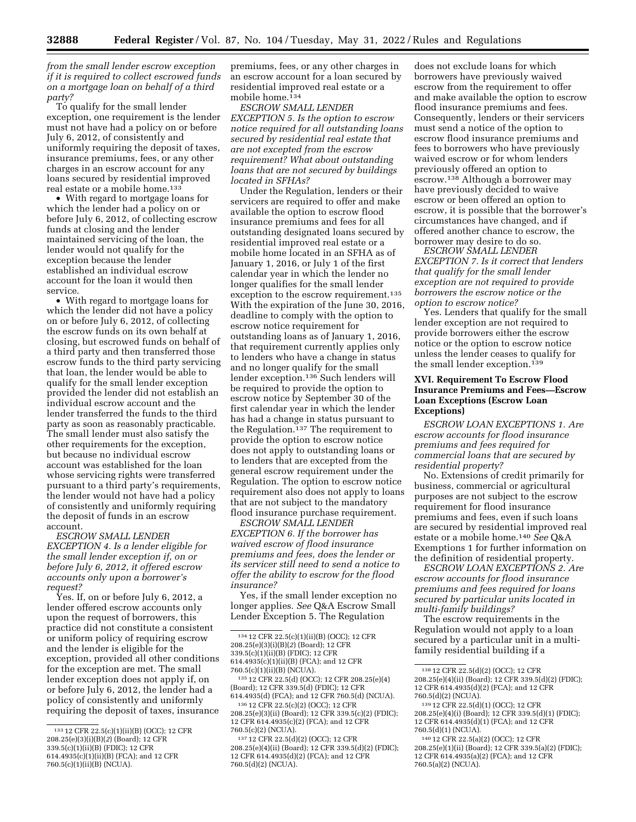*from the small lender escrow exception if it is required to collect escrowed funds on a mortgage loan on behalf of a third party?* 

To qualify for the small lender exception, one requirement is the lender must not have had a policy on or before July 6, 2012, of consistently and uniformly requiring the deposit of taxes, insurance premiums, fees, or any other charges in an escrow account for any loans secured by residential improved real estate or a mobile home.<sup>133</sup>

• With regard to mortgage loans for which the lender had a policy on or before July 6, 2012, of collecting escrow funds at closing and the lender maintained servicing of the loan, the lender would not qualify for the exception because the lender established an individual escrow account for the loan it would then service.

• With regard to mortgage loans for which the lender did not have a policy on or before July 6, 2012, of collecting the escrow funds on its own behalf at closing, but escrowed funds on behalf of a third party and then transferred those escrow funds to the third party servicing that loan, the lender would be able to qualify for the small lender exception provided the lender did not establish an individual escrow account and the lender transferred the funds to the third party as soon as reasonably practicable. The small lender must also satisfy the other requirements for the exception, but because no individual escrow account was established for the loan whose servicing rights were transferred pursuant to a third party's requirements, the lender would not have had a policy of consistently and uniformly requiring the deposit of funds in an escrow account.

*ESCROW SMALL LENDER EXCEPTION 4. Is a lender eligible for the small lender exception if, on or before July 6, 2012, it offered escrow accounts only upon a borrower's request?* 

Yes. If, on or before July 6, 2012, a lender offered escrow accounts only upon the request of borrowers, this practice did not constitute a consistent or uniform policy of requiring escrow and the lender is eligible for the exception, provided all other conditions for the exception are met. The small lender exception does not apply if, on or before July 6, 2012, the lender had a policy of consistently and uniformly requiring the deposit of taxes, insurance

premiums, fees, or any other charges in an escrow account for a loan secured by residential improved real estate or a mobile home.134

*ESCROW SMALL LENDER EXCEPTION 5. Is the option to escrow notice required for all outstanding loans secured by residential real estate that are not excepted from the escrow requirement? What about outstanding loans that are not secured by buildings located in SFHAs?* 

Under the Regulation, lenders or their servicers are required to offer and make available the option to escrow flood insurance premiums and fees for all outstanding designated loans secured by residential improved real estate or a mobile home located in an SFHA as of January 1, 2016, or July 1 of the first calendar year in which the lender no longer qualifies for the small lender exception to the escrow requirement.<sup>135</sup> With the expiration of the June 30, 2016, deadline to comply with the option to escrow notice requirement for outstanding loans as of January 1, 2016, that requirement currently applies only to lenders who have a change in status and no longer qualify for the small lender exception.136 Such lenders will be required to provide the option to escrow notice by September 30 of the first calendar year in which the lender has had a change in status pursuant to the Regulation.137 The requirement to provide the option to escrow notice does not apply to outstanding loans or to lenders that are excepted from the general escrow requirement under the Regulation. The option to escrow notice requirement also does not apply to loans that are not subject to the mandatory flood insurance purchase requirement.

*ESCROW SMALL LENDER EXCEPTION 6. If the borrower has waived escrow of flood insurance premiums and fees, does the lender or its servicer still need to send a notice to offer the ability to escrow for the flood insurance?* 

Yes, if the small lender exception no longer applies. *See* Q&A Escrow Small Lender Exception 5. The Regulation

does not exclude loans for which borrowers have previously waived escrow from the requirement to offer and make available the option to escrow flood insurance premiums and fees. Consequently, lenders or their servicers must send a notice of the option to escrow flood insurance premiums and fees to borrowers who have previously waived escrow or for whom lenders previously offered an option to escrow.<sup>138</sup> Although a borrower may have previously decided to waive escrow or been offered an option to escrow, it is possible that the borrower's circumstances have changed, and if offered another chance to escrow, the borrower may desire to do so.

*ESCROW SMALL LENDER EXCEPTION 7. Is it correct that lenders that qualify for the small lender exception are not required to provide borrowers the escrow notice or the option to escrow notice?* 

Yes. Lenders that qualify for the small lender exception are not required to provide borrowers either the escrow notice or the option to escrow notice unless the lender ceases to qualify for the small lender exception.139

## **XVI. Requirement To Escrow Flood Insurance Premiums and Fees—Escrow Loan Exceptions (Escrow Loan Exceptions)**

*ESCROW LOAN EXCEPTIONS 1. Are escrow accounts for flood insurance premiums and fees required for commercial loans that are secured by residential property?* 

No. Extensions of credit primarily for business, commercial or agricultural purposes are not subject to the escrow requirement for flood insurance premiums and fees, even if such loans are secured by residential improved real estate or a mobile home.140 *See* Q&A Exemptions 1 for further information on the definition of residential property.

*ESCROW LOAN EXCEPTIONS 2. Are escrow accounts for flood insurance premiums and fees required for loans secured by particular units located in multi-family buildings?* 

The escrow requirements in the Regulation would not apply to a loan secured by a particular unit in a multifamily residential building if a

<sup>133</sup> 12 CFR 22.5(c)(1)(ii)(B) (OCC); 12 CFR 208.25(e)(3)(i)(B)(*2*) (Board); 12 CFR 339.5(c)(1)(ii)(B) (FDIC); 12 CFR 614.4935(c)(1)(ii)(B) (FCA); and 12 CFR 760.5(c)(1)(ii)(B) (NCUA).

<sup>134</sup> 12 CFR 22.5(c)(1)(ii)(B) (OCC); 12 CFR 208.25(e)(3)(i)(B)(*2*) (Board); 12 CFR 339.5(c)(1)(ii)(B) (FDIC); 12 CFR 614.4935(c)(1)(ii)(B) (FCA); and 12 CFR

<sup>760.5(</sup>c)(1)(ii)(B) (NCUA). 135 12 CFR 22.5(d) (OCC); 12 CFR 208.25(e)(4) (Board); 12 CFR 339.5(d) (FDIC); 12 CFR 614.4935(d) (FCA); and 12 CFR 760.5(d) (NCUA).

<sup>136</sup> 12 CFR 22.5(c)(2) (OCC); 12 CFR 208.25(e)(3)(ii) (Board); 12 CFR 339.5(c)(2) (FDIC); 12 CFR 614.4935(c)(2) (FCA); and 12 CFR 760.5(c)(2) (NCUA).

<sup>137</sup> 12 CFR 22.5(d)(2) (OCC); 12 CFR 208.25(e)(4)(ii) (Board); 12 CFR 339.5(d)(2) (FDIC); 12 CFR 614.4935(d)(2) (FCA); and 12 CFR 760.5(d)(2) (NCUA).

<sup>138</sup> 12 CFR 22.5(d)(2) (OCC); 12 CFR 208.25(e)(4)(ii) (Board); 12 CFR 339.5(d)(2) (FDIC); 12 CFR 614.4935(d)(2) (FCA); and 12 CFR 760.5(d)(2) (NCUA).

<sup>139</sup> 12 CFR 22.5(d)(1) (OCC); 12 CFR 208.25(e)(4)(i) (Board); 12 CFR 339.5(d)(1) (FDIC); 12 CFR 614.4935(d)(1) (FCA); and 12 CFR 760.5(d)(1) (NCUA).

<sup>140</sup> 12 CFR 22.5(a)(2) (OCC); 12 CFR 208.25(e)(1)(ii) (Board); 12 CFR 339.5(a)(2) (FDIC); 12 CFR 614.4935(a)(2) (FCA); and 12 CFR 760.5(a)(2) (NCUA).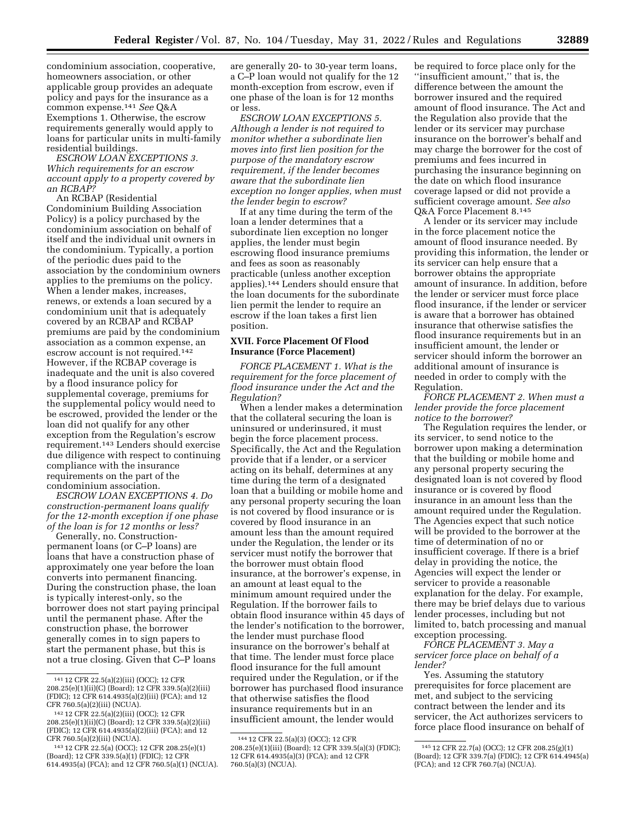condominium association, cooperative, homeowners association, or other applicable group provides an adequate policy and pays for the insurance as a common expense.141 *See* Q&A Exemptions 1. Otherwise, the escrow requirements generally would apply to loans for particular units in multi-family residential buildings.

*ESCROW LOAN EXCEPTIONS 3. Which requirements for an escrow account apply to a property covered by an RCBAP?* 

An RCBAP (Residential Condominium Building Association Policy) is a policy purchased by the condominium association on behalf of itself and the individual unit owners in the condominium. Typically, a portion of the periodic dues paid to the association by the condominium owners applies to the premiums on the policy. When a lender makes, increases, renews, or extends a loan secured by a condominium unit that is adequately covered by an RCBAP and RCBAP premiums are paid by the condominium association as a common expense, an escrow account is not required.142 However, if the RCBAP coverage is inadequate and the unit is also covered by a flood insurance policy for supplemental coverage, premiums for the supplemental policy would need to be escrowed, provided the lender or the loan did not qualify for any other exception from the Regulation's escrow requirement.143 Lenders should exercise due diligence with respect to continuing compliance with the insurance requirements on the part of the condominium association.

*ESCROW LOAN EXCEPTIONS 4. Do construction-permanent loans qualify for the 12-month exception if one phase of the loan is for 12 months or less?* 

Generally, no. Constructionpermanent loans (or C–P loans) are loans that have a construction phase of approximately one year before the loan converts into permanent financing. During the construction phase, the loan is typically interest-only, so the borrower does not start paying principal until the permanent phase. After the construction phase, the borrower generally comes in to sign papers to start the permanent phase, but this is not a true closing. Given that C–P loans

are generally 20- to 30-year term loans, a C–P loan would not qualify for the 12 month-exception from escrow, even if one phase of the loan is for 12 months or less.

*ESCROW LOAN EXCEPTIONS 5. Although a lender is not required to monitor whether a subordinate lien moves into first lien position for the purpose of the mandatory escrow requirement, if the lender becomes aware that the subordinate lien exception no longer applies, when must the lender begin to escrow?* 

If at any time during the term of the loan a lender determines that a subordinate lien exception no longer applies, the lender must begin escrowing flood insurance premiums and fees as soon as reasonably practicable (unless another exception applies).144 Lenders should ensure that the loan documents for the subordinate lien permit the lender to require an escrow if the loan takes a first lien position.

## **XVII. Force Placement Of Flood Insurance (Force Placement)**

*FORCE PLACEMENT 1. What is the requirement for the force placement of flood insurance under the Act and the Regulation?* 

When a lender makes a determination that the collateral securing the loan is uninsured or underinsured, it must begin the force placement process. Specifically, the Act and the Regulation provide that if a lender, or a servicer acting on its behalf, determines at any time during the term of a designated loan that a building or mobile home and any personal property securing the loan is not covered by flood insurance or is covered by flood insurance in an amount less than the amount required under the Regulation, the lender or its servicer must notify the borrower that the borrower must obtain flood insurance, at the borrower's expense, in an amount at least equal to the minimum amount required under the Regulation. If the borrower fails to obtain flood insurance within 45 days of the lender's notification to the borrower, the lender must purchase flood insurance on the borrower's behalf at that time. The lender must force place flood insurance for the full amount required under the Regulation, or if the borrower has purchased flood insurance that otherwise satisfies the flood insurance requirements but in an insufficient amount, the lender would

be required to force place only for the ''insufficient amount,'' that is, the difference between the amount the borrower insured and the required amount of flood insurance. The Act and the Regulation also provide that the lender or its servicer may purchase insurance on the borrower's behalf and may charge the borrower for the cost of premiums and fees incurred in purchasing the insurance beginning on the date on which flood insurance coverage lapsed or did not provide a sufficient coverage amount. *See also*  Q&A Force Placement 8.145

A lender or its servicer may include in the force placement notice the amount of flood insurance needed. By providing this information, the lender or its servicer can help ensure that a borrower obtains the appropriate amount of insurance. In addition, before the lender or servicer must force place flood insurance, if the lender or servicer is aware that a borrower has obtained insurance that otherwise satisfies the flood insurance requirements but in an insufficient amount, the lender or servicer should inform the borrower an additional amount of insurance is needed in order to comply with the Regulation.

*FORCE PLACEMENT 2. When must a lender provide the force placement notice to the borrower?* 

The Regulation requires the lender, or its servicer, to send notice to the borrower upon making a determination that the building or mobile home and any personal property securing the designated loan is not covered by flood insurance or is covered by flood insurance in an amount less than the amount required under the Regulation. The Agencies expect that such notice will be provided to the borrower at the time of determination of no or insufficient coverage. If there is a brief delay in providing the notice, the Agencies will expect the lender or servicer to provide a reasonable explanation for the delay. For example, there may be brief delays due to various lender processes, including but not limited to, batch processing and manual exception processing.

*FORCE PLACEMENT 3. May a servicer force place on behalf of a lender?* 

Yes. Assuming the statutory prerequisites for force placement are met, and subject to the servicing contract between the lender and its servicer, the Act authorizes servicers to force place flood insurance on behalf of

<sup>141</sup> 12 CFR 22.5(a)(2)(iii) (OCC); 12 CFR 208.25(e)(1)(ii)(C) (Board); 12 CFR 339.5(a)(2)(iii) (FDIC); 12 CFR 614.4935(a)(2)(iii) (FCA); and 12 CFR 760.5(a)(2)(iii) (NCUA).

<sup>142</sup> 12 CFR 22.5(a)(2)(iii) (OCC); 12 CFR 208.25(e)(1)(ii)(C) (Board); 12 CFR 339.5(a)(2)(iii) (FDIC); 12 CFR 614.4935(a)(2)(iii) (FCA); and 12 CFR 760.5(a)(2)(iii) (NCUA).

<sup>143</sup> 12 CFR 22.5(a) (OCC); 12 CFR 208.25(e)(1) (Board); 12 CFR 339.5(a)(1) (FDIC); 12 CFR 614.4935(a) (FCA); and 12 CFR 760.5(a)(1) (NCUA).

<sup>144</sup> 12 CFR 22.5(a)(3) (OCC); 12 CFR 208.25(e)(1)(iii) (Board); 12 CFR 339.5(a)(3) (FDIC); 12 CFR 614.4935(a)(3) (FCA); and 12 CFR 760.5(a)(3) (NCUA).

<sup>145</sup> 12 CFR 22.7(a) (OCC); 12 CFR 208.25(g)(1) (Board); 12 CFR 339.7(a) (FDIC); 12 CFR 614.4945(a) (FCA); and 12 CFR 760.7(a) (NCUA).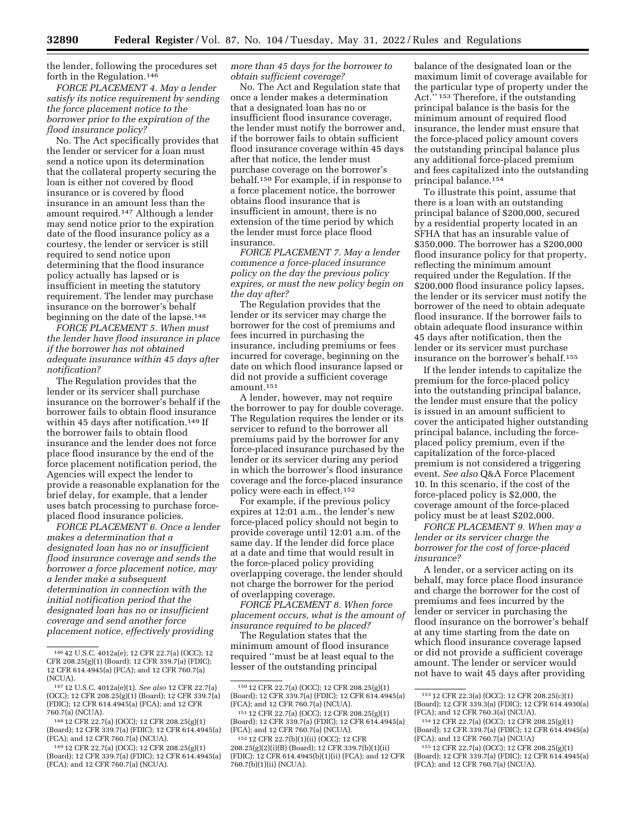the lender, following the procedures set forth in the Regulation.146

*FORCE PLACEMENT 4. May a lender satisfy its notice requirement by sending the force placement notice to the borrower prior to the expiration of the flood insurance policy?* 

No. The Act specifically provides that the lender or servicer for a loan must send a notice upon its determination that the collateral property securing the loan is either not covered by flood insurance or is covered by flood insurance in an amount less than the amount required.147 Although a lender may send notice prior to the expiration date of the flood insurance policy as a courtesy, the lender or servicer is still required to send notice upon determining that the flood insurance policy actually has lapsed or is insufficient in meeting the statutory requirement. The lender may purchase insurance on the borrower's behalf beginning on the date of the lapse.148

*FORCE PLACEMENT 5. When must the lender have flood insurance in place if the borrower has not obtained adequate insurance within 45 days after notification?* 

The Regulation provides that the lender or its servicer shall purchase insurance on the borrower's behalf if the borrower fails to obtain flood insurance within 45 days after notification.<sup>149</sup> If the borrower fails to obtain flood insurance and the lender does not force place flood insurance by the end of the force placement notification period, the Agencies will expect the lender to provide a reasonable explanation for the brief delay, for example, that a lender uses batch processing to purchase forceplaced flood insurance policies.

*FORCE PLACEMENT 6. Once a lender makes a determination that a designated loan has no or insufficient flood insurance coverage and sends the borrower a force placement notice, may a lender make a subsequent determination in connection with the initial notification period that the designated loan has no or insufficient coverage and send another force placement notice, effectively providing* 

*more than 45 days for the borrower to obtain sufficient coverage?* 

No. The Act and Regulation state that once a lender makes a determination that a designated loan has no or insufficient flood insurance coverage, the lender must notify the borrower and, if the borrower fails to obtain sufficient flood insurance coverage within 45 days after that notice, the lender must purchase coverage on the borrower's behalf.150 For example, if in response to a force placement notice, the borrower obtains flood insurance that is insufficient in amount, there is no extension of the time period by which the lender must force place flood insurance.

*FORCE PLACEMENT 7. May a lender commence a force-placed insurance policy on the day the previous policy expires, or must the new policy begin on the day after?* 

The Regulation provides that the lender or its servicer may charge the borrower for the cost of premiums and fees incurred in purchasing the insurance, including premiums or fees incurred for coverage, beginning on the date on which flood insurance lapsed or did not provide a sufficient coverage amount.151

A lender, however, may not require the borrower to pay for double coverage. The Regulation requires the lender or its servicer to refund to the borrower all premiums paid by the borrower for any force-placed insurance purchased by the lender or its servicer during any period in which the borrower's flood insurance coverage and the force-placed insurance policy were each in effect.152

For example, if the previous policy expires at 12:01 a.m., the lender's new force-placed policy should not begin to provide coverage until 12:01 a.m. of the same day. If the lender did force place at a date and time that would result in the force-placed policy providing overlapping coverage, the lender should not charge the borrower for the period of overlapping coverage.

*FORCE PLACEMENT 8. When force placement occurs, what is the amount of insurance required to be placed?* 

The Regulation states that the minimum amount of flood insurance required ''must be at least equal to the lesser of the outstanding principal

balance of the designated loan or the maximum limit of coverage available for the particular type of property under the Act.'' 153 Therefore, if the outstanding principal balance is the basis for the minimum amount of required flood insurance, the lender must ensure that the force-placed policy amount covers the outstanding principal balance plus any additional force-placed premium and fees capitalized into the outstanding principal balance.154

To illustrate this point, assume that there is a loan with an outstanding principal balance of \$200,000, secured by a residential property located in an SFHA that has an insurable value of \$350,000. The borrower has a \$200,000 flood insurance policy for that property, reflecting the minimum amount required under the Regulation. If the \$200,000 flood insurance policy lapses, the lender or its servicer must notify the borrower of the need to obtain adequate flood insurance. If the borrower fails to obtain adequate flood insurance within 45 days after notification, then the lender or its servicer must purchase insurance on the borrower's behalf.155

If the lender intends to capitalize the premium for the force-placed policy into the outstanding principal balance, the lender must ensure that the policy is issued in an amount sufficient to cover the anticipated higher outstanding principal balance, including the forceplaced policy premium, even if the capitalization of the force-placed premium is not considered a triggering event. *See also* Q&A Force Placement 10. In this scenario, if the cost of the force-placed policy is \$2,000, the coverage amount of the force-placed policy must be at least \$202,000.

*FORCE PLACEMENT 9. When may a lender or its servicer charge the borrower for the cost of force-placed insurance?* 

A lender, or a servicer acting on its behalf, may force place flood insurance and charge the borrower for the cost of premiums and fees incurred by the lender or servicer in purchasing the flood insurance on the borrower's behalf at any time starting from the date on which flood insurance coverage lapsed or did not provide a sufficient coverage amount. The lender or servicer would not have to wait 45 days after providing

<sup>146</sup> 42 U.S.C. 4012a(e); 12 CFR 22.7(a) (OCC); 12 CFR 208.25(g)(1) (Board); 12 CFR 339.7(a) (FDIC); 12 CFR 614.4945(a) (FCA); and 12 CFR 760.7(a) (NCUA).

<sup>147</sup> 12 U.S.C. 4012a(e)(1). *See also* 12 CFR 22.7(a) (OCC); 12 CFR 208.25(g)(1) (Board); 12 CFR 339.7(a) (FDIC); 12 CFR 614.4945(a) (FCA); and 12 CFR 760.7(a) (NCUA).

<sup>148</sup> 12 CFR 22.7(a) (OCC); 12 CFR 208.25(g)(1) (Board); 12 CFR 339.7(a) (FDIC); 12 CFR 614.4945(a) (FCA); and 12 CFR 760.7(a) (NCUA).

<sup>149</sup> 12 CFR 22.7(a) (OCC); 12 CFR 208.25(g)(1) (Board); 12 CFR 339.7(a) (FDIC); 12 CFR 614.4945(a) (FCA); and 12 CFR 760.7(a) (NCUA).

<sup>150</sup> 12 CFR 22.7(a) (OCC); 12 CFR 208.25(g)(1) (Board); 12 CFR 339.7(a) (FDIC); 12 CFR 614.4945(a) (FCA); and 12 CFR 760.7(a) (NCUA).

<sup>151</sup> 12 CFR 22.7(a) (OCC); 12 CFR 208.25(g)(1) (Board); 12 CFR 339.7(a) (FDIC); 12 CFR 614.4945(a) (FCA); and 12 CFR 760.7(a) (NCUA).

<sup>152</sup> 12 CFR 22.7(b)(1)(ii) (OCC); 12 CFR 208.25(g)(2)(i)(B) (Board); 12 CFR 339.7(b)(1)(ii) (FDIC); 12 CFR 614.4945(b)(1)(ii) (FCA); and 12 CFR 760.7(b)(1)(ii) (NCUA).

<sup>153</sup> 12 CFR 22.3(a) (OCC); 12 CFR 208.25(c)(1) (Board); 12 CFR 339.3(a) (FDIC); 12 CFR 614.4930(a) (FCA); and 12 CFR 760.3(a) (NCUA).

<sup>154</sup> 12 CFR 22.7(a) (OCC); 12 CFR 208.25(g)(1) (Board); 12 CFR 339.7(a) (FDIC); 12 CFR 614.4945(a) (FCA); and 12 CFR 760.7(a) (NCUA)

<sup>155</sup> 12 CFR 22.7(a) (OCC); 12 CFR 208.25(g)(1) (Board); 12 CFR 339.7(a) (FDIC); 12 CFR 614.4945(a) (FCA); and 12 CFR 760.7(a) (NCUA).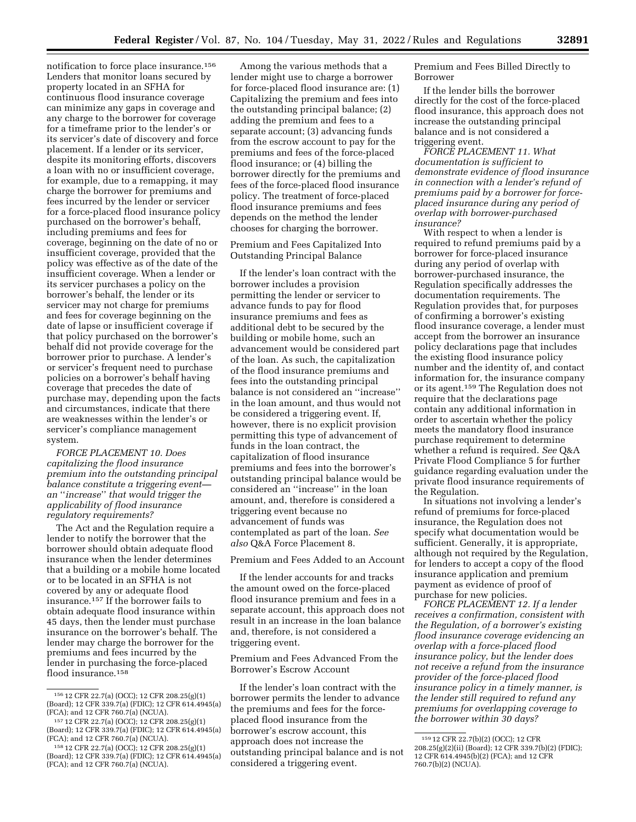notification to force place insurance.156 Lenders that monitor loans secured by property located in an SFHA for continuous flood insurance coverage can minimize any gaps in coverage and any charge to the borrower for coverage for a timeframe prior to the lender's or its servicer's date of discovery and force placement. If a lender or its servicer, despite its monitoring efforts, discovers a loan with no or insufficient coverage, for example, due to a remapping, it may charge the borrower for premiums and fees incurred by the lender or servicer for a force-placed flood insurance policy purchased on the borrower's behalf, including premiums and fees for coverage, beginning on the date of no or insufficient coverage, provided that the policy was effective as of the date of the insufficient coverage. When a lender or its servicer purchases a policy on the borrower's behalf, the lender or its servicer may not charge for premiums and fees for coverage beginning on the date of lapse or insufficient coverage if that policy purchased on the borrower's behalf did not provide coverage for the borrower prior to purchase. A lender's or servicer's frequent need to purchase policies on a borrower's behalf having coverage that precedes the date of purchase may, depending upon the facts and circumstances, indicate that there are weaknesses within the lender's or servicer's compliance management system.

*FORCE PLACEMENT 10. Does capitalizing the flood insurance premium into the outstanding principal balance constitute a triggering event an* ''*increase*'' *that would trigger the applicability of flood insurance regulatory requirements?* 

The Act and the Regulation require a lender to notify the borrower that the borrower should obtain adequate flood insurance when the lender determines that a building or a mobile home located or to be located in an SFHA is not covered by any or adequate flood insurance.157 If the borrower fails to obtain adequate flood insurance within 45 days, then the lender must purchase insurance on the borrower's behalf. The lender may charge the borrower for the premiums and fees incurred by the lender in purchasing the force-placed flood insurance.<sup>158</sup>

Among the various methods that a lender might use to charge a borrower for force-placed flood insurance are: (1) Capitalizing the premium and fees into the outstanding principal balance; (2) adding the premium and fees to a separate account; (3) advancing funds from the escrow account to pay for the premiums and fees of the force-placed flood insurance; or (4) billing the borrower directly for the premiums and fees of the force-placed flood insurance policy. The treatment of force-placed flood insurance premiums and fees depends on the method the lender chooses for charging the borrower.

Premium and Fees Capitalized Into Outstanding Principal Balance

If the lender's loan contract with the borrower includes a provision permitting the lender or servicer to advance funds to pay for flood insurance premiums and fees as additional debt to be secured by the building or mobile home, such an advancement would be considered part of the loan. As such, the capitalization of the flood insurance premiums and fees into the outstanding principal balance is not considered an ''increase'' in the loan amount, and thus would not be considered a triggering event. If, however, there is no explicit provision permitting this type of advancement of funds in the loan contract, the capitalization of flood insurance premiums and fees into the borrower's outstanding principal balance would be considered an ''increase'' in the loan amount, and, therefore is considered a triggering event because no advancement of funds was contemplated as part of the loan. *See also* Q&A Force Placement 8.

Premium and Fees Added to an Account

If the lender accounts for and tracks the amount owed on the force-placed flood insurance premium and fees in a separate account, this approach does not result in an increase in the loan balance and, therefore, is not considered a triggering event.

Premium and Fees Advanced From the Borrower's Escrow Account

If the lender's loan contract with the borrower permits the lender to advance the premiums and fees for the forceplaced flood insurance from the borrower's escrow account, this approach does not increase the outstanding principal balance and is not considered a triggering event.

Premium and Fees Billed Directly to Borrower

If the lender bills the borrower directly for the cost of the force-placed flood insurance, this approach does not increase the outstanding principal balance and is not considered a triggering event.

*FORCE PLACEMENT 11. What documentation is sufficient to demonstrate evidence of flood insurance in connection with a lender's refund of premiums paid by a borrower for forceplaced insurance during any period of overlap with borrower-purchased insurance?* 

With respect to when a lender is required to refund premiums paid by a borrower for force-placed insurance during any period of overlap with borrower-purchased insurance, the Regulation specifically addresses the documentation requirements. The Regulation provides that, for purposes of confirming a borrower's existing flood insurance coverage, a lender must accept from the borrower an insurance policy declarations page that includes the existing flood insurance policy number and the identity of, and contact information for, the insurance company or its agent.159 The Regulation does not require that the declarations page contain any additional information in order to ascertain whether the policy meets the mandatory flood insurance purchase requirement to determine whether a refund is required. *See* Q&A Private Flood Compliance 5 for further guidance regarding evaluation under the private flood insurance requirements of the Regulation.

In situations not involving a lender's refund of premiums for force-placed insurance, the Regulation does not specify what documentation would be sufficient. Generally, it is appropriate, although not required by the Regulation, for lenders to accept a copy of the flood insurance application and premium payment as evidence of proof of purchase for new policies.

*FORCE PLACEMENT 12. If a lender receives a confirmation, consistent with the Regulation, of a borrower's existing flood insurance coverage evidencing an overlap with a force-placed flood insurance policy, but the lender does not receive a refund from the insurance provider of the force-placed flood insurance policy in a timely manner, is the lender still required to refund any premiums for overlapping coverage to the borrower within 30 days?* 

<sup>156</sup> 12 CFR 22.7(a) (OCC); 12 CFR 208.25(g)(1) (Board); 12 CFR 339.7(a) (FDIC); 12 CFR 614.4945(a) (FCA); and 12 CFR 760.7(a) (NCUA).

<sup>157</sup> 12 CFR 22.7(a) (OCC); 12 CFR 208.25(g)(1) (Board); 12 CFR 339.7(a) (FDIC); 12 CFR 614.4945(a) (FCA); and 12 CFR 760.7(a) (NCUA).

<sup>158</sup> 12 CFR 22.7(a) (OCC); 12 CFR 208.25(g)(1) (Board); 12 CFR 339.7(a) (FDIC); 12 CFR 614.4945(a) (FCA); and 12 CFR 760.7(a) (NCUA).

<sup>159</sup> 12 CFR 22.7(b)(2) (OCC); 12 CFR 208.25(g)(2)(ii) (Board); 12 CFR 339.7(b)(2) (FDIC); 12 CFR 614.4945(b)(2) (FCA); and 12 CFR 760.7(b)(2) (NCUA).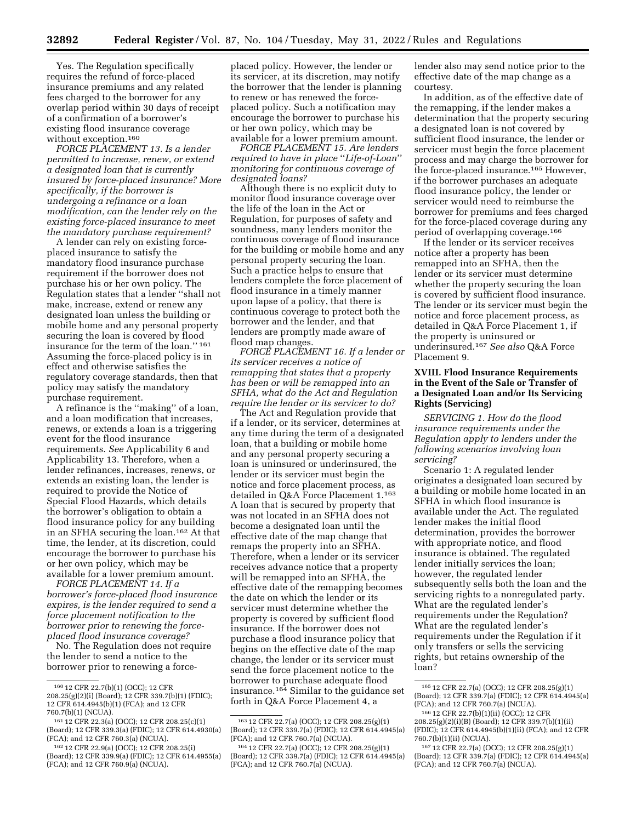Yes. The Regulation specifically requires the refund of force-placed insurance premiums and any related fees charged to the borrower for any overlap period within 30 days of receipt of a confirmation of a borrower's existing flood insurance coverage without exception.<sup>160</sup>

*FORCE PLACEMENT 13. Is a lender permitted to increase, renew, or extend a designated loan that is currently insured by force-placed insurance? More specifically, if the borrower is undergoing a refinance or a loan modification, can the lender rely on the existing force-placed insurance to meet the mandatory purchase requirement?* 

A lender can rely on existing forceplaced insurance to satisfy the mandatory flood insurance purchase requirement if the borrower does not purchase his or her own policy. The Regulation states that a lender ''shall not make, increase, extend or renew any designated loan unless the building or mobile home and any personal property securing the loan is covered by flood insurance for the term of the loan.'' 161 Assuming the force-placed policy is in effect and otherwise satisfies the regulatory coverage standards, then that policy may satisfy the mandatory purchase requirement.

A refinance is the ''making'' of a loan, and a loan modification that increases, renews, or extends a loan is a triggering event for the flood insurance requirements. *See* Applicability 6 and Applicability 13. Therefore, when a lender refinances, increases, renews, or extends an existing loan, the lender is required to provide the Notice of Special Flood Hazards, which details the borrower's obligation to obtain a flood insurance policy for any building in an SFHA securing the loan.162 At that time, the lender, at its discretion, could encourage the borrower to purchase his or her own policy, which may be available for a lower premium amount.

*FORCE PLACEMENT 14. If a borrower's force-placed flood insurance expires, is the lender required to send a force placement notification to the borrower prior to renewing the forceplaced flood insurance coverage?* 

No. The Regulation does not require the lender to send a notice to the borrower prior to renewing a force-

placed policy. However, the lender or its servicer, at its discretion, may notify the borrower that the lender is planning to renew or has renewed the forceplaced policy. Such a notification may encourage the borrower to purchase his or her own policy, which may be available for a lower premium amount.

*FORCE PLACEMENT 15. Are lenders required to have in place* ''*Life-of-Loan*'' *monitoring for continuous coverage of designated loans?* 

Although there is no explicit duty to monitor flood insurance coverage over the life of the loan in the Act or Regulation, for purposes of safety and soundness, many lenders monitor the continuous coverage of flood insurance for the building or mobile home and any personal property securing the loan. Such a practice helps to ensure that lenders complete the force placement of flood insurance in a timely manner upon lapse of a policy, that there is continuous coverage to protect both the borrower and the lender, and that lenders are promptly made aware of flood map changes.

*FORCE PLACEMENT 16. If a lender or its servicer receives a notice of remapping that states that a property has been or will be remapped into an SFHA, what do the Act and Regulation require the lender or its servicer to do?* 

The Act and Regulation provide that if a lender, or its servicer, determines at any time during the term of a designated loan, that a building or mobile home and any personal property securing a loan is uninsured or underinsured, the lender or its servicer must begin the notice and force placement process, as detailed in Q&A Force Placement 1.163 A loan that is secured by property that was not located in an SFHA does not become a designated loan until the effective date of the map change that remaps the property into an SFHA. Therefore, when a lender or its servicer receives advance notice that a property will be remapped into an SFHA, the effective date of the remapping becomes the date on which the lender or its servicer must determine whether the property is covered by sufficient flood insurance. If the borrower does not purchase a flood insurance policy that begins on the effective date of the map change, the lender or its servicer must send the force placement notice to the borrower to purchase adequate flood insurance.164 Similar to the guidance set forth in Q&A Force Placement 4, a

lender also may send notice prior to the effective date of the map change as a courtesy.

In addition, as of the effective date of the remapping, if the lender makes a determination that the property securing a designated loan is not covered by sufficient flood insurance, the lender or servicer must begin the force placement process and may charge the borrower for the force-placed insurance.165 However, if the borrower purchases an adequate flood insurance policy, the lender or servicer would need to reimburse the borrower for premiums and fees charged for the force-placed coverage during any period of overlapping coverage.166

If the lender or its servicer receives notice after a property has been remapped into an SFHA, then the lender or its servicer must determine whether the property securing the loan is covered by sufficient flood insurance. The lender or its servicer must begin the notice and force placement process, as detailed in Q&A Force Placement 1, if the property is uninsured or underinsured.167 *See also* Q&A Force Placement 9.

## **XVIII. Flood Insurance Requirements in the Event of the Sale or Transfer of a Designated Loan and/or Its Servicing Rights (Servicing)**

*SERVICING 1. How do the flood insurance requirements under the Regulation apply to lenders under the following scenarios involving loan servicing?* 

Scenario 1: A regulated lender originates a designated loan secured by a building or mobile home located in an SFHA in which flood insurance is available under the Act. The regulated lender makes the initial flood determination, provides the borrower with appropriate notice, and flood insurance is obtained. The regulated lender initially services the loan; however, the regulated lender subsequently sells both the loan and the servicing rights to a nonregulated party. What are the regulated lender's requirements under the Regulation? What are the regulated lender's requirements under the Regulation if it only transfers or sells the servicing rights, but retains ownership of the loan?

<sup>160</sup> 12 CFR 22.7(b)(1) (OCC); 12 CFR 208.25(g)(2)(i) (Board); 12 CFR 339.7(b)(1) (FDIC); 12 CFR 614.4945(b)(1) (FCA); and 12 CFR 760.7(b)(1) (NCUA).

<sup>161</sup> 12 CFR 22.3(a) (OCC); 12 CFR 208.25(c)(1) (Board); 12 CFR 339.3(a) (FDIC); 12 CFR 614.4930(a) (FCA); and 12 CFR 760.3(a) (NCUA).

<sup>162</sup> 12 CFR 22.9(a) (OCC); 12 CFR 208.25(i) (Board); 12 CFR 339.9(a) (FDIC); 12 CFR 614.4955(a) (FCA); and 12 CFR 760.9(a) (NCUA).

<sup>163</sup> 12 CFR 22.7(a) (OCC); 12 CFR 208.25(g)(1) (Board); 12 CFR 339.7(a) (FDIC); 12 CFR 614.4945(a) (FCA); and 12 CFR 760.7(a) (NCUA).

<sup>164</sup> 12 CFR 22.7(a) (OCC); 12 CFR 208.25(g)(1) (Board); 12 CFR 339.7(a) (FDIC); 12 CFR 614.4945(a) (FCA); and 12 CFR 760.7(a) (NCUA).

<sup>165</sup> 12 CFR 22.7(a) (OCC); 12 CFR 208.25(g)(1) (Board); 12 CFR 339.7(a) (FDIC); 12 CFR 614.4945(a) (FCA); and 12 CFR 760.7(a) (NCUA).

<sup>166</sup> 12 CFR 22.7(b)(1)(ii) (OCC); 12 CFR 208.25(g)(2)(i)(B) (Board); 12 CFR 339.7(b)(1)(ii) (FDIC); 12 CFR 614.4945(b)(1)(ii) (FCA); and 12 CFR 760.7(b)(1)(ii) (NCUA).

<sup>167</sup> 12 CFR 22.7(a) (OCC); 12 CFR 208.25(g)(1) (Board); 12 CFR 339.7(a) (FDIC); 12 CFR 614.4945(a) (FCA); and 12 CFR 760.7(a) (NCUA).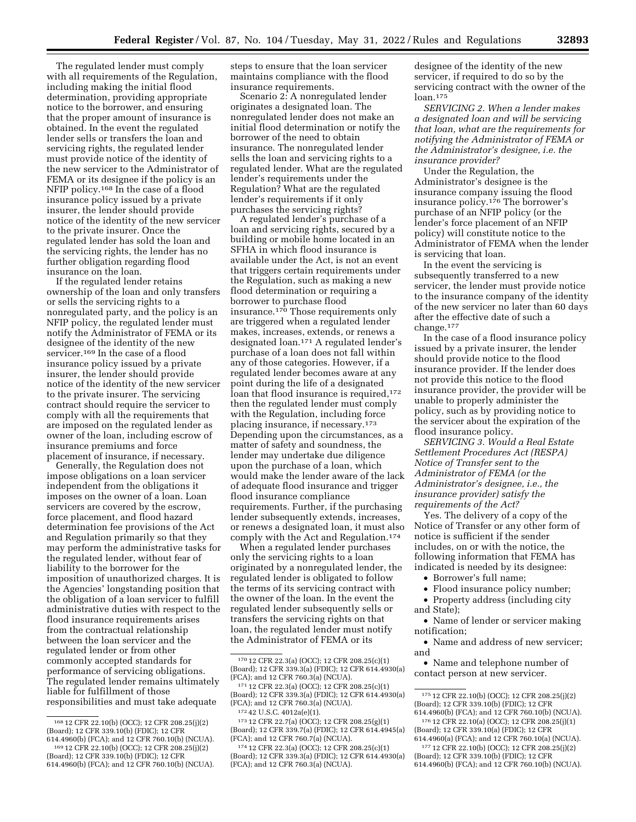The regulated lender must comply with all requirements of the Regulation, including making the initial flood determination, providing appropriate notice to the borrower, and ensuring that the proper amount of insurance is obtained. In the event the regulated lender sells or transfers the loan and servicing rights, the regulated lender must provide notice of the identity of the new servicer to the Administrator of FEMA or its designee if the policy is an NFIP policy.168 In the case of a flood insurance policy issued by a private insurer, the lender should provide notice of the identity of the new servicer to the private insurer. Once the regulated lender has sold the loan and the servicing rights, the lender has no further obligation regarding flood insurance on the loan.

If the regulated lender retains ownership of the loan and only transfers or sells the servicing rights to a nonregulated party, and the policy is an NFIP policy, the regulated lender must notify the Administrator of FEMA or its designee of the identity of the new servicer.<sup>169</sup> In the case of a flood insurance policy issued by a private insurer, the lender should provide notice of the identity of the new servicer to the private insurer. The servicing contract should require the servicer to comply with all the requirements that are imposed on the regulated lender as owner of the loan, including escrow of insurance premiums and force placement of insurance, if necessary.

Generally, the Regulation does not impose obligations on a loan servicer independent from the obligations it imposes on the owner of a loan. Loan servicers are covered by the escrow, force placement, and flood hazard determination fee provisions of the Act and Regulation primarily so that they may perform the administrative tasks for the regulated lender, without fear of liability to the borrower for the imposition of unauthorized charges. It is the Agencies' longstanding position that the obligation of a loan servicer to fulfill administrative duties with respect to the flood insurance requirements arises from the contractual relationship between the loan servicer and the regulated lender or from other commonly accepted standards for performance of servicing obligations. The regulated lender remains ultimately liable for fulfillment of those responsibilities and must take adequate

steps to ensure that the loan servicer maintains compliance with the flood insurance requirements.

Scenario 2: A nonregulated lender originates a designated loan. The nonregulated lender does not make an initial flood determination or notify the borrower of the need to obtain insurance. The nonregulated lender sells the loan and servicing rights to a regulated lender. What are the regulated lender's requirements under the Regulation? What are the regulated lender's requirements if it only purchases the servicing rights?

A regulated lender's purchase of a loan and servicing rights, secured by a building or mobile home located in an SFHA in which flood insurance is available under the Act, is not an event that triggers certain requirements under the Regulation, such as making a new flood determination or requiring a borrower to purchase flood insurance.170 Those requirements only are triggered when a regulated lender makes, increases, extends, or renews a designated loan.171 A regulated lender's purchase of a loan does not fall within any of those categories. However, if a regulated lender becomes aware at any point during the life of a designated loan that flood insurance is required,<sup>172</sup> then the regulated lender must comply with the Regulation, including force placing insurance, if necessary.173 Depending upon the circumstances, as a matter of safety and soundness, the lender may undertake due diligence upon the purchase of a loan, which would make the lender aware of the lack of adequate flood insurance and trigger flood insurance compliance requirements. Further, if the purchasing lender subsequently extends, increases, or renews a designated loan, it must also comply with the Act and Regulation.174

When a regulated lender purchases only the servicing rights to a loan originated by a nonregulated lender, the regulated lender is obligated to follow the terms of its servicing contract with the owner of the loan. In the event the regulated lender subsequently sells or transfers the servicing rights on that loan, the regulated lender must notify the Administrator of FEMA or its

designee of the identity of the new servicer, if required to do so by the servicing contract with the owner of the loan.175

*SERVICING 2. When a lender makes a designated loan and will be servicing that loan, what are the requirements for notifying the Administrator of FEMA or the Administrator's designee, i.e. the insurance provider?* 

Under the Regulation, the Administrator's designee is the insurance company issuing the flood insurance policy.176 The borrower's purchase of an NFIP policy (or the lender's force placement of an NFIP policy) will constitute notice to the Administrator of FEMA when the lender is servicing that loan.

In the event the servicing is subsequently transferred to a new servicer, the lender must provide notice to the insurance company of the identity of the new servicer no later than 60 days after the effective date of such a change.177

In the case of a flood insurance policy issued by a private insurer, the lender should provide notice to the flood insurance provider. If the lender does not provide this notice to the flood insurance provider, the provider will be unable to properly administer the policy, such as by providing notice to the servicer about the expiration of the flood insurance policy.

*SERVICING 3. Would a Real Estate Settlement Procedures Act (RESPA) Notice of Transfer sent to the Administrator of FEMA (or the Administrator's designee, i.e., the insurance provider) satisfy the requirements of the Act?* 

Yes. The delivery of a copy of the Notice of Transfer or any other form of notice is sufficient if the sender includes, on or with the notice, the following information that FEMA has indicated is needed by its designee:

- Borrower's full name;
- Flood insurance policy number;
- Property address (including city and State);

• Name of lender or servicer making notification;

• Name and address of new servicer; and

• Name and telephone number of contact person at new servicer.

<sup>168</sup> 12 CFR 22.10(b) (OCC); 12 CFR 208.25(j)(2) (Board); 12 CFR 339.10(b) (FDIC); 12 CFR 614.4960(b) (FCA); and 12 CFR 760.10(b) (NCUA).

<sup>169 12</sup> CFR 22.10(b) (OCC); 12 CFR 208.25(j)(2) (Board); 12 CFR 339.10(b) (FDIC); 12 CFR

<sup>614.4960(</sup>b) (FCA); and 12 CFR 760.10(b) (NCUA).

<sup>170</sup> 12 CFR 22.3(a) (OCC); 12 CFR 208.25(c)(1) (Board); 12 CFR 339.3(a) (FDIC); 12 CFR 614.4930(a) (FCA); and 12 CFR 760.3(a) (NCUA).

<sup>171</sup> 12 CFR 22.3(a) (OCC); 12 CFR 208.25(c)(1) (Board); 12 CFR 339.3(a) (FDIC); 12 CFR 614.4930(a) (FCA); and 12 CFR 760.3(a) (NCUA). 172 42 U.S.C. 4012a(e)(1).

<sup>173</sup> 12 CFR 22.7(a) (OCC); 12 CFR 208.25(g)(1) (Board); 12 CFR 339.7(a) (FDIC); 12 CFR 614.4945(a) (FCA); and 12 CFR 760.7(a) (NCUA).

<sup>174</sup> 12 CFR 22.3(a) (OCC); 12 CFR 208.25(c)(1) (Board); 12 CFR 339.3(a) (FDIC); 12 CFR 614.4930(a) (FCA); and 12 CFR 760.3(a) (NCUA).

<sup>175</sup> 12 CFR 22.10(b) (OCC); 12 CFR 208.25(j)(2) (Board); 12 CFR 339.10(b) (FDIC); 12 CFR 614.4960(b) (FCA); and 12 CFR 760.10(b) (NCUA).

<sup>176</sup> 12 CFR 22.10(a) (OCC); 12 CFR 208.25(j)(1) (Board); 12 CFR 339.10(a) (FDIC); 12 CFR 614.4960(a) (FCA); and 12 CFR 760.10(a) (NCUA).

<sup>177</sup> 12 CFR 22.10(b) (OCC); 12 CFR 208.25(j)(2) (Board); 12 CFR 339.10(b) (FDIC); 12 CFR

<sup>614.4960(</sup>b) (FCA); and 12 CFR 760.10(b) (NCUA).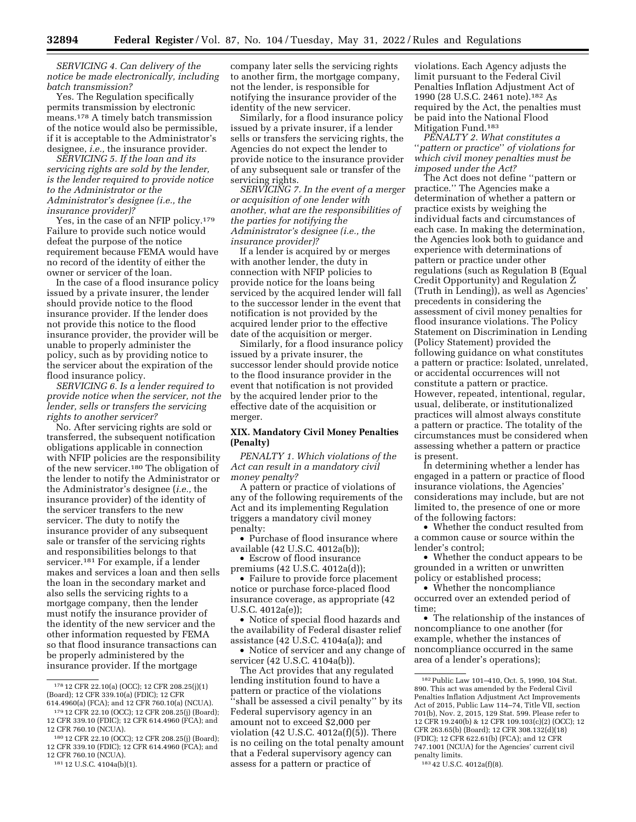*SERVICING 4. Can delivery of the notice be made electronically, including batch transmission?* 

Yes. The Regulation specifically permits transmission by electronic means.178 A timely batch transmission of the notice would also be permissible, if it is acceptable to the Administrator's designee, *i.e.,* the insurance provider.

*SERVICING 5. If the loan and its servicing rights are sold by the lender, is the lender required to provide notice to the Administrator or the Administrator's designee (i.e., the insurance provider)?* 

Yes, in the case of an NFIP policy.179 Failure to provide such notice would defeat the purpose of the notice requirement because FEMA would have no record of the identity of either the owner or servicer of the loan.

In the case of a flood insurance policy issued by a private insurer, the lender should provide notice to the flood insurance provider. If the lender does not provide this notice to the flood insurance provider, the provider will be unable to properly administer the policy, such as by providing notice to the servicer about the expiration of the flood insurance policy.

*SERVICING 6. Is a lender required to provide notice when the servicer, not the lender, sells or transfers the servicing rights to another servicer?* 

No. After servicing rights are sold or transferred, the subsequent notification obligations applicable in connection with NFIP policies are the responsibility of the new servicer.180 The obligation of the lender to notify the Administrator or the Administrator's designee (*i.e.,* the insurance provider) of the identity of the servicer transfers to the new servicer. The duty to notify the insurance provider of any subsequent sale or transfer of the servicing rights and responsibilities belongs to that servicer.181 For example, if a lender makes and services a loan and then sells the loan in the secondary market and also sells the servicing rights to a mortgage company, then the lender must notify the insurance provider of the identity of the new servicer and the other information requested by FEMA so that flood insurance transactions can be properly administered by the insurance provider. If the mortgage

company later sells the servicing rights to another firm, the mortgage company, not the lender, is responsible for notifying the insurance provider of the identity of the new servicer.

Similarly, for a flood insurance policy issued by a private insurer, if a lender sells or transfers the servicing rights, the Agencies do not expect the lender to provide notice to the insurance provider of any subsequent sale or transfer of the servicing rights.

*SERVICING 7. In the event of a merger or acquisition of one lender with another, what are the responsibilities of the parties for notifying the Administrator's designee (i.e., the insurance provider)?* 

If a lender is acquired by or merges with another lender, the duty in connection with NFIP policies to provide notice for the loans being serviced by the acquired lender will fall to the successor lender in the event that notification is not provided by the acquired lender prior to the effective date of the acquisition or merger.

Similarly, for a flood insurance policy issued by a private insurer, the successor lender should provide notice to the flood insurance provider in the event that notification is not provided by the acquired lender prior to the effective date of the acquisition or merger.

### **XIX. Mandatory Civil Money Penalties (Penalty)**

*PENALTY 1. Which violations of the Act can result in a mandatory civil money penalty?* 

A pattern or practice of violations of any of the following requirements of the Act and its implementing Regulation triggers a mandatory civil money penalty:

• Purchase of flood insurance where available (42 U.S.C. 4012a(b));

• Escrow of flood insurance

premiums (42 U.S.C. 4012a(d));

• Failure to provide force placement notice or purchase force-placed flood insurance coverage, as appropriate (42 U.S.C. 4012a(e));

• Notice of special flood hazards and the availability of Federal disaster relief assistance (42 U.S.C. 4104a(a)); and

• Notice of servicer and any change of servicer (42 U.S.C. 4104a(b)).

The Act provides that any regulated lending institution found to have a pattern or practice of the violations 'shall be assessed a civil penalty" by its Federal supervisory agency in an amount not to exceed \$2,000 per violation (42 U.S.C. 4012a(f)(5)). There is no ceiling on the total penalty amount that a Federal supervisory agency can assess for a pattern or practice of

violations. Each Agency adjusts the limit pursuant to the Federal Civil Penalties Inflation Adjustment Act of 1990 (28 U.S.C. 2461 note).182 As required by the Act, the penalties must be paid into the National Flood Mitigation Fund.183

*PENALTY 2. What constitutes a*  ''*pattern or practice*'' *of violations for which civil money penalties must be imposed under the Act?* 

The Act does not define ''pattern or practice.'' The Agencies make a determination of whether a pattern or practice exists by weighing the individual facts and circumstances of each case. In making the determination, the Agencies look both to guidance and experience with determinations of pattern or practice under other regulations (such as Regulation B (Equal Credit Opportunity) and Regulation Z (Truth in Lending)), as well as Agencies' precedents in considering the assessment of civil money penalties for flood insurance violations. The Policy Statement on Discrimination in Lending (Policy Statement) provided the following guidance on what constitutes a pattern or practice: Isolated, unrelated, or accidental occurrences will not constitute a pattern or practice. However, repeated, intentional, regular, usual, deliberate, or institutionalized practices will almost always constitute a pattern or practice. The totality of the circumstances must be considered when assessing whether a pattern or practice is present.

In determining whether a lender has engaged in a pattern or practice of flood insurance violations, the Agencies' considerations may include, but are not limited to, the presence of one or more of the following factors:

• Whether the conduct resulted from a common cause or source within the lender's control;

• Whether the conduct appears to be grounded in a written or unwritten policy or established process;

• Whether the noncompliance occurred over an extended period of time;

• The relationship of the instances of noncompliance to one another (for example, whether the instances of noncompliance occurred in the same area of a lender's operations);

<sup>178</sup> 12 CFR 22.10(a) (OCC); 12 CFR 208.25(j)(1) (Board); 12 CFR 339.10(a) (FDIC); 12 CFR 614.4960(a) (FCA); and 12 CFR 760.10(a) (NCUA).

<sup>179</sup> 12 CFR 22.10 (OCC); 12 CFR 208.25(j) (Board); 12 CFR 339.10 (FDIC); 12 CFR 614.4960 (FCA); and 12 CFR 760.10 (NCUA).

<sup>180</sup> 12 CFR 22.10 (OCC); 12 CFR 208.25(j) (Board); 12 CFR 339.10 (FDIC); 12 CFR 614.4960 (FCA); and 12 CFR 760.10 (NCUA).

<sup>181</sup> 12 U.S.C. 4104a(b)(1).

<sup>182</sup>Public Law 101–410, Oct. 5, 1990, 104 Stat. 890. This act was amended by the Federal Civil Penalties Inflation Adjustment Act Improvements Act of 2015, Public Law 114–74, Title VII, section 701(b), Nov. 2, 2015, 129 Stat. 599. Please refer to 12 CFR 19.240(b) & 12 CFR 109.103(c)(2) (OCC); 12 CFR 263.65(b) (Board); 12 CFR 308.132(d)(18) (FDIC); 12 CFR 622.61(b) (FCA); and 12 CFR 747.1001 (NCUA) for the Agencies' current civil penalty limits. 183 42 U.S.C. 4012a(f)(8).